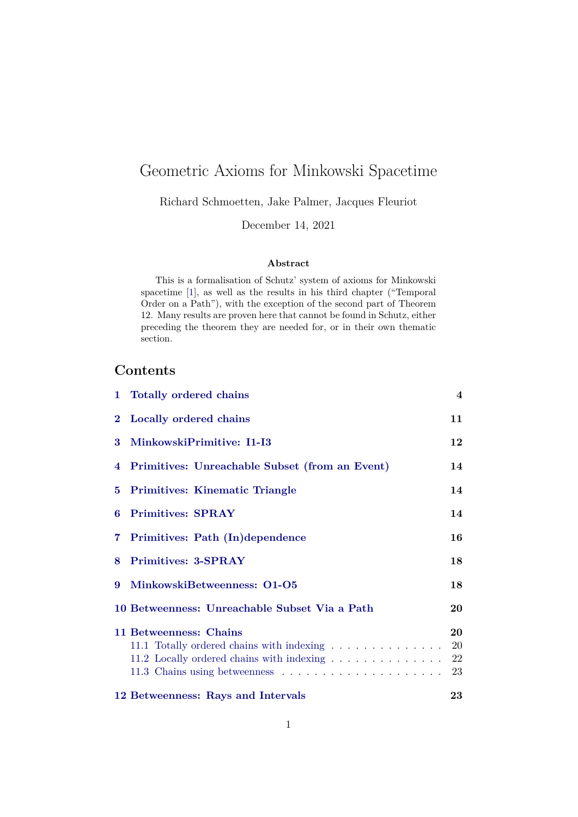# Geometric Axioms for Minkowski Spacetime

Richard Schmoetten, Jake Palmer, Jacques Fleuriot

December 14, 2021

#### **Abstract**

This is a formalisation of Schutz' system of axioms for Minkowski spacetime [\[1\]](#page-190-0), as well as the results in his third chapter ("Temporal Order on a Path"), with the exception of the second part of Theorem 12. Many results are proven here that cannot be found in Schutz, either preceding the theorem they are needed for, or in their own thematic section.

## **Contents**

|   | 1 Totally ordered chains                                                                                         | $\overline{4}$              |
|---|------------------------------------------------------------------------------------------------------------------|-----------------------------|
|   | 2 Locally ordered chains                                                                                         | 11                          |
| 3 | MinkowskiPrimitive: I1-I3                                                                                        | 12                          |
|   | 4 Primitives: Unreachable Subset (from an Event)                                                                 | 14                          |
|   | 5 Primitives: Kinematic Triangle                                                                                 | 14                          |
| 6 | <b>Primitives: SPRAY</b>                                                                                         | 14                          |
|   | 7 Primitives: Path (In)dependence                                                                                | 16                          |
| 8 | <b>Primitives: 3-SPRAY</b>                                                                                       | 18                          |
| 9 | MinkowskiBetweenness: 01-05                                                                                      | 18                          |
|   | 10 Betweenness: Unreachable Subset Via a Path                                                                    | 20                          |
|   | 11 Betweenness: Chains<br>11.1 Totally ordered chains with indexing<br>11.2 Locally ordered chains with indexing | 20<br><b>20</b><br>22<br>23 |
|   | 12 Betweenness: Rays and Intervals                                                                               | 23                          |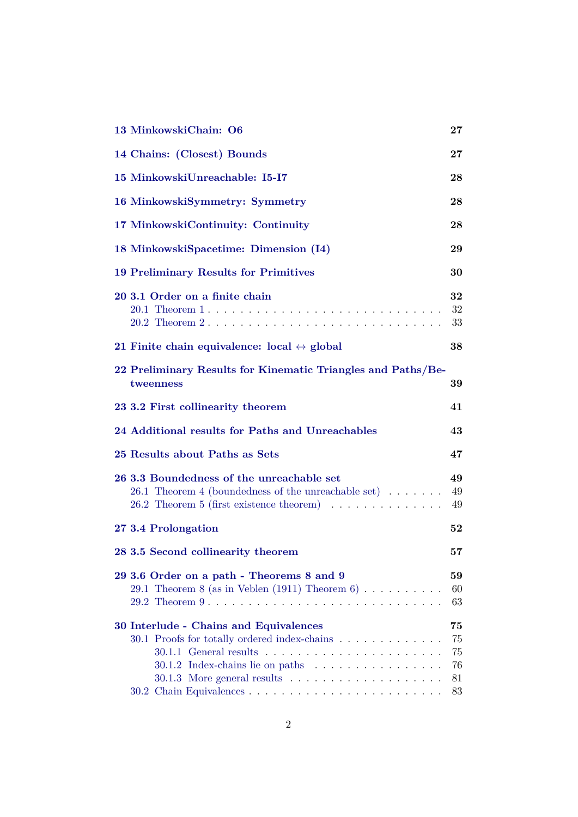| 13 MinkowskiChain: O6                                                                                                                                                                    | $\bf{27}$                        |
|------------------------------------------------------------------------------------------------------------------------------------------------------------------------------------------|----------------------------------|
| 14 Chains: (Closest) Bounds                                                                                                                                                              | $\bf{27}$                        |
| 15 MinkowskiUnreachable: I5-I7                                                                                                                                                           | 28                               |
| 16 MinkowskiSymmetry: Symmetry                                                                                                                                                           | 28                               |
| 17 MinkowskiContinuity: Continuity                                                                                                                                                       | 28                               |
| 18 MinkowskiSpacetime: Dimension (I4)                                                                                                                                                    | 29                               |
| 19 Preliminary Results for Primitives                                                                                                                                                    | 30                               |
| 20 3.1 Order on a finite chain<br>20.2 Theorem 2                                                                                                                                         | 32<br>32<br>33                   |
| 21 Finite chain equivalence: $local \leftrightarrow global$                                                                                                                              | 38                               |
| 22 Preliminary Results for Kinematic Triangles and Paths/Be-<br>tweenness                                                                                                                | 39                               |
| 23 3.2 First collinearity theorem                                                                                                                                                        | 41                               |
| 24 Additional results for Paths and Unreachables                                                                                                                                         | 43                               |
| 25 Results about Paths as Sets                                                                                                                                                           | 47                               |
| 26 3.3 Boundedness of the unreachable set<br>26.1 Theorem 4 (boundedness of the unreachable set) $\dots \dots$<br>26.2 Theorem 5 (first existence theorem) $\ldots \ldots \ldots \ldots$ | 49<br>49<br>49                   |
| 27 3.4 Prolongation                                                                                                                                                                      | $52\,$                           |
| 28 3.5 Second collinearity theorem                                                                                                                                                       | 57                               |
| 29 3.6 Order on a path - Theorems 8 and 9<br>29.1 Theorem 8 (as in Veblen (1911) Theorem 6)                                                                                              | 59<br>60<br>63                   |
| 30 Interlude - Chains and Equivalences<br>30.1 Proofs for totally ordered index-chains                                                                                                   | 75<br>75<br>75<br>76<br>81<br>83 |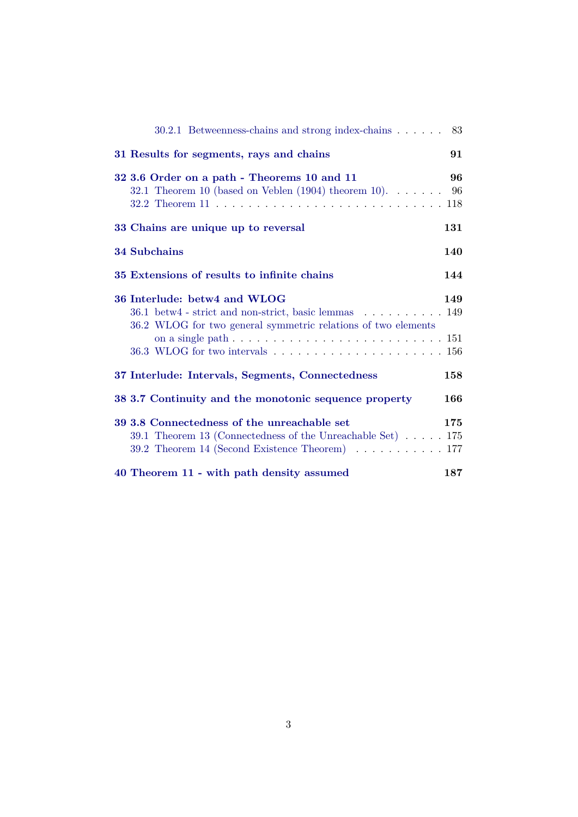| 30.2.1 Betweenness-chains and strong index-chains 83                                                                                                                                                                                                  |     |
|-------------------------------------------------------------------------------------------------------------------------------------------------------------------------------------------------------------------------------------------------------|-----|
| 31 Results for segments, rays and chains                                                                                                                                                                                                              | 91  |
| 32 3.6 Order on a path - Theorems 10 and 11<br>32.1 Theorem 10 (based on Veblen $(1904)$ theorem 10) 96                                                                                                                                               | 96  |
| 33 Chains are unique up to reversal                                                                                                                                                                                                                   | 131 |
| <b>34 Subchains</b>                                                                                                                                                                                                                                   | 140 |
| 35 Extensions of results to infinite chains                                                                                                                                                                                                           | 144 |
| 36 Interlude: betw4 and WLOG<br>36.1 betw4 - strict and non-strict, basic lemmas 149<br>36.2 WLOG for two general symmetric relations of two elements<br>on a single path $\ldots \ldots \ldots \ldots \ldots \ldots \ldots \ldots \ldots \ldots 151$ | 149 |
| 37 Interlude: Intervals, Segments, Connectedness                                                                                                                                                                                                      | 158 |
| 38 3.7 Continuity and the monotonic sequence property                                                                                                                                                                                                 | 166 |
| 39 3.8 Connectedness of the unreachable set<br>39.1 Theorem 13 (Connectedness of the Unreachable Set) $\dots$ . 175<br>39.2 Theorem 14 (Second Existence Theorem) $\ldots \ldots \ldots \ldots 177$                                                   | 175 |
| 40 Theorem 11 - with path density assumed                                                                                                                                                                                                             | 187 |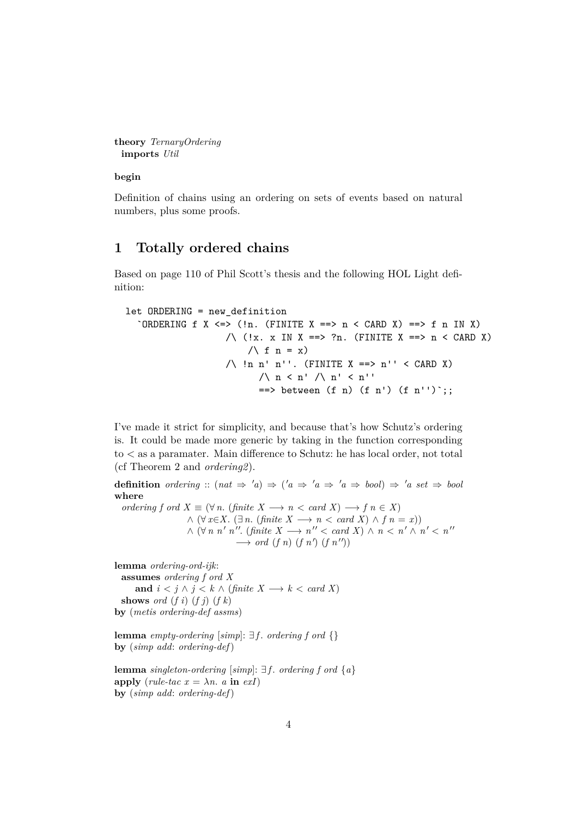```
theory TernaryOrdering
 imports Util
```
**begin**

Definition of chains using an ordering on sets of events based on natural numbers, plus some proofs.

### <span id="page-3-0"></span>**1 Totally ordered chains**

Based on page 110 of Phil Scott's thesis and the following HOL Light definition:

```
let ORDERING = new_definition
  `ORDERING f X <=> (!n. (FINITE X ==> n < CARD X) ==> f n IN X)
                     \wedge (!x. x IN X ==> ?n. (FINITE X ==> n < CARD X)
                         \bigwedge f n = x)
                     /\backslash !n n' n''. (FINITE X ==> n'' < CARD X)
                           \wedge n < n' \wedge n' < n''
                           \Rightarrow between (f n) (f n') (f n'') ;;
```
I've made it strict for simplicity, and because that's how Schutz's ordering is. It could be made more generic by taking in the function corresponding to < as a paramater. Main difference to Schutz: he has local order, not total (cf Theorem 2 and *ordering2*).

**definition** ordering ::  $(nat \Rightarrow 'a) \Rightarrow ('a \Rightarrow 'a \Rightarrow 'a \Rightarrow bool) \Rightarrow 'a \; set \Rightarrow bool$ **where** *ordering f ord*  $X \equiv (\forall n. (finite \ X \longrightarrow n < card \ X) \longrightarrow f \ n \in X)$  $\land$  (∀ *x*∈*X*. (∃ *n*. (*finite X* → *n* < *card X*)  $\land$  *f n* = *x*))  $\wedge$  ( $\forall n \; n' \; n''$ . (finite  $X \longrightarrow n'' < \text{card } X$ )  $\wedge$   $n < n' \wedge n' < n''$ 

 $\longrightarrow$  *ord* (*f n*) (*f n'*) (*f n''*))

**lemma** *ordering-ord-ijk*:

**assumes** *ordering f ord X* **and**  $i < j \land j < k \land (finite\ X \longrightarrow k < card\ X)$ **shows** *ord*  $(f i)$   $(f j)$   $(f k)$ **by** (*metis ordering-def assms*)

**lemma** *empty-ordering* [*simp*]: ∃ *f* . *ordering f ord* {} **by** (*simp add*: *ordering-def*)

**lemma** *singleton-ordering* [*simp*]: ∃ *f* . *ordering f ord* {*a*} **apply** (*rule-tac*  $x = \lambda n$ . *a* **in** *exI*) **by** (*simp add*: *ordering-def*)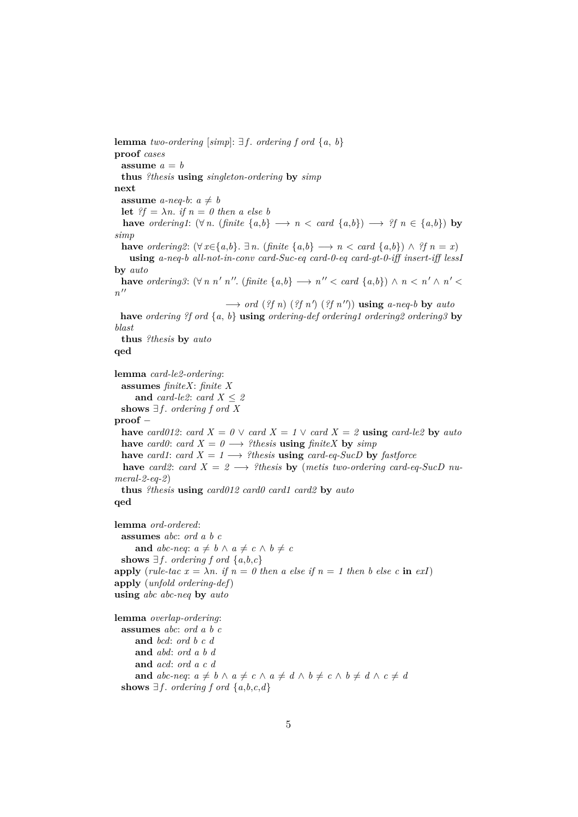**lemma** *two-ordering* [ $simpl$ :  $\exists f$ . *ordering*  $f$  *ord*  $\{a, b\}$ **proof** *cases* assume  $a = b$ **thus** *?thesis* **using** *singleton-ordering* **by** *simp* **next assume** *a-neq-b*:  $a \neq b$ **let**  $?f = \lambda n$ . *if*  $n = 0$  *then a else b* **have** *ordering1*:  $(\forall n. \text{ (finite } \{a,b\}) \rightarrow n \leq card \{a,b\}) \rightarrow ?f \ n \in \{a,b\}$  **by** *simp* **have** *ordering2*:  $(\forall x \in \{a,b\} \rightarrow n$ . (*finite*  $\{a,b\} \rightarrow n$  < *card*  $\{a,b\} \land ?f \neq n = x$ ) **using** *a-neq-b all-not-in-conv card-Suc-eq card-0-eq card-gt-0-iff insert-iff lessI* **by** *auto* **have** *ordering3*:  $(\forall n \space n' \space n''$ . (*finite*  $\{a,b\} \rightarrow n'' < \text{card } \{a,b\}$ )  $\land n < n' \land n' <$  $n^{\prime\prime}$  $\longrightarrow$  *ord* (*?f n*) (*?f n'*) (*?f n''*)) **using** *a-neq-b* by *auto* **have** *ordering ?f ord* {*a*, *b*} **using** *ordering-def ordering1 ordering2 ordering3* **by** *blast* **thus** *?thesis* **by** *auto* **qed lemma** *card-le2-ordering*: **assumes** *finiteX*: *finite X* **and** *card-le2*: *card*  $X \leq 2$ **shows**  $∃f$ *. ordering f ord X* **proof** − **have** *card012*: *card*  $X = 0 \vee$  *card*  $X = 1 \vee$  *card*  $X = 2$  **using** *card-le2* **by** *auto* **have** *card0*: *card X* =  $0 \rightarrow ?$ *thesis* **using** *finiteX* **by** *simp* **have** *card1*: *card*  $X = 1 \longrightarrow$  *?thesis* **using** *card-eq-SucD* by *fastforce* **have** *card2*: *card X* = 2  $\rightarrow$  *?thesis* **by** (*metis two-ordering card-eq-SucD numeral-2-eq-2*) **thus** *?thesis* **using** *card012 card0 card1 card2* **by** *auto* **qed lemma** *ord-ordered*: **assumes** *abc*: *ord a b c* **and**  $abc$ -neq:  $a \neq b \land a \neq c \land b \neq c$ **shows**  $∃f$ *. ordering*  $f$  *ord*  $\{a,b,c\}$ **apply** (*rule-tac*  $x = \lambda n$ . *if*  $n = 0$  then a else if  $n = 1$  then b else c **in** exI **apply** (*unfold ordering-def*) **using** *abc abc-neq* **by** *auto* **lemma** *overlap-ordering*: **assumes** *abc*: *ord a b c* **and** *bcd*: *ord b c d* **and** *abd*: *ord a b d* **and** *acd*: *ord a c d* **and**  $abc$ -neq:  $a \neq b \land a \neq c \land a \neq d \land b \neq c \land b \neq d \land c \neq d$ shows  $\exists f$ *. ordering*  $f$  *ord*  $\{a,b,c,d\}$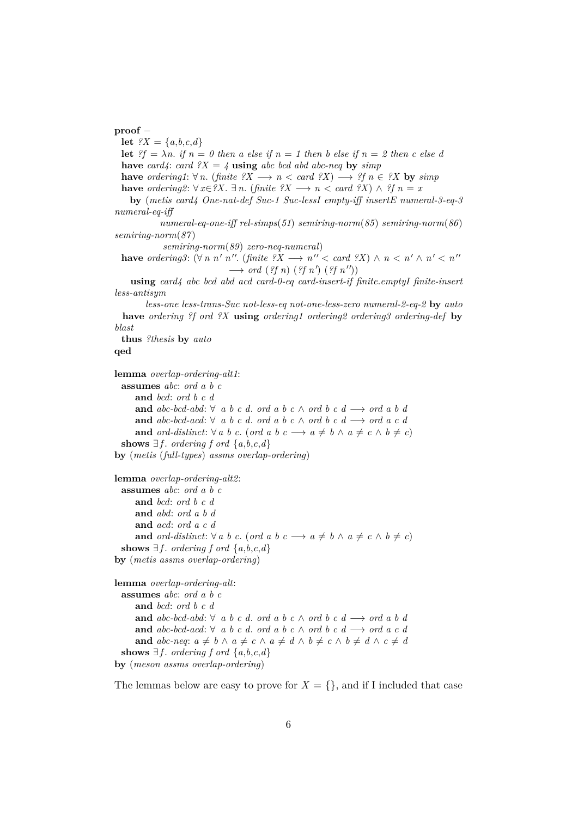#### **proof** −

**let**  $?X = \{a, b, c, d\}$ **let**  $?f = \lambda n$ . *if*  $n = 0$  then a else *if*  $n = 1$  then b else *if*  $n = 2$  then c else d **have** *card4*: *card ?X* = *4* **using** *abc bcd abd abc-neq* **by** *simp* **have** *ordering1*:  $\forall n$ . (*finite*  $\forall X \rightarrow n \ltq card \forall X$ )  $\rightarrow \forall f n \in \forall X$  by  $\exists \text{sim } p$ **have** *ordering2*:  $\forall x \in \mathscr{X}$ .  $\exists n$ . (*finite ?X*  $\rightarrow n$  < *card ?X*)  $\land$  *?f*  $n = x$ **by** (*metis card4 One-nat-def Suc-1 Suc-lessI empty-iff insertE numeral-3-eq-3 numeral-eq-iff*

*numeral-eq-one-iff rel-simps*(*51*) *semiring-norm*(*85*) *semiring-norm*(*86*) *semiring-norm*(*87* )

*semiring-norm*(*89*) *zero-neq-numeral*)

**have** ordering3:  $(\forall n \space n' \space n''$ . (finite  $?X \rightarrow n'' < \text{card } ?X$ )  $\land n < n' \land n' < n''$  $\longrightarrow$  *ord* (*?f n*) (*?f n'*) (*?f n''*))

**using** *card4 abc bcd abd acd card-0-eq card-insert-if finite*.*emptyI finite-insert less-antisym*

*less-one less-trans-Suc not-less-eq not-one-less-zero numeral-2-eq-2* **by** *auto* **have** *ordering ?f ord ?X* **using** *ordering1 ordering2 ordering3 ordering-def* **by** *blast*

**thus** *?thesis* **by** *auto*

#### **qed**

**lemma** *overlap-ordering-alt1*:

```
assumes abc: ord a b c
     and bcd: ord b c d
     and abc-bcd-abd: ∀ a b c d. ord a b c ∧ ord b c d → ord a b dand abc-bcd-acd: ∀ a b c d. ord a b c ∧ ord b c d → ord a c dand ord-distinct: \forall a \ b \ c. (ord a b \ c \rightarrow a \neq b \ \land \ a \neq c \ \land \ b \neq c)
 shows ∃f. ordering f ord \{a,b,c,d\}by (metis (full-types) assms overlap-ordering)
```

```
lemma overlap-ordering-alt2:
  assumes abc: ord a b c
     and bcd: ord b c d
     and abd: ord a b d
     and acd: ord a c d
     and ord-distinct: \forall a \ b \ c. (ord a b \ c \longrightarrow a \neq b \ \land \ a \neq c \ \land \ b \neq c)
  shows ∃f. ordering f ord \{a, b, c, d\}by (metis assms overlap-ordering)
```

```
lemma overlap-ordering-alt:
 assumes abc: ord a b c
     and bcd: ord b c d
     and abc-bcd-abd: ∀ a b c d. ord a b c ∧ ord b c d → ord a b dand abc-bcd-acd: ∀ a b c d. ord a b c ∧ ord b c d −→ ord a c d
     and abc-neq: a \neq b \land a \neq c \land a \neq d \land b \neq c \land b \neq d \land c \neq dshows ∃f. ordering f ord \{a,b,c,d\}by (meson assms overlap-ordering)
```
The lemmas below are easy to prove for  $X = \{\}$ , and if I included that case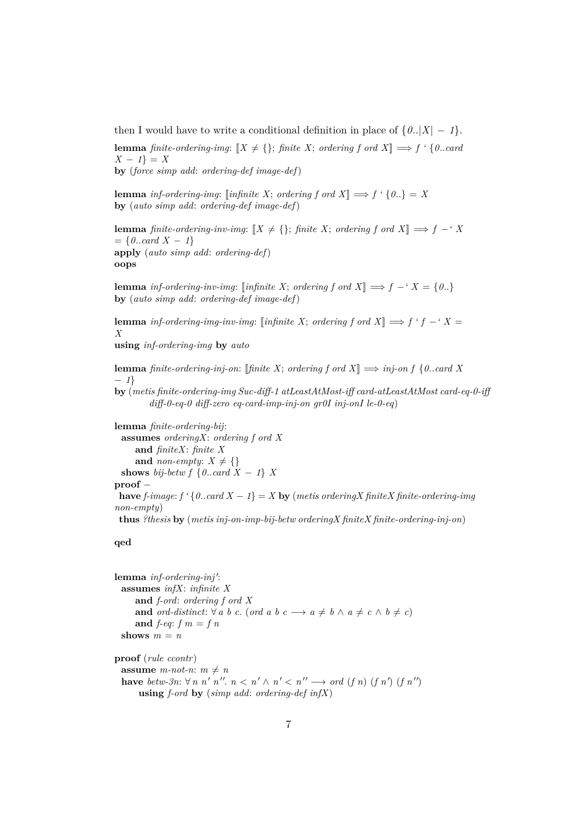then I would have to write a conditional definition in place of  $\{0..|X|-1\}$ .

**lemma** *finite-ordering-img*:  $[X \neq \{\}$ ; *finite X*; *ordering f ord X*]  $\implies$  *f* ' {0..*card X* − *1*} = *X* **by** (*force simp add*: *ordering-def image-def*)

**lemma** *inf-ordering-img*:  $\lceil \text{infinite } X \rceil$ ; *ordering f ord*  $X \rceil \implies f' \rceil \{0\} = X$ **by** (*auto simp add*: *ordering-def image-def*)

**lemma** *finite-ordering-inv-img*:  $[X \neq \{\}$ ; *finite X*; *ordering f ord X*]  $\implies$  *f* −*'X*  $= \{0..\text{card } X - 1\}$ **apply** (*auto simp add*: *ordering-def*) **oops**

**lemma** *inf-ordering-inv-img*: [*infinite X*; *ordering f ord X*]  $\implies$  *f* − *'X* = {0..} **by** (*auto simp add*: *ordering-def image-def*)

**lemma** *inf-ordering-img-inv-img*: [*infinite X*; *ordering f ord X*]  $\implies$  *f 'f* − '*X* = *X*

**using** *inf-ordering-img* **by** *auto*

**lemma** *finite-ordering-inj-on*: [*finite X*; *ordering f ord X*]  $\implies$  *inj-on f* {*0...card X* − *1*}

**by** (*metis finite-ordering-img Suc-diff-1 atLeastAtMost-iff card-atLeastAtMost card-eq-0-iff diff-0-eq-0 diff-zero eq-card-imp-inj-on gr0I inj-onI le-0-eq*)

**lemma** *finite-ordering-bij*: **assumes** *orderingX*: *ordering f ord X* **and** *finiteX*: *finite X* and *non-empty*:  $X \neq \{\}$ **shows** *bij-betw f* { $0$ .*card*  $X - 1$ } *X* **proof** − **have** *f-image:*  $f' \{0$ ..*card*  $X - 1$ } =  $X$  **by** (*metis orderingX finiteX finite-ordering-img non-empty*) **thus** *?thesis* **by** (*metis inj-on-imp-bij-betw orderingX finiteX finite-ordering-inj-on*)

#### **qed**

lemma inf-ordering-inj': **assumes** *infX*: *infinite X* **and** *f-ord*: *ordering f ord X* **and** *ord-distinct*:  $\forall a \ b \ c.$  (*ord a*  $b \ c \longrightarrow a \neq b \ \land \ a \neq c \ \land \ b \neq c$ ) and  $f$ -eq:  $f$   $m = f$   $n$ shows  $m = n$ **proof** (*rule ccontr*) **assume** *m*-not-n:  $m \neq n$ **have** betw-3n:  $\forall n \in \mathbb{N}^n$ ,  $n \leq n \leq n \leq n$ ,  $n \leq n$ ,  $\forall n \in \mathbb{N}$  (*f n*) (*f n'*)

**using** *f-ord* **by** (*simp add*: *ordering-def infX*)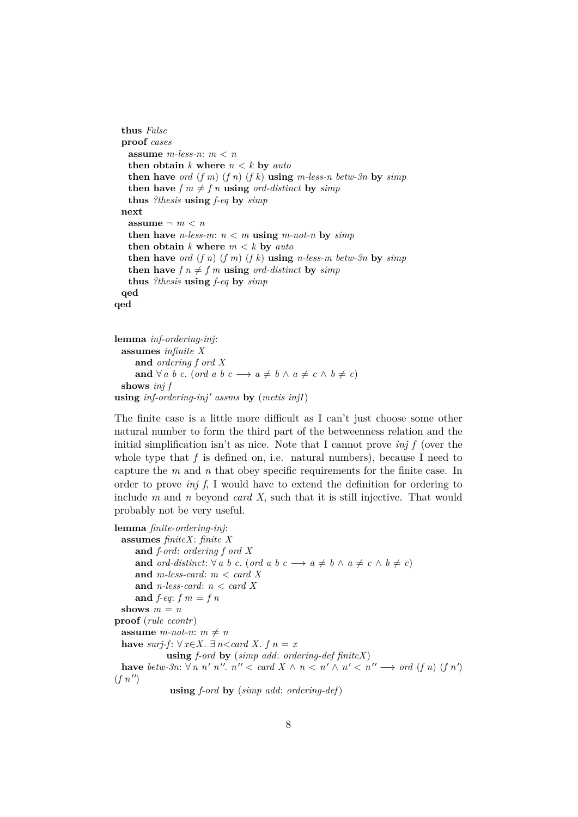```
thus False
 proof cases
   assume m-less-n: m < n
   then obtain k where n < k by autothen have ord (f m) (f n) (f k) using m-less-n betw-3n by simp
   then have f \circ m \neq f \circ n using ord-distinct by simp
   thus ?thesis using f-eq by simp
 next
   assume \neg m \lt n
   then have n-less-m: n < m using m-not-n by simpthen obtain k where m < k by autothen have ord (f n) (f m) (f k) using n-less-m betw-3n by \sin pthen have f n \neq f m using ord-distinct by simpthus ?thesis using f-eq by simp
 qed
qed
```

```
lemma inf-ordering-inj:
  assumes infinite X
      and ordering f ord X
      and \forall a \ b \ c. (ord a \ b \ c \longrightarrow a \neq b \ \land \ a \neq c \ \land \ b \neq c)
  shows inj f
using inf-ordering-inj' assms by (metis injI)
```
The finite case is a little more difficult as I can't just choose some other natural number to form the third part of the betweenness relation and the initial simplification isn't as nice. Note that I cannot prove *inj f* (over the whole type that  $f$  is defined on, i.e. natural numbers), because I need to capture the *m* and *n* that obey specific requirements for the finite case. In order to prove *inj f*, I would have to extend the definition for ordering to include *m* and *n* beyond *card X*, such that it is still injective. That would probably not be very useful.

```
lemma finite-ordering-inj:
 assumes finiteX: finite X
     and f-ord: ordering f ord X
     and ord-distinct: \forall a \ b \ c. (ord a b \ c \longrightarrow a \neq b \ \land \ a \neq c \ \land \ b \neq c)
     and m-less-card: m < card X
     and n-less-card: n < card X
     and f-eq: f m = f nshows m = nproof (rule ccontr)
 assume m-not-n: m \neq nhave surj-f: ∀ x \in X. ∃ n<card X. f n = x
             using f-ord by (simp add: ordering-def finiteX)
  have betw-3n: \forall n \le n'', n'' < \text{card } X \land n < n' \land n' < n'' \rightarrow \text{ord } (f n) (f n')(f n'')using f-ord by (simp add: ordering-def)
```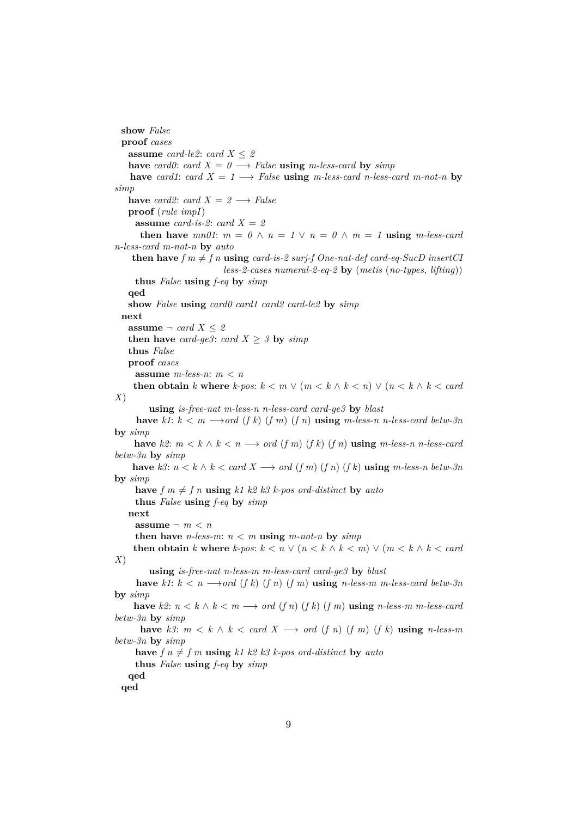```
show False
 proof cases
   assume card-le2: card X \leq 2have card0: card X = 0 \rightarrow False using m-less-card by simp
   have card1: card X = 1 \longrightarrow False using m-less-card n-less-card m-not-n by
simp
   have card2: card X = 2 \rightarrow Falseproof (rule impI)
     assume card-is-2: card X = 2then have mn01: m = 0 \land n = 1 \lor n = 0 \land m = 1 using m-less-card
n-less-card m-not-n by auto
    then have f \, m \neq f \, n using card-is-2 surj-f One-nat-def card-eq-SucD insertCI
                            less-2-cases numeral-2-eq-2 by (metis (no-types, lifting))
     thus False using f-eq by simp
   qed
   show False using card0 card1 card2 card-le2 by simp
  next
   assume \neg card X \leq 2then have card-ge3: card X \geq 3 by simp
   thus False
   proof cases
     assume m-less-n: m < n
    then obtain k where k-pos: k < m \vee (m < k \wedge k < n) \vee (n < k \wedge k < card)X)
        using is-free-nat m-less-n n-less-card card-ge3 by blast
     have k1: k < m \rightarrow \text{ord}(f k) (f m) (f n) using m-less-n n-less-card betw-3n
by simp
    have k2: m < k \wedge k < n \longrightarrow ord(f(m)(f(k))(f(n)) using m-less-n n-less-card
betw-3n by simp
    have k3: n < k \wedge k < \text{card } X \longrightarrow \text{ord } (f \cdot m) (f \cdot n) (f \cdot k) using m-less-n betw-3n
by simp
     have f \in \mathbb{R}^n f n \in \mathbb{R}^n using k1 \ k2 \ k3 \ k-pos \ ord\text{-}distinct by autothus False using f-eq by simp
   next
     assume \neg m \lt n
     then have n-less-m: n < m using m-not-n by simpthen obtain k where k-pos: k < n \vee (n < k \wedge k < m) \vee (m < k \wedge k < card)X)
        using is-free-nat n-less-m m-less-card card-ge3 by blast
     have k1: k < n \longrightarrow ord(fk) (f n) (f m) using n-less-m m-less-card betw-3n
by simp
    have k2: n < k \wedge k < m \longrightarrow ord(fn)(fk)(fm) using n-less-m m-less-card
betw-3n by simp
      have k3: m < k \wedge k < card X \rightarrow ord (f n) (f m) (f k) using n-less-m
betw-3n by simp
     have f \circ h \neq f \circ m using k1 k2 k3 k-pos \text{ ord-distinct by auto}thus False using f-eq by simp
   qed
 qed
```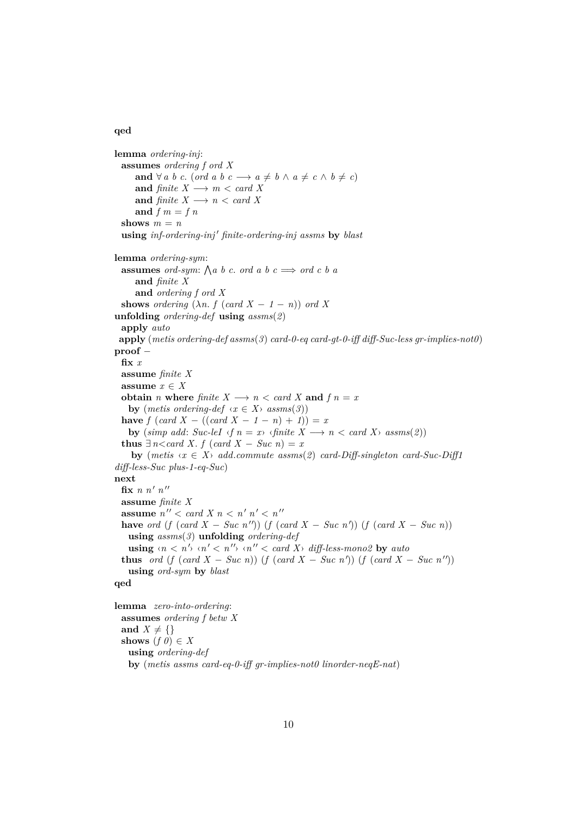#### **qed**

```
lemma ordering-inj:
 assumes ordering f ord X
      and \forall a \ b \ c. (ord a \ b \ c \longrightarrow a \neq b \land a \neq c \land b \neq c)
      and finite X \longrightarrow m < \text{card } Xand finite X \longrightarrow n < \text{card } Xand f \, m = f \, nshows m = nusing inf\text{-}ordering\text{-}inj' finite\text{-}ordering\text{-}inj assms by blastlemma ordering-sym:
  assumes ord-sym: \bigwedge a \ b \ c. ord a \ b \ c \implies \text{ord } c \ b \ aand finite X
      and ordering f ord X
  shows ordering (\lambda n. f (card X - 1 - n)) ord X
unfolding ordering-def using assms(2)
 apply auto
 apply (metis ordering-def assms(3) card-0-eq card-gt-0-iff diff-Suc-less gr-implies-not0)
proof −
  fix x
 assume finite X
  assume x \in Xobtain n where finite X \rightarrow n < \text{card } X and f n = xby (metis ordering-def \langle x \in X \rangle assms(3))
  have f (card X - ((card X - 1 - n) + 1)) = xby (\text{simp add: Succ-leI} \land f \text{ } n = x) \land \text{finite } X \longrightarrow n < \text{card } X \land \text{assms}(2))thus \exists n < \text{card } X, f (card X - \text{Suc } n) = x
     by (metis \langle x \in X \rangle add.commute assms(2) card-Diff-singleton card-Suc-Diff1
diff-less-Suc plus-1-eq-Suc)
next
  fix n n' n''assume finite X
  assume n'' < card X n < n' n' < n''have ord (f (card X - Suc n'')) (f (card X - Suc n')) (f (card X - Suc n))
    using assms(3) unfolding ordering-def
    \textbf{using } \langle n \langle n' \rangle \langle n' \langle n'' \rangle \langle n'' \langle n'' \rangle \rangle \text{ and } \textbf{X} \rangle \text{ differless-monog } \textbf{by} \text{ auto}thus ord (f (card X - Suc n)) (f (card X - Suc n<sup>'</sup>)) (f (card X - Suc n<sup>''</sup>))
    using ord-sym by blast
qed
lemma zero-into-ordering:
  assumes ordering f betw X
```

```
and X \neq \{\}shows (f \theta) \in Xusing ordering-def
 by (metis assms card-eq-0-iff gr-implies-not0 linorder-neqE-nat)
```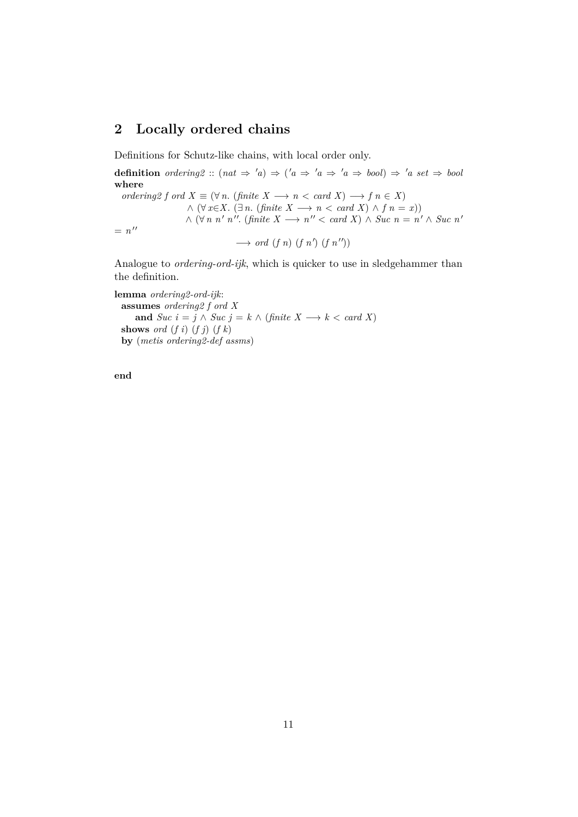## <span id="page-10-0"></span>**2 Locally ordered chains**

Definitions for Schutz-like chains, with local order only.

**definition** *ordering2* ::  $(nat \Rightarrow 'a) \Rightarrow ('a \Rightarrow 'a \Rightarrow 'a \Rightarrow bool) \Rightarrow 'a \; set \Rightarrow bool$ **where** *ordering2 f ord*  $X \equiv (\forall n. \text{ (finite } X \rightarrow n \ltq \text{ card } X) \rightarrow f \in X)$  $\wedge (\forall x \in X \land (\exists n \cdot (finite \ X \longrightarrow n \ltq card \ X) \land f \cap n = x))$  $\wedge$  ( $\forall n \; n'$  *n*". (finite  $X \longrightarrow n'' < \text{card } X$ )  $\wedge$  *Suc*  $n = n' \wedge \text{Suc } n'$  $= n^{\prime\prime}$  $\longrightarrow$  *ord* (*f n*) (*f n'*) (*f n''*))

Analogue to *ordering-ord-ijk*, which is quicker to use in sledgehammer than the definition.

**lemma** *ordering2-ord-ijk*: **assumes** *ordering2 f ord X* **and** *Suc*  $i = j \land Suc$   $j = k \land (finite X \rightarrow k < card X)$ **shows** *ord* (*f i*) (*f j*) (*f k*) **by** (*metis ordering2-def assms*)

**end**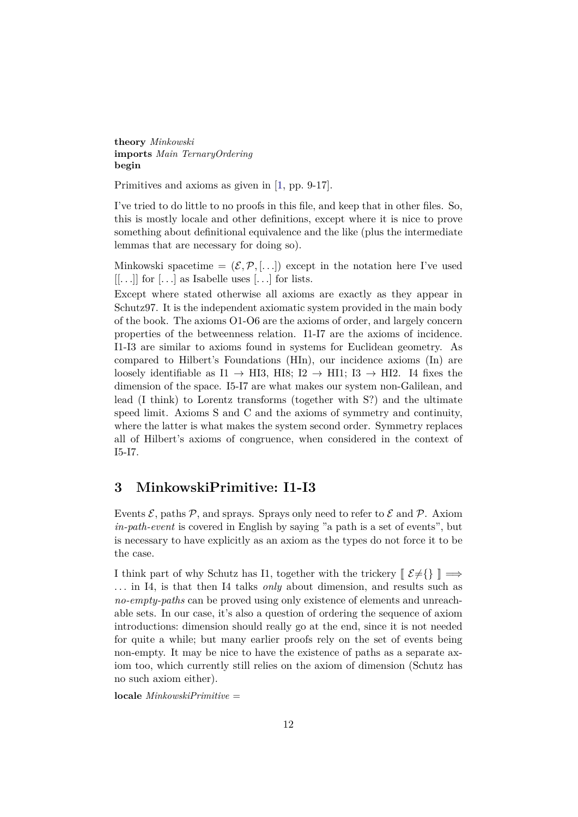**theory** *Minkowski* **imports** *Main TernaryOrdering* **begin**

Primitives and axioms as given in [\[1,](#page-190-0) pp. 9-17].

I've tried to do little to no proofs in this file, and keep that in other files. So, this is mostly locale and other definitions, except where it is nice to prove something about definitional equivalence and the like (plus the intermediate lemmas that are necessary for doing so).

Minkowski spacetime =  $(\mathcal{E}, \mathcal{P}, \ldots)$  except in the notation here I've used  $[...]$  for  $[...]$  as Isabelle uses  $[...]$  for lists.

Except where stated otherwise all axioms are exactly as they appear in Schutz97. It is the independent axiomatic system provided in the main body of the book. The axioms O1-O6 are the axioms of order, and largely concern properties of the betweenness relation. I1-I7 are the axioms of incidence. I1-I3 are similar to axioms found in systems for Euclidean geometry. As compared to Hilbert's Foundations (HIn), our incidence axioms (In) are loosely identifiable as I1  $\rightarrow$  HI3, HI8; I2  $\rightarrow$  HI1; I3  $\rightarrow$  HI2. I4 fixes the dimension of the space. I5-I7 are what makes our system non-Galilean, and lead (I think) to Lorentz transforms (together with S?) and the ultimate speed limit. Axioms S and C and the axioms of symmetry and continuity, where the latter is what makes the system second order. Symmetry replaces all of Hilbert's axioms of congruence, when considered in the context of I5-I7.

#### <span id="page-11-0"></span>**3 MinkowskiPrimitive: I1-I3**

Events  $\mathcal{E}$ , paths  $\mathcal{P}$ , and sprays. Sprays only need to refer to  $\mathcal{E}$  and  $\mathcal{P}$ . Axiom *in-path-event* is covered in English by saying "a path is a set of events", but is necessary to have explicitly as an axiom as the types do not force it to be the case.

I think part of why Schutz has I1, together with the trickery  $[\mathcal{E}\neq\{\}\] \Longrightarrow$ . . . in I4, is that then I4 talks *only* about dimension, and results such as *no-empty-paths* can be proved using only existence of elements and unreachable sets. In our case, it's also a question of ordering the sequence of axiom introductions: dimension should really go at the end, since it is not needed for quite a while; but many earlier proofs rely on the set of events being non-empty. It may be nice to have the existence of paths as a separate axiom too, which currently still relies on the axiom of dimension (Schutz has no such axiom either).

**locale** *MinkowskiPrimitive* =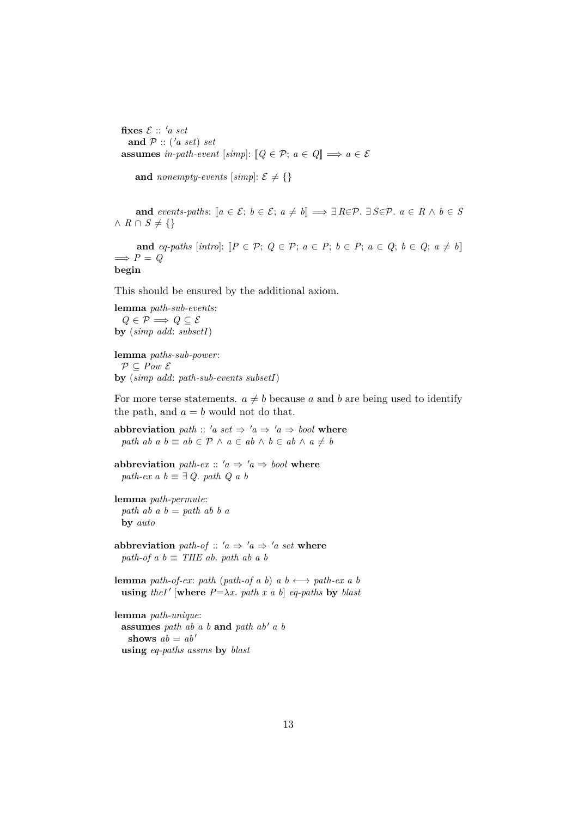fixes  $\mathcal{E}$  :: 'a set and  $P$  :: ('*a set*) *set* **assumes** *in-path-event* [*simp*]:  $[Q \in \mathcal{P}; a \in Q] \implies a \in \mathcal{E}$ 

**and** *nonempty-events* [simp]:  $\mathcal{E} \neq \{\}$ 

**and** *events-paths*:  $[a \in \mathcal{E}; b \in \mathcal{E}; a \neq b] \implies \exists R \in \mathcal{P}$ .  $\exists S \in \mathcal{P}$ .  $a \in R \land b \in S$  $∧$  *R* ∩ *S*  $\neq$  {}

**and**  $eq\text{-}paths$  [intro]:  $[P \in \mathcal{P}; Q \in \mathcal{P}; a \in P; b \in P; a \in Q; b \in Q; a \neq b]$ ]  $\implies P = Q$ **begin**

This should be ensured by the additional axiom.

**lemma** *path-sub-events*:  $Q \in \mathcal{P}$   $\Longrightarrow$   $Q \subseteq \mathcal{E}$ **by** (*simp add*: *subsetI*)

**lemma** *paths-sub-power*:  $P \subseteq Pow \mathcal{E}$ **by** (*simp add*: *path-sub-events subsetI*)

For more terse statements.  $a \neq b$  because a and b are being used to identify the path, and  $a = b$  would not do that.

**abbreviation** *path* :: '*a set*  $\Rightarrow$  '*a*  $\Rightarrow$  '*a*  $\Rightarrow$  *bool* where *path ab a b*  $\equiv$  *ab*  $\in$   $P \wedge a \in$  *ab*  $\wedge$  *b*  $\in$  *ab*  $\wedge$  *a*  $\neq$  *b* 

**abbreviation** *path-ex* ::  $'a \Rightarrow 'a \Rightarrow bool$  **where** *path-ex a b*  $\equiv \exists Q$ *. path Q a b* 

```
lemma path-permute:
 path ab a b = path ab b a
 by auto
```
**abbreviation** *path-of*  $:: 'a \Rightarrow 'a \Rightarrow 'a \text{ set where}$ *path-of a b*  $\equiv$  *THE ab. path ab a b* 

**lemma** *path-of-ex*: *path* (*path-of a b*)  $a \, b \leftrightarrow \text{path-ex } a \, b$ **using** *theI'* [where  $P = \lambda x$ . *path x a b*] *eq-paths* by *blast* 

**lemma** *path-unique*: **assumes** *path ab a b* **and** *path ab' a b* **shows**  $ab = ab'$ **using** *eq-paths assms* **by** *blast*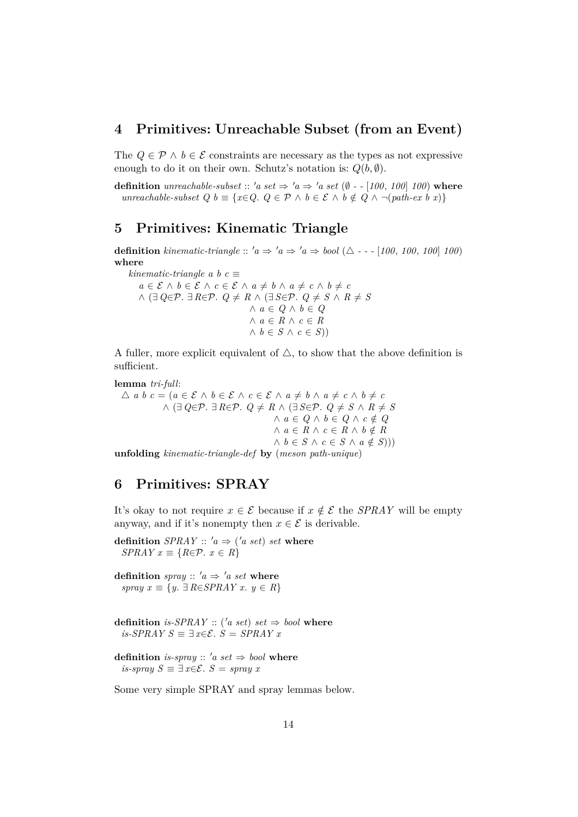#### <span id="page-13-0"></span>**4 Primitives: Unreachable Subset (from an Event)**

The  $Q \in \mathcal{P} \land b \in \mathcal{E}$  constraints are necessary as the types as not expressive enough to do it on their own. Schutz's notation is:  $Q(b, \emptyset)$ .

**definition** *unreachable-subset* :: 'a set  $\Rightarrow$  'a  $\Rightarrow$  'a set ( $\emptyset$  - - [100, 100] 100) where *unreachable-subset Q b* ≡ { $x \in Q$ .  $Q \in \mathcal{P} \land b \in \mathcal{E} \land b \notin Q \land \neg (path-ex\ b\ x)$ }

## <span id="page-13-1"></span>**5 Primitives: Kinematic Triangle**

**definition** kinematic-triangle ::  $a \Rightarrow a \Rightarrow b \cdot a \Rightarrow b \cdot a \Rightarrow b \cdot a \Rightarrow b \cdot a \cdot (100, 100, 100)$ **where**

*kinematic-triangle a b c*  $\equiv$ *a* ∈  $\mathcal{E}$  ∧ *b* ∈  $\mathcal{E}$  ∧ *c* ∈  $\mathcal{E}$  ∧ *a*  $\neq$  *b* ∧ *a*  $\neq$  *c* ∧ *b*  $\neq$  *c*  $\land$  (∃  $Q \in \mathcal{P}$ . ∃  $R \in \mathcal{P}$ .  $Q \neq R$   $\land$  (∃  $S \in \mathcal{P}$ .  $Q \neq S$   $\land$   $R \neq S$ ∧ *a* ∈ *Q* ∧ *b* ∈ *Q* ∧ *a* ∈ *R* ∧ *c* ∈ *R*  $∧ b ∈ S ∧ c ∈ S()$ 

A fuller, more explicit equivalent of  $\triangle$ , to show that the above definition is sufficient.

**lemma** *tri-full*:

 $\triangle$  *a b*  $c = (a \in \mathcal{E} \land b \in \mathcal{E} \land c \in \mathcal{E} \land a \neq b \land a \neq c \land b \neq c)$  $\land$  (∃  $Q \in \mathcal{P}$ . ∃  $R \in \mathcal{P}$ .  $Q \neq R$   $\land$  (∃  $S \in \mathcal{P}$ .  $Q \neq S$   $\land$   $R \neq S$  $∧ a ∈ Q ∧ b ∈ Q ∧ c ∉ Q$  $∧ a ∈ R ∧ c ∈ R ∧ b ∉ R$  $\land$  *b* ∈ *S*  $\land$  *c* ∈ *S*  $\land$  *a* ∉ *S*)))

**unfolding** *kinematic-triangle-def* **by** (*meson path-unique*)

## <span id="page-13-2"></span>**6 Primitives: SPRAY**

It's okay to not require  $x \in \mathcal{E}$  because if  $x \notin \mathcal{E}$  the *SPRAY* will be empty anyway, and if it's nonempty then  $x \in \mathcal{E}$  is derivable.

**definition**  $SPRAY :: 'a \Rightarrow ('a \; set) \; set \; where$ *SPRAY*  $x \equiv \{R \in \mathcal{P} \colon x \in R\}$ 

**definition** *spray* ::  $'a \Rightarrow 'a \text{ set where}$ *spray x* ≡ {*y*. ∃ *R*∈*SPRAY x*. *y* ∈ *R*}

- **definition** *is-SPRAY* :: ('*a set*) *set*  $\Rightarrow$  *bool* where *is-SPRAY S*  $\equiv \exists x \in \mathcal{E}$ . *S* = *SPRAY x*
- **definition** *is-spray* ::  $'a$  *set*  $\Rightarrow$  *bool* **where** *is-spray*  $S \equiv \exists x \in \mathcal{E}$ .  $S =$  *spray* x

Some very simple SPRAY and spray lemmas below.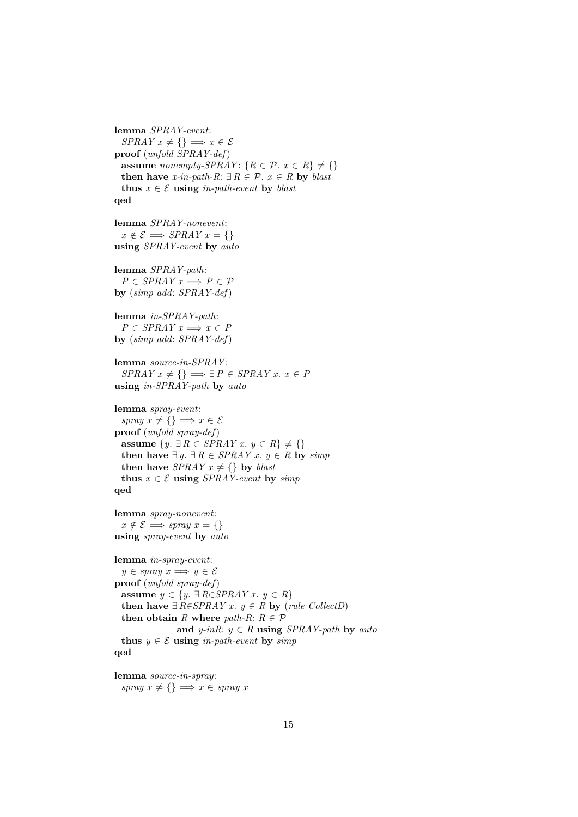```
SPRAY x \neq \{\} \implies x \in \mathcal{E}proof (unfold SPRAY-def)
  assume nonempty-SPRAY: {R \in \mathcal{P} \text{ . } x \in R} \neq \{\}then have x-in-path-R: ∃ R \in \mathcal{P}. x ∈ R by blast
  thus x \in \mathcal{E} using in-path-event by blast
qed
lemma SPRAY-nonevent:
  x \notin \mathcal{E} \Longrightarrow \text{SPRAY } x = \{\}using SPRAY-event by auto
lemma SPRAY-path:
  P \in SPRAY \times \Longrightarrow P \in \mathcal{P}by (simp add: SPRAY-def)
lemma in-SPRAY-path:
  P \in SPRAY \times x \Longrightarrow x \in Pby (simp add: SPRAY-def)
lemma source-in-SPRAY :
  SPRAY \, x \neq \{\} \implies \exists P \in SPRAY \, x. \, x \in Pusing in-SPRAY-path by auto
lemma spray-event:
  spray x \neq \{\} \implies x \in \mathcal{E}proof (unfold spray-def)
  assume \{y, \exists R \in SPRAY \ x, y \in R\} ≠ \{\}then have ∃ y. ∃ R ∈ SPRAY x. y ∈ R by simpthen have SPRAY x \neq \{\} by blast
  thus x \in \mathcal{E} using SPRAY-event by simp
qed
lemma spray-nonevent:
 x \notin \mathcal{E} \Longrightarrow spray x = \{\}using spray-event by auto
lemma in-spray-event:
  y \in \text{spray } x \Longrightarrow y \in \mathcal{E}proof (unfold spray-def)
  assume y \in \{y. ∃ R \in SPRAY \ x. y \in R\}then have ∃ R∈SPRAY x. y ∈ R by (rule CollectD)
  then obtain R where path-R: R \in \mathcal{P}and y\text{-}ink: y \in R using SPRAY\text{-}path by autothus y \in \mathcal{E} using in-path-event by simp
qed
```
**lemma** *source-in-spray*: *spray*  $x \neq \{\} \implies x \in \text{spray } x$ 

**lemma** *SPRAY-event*: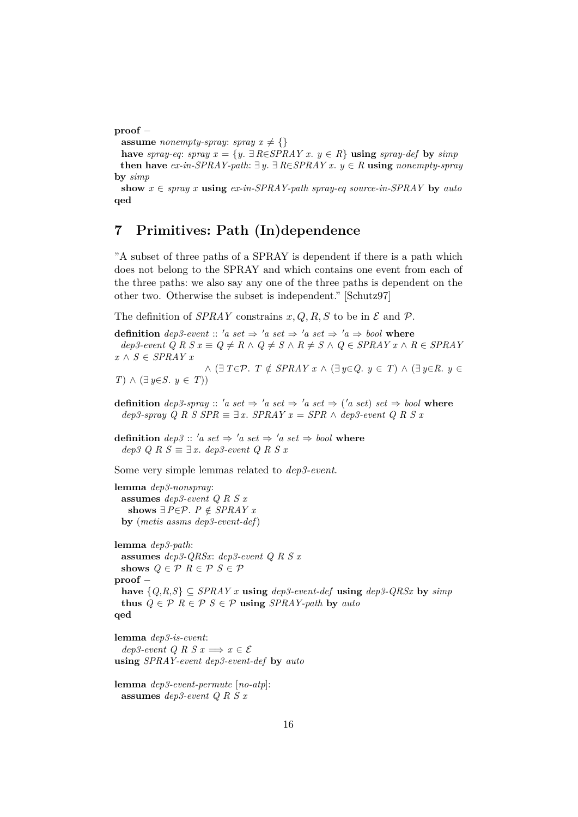**proof** −

**assume** *nonempty-spray*: *spray*  $x \neq \{\}$ 

**have** *spray-eq*: *spray x* = {*y*. ∃ *R*∈*SPRAY x*. *y* ∈ *R*} **using** *spray-def* **by** *simp* **then have**  $ex\text{-}in\text{-}SPRAY\text{-}path: ∃ y, ∃ RESPRAY x, y ∈ R$  **using**  $nonempty\text{-}spray$ **by** *simp*

show  $x \in \text{spray } x$  **using**  $\text{ex-in-SPRAY-path } \text{spray eq}$  source-in-SPRAY by auto **qed**

## <span id="page-15-0"></span>**7 Primitives: Path (In)dependence**

"A subset of three paths of a SPRAY is dependent if there is a path which does not belong to the SPRAY and which contains one event from each of the three paths: we also say any one of the three paths is dependent on the other two. Otherwise the subset is independent." [Schutz97]

The definition of *SPRAY* constrains  $x, Q, R, S$  to be in  $\mathcal E$  and  $\mathcal P$ .

**definition**  $dep3-event :: 'a set \Rightarrow 'a set \Rightarrow 'a set \Rightarrow 'a set \Rightarrow 'a \Rightarrow bool$  where  $dep3-event \ Q \ R \ S \ x \equiv \ Q \neq R \ \land \ Q \neq S \ \land \ R \neq S \ \land \ Q \in SPRAY \ x \ \land \ R \in SPRAY$ *x* ∧ *S* ∈ *SPRAY x*  $\wedge$  (∃  $T \in \mathcal{P}$ .  $T \notin SPRAY \times \wedge (\exists y \in Q, y \in T) \wedge (\exists y \in R, y \in T)$ *T*) ∧  $(\exists y \in S, y \in T)$ 

**definition**  $dep3-spray :: 'a set \Rightarrow 'a set \Rightarrow 'a set \Rightarrow ('a set) set \Rightarrow bool$  where  $dep3$ -spray Q R S  $SPR \equiv \exists x$ .  $SPRAY = SPR \land dep3$ -event Q R S x

**definition**  $dep3 :: 'a set \Rightarrow 'a set \Rightarrow 'a set \Rightarrow book$  where  $dep3$  Q R  $S \equiv ∃x$ .  $dep3$ -event Q R S x

Some very simple lemmas related to *dep3-event*.

**lemma** *dep3-nonspray*: **assumes** *dep3-event Q R S x* **shows** ∃*P*∈*P*. *P*  $\notin$  *SPRAY x* **by** (*metis assms dep3-event-def*)

**lemma** *dep3-path*: **assumes** *dep3-QRSx*: *dep3-event Q R S x* shows  $Q \in \mathcal{P}$   $R \in \mathcal{P}$   $S \in \mathcal{P}$ **proof** − **have**  ${Q, R, S}$  ⊂ *SPRAY x* **using** *dep3-event-def* **using** *dep3-QRSx* **by** *simp* **thus**  $Q \in \mathcal{P}$   $R \in \mathcal{P}$   $S \in \mathcal{P}$  **using** *SPRAY-path* by *auto* **qed**

**lemma** *dep3-is-event*: *dep3-event Q R S x*  $\implies x \in \mathcal{E}$ **using** *SPRAY-event dep3-event-def* **by** *auto*

**lemma** *dep3-event-permute* [*no-atp*]: **assumes** *dep3-event Q R S x*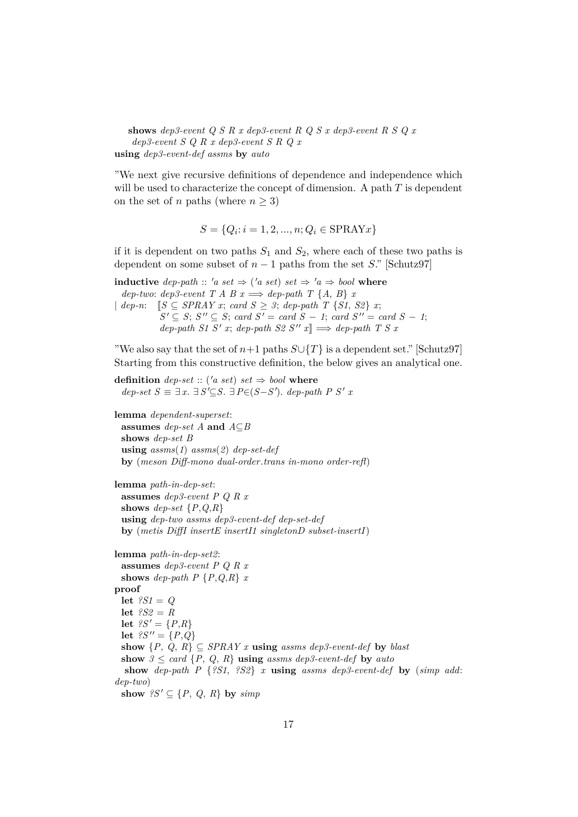**shows** *dep3-event Q S R x dep3-event R Q S x dep3-event R S Q x dep3-event S Q R x dep3-event S R Q x* **using** *dep3-event-def assms* **by** *auto*

"We next give recursive definitions of dependence and independence which will be used to characterize the concept of dimension. A path  $T$  is dependent on the set of n paths (where  $n \geq 3$ )

$$
S = \{Q_i : i = 1, 2, ..., n; Q_i \in \text{SPRAYx}\}\
$$

if it is dependent on two paths  $S_1$  and  $S_2$ , where each of these two paths is dependent on some subset of  $n-1$  paths from the set S." [Schutz97]

**inductive** *dep-path* :: '*a set*  $\Rightarrow$  ('*a set*) *set*  $\Rightarrow$  '*a*  $\Rightarrow$  *bool* where  $dep-two: dep3-event$  *T A B*  $x \Longrightarrow dep-path$  *T* {*A*, *B*} *x* |  $dep-n:$   $[S \subseteq SPRAY \; x; \; card \; S \geq 3; \; dep-path \; T \; \{S1, \; S2\} \; x;$  $S' \subseteq S$ ;  $S'' \subseteq S$ ; *card*  $S' = \text{card } S - 1$ ; *card*  $S'' = \text{card } S - 1$ ;  $dep\text{-}path\ S1\ S'\ x; \ dep\text{-}path\ S2\ S''\ x \rbrack \Rightarrow \text{dep\text{-}path}\ T\ S\ x$ 

"We also say that the set of  $n+1$  paths  $S\cup\{T\}$  is a dependent set." [Schutz97] Starting from this constructive definition, the below gives an analytical one.

**definition** *dep-set* :: ('*a set*) *set*  $\Rightarrow$  *bool* where  $dep\text{-}set S \equiv \exists x. \exists S' \subseteq S. \exists P \in (S - S')$ .  $dep\text{-}path P S' x$ 

**lemma** *dependent-superset*: **assumes** *dep-set A* **and** *A*⊆*B* **shows** *dep-set B* **using** *assms*(*1*) *assms*(*2*) *dep-set-def* **by** (*meson Diff-mono dual-order*.*trans in-mono order-refl*)

```
lemma path-in-dep-set:
 assumes dep3-event P Q R x
 shows dep-set \{P,Q,R\}using dep-two assms dep3-event-def dep-set-def
 by (metis DiffI insertE insertI1 singletonD subset-insertI)
```

```
lemma path-in-dep-set2:
 assumes dep3-event P Q R x
 shows dep-path P {P,Q,R} x
proof
 let ?S1 = Q
 let ?S2 = Rlet ?S' = {P,R}let ?S'' = \{P, Q\}show \{P, Q, R\} \subseteq SPRAY \times \textbf{using} assms dep3-event-def by blast
 show 3 \leq \text{card } \{P, Q, R\} using assms dep3-event-def by auto
  show dep-path P {?S1, ?S2} x using assms dep3-event-def by (simp add:
dep-two)
 show ?S' \subseteq \{P, Q, R\} by simp
```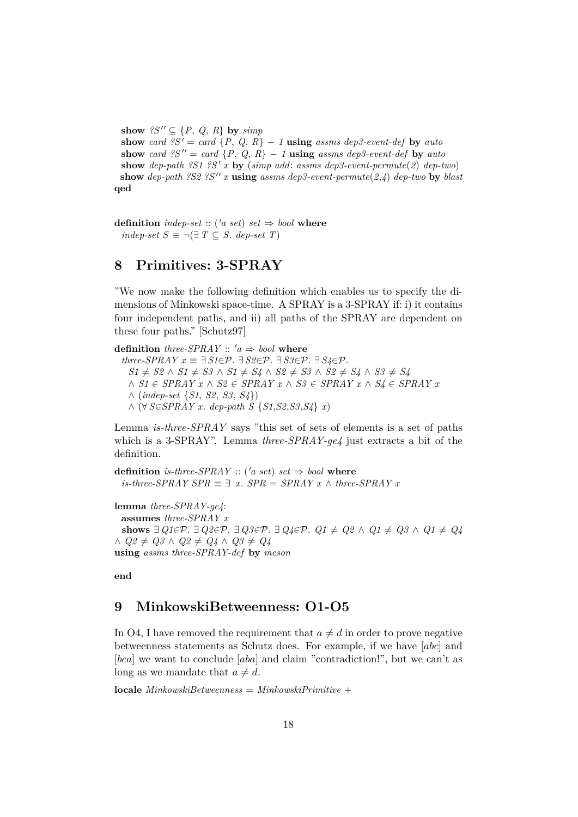**show**  $?S'' \subseteq \{P, Q, R\}$  by  $simp$ 

**show** *card*  $?S' = card \{P, Q, R\} - 1$  **using** *assms dep3-event-def* **by** *auto* **show** *card*  $?S'' = card \{P, Q, R\} - 1$  **using** *assms dep3-event-def* by *auto* show *dep-path*  $?SI$   $?S'$  x by (*simp add: assms dep3-event-permute*(2) *dep-two*) **show** *dep-path*  $?S2$   $?S''$ *x* **<b>using** *assms dep3-event-permute*(*2*,*4*) *dep-two* **by** *blast* **qed**

**definition** *indep-set* :: ('*a set*) *set*  $\Rightarrow$  *bool* **where** *indep-set*  $S \equiv \neg (\exists T \subseteq S$ *. dep-set*  $T)$ 

## <span id="page-17-0"></span>**8 Primitives: 3-SPRAY**

"We now make the following definition which enables us to specify the dimensions of Minkowski space-time. A SPRAY is a 3-SPRAY if: i) it contains four independent paths, and ii) all paths of the SPRAY are dependent on these four paths." [Schutz97]

**definition** *three-SPRAY* ::  $'a \Rightarrow bool$  **where**  $three\text{-}SPRAY \ x \equiv \exists S1 \in \mathcal{P}$ .  $\exists S2 \in \mathcal{P}$ .  $\exists S3 \in \mathcal{P}$ .  $\exists S4 \in \mathcal{P}$ . *S1*  $\neq$  *S2* ∧ *S1*  $\neq$  *S3* ∧ *S1*  $\neq$  *S4* ∧ *S2*  $\neq$  *S3* ∧ *S2*  $\neq$  *S4* ∧ *S3*  $\neq$  *S4* ∧ *S1* ∈ *SPRAY x* ∧ *S2* ∈ *SPRAY x* ∧ *S3* ∈ *SPRAY x* ∧ *S4* ∈ *SPRAY x* ∧ (*indep-set* {*S1*, *S2*, *S3*, *S4*}) ∧ (∀ *S*∈*SPRAY x*. *dep-path S* {*S1*,*S2*,*S3*,*S4*} *x*)

Lemma *is-three-SPRAY* says "this set of sets of elements is a set of paths which is a 3-SPRAY". Lemma *three-SPRAY-ge4* just extracts a bit of the definition.

**definition** *is-three-SPRAY* :: ('*a set*) *set*  $\Rightarrow$  *bool* where *is-three-SPRAY SPR*  $\equiv$   $\exists$  *x*. *SPR* = *SPRAY x* ∧ *three-SPRAY x* 

**lemma** *three-SPRAY-ge4*: **assumes** *three-SPRAY x* **shows**  $\exists Q_1 \in \mathcal{P}$ .  $\exists Q_2 \in \mathcal{P}$ .  $\exists Q_3 \in \mathcal{P}$ .  $\exists Q_4 \in \mathcal{P}$ .  $Q_1 \neq Q_2 \land Q_1 \neq Q_3 \land Q_1 \neq Q_4$  $∧$   $Q2 \neq Q3 \land Q2 \neq Q4 \land Q3 \neq Q4$ **using** *assms three-SPRAY-def* **by** *meson*

**end**

#### <span id="page-17-1"></span>**9 MinkowskiBetweenness: O1-O5**

In O4, I have removed the requirement that  $a \neq d$  in order to prove negative betweenness statements as Schutz does. For example, if we have [abc] and [bca] we want to conclude [aba] and claim "contradiction!", but we can't as long as we mandate that  $a \neq d$ .

**locale** *MinkowskiBetweenness* = *MinkowskiPrimitive* +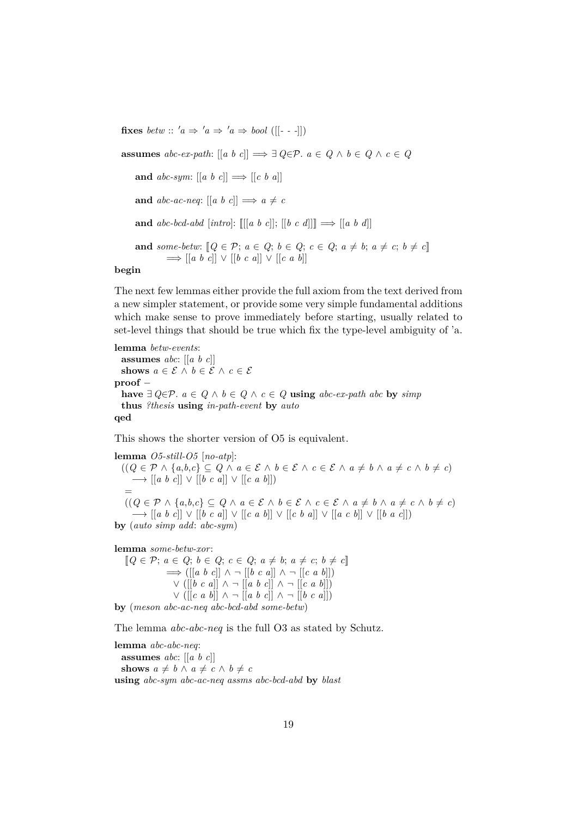**fixes** *betw* :: ' $a \Rightarrow 'a \Rightarrow 'a \Rightarrow bool$  ([[- - -]])

**assumes**  $abc\text{-}ex\text{-}path$ :  $[[a \ b \ c]] \Longrightarrow \exists Q \in \mathcal{P}$ .  $a \in Q \land b \in Q \land c \in Q$ **and**  $abc\text{-}sym: [[a \ b \ c]] \Longrightarrow [[c \ b \ a]]$ **and**  $abc$ -ac-neq:  $\begin{bmatrix} a & b & c \end{bmatrix} \implies a \neq c$ **and**  $abc-bcd-abd$  [*intro*]:  $\mathbb{E}[a \ b \ c]$ ];  $\mathbb{E}[b \ c \ d]$ ]]  $\implies \mathbb{E}[a \ b \ d]$ **and** some-betw:  $[Q \in \mathcal{P}; a \in Q; b \in Q; c \in Q; a \neq b; a \neq c; b \neq c]$  $\Rightarrow$   $\left[ \begin{bmatrix} a & b & c \end{bmatrix} \right] \vee \left[ \begin{bmatrix} b & c & a \end{bmatrix} \right] \vee \left[ \begin{bmatrix} c & a & b \end{bmatrix} \right]$ **begin**

The next few lemmas either provide the full axiom from the text derived from a new simpler statement, or provide some very simple fundamental additions which make sense to prove immediately before starting, usually related to set-level things that should be true which fix the type-level ambiguity of 'a.

**lemma** *betw-events*: **assumes** *abc*: [[*a b c*]] **shows**  $a \in \mathcal{E} \land b \in \mathcal{E} \land c \in \mathcal{E}$ **proof** − **have**  $∃ Q∈P$ .  $a ∈ Q ∧ b ∈ Q ∧ c ∈ Q$  **using**  $abc-ex-path abc$  **by**  $simp$ **thus** *?thesis* **using** *in-path-event* **by** *auto* **qed**

This shows the shorter version of O5 is equivalent.

**lemma** *O5-still-O5* [*no-atp*]:  $((Q \in \mathcal{P} \land \{a,b,c\} \subseteq Q \land a \in \mathcal{E} \land b \in \mathcal{E} \land c \in \mathcal{E} \land a \neq b \land a \neq c \land b \neq c)$ −→ [[*a b c*]] ∨ [[*b c a*]] ∨ [[*c a b*]]) =  $(Q \in \mathcal{P} \land \{a,b,c\} \subseteq Q \land a \in \mathcal{E} \land b \in \mathcal{E} \land c \in \mathcal{E} \land a \neq b \land a \neq c \land b \neq c)$ −→ [[*a b c*]] ∨ [[*b c a*]] ∨ [[*c a b*]] ∨ [[*c b a*]] ∨ [[*a c b*]] ∨ [[*b a c*]]) **by** (*auto simp add*: *abc-sym*)

**lemma** *some-betw-xor*:

 $[Q \in \mathcal{P}; a \in Q; b \in Q; c \in Q; a \neq b; a \neq c; b \neq c]$ =⇒ ([[*a b c*]] ∧ ¬ [[*b c a*]] ∧ ¬ [[*c a b*]]) ∨ ([[*b c a*]] ∧ ¬ [[*a b c*]] ∧ ¬ [[*c a b*]]) ∨ ([[*c a b*]] ∧ ¬ [[*a b c*]] ∧ ¬ [[*b c a*]])

**by** (*meson abc-ac-neq abc-bcd-abd some-betw*)

The lemma *abc-abc-neq* is the full O3 as stated by Schutz.

**lemma** *abc-abc-neq*:

**assumes** *abc*: [[*a b c*]] **shows**  $a \neq b \land a \neq c \land b \neq c$ **using** *abc-sym abc-ac-neq assms abc-bcd-abd* **by** *blast*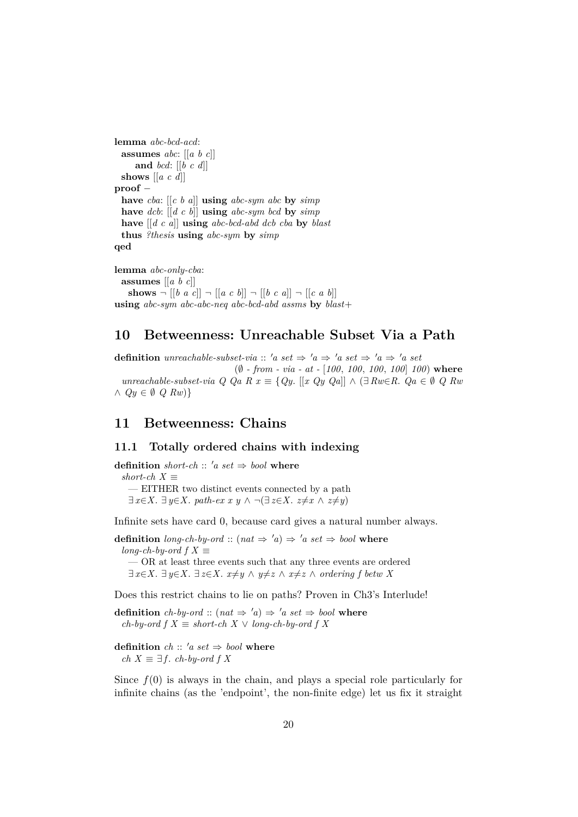```
lemma abc-bcd-acd:
 assumes abc: [[a b c]]
    and bcd: [[b c d]]
 shows [[a c d]]
proof −
 have cba: [[c b a]] using abc-sym abc by simp
 have dcb: [[d c b]] using abc-sym bcd by simp
 have [[d c a]] using abc-bcd-abd dcb cba by blast
 thus ?thesis using abc-sym by simp
qed
lemma abc-only-cba:
 assumes [[a b c]]
```
#### **shows**  $\neg$   $[ [b \ a \ c] ] \neg [a \ c \ b] ] \neg [b \ c \ a] ] \neg [c \ a \ b] ]$ **using** *abc-sym abc-abc-neq abc-bcd-abd assms* **by** *blast*+

## <span id="page-19-0"></span>**10 Betweenness: Unreachable Subset Via a Path**

**definition** *unreachable-subset-via* :: '*a set*  $\Rightarrow$  '*a*  $\Rightarrow$  '*a set*  $\Rightarrow$  '*a*  $\Rightarrow$  '*a set* (∅ *- from - via - at -* [*100*, *100*, *100*, *100*] *100*) **where** *unreachable-subset-via Q Qa R x* ≡ {*Qy*. [[*x Qy Qa*]] ∧ (∃ *Rw*∈*R*. *Qa* ∈ ∅ *Q Rw* ∧ *Qy* ∈ ∅ *Q Rw*)}

## <span id="page-19-1"></span>**11 Betweenness: Chains**

#### <span id="page-19-2"></span>**11.1 Totally ordered chains with indexing**

**definition** *short-ch* :: 'a set  $\Rightarrow$  *bool* **where**  $short-ch X \equiv$ — EITHER two distinct events connected by a path  $\exists x \in X$ .  $\exists y \in X$ . path-ex x y  $\land \neg (\exists z \in X$ .  $z \neq x \land z \neq y)$ 

Infinite sets have card 0, because card gives a natural number always.

**definition** *long-ch-by-ord* :: ( $nat \Rightarrow 'a$ )  $\Rightarrow 'a \, set \Rightarrow \text{bool}$  **where** *long-ch-by-ord f*  $X \equiv$ — OR at least three events such that any three events are ordered ∃  $x \in X$ . ∃  $y \in X$ . ∃  $z \in X$ .  $x \neq y \land y \neq z \land x \neq z \land ordering f$  *betw* X

Does this restrict chains to lie on paths? Proven in Ch3's Interlude!

**definition** *ch-by-ord* :: ( $nat \Rightarrow 'a$ )  $\Rightarrow 'a \, set \Rightarrow bool$  where *ch-by-ord f*  $X \equiv short-ch X \vee long-ch-by-ord f X$ 

**definition** *ch* ::  $'a$  *set*  $\Rightarrow$  *bool* **where** *ch*  $X \equiv \exists f$ *. ch-by-ord f X* 

Since  $f(0)$  is always in the chain, and plays a special role particularly for infinite chains (as the 'endpoint', the non-finite edge) let us fix it straight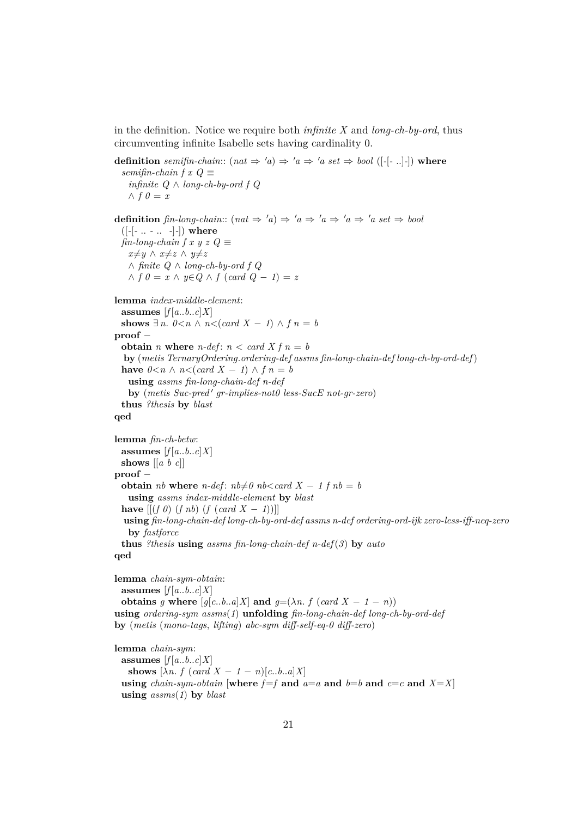in the definition. Notice we require both *infinite X* and *long-ch-by-ord*, thus circumventing infinite Isabelle sets having cardinality 0.

```
definition semifin-chain:: (nat \Rightarrow 'a) \Rightarrow 'a \Rightarrow 'a \text{ set } \Rightarrow \text{bool } ([-[-..]-]) where
  semifin-chain f x Q \equivinfinite Q ∧ long-ch-by-ord f Q
   ∧ f ∅ = xdefinition fin-long-chain:: (nat \Rightarrow 'a) \Rightarrow 'a \Rightarrow 'a \Rightarrow 'a \Rightarrow 'a set \Rightarrow bool([-[- .. - .. -]-]) where
 \lim-long-chain f x y z Q \equivx≠y ∧ x≠z ∧ y≠z
   ∧ finite Q ∧ long-ch-by-ord f Q
   ∧ f 0 = x ∧ y∈Q ∧ f (card Q − 1) = z
lemma index-middle-element:
 assumes [f[a..b..c]X]shows ∃ n. 0 < n \wedge n < (card X - 1) \wedge f n = bproof −
 obtain n where n-def: n < card X f n = bby (metis TernaryOrdering.ordering-def assms fin-long-chain-def long-ch-by-ord-def)
 have 0 < n \wedge n < (card X − 1) \wedge f n = busing assms fin-long-chain-def n-def
   by (metis Suc-pred' gr-implies-not0 less-SucE not-gr-zero)
 thus ?thesis by blast
qed
lemma fin-ch-betw:
 assumes [f[a..b..c]X]shows [[a b c]]
proof −
 obtain nb where n-def: nb \neq 0 nb < card X - 1 f nb = busing assms index-middle-element by blast
 have [(f \theta) (f \text{ nb}) (f (card X − 1))]using fin-long-chain-def long-ch-by-ord-def assms n-def ordering-ord-ijk zero-less-iff-neq-zero
   by fastforce
  thus ?thesis using assms fin-long-chain-def n-def(3) by auto
qed
lemma chain-sym-obtain:
```

```
assumes [f(a..b..c]X]obtains g where [g[c..b..a]X] and g=(\lambda n. f (card X - 1 - n))using ordering-sym assms(1) unfolding fin-long-chain-def long-ch-by-ord-def
by (metis (mono-tags, lifting) abc-sym diff-self-eq-0 diff-zero)
```

```
lemma chain-sym:
 assumes [f[a..b..c]X]shows [\lambda n. f (card X - 1 - n)[c..b..a]X]using chain-sym-obtain [where f=f and a=a and b=b and c=c and X=X]
 using assms(1) by blast
```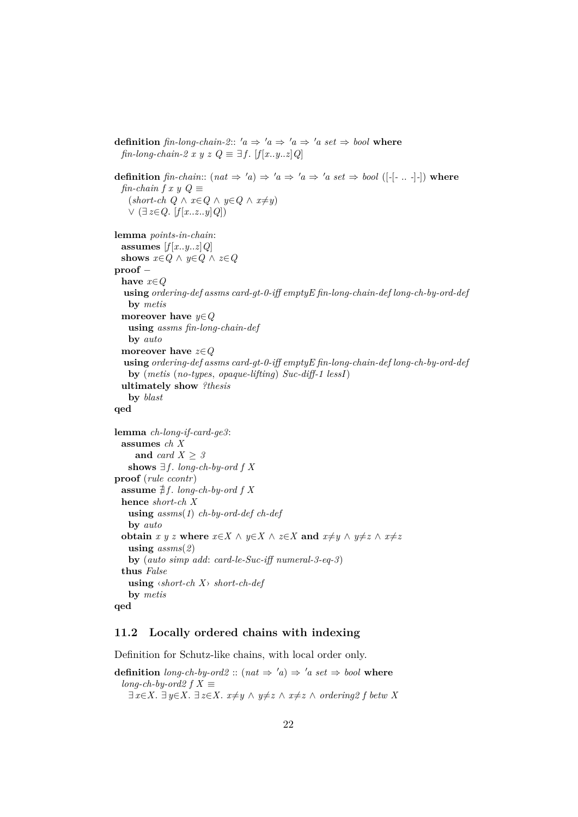```
definition fin-long-chain-2:: 'a \Rightarrow 'a \Rightarrow 'a \Rightarrow 'a \text{ set } \Rightarrow \text{bool} where
 fin-long-chain-2 x y z Q \equiv \exists f. [f[x..y..z]Q]
definition fin-chain:: (nat \Rightarrow 'a \Rightarrow 'a \Rightarrow 'a \Rightarrow 'a \text{ set } \Rightarrow \text{bool } ([-[-...,-]-]) where
 fin-chain f x y Q \equiv(\textit{short-ch } Q \land x \in Q \land y \in Q \land x \neq y)∨ (∃ z∈Q. [f [x..z..y]Q])
lemma points-in-chain:
 assumes [f[x..y..z]Q]shows x \in Q ∧ y \in Q ∧ z \in Qproof −
 have x∈Q
  using ordering-def assms card-gt-0-iff emptyE fin-long-chain-def long-ch-by-ord-def
   by metis
 moreover have y∈Q
   using assms fin-long-chain-def
   by auto
 moreover have z∈Q
  using ordering-def assms card-gt-0-iff emptyE fin-long-chain-def long-ch-by-ord-def
   by (metis (no-types, opaque-lifting) Suc-diff-1 lessI)
  ultimately show ?thesis
   by blast
qed
lemma ch-long-if-card-ge3:
 assumes ch X
     and card X ≥ 3
   shows ∃f. long-ch-by-ord f X
proof (rule ccontr)
 assume \sharp f. long-ch-by-ord f X
 hence short-ch X
   using assms(1) ch-by-ord-def ch-def
   by auto
 obtain x y z where x \in X \land y \in X \land z \in X and x \neq y \land y \neq z \land x \neq zusing assms(2)
   by (auto simp add: card-le-Suc-iff numeral-3-eq-3)
 thus False
   using ‹short-ch X› short-ch-def
   by metis
qed
```
#### <span id="page-21-0"></span>**11.2 Locally ordered chains with indexing**

Definition for Schutz-like chains, with local order only.

**definition** *long-ch-by-ord2* ::  $(nat \Rightarrow 'a) \Rightarrow 'a \; set \Rightarrow \text{bool}$  **where** *long-ch-by-ord2 f X*  $\equiv$  $\exists x \in X$ .  $\exists y \in X$ .  $\exists z \in X$ .  $x \neq y \land y \neq z \land x \neq z \land ordering2 f$  betw X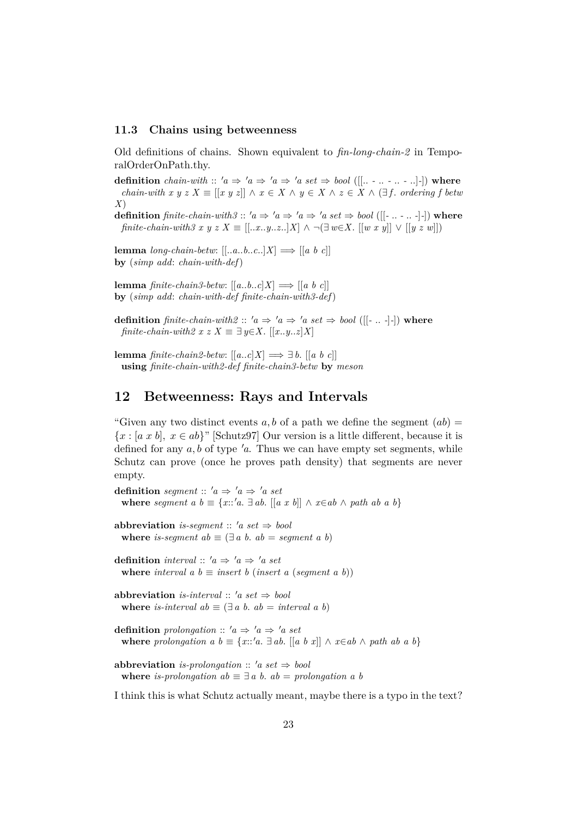#### <span id="page-22-0"></span>**11.3 Chains using betweenness**

Old definitions of chains. Shown equivalent to *fin-long-chain-2* in TemporalOrderOnPath.thy.

**definition** *chain-with* ::  $'a \Rightarrow 'a \Rightarrow 'a \Rightarrow 'a \text{ set } \Rightarrow \text{bool } ([[... - ... - ... -]])$  where *chain-with x y z X*  $\equiv$   $[[x y z]] \wedge x \in X \wedge y \in X \wedge z \in X \wedge (\exists f$ . *ordering f betw X*)

**definition** *finite-chain-with3* ::  $'a \Rightarrow 'a \Rightarrow 'a \Rightarrow 'a \text{ set } \Rightarrow \text{bool } ([[\text{--} \dots \text{--} \dots \text{--} \cdot]$  where *finite-chain-with3 x y z X* ≡ [[..*x*..*y*..*z*..]*X*] ∧ ¬(∃ *w*∈*X*. [[*w x y*]] ∨ [[*y z w*]])

**lemma** *long-chain-betw*:  $[$ [..*a*..*b*..*c*..]*X*]  $\implies$   $[$ [*a b c*]] **by** (*simp add*: *chain-with-def*)

**lemma** *finite-chain3-betw*:  $[[a..b..c]X] \Longrightarrow [[a b c]]$ **by** (*simp add*: *chain-with-def finite-chain-with3-def*)

**definition** *finite-chain-with2* ::  $'a \Rightarrow 'a \Rightarrow 'a \text{ set } \Rightarrow \text{bool } ([[ - ... - ] -])$  where *finite-chain-with2 x z X*  $\equiv \exists y \in X$ . [[*x*..*y*..*z*]*X*]

**lemma** *finite-chain2-betw*:  $[[a..c]X] \Longrightarrow \exists b. [[a \; b \; c]]$ **using** *finite-chain-with2-def finite-chain3-betw* **by** *meson*

## <span id="page-22-1"></span>**12 Betweenness: Rays and Intervals**

"Given any two distinct events a, b of a path we define the segment  $(ab)$  ${x : [a x b], x \in ab}$ " [Schutz97] Our version is a little different, because it is defined for any  $a, b$  of type  $a$ . Thus we can have empty set segments, while Schutz can prove (once he proves path density) that segments are never empty.

**definition** *segment* ::  $'a \Rightarrow 'a \Rightarrow 'a \text{ set}$ **where** *segment*  $a \, b \equiv \{x : a \, a \, d \}$ .  $\left[ a \, x \, b \right] \wedge x \in a \, b \wedge p \, a \, b \}$ 

**abbreviation** *is-seqment* ::  $'a$  *set*  $\Rightarrow$  *bool* **where** *is-segment*  $ab \equiv (\exists a \ b. \ ab = segment \ a \ b)$ 

**definition** *interval* ::  $'a \Rightarrow 'a \Rightarrow 'a \text{ set}$ **where** *interval*  $a \, b \equiv$  *insert*  $b \, (insert \, a \, (segment \, a \, b))$ 

**abbreviation** *is-interval* ::  $'a \text{ set } \Rightarrow \text{ bool}$ **where** *is-interval*  $ab \equiv (\exists a \ b, \ ab = interval \ a \ b)$ 

**definition** *prolongation* ::  $'a \Rightarrow 'a \Rightarrow 'a \text{ set}$ **where** *prolongation a b*  $\equiv \{x::'a \ldots a \}$  *ab*. [[*a b x*]]  $\land x \in ab \land path ab a b$ }

**abbreviation** *is-prolongation* ::  $'a \text{ set } \Rightarrow \text{ bool}$ **where** *is-prolongation ab*  $\equiv \exists a \ b$ .  $ab = prolongation \ a \ b$ 

I think this is what Schutz actually meant, maybe there is a typo in the text?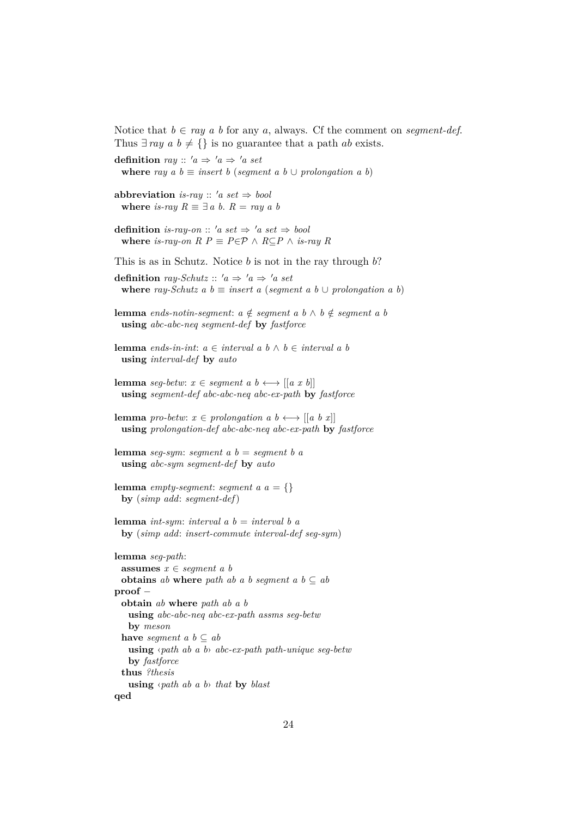Notice that  $b \in ray$  a b for any a, always. Cf the comment on *seqment-def.* Thus  $\exists ray \ a \ b \neq {\}$  is no guarantee that a path *ab* exists.

**definition** *ray* ::  $'a \Rightarrow 'a \Rightarrow 'a \text{ set}$ **where** *ray*  $a \, b \equiv$  *insert*  $b$  (*seqment*  $a \, b \cup$  *prolongation*  $a \, b$ ) **abbreviation** *is-ray* ::  $'a$  *set*  $\Rightarrow$  *bool* **where** *is-ray*  $R \equiv \exists a \ b$ .  $R = ray \ a \ b$ **definition** *is-ray-on* :: 'a set  $\Rightarrow$  'a set  $\Rightarrow$  bool **where** *is-ray-on*  $R$   $P \equiv P \in \mathcal{P} \land R \subseteq P \land i$ *s-ray*  $R$ This is as in Schutz. Notice  $b$  is not in the ray through  $b$ ? **definition** *ray-Schutz* ::  $'a \Rightarrow 'a \Rightarrow 'a \text{ set}$ **where** *ray-Schutz*  $a \, b \equiv$  *insert*  $a \, (segment \, a \, b \cup prolongation \, a \, b)$ **lemma** *ends-notin-segment*:  $a \notin segment\ a\ b \land b \notin segment\ a\ b$ **using** *abc-abc-neq segment-def* **by** *fastforce* **lemma** *ends-in-int*: *a* ∈ *interval a b* ∧ *b* ∈ *interval a b* **using** *interval-def* **by** *auto* **lemma** *seg-betw*:  $x \in segment \ a \ b \longleftrightarrow [[a \ x \ b]]$ **using** *segment-def abc-abc-neq abc-ex-path* **by** *fastforce* **lemma** *pro-betw*:  $x \in prolongation\ a\ b \longleftrightarrow [[a\ b\ x]]$ **using** *prolongation-def abc-abc-neq abc-ex-path* **by** *fastforce* **lemma** *seg-sym*: *segment a b* = *segment b a* **using** *abc-sym segment-def* **by** *auto* **lemma** *empty-segment*: *segment*  $a \, a = \{\}$ **by** (*simp add*: *segment-def*) **lemma** *int-sym*: *interval a b* = *interval b a* **by** (*simp add*: *insert-commute interval-def seg-sym*) **lemma** *seg-path*: **assumes** *x* ∈ *segment a b* **obtains** *ab* **where** *path ab a b seqment a b*  $\subset$  *ab* **proof** − **obtain** *ab* **where** *path ab a b* **using** *abc-abc-neq abc-ex-path assms seg-betw* **by** *meson* **have** *segment*  $a \, b \subseteq ab$ **using** ‹*path ab a b*› *abc-ex-path path-unique seg-betw* **by** *fastforce* **thus** *?thesis* **using** ‹*path ab a b*› *that* **by** *blast* **qed**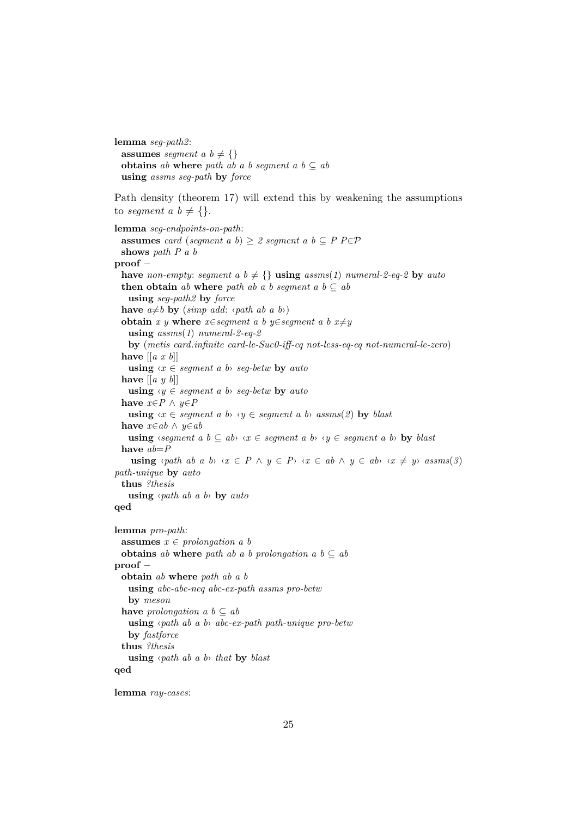```
lemma seg-path2:
  assumes segment a \, b \neq \{\}obtains ab where path ab a b segment a b \subseteq abusing assms seg-path by force
Path density (theorem 17) will extend this by weakening the assumptions
to segment a \, b \neq \{\}.lemma seg-endpoints-on-path:
 assumes card (segment a b) \geq 2 segment a b \subseteq P P\inP
 shows path P a b
proof −
  have non-empty: segment a b \neq {} using assms(1) numeral-2-eq-2 by auto
  then obtain ab where path ab a b segment a b \subseteq abusing seg-path2 by force
  have a \neq b by (simp add: \langle path \ ab \ a \ b \rangle)
  obtain x y where x \in segment a b y \in segment a b x \neq yusing assms(1) numeral-2-eq-2
   by (metis card.infinite card-le-Suc0-iff-eq not-less-eq-eq not-numeral-le-zero)
  have [[a x b]]
   using \langle x \in segment \ a \ b \rangle seg-betw by auto
  have \left[ \left[ a \ y \ b \right] \right]using \forall y \in segment \ a \ b \rightarrow seq-betw by auto
  have x \in P \land y \in Pusing \forall x \in segment \ a \ b \land \forall y \in segment \ a \ b \land \ a \, ss \, \text{ms}(2) by blast
  have x∈ab ∧ y∈ab
   using \langle \text{segment } a \, b \subseteq ab \rangle \langle x \in \text{segment } a \, b \rangle \langle y \in \text{segment } a \, b \rangle by \text{blast }have ab=P
    using \{path \ ab \ a \ b \} \ \{x \in P \ \land \ y \in P\} \ \{x \in ab \ \land \ y \in ab \} \ \{x \neq y \} \ \text{assms}(3)path-unique by auto
  thus ?thesis
   using ‹path ab a b› by auto
qed
lemma pro-path:
  assumes x \in prolongation\ a\ bobtains ab where path ab a b prolongation a b \subseteq ab
proof −
  obtain ab where path ab a b
   using abc-abc-neq abc-ex-path assms pro-betw
   by meson
  have prolongation a \, b \subseteq abusing ‹path ab a b› abc-ex-path path-unique pro-betw
   by fastforce
  thus ?thesis
   using ‹path ab a b› that by blast
qed
```
**lemma** *ray-cases*: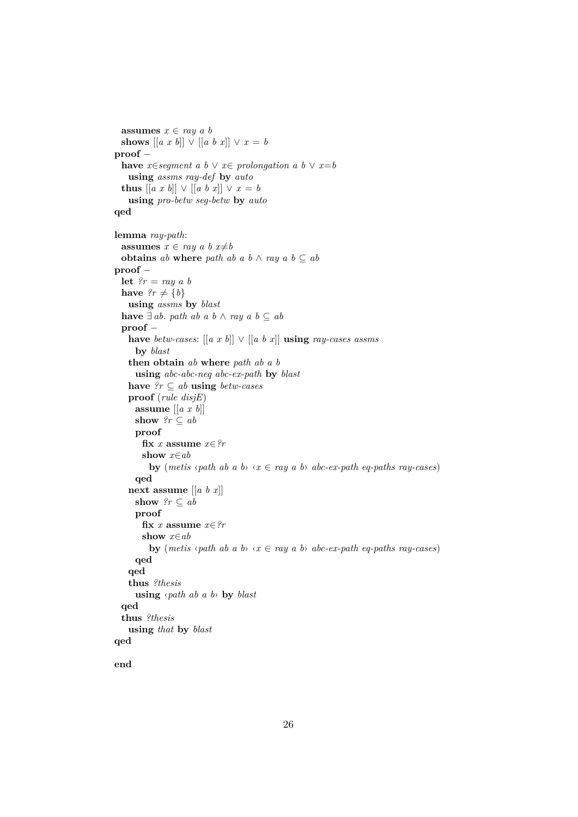```
assumes x \in ray \, a \, bshows [[a \; x \; b]] \lor [[a \; b \; x]] \lor x = bproof −
  have x∈segment a b \lor x∈ prolongation a b \lor x=b
   using assms ray-def by auto
 thus [ [a x b] ] ∨ [[a b x]] ∨ x = busing pro-betw seg-betw by auto
qed
lemma ray-path:
 assumes x \in ray \ a \ b \ x \neq bobtains ab where path ab a b \wedge ray a b \subseteq ab
proof −
 let ?r = ray \, a \, bhave ?r \neq \{b\}using assms by blast
  have \exists ab. path ab a b ∧ ray a b ⊆ ab
  proof −
   have betw-cases: [[a x b]] ∨ [[a b x]] using ray-cases assms
     by blast
   then obtain ab where path ab a b
     using abc-abc-neq abc-ex-path by blast
   have ?r ⊆ ab using betw-cases
   proof (rule disjE)
     assume [[a x b]]
     show ?r \subseteq abproof
       fix x assume x∈?r
       show x∈ab
         by (metis \langlepath ab a b\rangle \langle x \in \text{ray } a \text{ } b \rangle abc-ex-path eq-paths ray-cases)
     qed
   next assume [[a b x]]
     show ?r \subseteq abproof
       fix x assume x \in \mathcal{C}rshow x∈ab
         by (metis \langlepath ab a b\rangle \langle x \in \text{ray } a \text{ } b \rangle abc-ex-path eq-paths ray-cases)
     qed
   qed
   thus ?thesis
     using ‹path ab a b› by blast
  qed
  thus ?thesis
   using that by blast
qed
```
**end**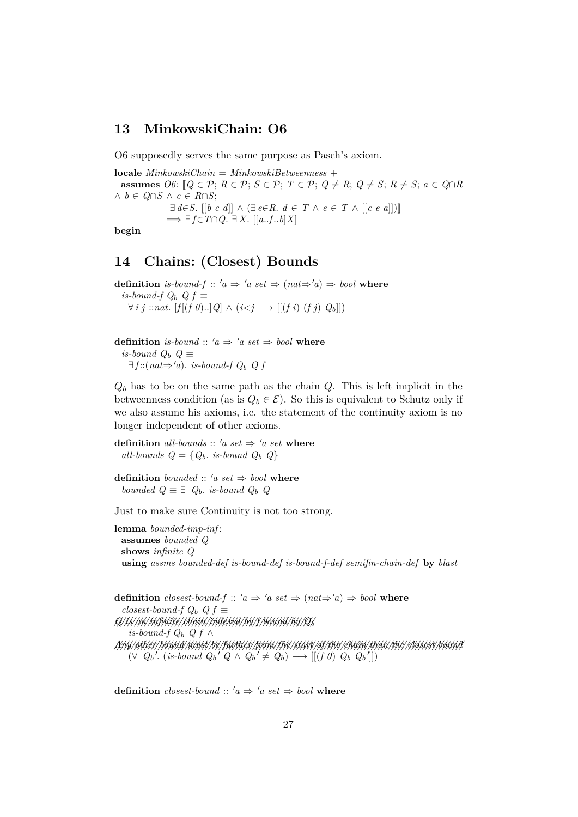#### <span id="page-26-0"></span>**13 MinkowskiChain: O6**

O6 supposedly serves the same purpose as Pasch's axiom.

**locale** *MinkowskiChain* = *MinkowskiBetweenness* + **assumes**  $O6: [Q \in \mathcal{P}; R \in \mathcal{P}; S \in \mathcal{P}; T \in \mathcal{P}; Q \neq R; Q \neq S; R \neq S; a \in Q \cap R$ ∧ *b* ∈ *Q*∩*S* ∧ *c* ∈ *R*∩*S*;  $\exists d \in S$ .  $[[b \ c \ d]] \wedge (\exists e \in R$ .  $d \in T \wedge e \in T \wedge [[c \ e \ a]])]$  $\implies \exists f \in T \cap Q$ .  $\exists X$ .  $[[a..f..b]X]$ **begin**

#### <span id="page-26-1"></span>**14 Chains: (Closest) Bounds**

**definition** *is-bound-f* ::  $'a \Rightarrow 'a \text{ set } \Rightarrow (nat \Rightarrow 'a) \Rightarrow \text{bool}$  where *is-bound-f Q<sub>b</sub>*  $Q_f$  ≡ ∀ *i j* ::*nat*. [*f* [(*f 0*)..]*Q*] ∧ (*i*<*j* −→ [[(*f i*) (*f j*) *Q*b]])

**definition** *is-bound* ::  $'a \Rightarrow 'a \text{ set } \Rightarrow \text{bool}$  **where** *is-bound*  $Q_b$   $Q \equiv$  $\exists f::(nat \Rightarrow 'a)$ . *is-bound-f*  $Q_b$  *Q f* 

 $Q_b$  has to be on the same path as the chain  $Q$ . This is left implicit in the betweenness condition (as is  $Q_b \in \mathcal{E}$ ). So this is equivalent to Schutz only if we also assume his axioms, i.e. the statement of the continuity axiom is no longer independent of other axioms.

**definition** all-bounds :: 'a set  $\Rightarrow$  'a set where *all-bounds*  $Q = \{Q_b$ *. is-bound*  $Q_b$   $Q$ }

**definition** *bounded* :: 'a set  $\Rightarrow$  *bool* where *bounded*  $Q ≡ ∃ Q<sub>b</sub>$ *. is-bound*  $Q<sub>b</sub>$   $Q$ 

Just to make sure Continuity is not too strong.

**lemma** *bounded-imp-inf* : **assumes** *bounded Q* **shows** *infinite Q* **using** *assms bounded-def is-bound-def is-bound-f-def semifin-chain-def* **by** *blast*

**definition** *closest-bound-f* ::  $'a \Rightarrow 'a \text{ set } \Rightarrow (nat \Rightarrow 'a) \Rightarrow bool$  where  $$ *//Q///is////an//////////infinite////////chain//////////indexed////by//f////////bound////by////Q*<sup>b</sup> *is-bound-f*  $Q_b$  *Q f* ∧ */////Any///////other/////////bound///////must///be//////////further//////from/////the///////start///of/////the///////chain///////than/////the/////////closest////////bound*  $(\forall Q_b'. (is-bound Q_b' Q \wedge Q_b' \neq Q_b) \longrightarrow [[(f\ \theta)\ Q_b\ Q_b]])$ 

**definition** *closest-bound* ::  $'a \Rightarrow 'a \text{ set } \Rightarrow \text{bool}$  **where**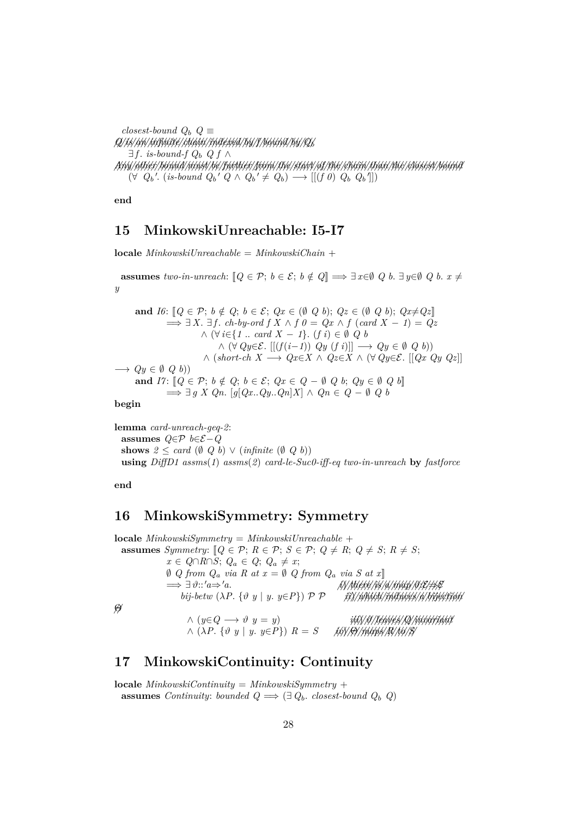*closest-bound*  $Q_b$   $Q \equiv$ *//Q///is////an//////////infinite////////chain//////////indexed////by//f////////bound////by////Q*<sup>b</sup> ∃*f*. *is-bound-f*  $Q_b$   $Qf$  ∧ */////Any///////other/////////bound///////must///be//////////further//////from/////the///////start///of/////the///////chain///////than/////the/////////closest////////bound*  $(\forall Q_b'. (is-bound Q_b' Q \wedge Q_b' \neq Q_b) \longrightarrow [[(f\ \theta)\ Q_b\ Q_b']]$ 

**end**

#### <span id="page-27-0"></span>**15 MinkowskiUnreachable: I5-I7**

**locale** *MinkowskiUnreachable* = *MinkowskiChain* +

**assumes** *two-in-unreach*:  $[Q \in \mathcal{P}; b \in \mathcal{E}; b \notin Q] \implies \exists x \in \emptyset \ Q \ b. \ \exists y \in \emptyset \ Q \ b. \ x \neq 0$ *y*

and 
$$
I6: [Q \in \mathcal{P}; b \notin Q; b \in \mathcal{E}; Qx \in (\emptyset \ Q \ b); Qz \in (\emptyset \ Q \ b); Qx \neq Qz]
$$
  
\n $\implies \exists X. \exists f. ch-by-ord \ f \ X \land f \ 0 = Qx \land f \ (card \ X - 1) = Qz$   
\n $\land (\forall i \in \{1 \dots \ card \ X - 1\}. (f \ i) \in \emptyset \ Q \ b$   
\n $\land (\forall Qy \in \mathcal{E}. [[(f(i-1)) \ Qy \ (f \ i)]] \longrightarrow Qy \in \emptyset \ Q \ b)$ )  
\n $\land (short-ch \ X \longrightarrow Qx \in X \land Qz \in X \land (\forall Qy \in \mathcal{E}. [[Qx \ Qy \ Qz]]$   
\n $\implies Qy \in \emptyset \ Q \ b)$ )  
\nand  $I7: [Q \in \mathcal{P}; b \notin Q; b \in \mathcal{E}; Qx \in Q - \emptyset \ Q \ b; Qy \in \emptyset \ Q \ b]$   
\n $\implies \exists g \ X \ Qn. [g[Qx..Qy..Qn]X] \land Qn \in Q - \emptyset \ Q \ b$ 

**begin**

**lemma** *card-unreach-geq-2*: **assumes** *Q*∈P *b*∈E−*Q* **shows**  $2 \leq card (\emptyset Q b) \vee (infinite (\emptyset Q b))$ **using** *DiffD1 assms*(*1*) *assms*(*2*) *card-le-Suc0-iff-eq two-in-unreach* **by** *fastforce*

**end**

## <span id="page-27-1"></span>**16 MinkowskiSymmetry: Symmetry**

**locale** *MinkowskiSymmetry* = *MinkowskiUnreachable* + **assumes** *Symmetry*:  $[Q \in \mathcal{P}; R \in \mathcal{P}; S \in \mathcal{P}; Q \neq R; Q \neq S; R \neq S;$ *x* ∈  $Q \cap R \cap S$ ;  $Q_a \in Q$ ;  $Q_a \neq x$ ; ∅ *Q from Q*<sup>a</sup> *via R at x* = ∅ *Q from Q*<sup>a</sup> *via S at x*]] =⇒ ∃ ϑ::<sup>0</sup>*a*⇒<sup>0</sup>*a*. *///i*)*///////there///is//a///////map/////////* ϑ:E⇒E *bij-betw* (λ*P*. {ϑ *y* | *y*. *y*∈*P*}) P P *///ii*)*////////which//////////induces//a////////////bijection //*Θ ∧ (*y*∈*Q* −→ ϑ *y* = *y*) *///iii*)*///*ϑ*////////leaves////Q////////////invariant* ∧ (λ*P*. {ϑ *y* | *y*. *y*∈*P*}) *R* = *S ////iv*)*///*Θ*///////maps////R///to///S*

## <span id="page-27-2"></span>**17 MinkowskiContinuity: Continuity**

**locale** *MinkowskiContinuity* = *MinkowskiSymmetry* + **assumes** *Continuity: bounded*  $Q \implies (\exists Q_b \cdot \text{closest-bound } Q_b \ Q)$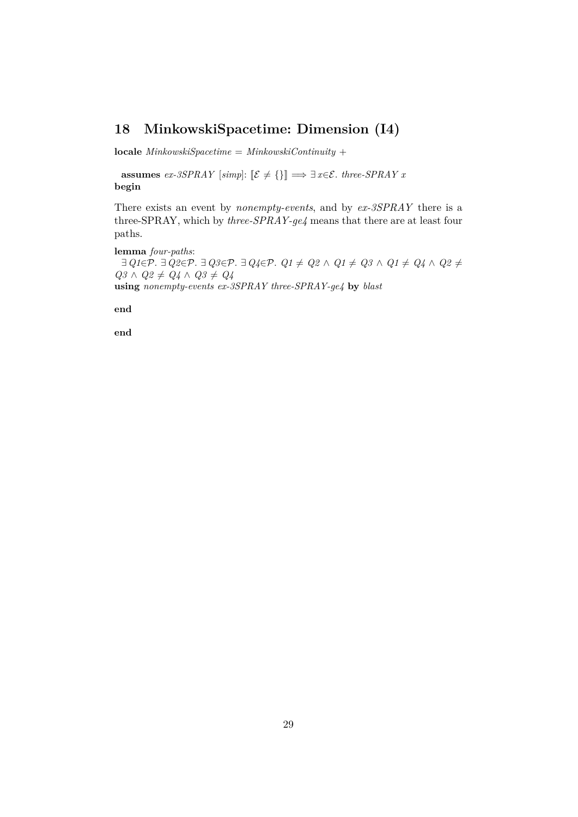## <span id="page-28-0"></span>**18 MinkowskiSpacetime: Dimension (I4)**

**locale**  $MinkowskiSpacetime = MinkowskiContinuity +$ 

**assumes** *ex-3SPRAY* [*simp*]:  $[\mathcal{E} \neq {\{\}}] \implies \exists x \in \mathcal{E}$ . *three-SPRAY x* **begin**

There exists an event by *nonempty-events*, and by *ex-3SPRAY* there is a three-SPRAY, which by *three-SPRAY-ge4* means that there are at least four paths.

**lemma** *four-paths*:  $\exists$  *Q1*∈P.  $\exists$  *Q2*∈P.  $\exists$  *Q3*∈P.  $\exists$  *Q4*∈P.  $Q1 \neq Q2 \land Q1 \neq Q3 \land Q1 \neq Q4 \land Q2 \neq$  $Q3 \wedge Q2 \neq Q4 \wedge Q3 \neq Q4$ **using** *nonempty-events ex-3SPRAY three-SPRAY-ge4* **by** *blast*

**end**

**end**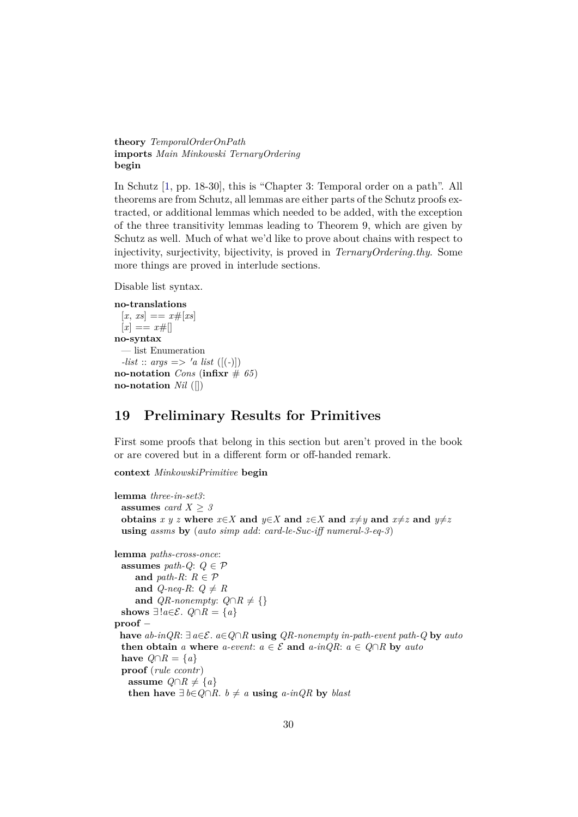**theory** *TemporalOrderOnPath* **imports** *Main Minkowski TernaryOrdering* **begin**

In Schutz [\[1,](#page-190-0) pp. 18-30], this is "Chapter 3: Temporal order on a path". All theorems are from Schutz, all lemmas are either parts of the Schutz proofs extracted, or additional lemmas which needed to be added, with the exception of the three transitivity lemmas leading to Theorem 9, which are given by Schutz as well. Much of what we'd like to prove about chains with respect to injectivity, surjectivity, bijectivity, is proved in *TernaryOrdering*.*thy*. Some more things are proved in interlude sections.

Disable list syntax.

```
no-translations
 [x, xs] == x \# [xs][x] == x\#no-syntax
 — list Enumeration
 -list :: args => 'a list ([(-)])
no-notation Cons (infixr \# 65)
no-notation Nil ([])
```
## <span id="page-29-0"></span>**19 Preliminary Results for Primitives**

First some proofs that belong in this section but aren't proved in the book or are covered but in a different form or off-handed remark.

**context** *MinkowskiPrimitive* **begin**

```
lemma three-in-set3:
 assumes card X > 3obtains x y z where x \in X and y \in X and z \in X and x \neq y and x \neq z and y \neq zusing assms by (auto simp add: card-le-Suc-iff numeral-3-eq-3)
lemma paths-cross-once:
 assumes path-Q: Q \in \mathcal{P}and path-R: R \in \mathcal{P}and Q-neq-R: Q \neq Rand QR\text{-}nonempty: Q \cap R \neq \{\}shows ∃!a \in \mathcal{E}. Q \cap R = \{a\}proof −
 have ab-inQR: ∃ a∈E. a∈Q∩R using QR-nonempty in-path-event path-Q by auto
 then obtain a where a-event: a \in \mathcal{E} and a\text{-}inQR: a \in Q \cap R by autohave Q \cap R = \{a\}proof (rule ccontr)
   assume Q \cap R \neq \{a\}then have \exists b∈Q∩R. b \neq a using a-inQR by blast
```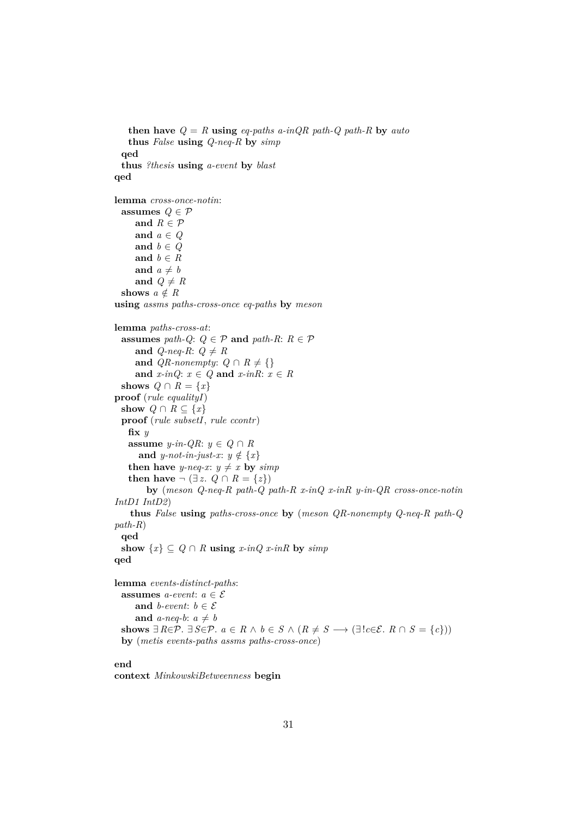```
then have Q = R using eq-paths a-inQR path-Q path-R by auto
   thus False using Q-neq-R by simp
 qed
 thus ?thesis using a-event by blast
qed
lemma cross-once-notin:
 assumes Q \in \mathcal{P}and R \in \mathcal{P}and a ∈ Q
     and b \in Qand b \in Rand a \neq band Q \neq Rshows a \notin Rusing assms paths-cross-once eq-paths by meson
lemma paths-cross-at:
 assumes path-Q: Q \in \mathcal{P} and path-R: R \in \mathcal{P}and Q-neq-R: Q \neq Rand QR-nonempty: Q \cap R \neq \{\}and x\text{-}inQ: x \in Q and x\text{-}inR: x \in Rshows Q \cap R = \{x\}proof (rule equalityI)
 show Q \cap R \subseteq \{x\}proof (rule subsetI, rule ccontr)
   fix y
   assume y-in-QR: y \in Q \cap Rand y-not-in-just-x: y \notin \{x\}then have y-neq-x: y \neq x by simpthen have \neg (∃ z. Q \cap R = \{z\})
        by (meson Q-neq-R path-Q path-R x-inQ x-inR y-in-QR cross-once-notin
IntD1 IntD2)
   thus False using paths-cross-once by (meson QR-nonempty Q-neq-R path-Q
path-R)
 qed
 show \{x\} \subseteq Q \cap R using x-inQ x-inR by simpqed
lemma events-distinct-paths:
 assumes a-event: a \in \mathcal{E}and b-event: b \in \mathcal{E}and a-neq-b: a \neq bshows ∃ R \in \mathcal{P}. ∃ S \in \mathcal{P}. a \in R \land b \in S \land (R \neq S \rightarrow (\exists ! c \in \mathcal{E} \land R \cap S = \{c\}))by (metis events-paths assms paths-cross-once)
```
#### **end**

**context** *MinkowskiBetweenness* **begin**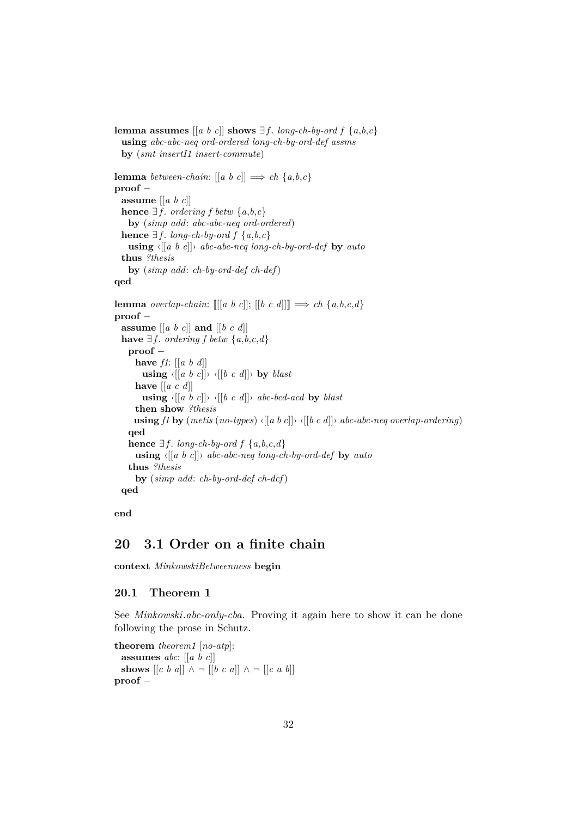```
lemma assumes \begin{bmatrix} a & b & c \end{bmatrix} shows \exists f. long-ch-by-ord f \{a, b, c\}using abc-abc-neq ord-ordered long-ch-by-ord-def assms
  by (smt insertI1 insert-commute)
lemma between-chain: [ [a \ b \ c] ] \Rightarrow ch \{a, b, c\}proof −
  assume [[a b c]]
  hence \exists f. ordering f betw \{a, b, c\}by (simp add: abc-abc-neq ord-ordered)
  hence \exists f. long-ch-by-ord f \{a,b,c\}using \langle [a \ b \ c] \rangle abc-abc-neq long-ch-by-ord-def by auto
  thus ?thesis
    by (simp add: ch-by-ord-def ch-def)
qed
lemma overlap-chain: \left[ \left[ \left[ a \, b \, c \right] \right] ; \left[ \left[ b \, c \, d \right] \right] \right] \Longrightarrow ch \{a, b, c, d\}proof −
  assume [[a b c]] and [[b c d]]
  have ∃f. ordering f betw \{a, b, c, d\}proof −
      have f1: [[a b d]]
        using \langle [a \ b \ c]] \rangle \langle [b \ c \ d] \rangle by blast
      have [[a c d]]
         using \langle [(a \ b \ c)] \rangle \langle [(b \ c \ d)] \rangle abc-bcd-acd by blast
      then show ?thesis
      using f1 by (metis (no-types) \langle [a \ b \ c \ || \rangle \ \langle [b \ c \ d \rangle] \rangle abc-abc-neq overlap-ordering)
    qed
    hence \exists f. long-ch-by-ord f {a,b,c,d}
      using \langle [a \ b \ c] \rangle abc-abc-neq long-ch-by-ord-def by auto
    thus ?thesis
      by (simp add: ch-by-ord-def ch-def)
  qed
```

```
end
```
## <span id="page-31-0"></span>**20 3.1 Order on a finite chain**

**context** *MinkowskiBetweenness* **begin**

#### <span id="page-31-1"></span>**20.1 Theorem 1**

See *Minkowski*.*abc-only-cba*. Proving it again here to show it can be done following the prose in Schutz.

```
theorem theorem1 [no-atp]:
    assumes abc: [[a b c]]
    shows \begin{bmatrix} c & b & a \end{bmatrix} \begin{bmatrix} \lambda & -\end{bmatrix} \begin{bmatrix} b & c & a \end{bmatrix} \begin{bmatrix} \lambda & -\end{bmatrix} \begin{bmatrix} c & a & b \end{bmatrix}proof −
```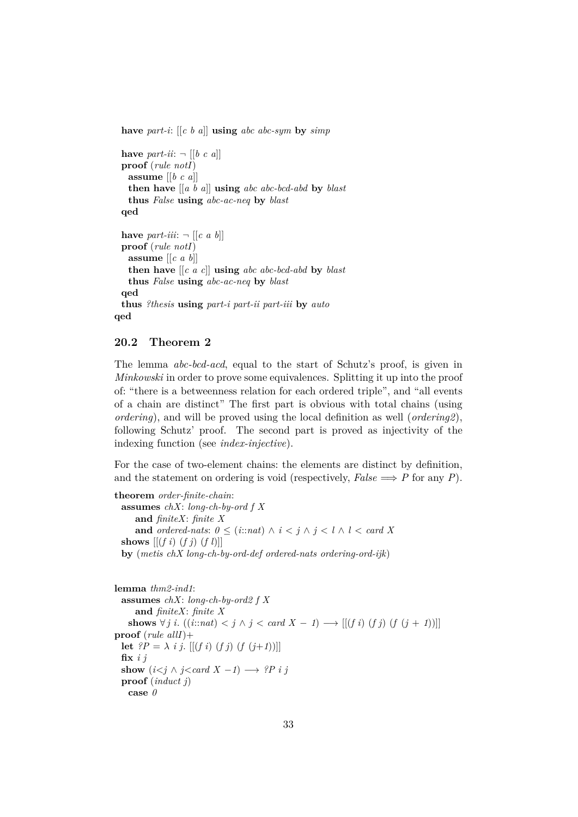**have** *part-i*: [[*c b a*]] **using** *abc abc-sym* **by** *simp*

```
have part\text{-}ii: \neg [[b \ c \ a]]proof (rule notI)
   assume [[b c a]]
   then have [[a b a]] using abc abc-bcd-abd by blast
   thus False using abc-ac-neq by blast
  qed
 have part-iii: \neg \left[ \begin{bmatrix} c & a & b \end{bmatrix} \right]proof (rule notI)
   assume [[c a b]]
   then have [[c a c]] using abc abc-bcd-abd by blast
   thus False using abc-ac-neq by blast
  qed
 thus ?thesis using part-i part-ii part-iii by auto
qed
```
#### <span id="page-32-0"></span>**20.2 Theorem 2**

The lemma *abc-bcd-acd*, equal to the start of Schutz's proof, is given in *Minkowski* in order to prove some equivalences. Splitting it up into the proof of: "there is a betweenness relation for each ordered triple", and "all events of a chain are distinct" The first part is obvious with total chains (using *ordering*), and will be proved using the local definition as well (*ordering2*), following Schutz' proof. The second part is proved as injectivity of the indexing function (see *index-injective*).

For the case of two-element chains: the elements are distinct by definition, and the statement on ordering is void (respectively,  $False \implies P$  for any *P*).

```
theorem order-finite-chain:
  assumes chX: long-ch-by-ord f X
     and finiteX: finite X
     and ordered-nats: 0 \leq (i : \text{and}) \land i \leq j \land j \leq l \land l \leq \text{card } Xshows [(f\ i)\ (f\ j)\ (f\ l)]by (metis chX long-ch-by-ord-def ordered-nats ordering-ord-ijk)
```

```
lemma thm2-ind1:
 assumes chX: long-ch-by-ord2 f X
     and finiteX: finite X
   shows \forall j i. ((i::nat) < j \land j < card X − 1) \rightarrow [[(f i) (f i) (f (i + 1))]]
proof (rule allI)+
 let ?P = \lambda i j. [(f \ i) \ (f \ j) \ (f \ (j+1))]fix i j
 show (i < j \land j < card X -1) \rightarrow ?P i jproof (induct j)
   case 0
```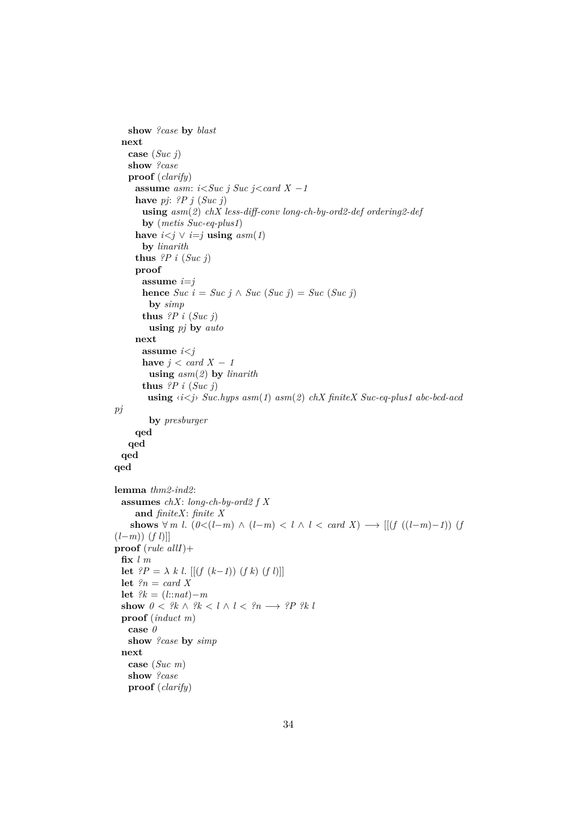```
show ?case by blast
 next
   case (Suc j)
   show ?case
   proof (clarify)
    assume asm: i < Suc j < cacd X - 1have pj: ?P j (Suc j)
      using asm(2) chX less-diff-conv long-ch-by-ord2-def ordering2-def
      by (metis Suc-eq-plus1)
     have i < j \vee i = j using asm(1)by linarith
     thus ?P i (Suc j)
    proof
      assume i=j
      hence Suc\ i = Suc\ j \land \ Suc\ (Suc\ j) = Suc\ (Suc\ j)by simp
      thus ?P i (Suc j)
        using pj by auto
     next
      assume i<j
      have j < \text{card } X - 1using asm(2) by linarith
      thus ?P i (Suc j)
       using ‹i<j› Suc.hyps asm(1) asm(2) chX finiteX Suc-eq-plus1 abc-bcd-acd
pj
        by presburger
    qed
   qed
 qed
qed
lemma thm2-ind2:
 assumes chX: long-ch-by-ord2 f X
    and finiteX: finite X
   shows ∀ m l. (0 < (l-m) \land (l-m) < l \land l < card X) → [[(f ((l-m)-1)) (f
(l−m)) (f l)]]
proof (rule allI)+
 fix l m
 let ?P = \lambda k l. [[(f (k−1)) (f k) (f l)]]
 let ?n = card Xlet ?k = (l::nat)−mshow 0 < ?k \wedge ?k < l \wedge l < ?n \longrightarrow ?P ?k lproof (induct m)
   case 0
   show ?case by simp
 next
   case (Suc m)
   show ?case
   proof (clarify)
```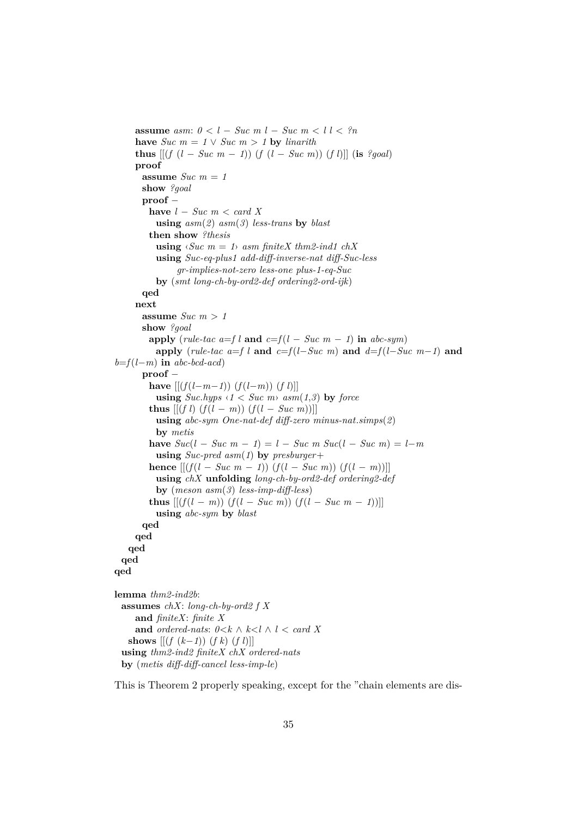**assume** *asm:*  $0 < l - Suc \, m \, l - Suc \, m \, < l \, l < ?n$ **have**  $Suc \ m = 1 \vee Suc \ m > 1$  **by** *linarith* **thus**  $[(f (l - Suc m - 1)) (f (l - Suc m)) (f l)]$  (**is** *?goal*) **proof** assume  $Suc$   $m = 1$ **show** *?goal* **proof** − **have** *l* − *Suc m* < *card X* **using** *asm*(*2*) *asm*(*3*) *less-trans* **by** *blast* **then show** *?thesis* **using**  $\langle \textit{Suc m} = 1 \rangle$  *asm finiteX thm2-ind1 chX* **using** *Suc-eq-plus1 add-diff-inverse-nat diff-Suc-less gr-implies-not-zero less-one plus-1-eq-Suc* **by** (*smt long-ch-by-ord2-def ordering2-ord-ijk*) **qed next** assume *Suc*  $m > 1$ **show** *?goal* **apply** (*rule-tac a=f l* **and**  $c=f(l-Suc~m-1)$  **in**  $abc-sym$ ) **apply** (*rule-tac a=f l* **and**  $c=f(l-Suc \ m)$  **and**  $d=f(l-Suc \ m-1)$  **and**  $b=f(l-m)$  **in**  $abc-bcd-acd$ **proof** − **have**  $[(f(l-m−1)) (f(l−m)) (f l)]$ **using**  $Suc. hyps \le l < Suc \ m$   $asm(1,3)$  by force **thus**  $[[(f\ l)\ (f(l-m))\ (f(l-Suc\ m))]$ **using** *abc-sym One-nat-def diff-zero minus-nat*.*simps*(*2*) **by** *metis* **have**  $Suc(l - Suc | m - 1) = l - Suc | m Suc(l - Suc | m) = l - m$ **using** *Suc-pred asm*(*1*) **by** *presburger*+ **hence**  $[(f(l - Suc \ m - 1)) (f(l - Suc \ m)) (f(l - m))]$ **using** *chX* **unfolding** *long-ch-by-ord2-def ordering2-def* **by** (*meson asm*(*3*) *less-imp-diff-less*) **thus**  $[(f(l − m)) (f(l − Suc m)) (f(l − Suc m − 1))]$ **using** *abc-sym* **by** *blast* **qed qed qed qed qed lemma** *thm2-ind2b*: **assumes** *chX*: *long-ch-by-ord2 f X* **and** *finiteX*: *finite X* **and** *ordered-nats*:  $0 \le k \land k \le l \land l \le card X$ **shows**  $[(f (k-1)) (f k) (f l)]$ **using** *thm2-ind2 finiteX chX ordered-nats* **by** (*metis diff-diff-cancel less-imp-le*)

This is Theorem 2 properly speaking, except for the "chain elements are dis-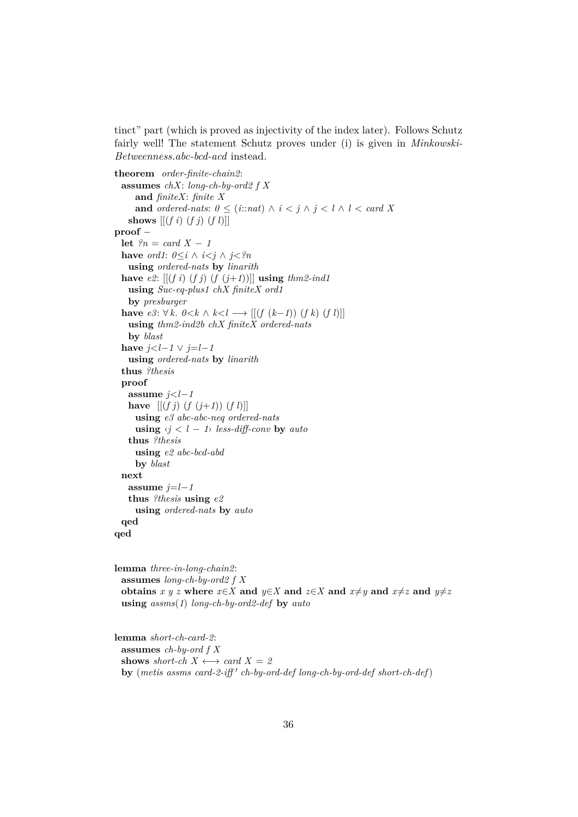tinct" part (which is proved as injectivity of the index later). Follows Schutz fairly well! The statement Schutz proves under (i) is given in *Minkowski-Betweenness*.*abc-bcd-acd* instead.

```
theorem order-finite-chain2:
 assumes chX: long-ch-by-ord2 f X
     and finiteX: finite X
     and ordered-nats: 0 \leq (i : \text{and}) \land i < j \land j < l \land l < \text{card } Xshows [(f\ i)(f\ j)(f\ l)]proof −
 let ?n = card X - 1have ord1: 0 \leq i \land i \leq j \land j \leq nusing ordered-nats by linarith
 have e2: [[(f\ i)\ (f\ j)\ (f\ (j+1))] using thm2-ind1using Suc-eq-plus1 chX finiteX ord1
   by presburger
 have e3: ∀ k. 0 < k \wedge k < l → [[(f (k-1)) (f k) (f l)]]
   using thm2-ind2b chX finiteX ordered-nats
   by blast
 have j < l-1 ∨ j = l-1using ordered-nats by linarith
  thus ?thesis
 proof
   assume j < l-1have [(f\ j)(f\ (j+1))\ (f\ l)]using e3 abc-abc-neq ordered-nats
     using \langle j \rangle \langle l - 1 \rangle less-diff-conv by auto
   thus ?thesis
     using e2 abc-bcd-abd
     by blast
 next
   assume j=l-1thus ?thesis using e2
     using ordered-nats by auto
 qed
qed
```
**lemma** *three-in-long-chain2*: **assumes** *long-ch-by-ord2 f X* **obtains** *x* y z where  $x \in X$  and  $y \in X$  and  $z \in X$  and  $x \neq y$  and  $x \neq z$  and  $y \neq z$ **using** *assms*(*1*) *long-ch-by-ord2-def* **by** *auto*

**lemma** *short-ch-card-2*: **assumes** *ch-by-ord f X* **shows** *short-ch*  $X \leftrightarrow \text{card } X = 2$ by (metis assms card-2-iff' ch-by-ord-def long-ch-by-ord-def short-ch-def)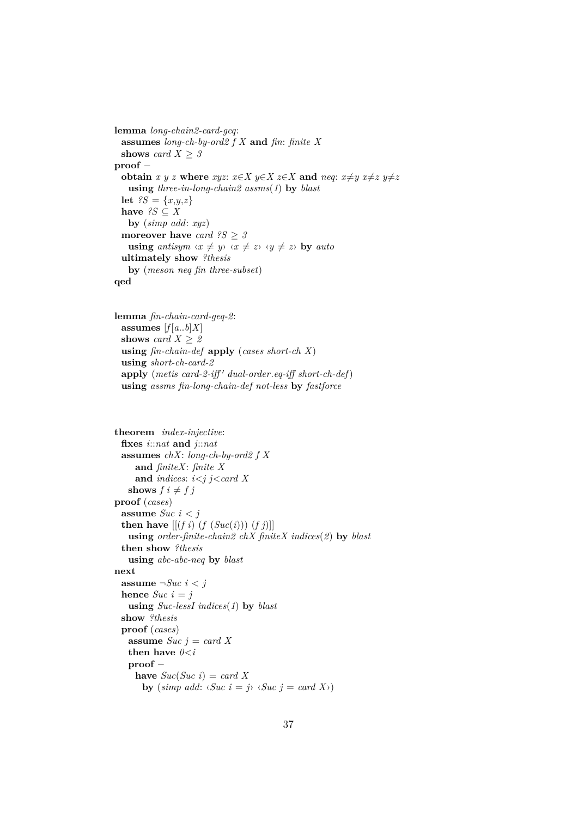```
lemma long-chain2-card-geq:
 assumes long-ch-by-ord2 f X and fin: finite X
 shows card X \geq 3proof −
 obtain x y z where xyz: x \in X y \in X z \in X and neg: x \neq y x \neq z y \neq zusing three-in-long-chain2 assms(1) by blast
 let ?S = \{x, y, z\}have \mathscr{C} S \subset Xby (simp add: xyz)
 moreover have card ?S ≥ 3
   using antisym \langle x \neq y \rangle \langle x \neq z \rangle \langle y \neq z \rangle by auto
 ultimately show ?thesis
   by (meson neq fin three-subset)
qed
```

```
lemma fin-chain-card-geq-2:
 assumes [f(a,b]X]shows card X \geq 2using fin-chain-def apply (cases short-ch X)
 using short-ch-card-2
 apply (metis card-2-iff' dual-order.eq-iff short-ch-def)
 using assms fin-long-chain-def not-less by fastforce
```

```
theorem index-injective:
 fixes i::nat and j::nat
 assumes chX: long-ch-by-ord2 f X
     and finiteX: finite X
     and indices: i<j j<card X
   shows f \, i \neq f \, jproof (cases)
 assume Suc i < j
 then have [(f\ i)\ (f\ (Suc(i)))\ (f\ j)]using order-finite-chain2 chX finiteX indices(2) by blast
 then show ?thesis
   using abc-abc-neq by blast
next
 assume \negSuc i < j
 hence Suc i = jusing Suc-lessI indices(1) by blast
 show ?thesis
 proof (cases)
   assume Suc j = card Xthen have 0 < iproof −
     have Suc(Suc i) = card Xby (simp add: \langle \textit{Suc } i = j \rangle \langle \textit{Suc } j = \textit{card } X \rangle)
```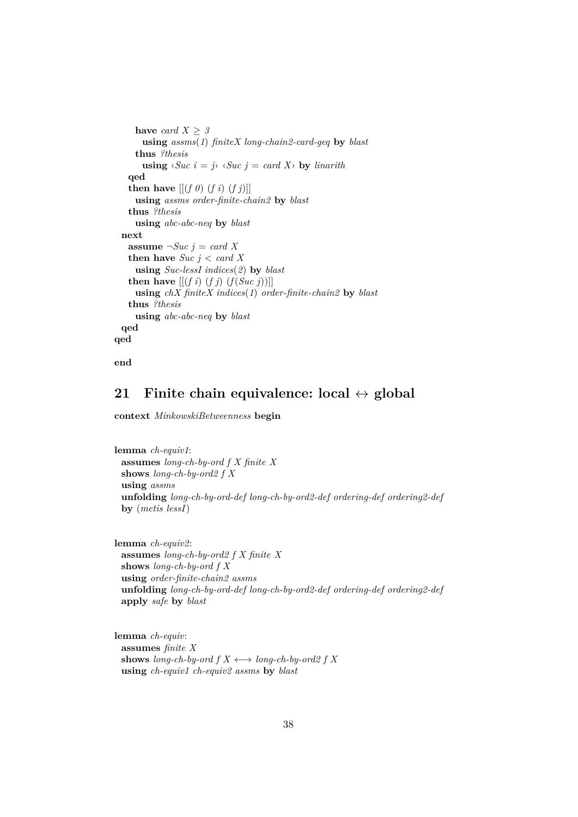```
have card X > 3using assms(1) finiteX long-chain2-card-geq by blast
     thus ?thesis
       using \langle \textit{Suc } i = j \rangle \langle \textit{Suc } j = \textit{card } X \rangle by linarith
   qed
   then have [(f \theta)(f \mathbf{i}) \ (f \mathbf{j})]using assms order-finite-chain2 by blast
   thus ?thesis
     using abc-abc-neq by blast
  next
   assume \neg Suc \, j = card \, Xthen have Suc \textit{j} < \textit{card } Xusing Suc-lessI indices(2) by blast
   then have [(f\ i)\ (f\ j)\ (f(Suc\ j))]using chX finiteX indices(1) order-finite-chain2 by blast
   thus ?thesis
     using abc-abc-neq by blast
  qed
qed
```

```
end
```
# **21 Finite chain equivalence: local** ↔ **global**

**context** *MinkowskiBetweenness* **begin**

```
lemma ch-equiv1:
 assumes long-ch-by-ord f X finite X
 shows long-ch-by-ord2 f X
 using assms
 unfolding long-ch-by-ord-def long-ch-by-ord2-def ordering-def ordering2-def
 by (metis lessI)
```

```
lemma ch-equiv2:
 assumes long-ch-by-ord2 f X finite X
 shows long-ch-by-ord f X
 using order-finite-chain2 assms
 unfolding long-ch-by-ord-def long-ch-by-ord2-def ordering-def ordering2-def
 apply safe by blast
```

```
lemma ch-equiv:
 assumes finite X
 shows long-ch-by-ord f X \leftrightarrow long-ch-by-ord2 f X
 using ch-equiv1 ch-equiv2 assms by blast
```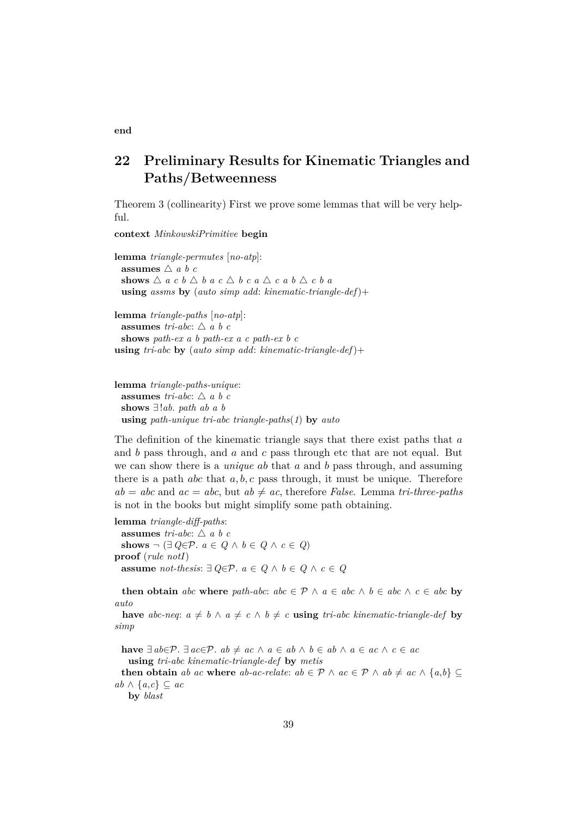# **22 Preliminary Results for Kinematic Triangles and Paths/Betweenness**

Theorem 3 (collinearity) First we prove some lemmas that will be very helpful.

**context** *MinkowskiPrimitive* **begin**

**lemma** *triangle-permutes* [*no-atp*]: **assumes**  $\triangle$  *a b c* shows  $\triangle$  *a c*  $b \triangle$  *b a c*  $\triangle$  *b c a*  $\triangle$  *c a b*  $\triangle$  *c b a* **using** *assms* **by** (*auto simp add*: *kinematic-triangle-def*)+

**lemma** *triangle-paths* [*no-atp*]: **assumes** *tri-abc*:  $\triangle a b c$ **shows** *path-ex a b path-ex a c path-ex b c* **using** *tri-abc* **by** (*auto simp add*: *kinematic-triangle-def*)+

```
lemma triangle-paths-unique:
 assumes tri-abc: \triangle a b c
 shows ∃!ab. path ab a b
 using path-unique tri-abc triangle-paths(1) by auto
```
The definition of the kinematic triangle says that there exist paths that a and  $b$  pass through, and  $a$  and  $c$  pass through etc that are not equal. But we can show there is a *unique* ab that a and b pass through, and assuming there is a path *abc* that  $a, b, c$  pass through, it must be unique. Therefore  $ab = abc$  and  $ac = abc$ , but  $ab \neq ac$ , therefore *False*. Lemma *tri-three-paths* is not in the books but might simplify some path obtaining.

**lemma** *triangle-diff-paths*: **assumes** *tri-abc*:  $\triangle$  *a b c* shows  $\neg$  (∃  $Q \in \mathcal{P}$ .  $a \in Q \land b \in Q \land c \in Q$ ) **proof** (*rule notI*) **assume** *not-thesis*:  $∃ Q∈P$ *.*  $a ∈ Q ∧ b ∈ Q ∧ c ∈ Q$ 

**then obtain** *abc* **where** *path-abc*:  $abc \in \mathcal{P} \land a \in abc \land b \in abc \land c \in abc$  **by** *auto*

**have** *abc-neq*:  $a \neq b \land a \neq c \land b \neq c$  **using** *tri-abc kinematic-triangle-def* **by** *simp*

**have**  $\exists ab \in \mathcal{P}$ .  $\exists ac \in \mathcal{P}$ .  $ab \neq ac \land a \in ab \land b \in ab \land a \in ac \land c \in ac$ **using** *tri-abc kinematic-triangle-def* **by** *metis* **then obtain** *ab ac* **where** *ab-ac-relate:*  $ab \in \mathcal{P} \land ac \in \mathcal{P} \land ab \neq ac \land \{a,b\} \subseteq$ *ab* ∧ {*a*,*c*} ⊆ *ac*

**by** *blast*

**end**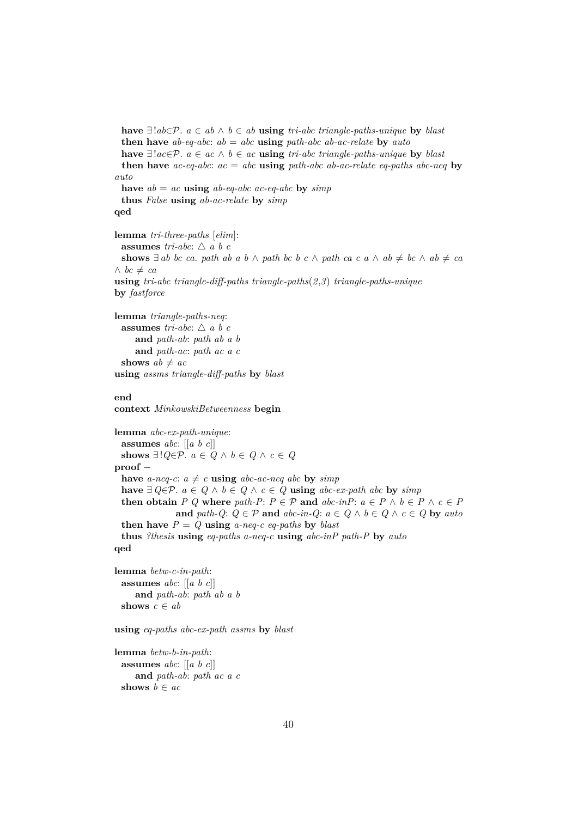```
have ∃!ab∈P. a ∈ ab ∧ b ∈ ab using tri-abc triangle-paths-unique by blast
 then have ab-eq-abc: ab = abc using path-abc ab-ac-relate by auto
 have ∃!ac∈P. a ∈ ac ∧ b ∈ ac using tri-abc triangle-paths-unique by blast
 then have ac-eq-abc: ac = abc using path-abc ab-ac-relate eq-paths abc-neq by
auto
 have ab = ac using ab-eq-abc ac-eq-abc by simpthus False using ab-ac-relate by simp
qed
lemma tri-three-paths [elim]:
 assumes tri-abc: \triangle a b c
 shows \exists ab bc ca. path ab a b ∧ path bc b c ∧ path ca c a ∧ ab \neq bc ∧ ab \neq ca
∧ bc \neq ca
using tri-abc triangle-diff-paths triangle-paths(2,3) triangle-paths-unique
by fastforce
lemma triangle-paths-neq:
 assumes tri-abc: \triangle a b c
    and path-ab: path ab a b
    and path-ac: path ac a c
 shows ab \neq acusing assms triangle-diff-paths by blast
end
context MinkowskiBetweenness begin
lemma abc-ex-path-unique:
 assumes abc: [[a b c]]
 shows ∃!Q ∈ P. a ∈ Q ∧ b ∈ Q ∧ c ∈ Qproof −
 have a-neq-c: a \neq c using abc-ac-neq abc by simp
 have ∃ Q∈P. a ∈ Q ∧ b ∈ Q ∧ c ∈ Q using abc-ex-path abc by simpthen obtain P Q where path-P: P \in \mathcal{P} and abc\text{-}inP: a \in P \land b \in P \land c \in Pand path-Q: Q \in \mathcal{P} and abc\text{-}in\text{-}Q: a \in Q \land b \in Q \land c \in Q by autothen have P = Q using a-neq-c eq-paths by blast
 thus ?thesis using eq-paths a-neq-c using abc-inP path-P by auto
qed
lemma betw-c-in-path:
 assumes abc: [[a b c]]
     and path-ab: path ab a b
 shows c \in ab
```
**using** *eq-paths abc-ex-path assms* **by** *blast*

```
lemma betw-b-in-path:
 assumes abc: [[a b c]]
    and path-ab: path ac a c
 shows b \in ac
```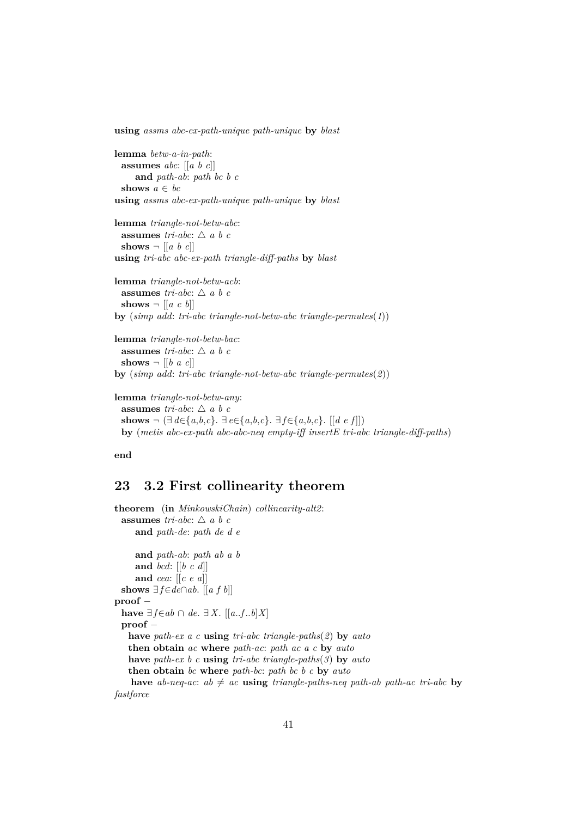**using** *assms abc-ex-path-unique path-unique* **by** *blast*

```
lemma betw-a-in-path:
 assumes abc: [[a b c]]
    and path-ab: path bc b c
 shows a \in bcusing assms abc-ex-path-unique path-unique by blast
```
**lemma** *triangle-not-betw-abc*: **assumes** *tri-abc*:  $\triangle$  *a b c* shows  $\neg$  [[a b c]] **using** *tri-abc abc-ex-path triangle-diff-paths* **by** *blast*

**lemma** *triangle-not-betw-acb*: **assumes** *tri-abc*:  $\triangle$  *a b c* **shows**  $\neg$  [[*a c b*]] **by** (*simp add*: *tri-abc triangle-not-betw-abc triangle-permutes*(*1*))

```
lemma triangle-not-betw-bac:
 assumes tri-abc: \triangle a b c
 shows \neg [[b \ a \ c]]by (simp add: tri-abc triangle-not-betw-abc triangle-permutes(2))
```

```
lemma triangle-not-betw-any:
 assumes tri-abc: \triangle a b c
 shows ¬ (∃ d∈{a,b,c}. ∃ e∈{a,b,c}. ∃ f∈{a,b,c}. [[d e f ]])
 by (metis abc-ex-path abc-abc-neq empty-iff insertE tri-abc triangle-diff-paths)
```
**end**

## **23 3.2 First collinearity theorem**

```
theorem (in MinkowskiChain) collinearity-alt2:
 assumes tri-abc: \triangle a b c
    and path-de: path de d e
    and path-ab: path ab a b
    and bcd: [[b c d]]
    and cea: [[c e a]]
 shows ∃ f∈de∩ab. [[a f b]]
proof −
 have ∃f∈ab ∩ de. ∃X. [[a..f..b]X]proof −
   have path-ex a c using tri-abc triangle-paths(2) by auto
   then obtain ac where path-ac: path ac a c by auto
   have path-ex b c using tri-abc triangle-paths(3) by auto
   then obtain bc where path-bc: path bc b c by auto
   have ab-neq-ac: ab \neq ac using triangle-paths-neq path-ab path-ac tri-abc by
fastforce
```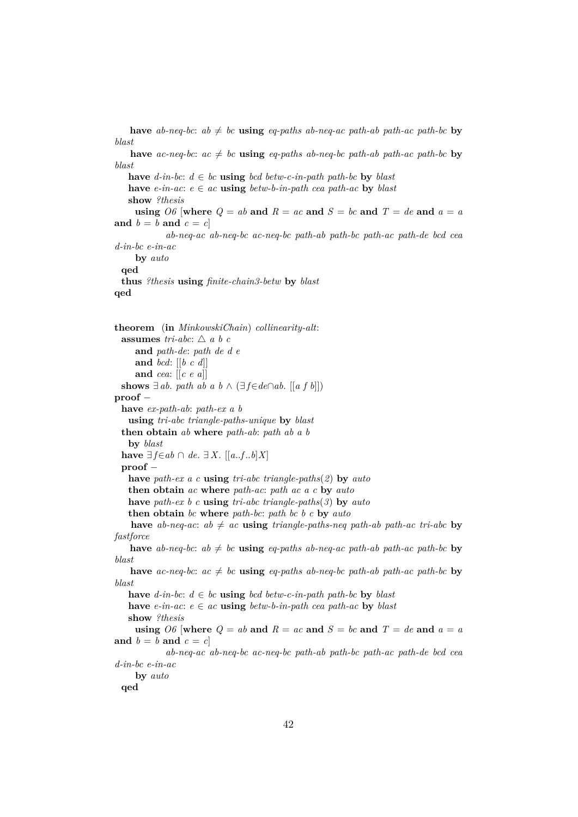*blast* **have** *ac-neq-bc*:  $ac \neq bc$  **using** *eq-paths ab-neq-bc path-ab path-ac path-bc* **by** *blast* **have**  $d$ -in-bc:  $d ∈ bc$  **using**  $bcd$   $betw-c-in-path$   $path-bc$  **by**  $blast$ **have**  $e$ -in-ac:  $e \in ac$  **using**  $b$ etw-b-in-path cea path-ac **by** blast **show** *?thesis* **using**  $\overline{OB}$  [where  $Q = ab$  and  $R = ac$  and  $S = bc$  and  $T = de$  and  $a = a$ and  $b = b$  and  $c = c$ *ab-neq-ac ab-neq-bc ac-neq-bc path-ab path-bc path-ac path-de bcd cea d-in-bc e-in-ac* **by** *auto* **qed thus** *?thesis* **using** *finite-chain3-betw* **by** *blast* **qed theorem** (**in** *MinkowskiChain*) *collinearity-alt*: **assumes** *tri-abc*:  $\triangle a b c$ **and** *path-de*: *path de d e* **and** *bcd*: [[*b c d*]] **and** *cea*: [[*c e a*]] **shows** ∃ *ab*. *path ab a b*  $\wedge$  (∃ *f*∈*de* $\cap$ *ab*. [[*a f b*]]) **proof** − **have** *ex-path-ab*: *path-ex a b* **using** *tri-abc triangle-paths-unique* **by** *blast* **then obtain** *ab* **where** *path-ab*: *path ab a b* **by** *blast* **have**  $∃ f∈ab ∩ de. ∃ X. [[a..f..b]X]$ **proof** − **have** *path-ex a c* **using** *tri-abc triangle-paths*(*2*) **by** *auto* **then obtain** *ac* **where** *path-ac*: *path ac a c* **by** *auto* **have** *path-ex b c* **using** *tri-abc triangle-paths*(*3*) **by** *auto* **then obtain** *bc* **where** *path-bc*: *path bc b c* **by** *auto* **have** *ab-neq-ac*:  $ab \neq ac$  **using** *triangle-paths-neq path-ab path-ac tri-abc* **by** *fastforce* **have** *ab-neq-bc*:  $ab \neq bc$  **using** *eq-paths ab-neq-ac path-ab path-ac path-bc* **by** *blast* **have** *ac-neq-bc*:  $ac \neq bc$  **using** *eq-paths ab-neq-bc path-ab path-ac path-bc* **by** *blast* **have**  $d$ -in-bc:  $d \text{ ∈ } bc$  **using**  $bcd$   $b$ etw-c-in-path path-bc **by**  $blast$ **have**  $e$ -in-ac:  $e \in ac$  **using**  $b$ etw-b-in-path cea path-ac **by** blast **show** *?thesis* using  $\partial \theta$  [where  $Q = ab$  and  $R = ac$  and  $S = bc$  and  $T = de$  and  $a = a$ and  $b = b$  and  $c = c$ ] *ab-neq-ac ab-neq-bc ac-neq-bc path-ab path-bc path-ac path-de bcd cea d-in-bc e-in-ac* **by** *auto* **qed**

**have** ab-neq-bc:  $ab \neq bc$  **using** eq-paths ab-neq-ac path-ab path-ac path-bc **by**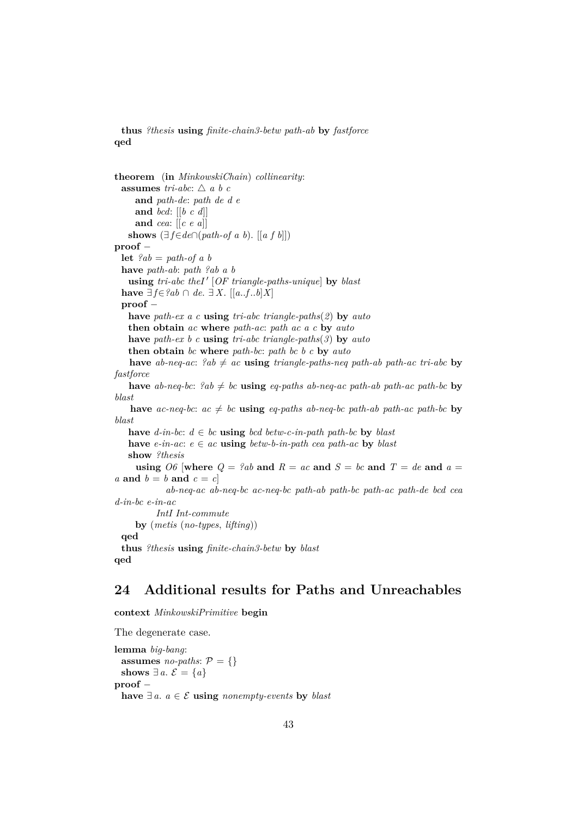**thus** *?thesis* **using** *finite-chain3-betw path-ab* **by** *fastforce* **qed**

```
theorem (in MinkowskiChain) collinearity:
 assumes tri-abc: \triangle a b c
     and path-de: path de d e
     and bcd: [[b c d]]
     and cea: [[c e a]]
   shows (∃ f∈de∩(path-of a b). [[a f b]])proof −
 let ?ab = path-of.a bhave path-ab: path ?ab a b
   using \ tr i\text{-}abc \ the \text{I'} \ [OF \ triangle\text{-}paths\text{-}unique] \ by \ blasthave \exists f \in \{2ab \cap de \}. \exists X. [[a,.f,.b]X]
 proof −
   have path-ex a c using tri-abc triangle-paths(2) by auto
   then obtain ac where path-ac: path ac a c by auto
   have path-ex b c using tri-abc triangle-paths(3) by auto
   then obtain bc where path-bc: path bc b c by auto
   have ab-neq-ac: ?ab \neq ac using triangle-paths-neq path-ab path-ac tri-abc by
fastforce
   have ab-neq-bc: {}^2ab \neq bc using eq-paths ab-neq-ac path-ab path-ac path-bc by
blast
    have ac-neq-bc: ac \neq bc using eq-paths ab-neq-bc path-ab path-ac path-bc by
blast
   have d-in-bc: d \text{ ∈ } bc using bcd bcd bctw-c-in-path path-bc by blasthave e-in-ac: e \in ac using betw-b-in-path cea path-ac by blast
   show ?thesis
     using \partial \theta [where Q = ?ab and R = ac and S = bc and T = de and a =a and b = b and c = c]
            ab-neq-ac ab-neq-bc ac-neq-bc path-ab path-bc path-ac path-de bcd cea
d-in-bc e-in-ac
          IntI Int-commute
     by (metis (no-types, lifting))
 qed
 thus ?thesis using finite-chain3-betw by blast
qed
```
# **24 Additional results for Paths and Unreachables**

**context** *MinkowskiPrimitive* **begin**

```
The degenerate case.
lemma big-bang:
 assumes no-paths: P = \{\}shows ∃ a. \mathcal{E} = \{a\}proof −
 have ∃ a. a ∈ E using nonempty-events by blast
```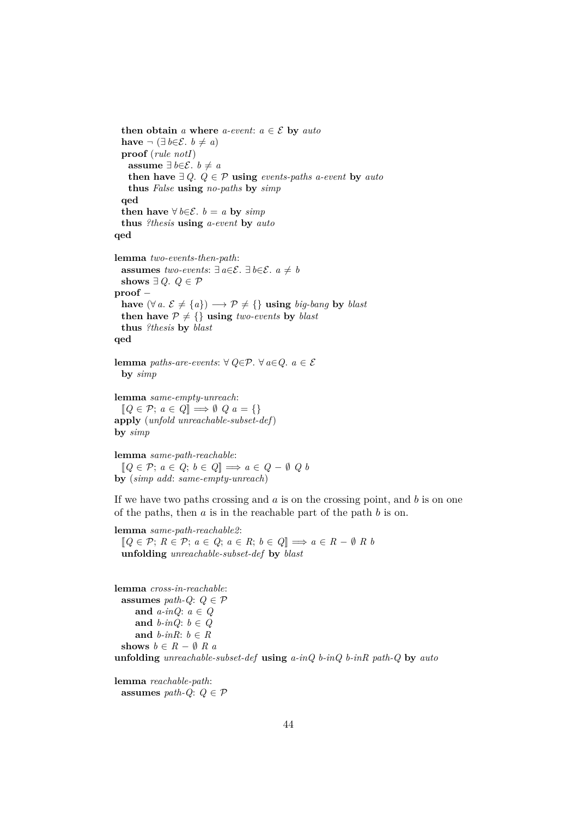**then obtain** *a* **where** *a-event*:  $a \in \mathcal{E}$  **by** *auto* **have**  $\neg$  (∃*b*∈*E*. *b*  $\neq$  *a*) **proof** (*rule notI*) **assume** ∃ *b*∈ $\mathcal{E}$ . *b*  $\neq$  *a* **then have**  $∃ Q$ .  $Q ∈ P$  **using** *events-paths a-event* **by** *auto* **thus** *False* **using** *no-paths* **by** *simp* **qed then have**  $∀$   $b∈E$ .  $b = a$  **by**  $simp$ **thus** *?thesis* **using** *a-event* **by** *auto* **qed lemma** *two-events-then-path*: **assumes** *two-events*:  $\exists$  *a*∈ $\mathcal{E}$ .  $\exists$  *b*∈ $\mathcal{E}$ . *a*  $\neq$  *b* shows  $∃ Q$ .  $Q ∈ P$ **proof** − **have**  $(\forall a. \mathcal{E} \neq \{a\}) \longrightarrow \mathcal{P} \neq {\{\}}$  **using** *big-bang* **by** *blast* **then have**  $P \neq \{\}$  **using** *two-events* **by** *blast* **thus** *?thesis* **by** *blast* **qed lemma** *paths-are-events*: ∀  $Q \in \mathcal{P}$ . ∀  $a \in Q$ .  $a \in \mathcal{E}$ **by** *simp*

**lemma** *same-empty-unreach*:  $[Q \in \mathcal{P}; a \in Q] \Longrightarrow \emptyset \ Q \ a = \{\}$ **apply** (*unfold unreachable-subset-def*) **by** *simp*

**lemma** *same-path-reachable*:  $[Q \in \mathcal{P}; a \in Q; b \in Q] \implies a \in Q - \emptyset \ Q \ b$ **by** (*simp add*: *same-empty-unreach*)

If we have two paths crossing and  $a$  is on the crossing point, and  $b$  is on one of the paths, then  $a$  is in the reachable part of the path  $b$  is on.

```
lemma same-path-reachable2:
 [Q \in \mathcal{P}; R \in \mathcal{P}; a \in Q; a \in R; b \in Q] \implies a \in R - \emptyset R bunfolding unreachable-subset-def by blast
lemma cross-in-reachable:
 assumes path-Q: Q \in \mathcal{P}and a-inQ: a ∈ Q
     and b-inQ: b \in Qand b-inR: b \in Rshows b \in R - \emptyset R a
unfolding unreachable-subset-def using a-inQ b-inQ b-inR path-Q by auto
```
**lemma** *reachable-path*: **assumes** *path-Q*:  $Q \in \mathcal{P}$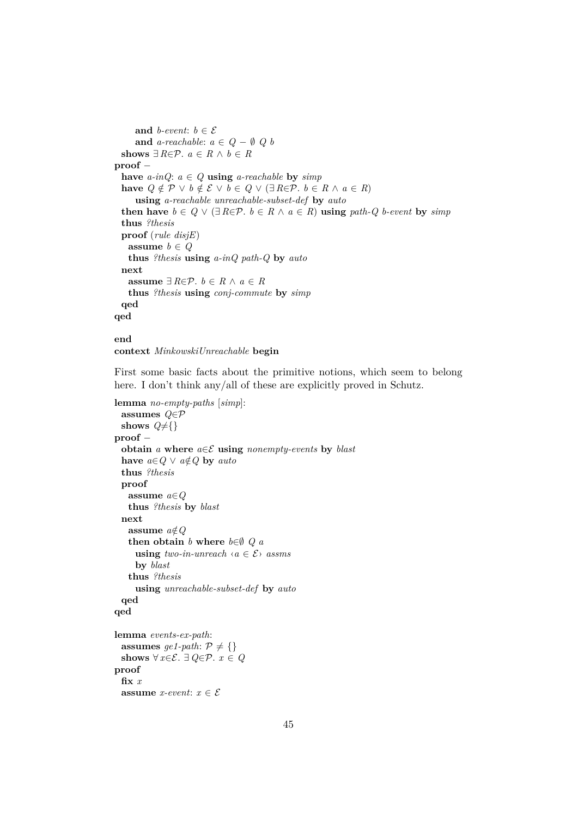**and** *b-event*:  $b \in \mathcal{E}$ **and**  $a$ -reachable:  $a \in Q - \emptyset$  Q b **shows**  $\exists R \in \mathcal{P}$ .  $a \in R \land b \in R$ **proof** − **have**  $a\text{-}inQ$ :  $a \in Q$  **using**  $a\text{-}reachable$  **by**  $simp$ **have**  $Q \notin \mathcal{P} \lor b \notin \mathcal{E} \lor b \in Q \lor (\exists R \in \mathcal{P} \land b \in R \land a \in R)$ **using** *a-reachable unreachable-subset-def* **by** *auto* **then have**  $b \in Q \vee (\exists R \in \mathcal{P} \land b \in R \land a \in R)$  **using** path-Q b-event by simp **thus** *?thesis* **proof** (*rule disjE*) **assume**  $b \in Q$ **thus** *?thesis* **using** *a-inQ path-Q* **by** *auto* **next assume**  $∃R∈P. b ∈ R ∧ a ∈ R$ **thus** *?thesis* **using** *conj-commute* **by** *simp* **qed qed**

#### **end context** *MinkowskiUnreachable* **begin**

First some basic facts about the primitive notions, which seem to belong here. I don't think any/all of these are explicitly proved in Schutz.

```
lemma no-empty-paths [simp]:
 assumes Q∈P
 shows Q \neq \{\}proof −
  obtain a where a \in \mathcal{E} using nonempty-events by blast
  have a \in Q \lor a \notin Q by autothus ?thesis
  proof
   assume a∈Q
   thus ?thesis by blast
  next
   assume a \notin Qthen obtain b where b \in \emptyset Q a
     using two-in-unreach \langle a \in \mathcal{E} \rangle assms
     by blast
   thus ?thesis
     using unreachable-subset-def by auto
  qed
qed
lemma events-ex-path:
  assumes ge1-path: \mathcal{P} \neq \{\}shows \forall x \in \mathcal{E}. ∃ Q \in \mathcal{P}. x \in Qproof
  fix x
```
**assume** *x*-event:  $x \in \mathcal{E}$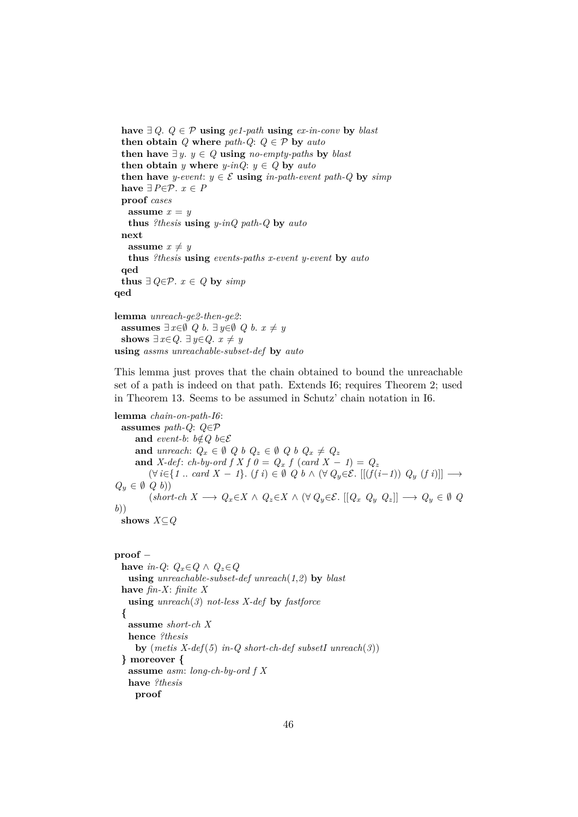```
have ∃ Q. Q ∈ P using ge1-path using ex-in-conv by blast
 then obtain Q where path \cdot Q: Q \in \mathcal{P} by autothen have ∃y. y ∈ Q using no-empty-paths by blast
 then obtain y where y-inQ: y \in Q by auto
 then have y-event: y \in \mathcal{E} using in-path-event path-Q by simp
 have ∃P∈P. x \in Pproof cases
   assume x = ythus ?thesis using y-inQ path-Q by auto
 next
   assume x \neq ythus ?thesis using events-paths x-event y-event by auto
 qed
 thus ∃ Q∈P. x ∈ Q by simpqed
lemma unreach-ge2-then-ge2:
 assumes \exists x \in \emptyset Q b. \exists y \in \emptyset Q b. x ≠ y
 shows ∃ x∈Q. ∃ y∈Q. x \neq y
using assms unreachable-subset-def by auto
```
This lemma just proves that the chain obtained to bound the unreachable set of a path is indeed on that path. Extends I6; requires Theorem 2; used in Theorem 13. Seems to be assumed in Schutz' chain notation in I6.

**lemma** *chain-on-path-I6*: **assumes** *path-Q*: *Q*∈P **and** *event-b*:  $b \notin Q$   $b \in \mathcal{E}$ **and** *unreach*:  $Q_x \in \emptyset$   $Q_b$   $Q_z \in \emptyset$   $Q_b$   $Q_x \neq Q_z$ **and** *X-def*: *ch-by-ord*  $f X f \theta = Q_x f (card X - 1) = Q_z$  $(\forall i \in \{1 \text{ .. } card X - 1\}$ .  $(f i) \in \emptyset$   $Q b \wedge (\forall Q_y \in \mathcal{E}$ .  $[[(f(i-1)) Q_y (f i)]]$  →  $Q_y \in \emptyset$   $Q$   $b)$  $(k \cdot k \cdot A \rightarrow Q_x \in X \land Q_z \in X \land (\forall Q_y \in \mathcal{E} \cup [Q_x \ Q_y \ Q_z]) \rightarrow Q_y \in \emptyset \ Q$ *b*)) **shows** *X*⊆*Q*

#### **proof** −

**have** *in-Q*:  $Q_x \in Q \land Q_z \in Q$ **using** *unreachable-subset-def unreach*(*1*,*2*) **by** *blast* **have** *fin-X*: *finite X* **using** *unreach*(*3*) *not-less X-def* **by** *fastforce* **{ assume** *short-ch X* **hence** *?thesis* **by** (*metis X-def*(*5*) *in-Q short-ch-def subsetI unreach*(*3*)) **} moreover { assume** *asm*: *long-ch-by-ord f X* **have** *?thesis* **proof**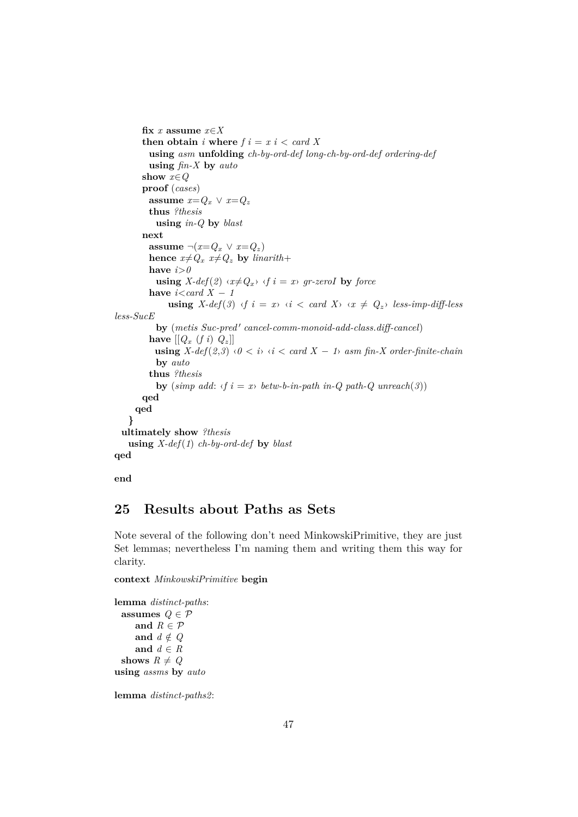```
fix x assume x∈X
       then obtain i where f i = x i < card Xusing asm unfolding ch-by-ord-def long-ch-by-ord-def ordering-def
         using fin-X by auto
       show x∈Q
       proof (cases)
         assume x=Q_x \lor x=Q_zthus ?thesis
           using in-Q by blast
       next
         assume \neg(x=Q_x \lor x=Q_z)hence x \neq Q_x x \neq Q_z by linarith+
         have i > 0using X\text{-}def(2) \langle x\neq Q_x\rangle \langle f \rangle = x gr-zeroI by force
         have i < card X - 1using X\text{-}def(3) \langle f, i \rangle = x \langle i \rangle \langle i \rangle and X \langle x \rangle \langle x \rangle = Q_z \rangle less-imp-diff-less
less-SucE
            by (metis Suc-pred' cancel-comm-monoid-add-class.diff-cancel)
         have \left[\left[Q_x \left(f_i\right) \right] Q_z\right]using X-def(2,3) ⋅0 < i ⋅ i < card X - 1 asm fin-X order-finite-chain
           by auto
         thus ?thesis
           by (simp add: \langle f \, i = x \rangle betw-b-in-path in-Q path-Q unreach(3))
       qed
     qed
   }
  ultimately show ?thesis
   using X-def(1) ch-by-ord-def by blast
qed
```
**end**

# **25 Results about Paths as Sets**

Note several of the following don't need MinkowskiPrimitive, they are just Set lemmas; nevertheless I'm naming them and writing them this way for clarity.

**context** *MinkowskiPrimitive* **begin**

**lemma** *distinct-paths*: **assumes**  $Q \in \mathcal{P}$ and  $R \in \mathcal{P}$ **and**  $d \notin Q$ **and** *d* ∈ *R* shows  $R \neq Q$ **using** *assms* **by** *auto*

**lemma** *distinct-paths2*: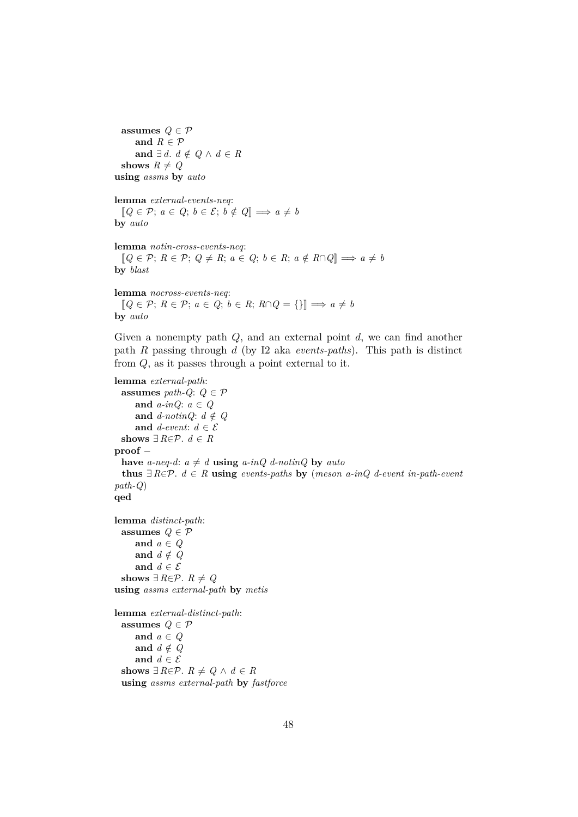**assumes**  $Q \in \mathcal{P}$ and  $R \in \mathcal{P}$ **and**  $\exists d. d \notin Q \land d \in R$ **shows**  $R \neq Q$ **using** *assms* **by** *auto*

**lemma** *external-events-neq*:  $[Q \in \mathcal{P}; a \in Q; b \in \mathcal{E}; b \notin Q] \Longrightarrow a \neq b$ **by** *auto*

**lemma** *notin-cross-events-neq*:  $[Q \in \mathcal{P}; R \in \mathcal{P}; Q \neq R; a \in Q; b \in R; a \notin R \cap Q] \Longrightarrow a \neq b$ **by** *blast*

**lemma** *nocross-events-neq*:  $[Q \in \mathcal{P}; R \in \mathcal{P}; a \in Q; b \in R; R \cap Q = \{\}\] \Longrightarrow a \neq b$ **by** *auto*

Given a nonempty path  $Q$ , and an external point  $d$ , we can find another path R passing through d (by I2 aka *events-paths*). This path is distinct from Q, as it passes through a point external to it.

```
lemma external-path:
 assumes path-Q: Q \in \mathcal{P}and a-inQ: a ∈ Q
     and d-notinQ: d \notin Qand d-event: d \in \mathcal{E}shows ∃ R \in \mathcal{P}. d \in Rproof −
 have a-neq-d: a \neq d using a-inQ d-notinQ by auto
  thus ∃R∈P. d ∈ R using events-paths by (meson a-inQ d-event in-path-event
path-Q)
qed
lemma distinct-path:
 assumes Q \in \mathcal{P}and a ∈ Q
     and d \notin Qand d \in \mathcal{E}shows ∃ R \in \mathcal{P}. R \neq Qusing assms external-path by metis
lemma external-distinct-path:
 assumes Q \in \mathcal{P}and a ∈ Q
     and d \notin Qand d \in \mathcal{E}shows ∃ R \in \mathcal{P}. R \neq Q \land d \in R
```
**using** *assms external-path* **by** *fastforce*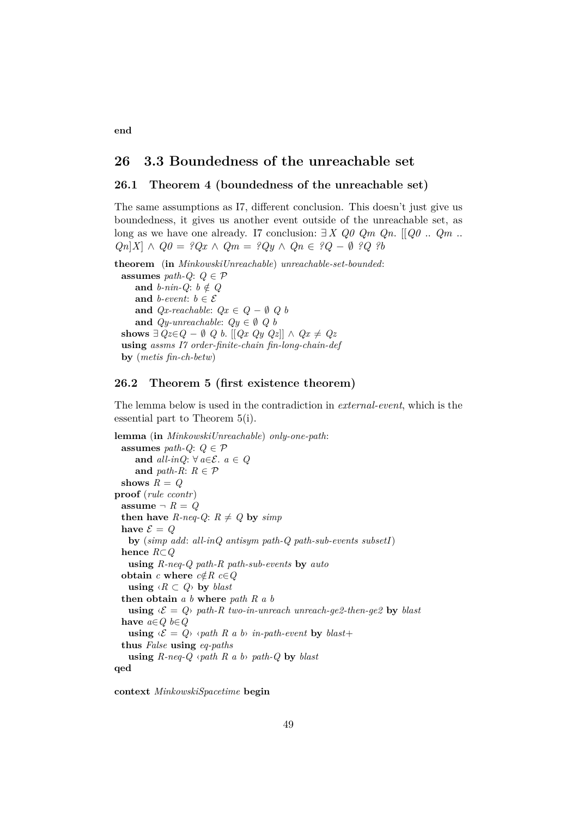## **26 3.3 Boundedness of the unreachable set**

### **26.1 Theorem 4 (boundedness of the unreachable set)**

The same assumptions as I7, different conclusion. This doesn't just give us boundedness, it gives us another event outside of the unreachable set, as long as we have one already. I7 conclusion: ∃ *X Q0 Qm Qn*. [[*Q0* .. *Qm* .. *Qn*|*X*| ∧ *Q0* = ?*Qx* ∧ *Qm* = ?*Qy* ∧ *Qn* ∈ ?*Q* − Ø ?*Q* ?*b* 

**theorem** (**in** *MinkowskiUnreachable*) *unreachable-set-bounded*: **assumes** *path-Q*:  $Q \in \mathcal{P}$ **and**  $b\text{-}nin-Q$ :  $b \notin Q$ **and** *b*-event:  $b \in \mathcal{E}$ **and**  $Qx$ -reachable:  $Qx \in Q - \emptyset$  Q b **and**  $Qy\text{-}unreachable: Qy \in \emptyset Q$  *b* **shows**  $∃ Qz ∈ Q − ∅ Q b$ . [[ $Qx Qy Qz$ ] ∧  $Qx ≠ Qz$ **using** *assms I7 order-finite-chain fin-long-chain-def* **by** (*metis fin-ch-betw*)

### **26.2 Theorem 5 (first existence theorem)**

The lemma below is used in the contradiction in *external-event*, which is the essential part to Theorem 5(i).

**lemma** (**in** *MinkowskiUnreachable*) *only-one-path*: **assumes** *path-Q*:  $Q \in \mathcal{P}$ and  $all\text{-}inQ: ∀ a \in \mathcal{E}$ . *a* ∈ *Q* and *path-R*:  $R \in \mathcal{P}$ shows  $R = Q$ **proof** (*rule ccontr*) **assume**  $\neg R = Q$ **then have** *R-neq-Q*:  $R \neq Q$  **by** *simp* have  $\mathcal{E} = Q$ **by** (*simp add*: *all-inQ antisym path-Q path-sub-events subsetI*) **hence** *R*⊂*Q* **using** *R-neq-Q path-R path-sub-events* **by** *auto* **obtain**  $c$  **where**  $c \notin R$   $c \in Q$ **using**  $\langle R \subset Q \rangle$  **by** *blast* **then obtain** *a b* **where** *path R a b* **using**  $\langle \mathcal{E} = Q \rangle$  path-R two-in-unreach unreach-ge2-then-ge2 by blast **have** *a*∈*Q b*∈*Q* **using**  $\langle \mathcal{E} = Q \rangle$  *opath R a b in-path-event* **by** *blast*+ **thus** *False* **using** *eq-paths* **using**  $R$ -neq- $Q \langle path \, R \, a \, b \rangle$   $path\text{-}Q$  **by**  $blast$ **qed**

**context** *MinkowskiSpacetime* **begin**

**end**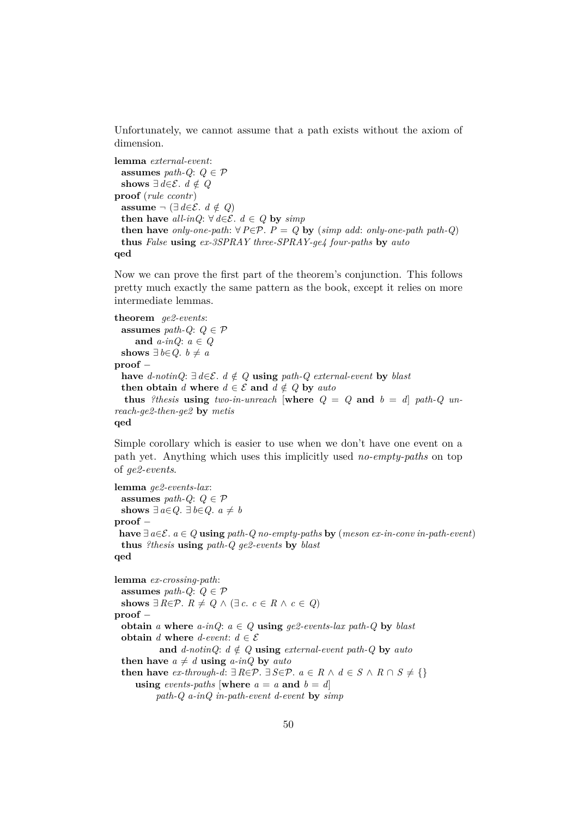Unfortunately, we cannot assume that a path exists without the axiom of dimension.

```
lemma external-event:
 assumes path-Q: Q \in \mathcal{P}shows ∃ d∈\mathcal{E}. d \notin Q
proof (rule ccontr)
 assume \neg (∃ d∈E. d \notin Q)
  then have all-inQ: \forall d \in \mathcal{E}. d ∈ Q by simp
 then have only-one-path: \forall P \in \mathcal{P}. P = Q by (simp add: only-one-path path-Q)
 thus False using ex-3SPRAY three-SPRAY-ge4 four-paths by auto
qed
```
Now we can prove the first part of the theorem's conjunction. This follows pretty much exactly the same pattern as the book, except it relies on more intermediate lemmas.

**theorem** *ge2-events*: **assumes** *path-Q*:  $Q \in \mathcal{P}$ **and** *a-inQ*: *a* ∈ *Q* **shows** ∃ *b*∈*Q*. *b*  $\neq$  *a* **proof** − **have** *d-notinQ*:  $\exists d \in \mathcal{E}$ . *d*  $\notin Q$  **using** *path-Q external-event* **by** *blast* **then obtain** *d* **where**  $d \in \mathcal{E}$  **and**  $d \notin Q$  **by** *auto* **thus** *?thesis* **using** *two-in-unreach* [where  $Q = Q$  and  $b = d$ ] *path-Q unreach-ge2-then-ge2* **by** *metis* **qed**

Simple corollary which is easier to use when we don't have one event on a path yet. Anything which uses this implicitly used *no-empty-paths* on top of *ge2-events*.

```
lemma ge2-events-lax:
 assumes path-Q: Q \in \mathcal{P}shows ∃ a∈Q. ∃ b∈Q. a \neq bproof −
 have ∃ a∈E. a ∈ Q using path-Q no-empty-paths by (meson ex-in-conv in-path-event)
 thus ?thesis using path-Q ge2-events by blast
qed
lemma ex-crossing-path:
 assumes path-Q: Q \in \mathcal{P}shows ∃ R \in \mathcal{P}. R \neq Q \land (\exists c. c \in R \land c \in Q)proof −
  obtain a where a-inQ: a \in Q using qe2-events-lax path-Q by blast
 obtain d where d-event: d \in \mathcal{E}and d-notinQ: d \notin Q using external-event path-Q by auto
  then have a \neq d using a-inQ by autothen have ex-through-d: ∃ R∈P. ∃ S∈P. a \in R \land d \in S \land R \cap S \neq \{\}using events-paths [where a = a and b = d]
          path-Q a-inQ in-path-event d-event by simp
```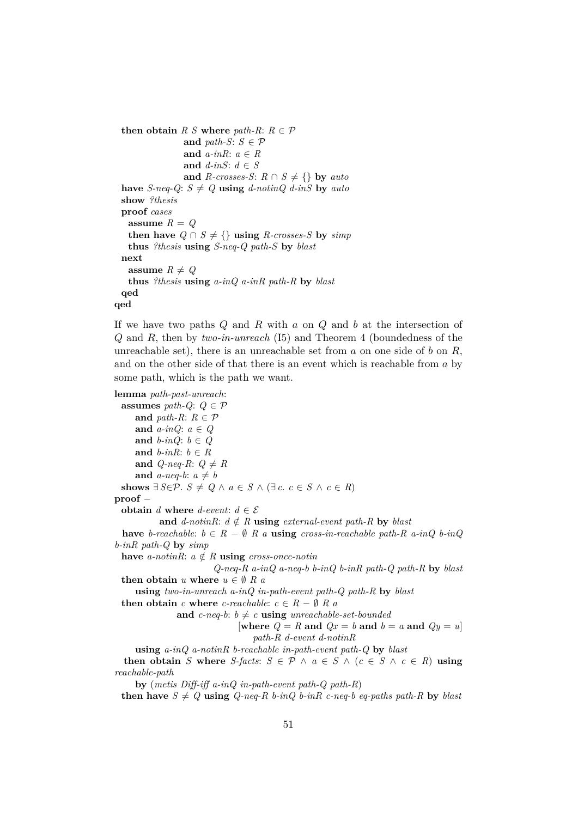**then obtain**  $R S$  **where**  $path-R: R \in \mathcal{P}$ and *path-S*:  $S \in \mathcal{P}$ **and** *a-inR*: *a* ∈ *R* **and** *d-inS*: *d* ∈ *S* **and** *R-crosses-S*:  $R \cap S \neq \{\}$  **by** *auto* have *S-neq-Q*:  $S \neq Q$  **using** *d-notinQ d-inS* by *auto* **show** *?thesis* **proof** *cases* assume  $R = Q$ **then have**  $Q \cap S \neq \{\}$  **using** *R-crosses-S* by *simp* **thus** *?thesis* **using** *S-neq-Q path-S* **by** *blast* **next assume**  $R \neq Q$ **thus** *?thesis* **using** *a-inQ a-inR path-R* **by** *blast* **qed qed**

If we have two paths  $Q$  and  $R$  with  $a$  on  $Q$  and  $b$  at the intersection of Q and R, then by *two-in-unreach* (I5) and Theorem 4 (boundedness of the unreachable set), there is an unreachable set from a on one side of b on  $R$ , and on the other side of that there is an event which is reachable from a by some path, which is the path we want.

```
lemma path-past-unreach:
 assumes path-Q: Q \in \mathcal{P}and path-R: R \in \mathcal{P}and a-inQ: a ∈ Q
     and b-inQ: b \in Qand b-inR: b \in Rand Q-neq-R: Q \neq Rand a-neq-b: a \neq bshows ∃ S∈\mathcal{P}. S \neq Q \land a ∈ S \land (∃ c. c ∈ S \land c ∈ R)
proof −
 obtain d where d-event: d \in \mathcal{E}and d-notinR: d \notin R using external-event path-R by blast
 have b-reachable: b \in R - \emptyset R a using cross-in-reachable path-R a-inQ b-inQ
b-inR path-Q by simp
 have a-notinR: a \notin R using cross-once-notin
                        Q-neq-R a-inQ a-neq-b b-inQ b-inR path-Q path-R by blast
 then obtain u where u \in \emptyset R a
     using two-in-unreach a-inQ in-path-event path-Q path-R by blast
 then obtain c where c-reachable: c \in R - \emptyset R a
               and c-neq-b: b \neq c using unreachable-set-bounded
                               [where Q = R and Qx = b and b = a and Qy = u]
                                  path-R d-event d-notinR
     using a-inQ a-notinR b-reachable in-path-event path-Q by blast
  then obtain S where S-facts: S \in \mathcal{P} \land a \in S \land (c \in S \land c \in R) using
reachable-path
     by (metis Diff-iff a-inQ in-path-event path-Q path-R)
```
**then have**  $S \neq Q$  **using**  $Q$ -neq-R  $b$ -inQ  $b$ -inR c-neq-b eq-paths path-R by blast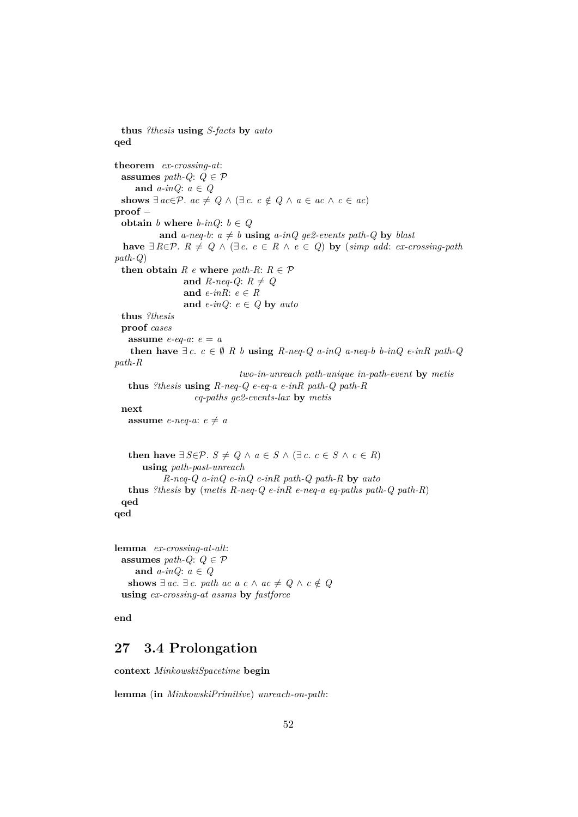```
thus ?thesis using S-facts by auto
qed
theorem ex-crossing-at:
 assumes path-Q: Q \in \mathcal{P}and a-inQ: a ∈ Q
 shows ∃ ac \in \mathcal{P}. ac \neq Q \land (\exists c. c \notin Q \land a \in ac \land c \in ac)proof −
 obtain b where b-inQ: b \in Qand a-neq-b: a \neq b using a-inQ ge2-events path-Q by blast
 have ∃ R∈P. R ≠ Q ∧ (∃ e. e ∈ R ∧ e ∈ Q) by (simp add: ex-crossing-path
path-Q)
 then obtain R e where path-R: R \in \mathcal{P}and R-neq-Q: R \neq Qand e-inR: e ∈ R
                and e-inQ: e \in Q by auto
 thus ?thesis
 proof cases
   assume e-eq-a: e = a
   then have ∃ c. c ∈ ∅ R b using R-neq-Q a-inQ a-neq-b b-inQ e-inR path-Qpath-R
                              two-in-unreach path-unique in-path-event by metis
   thus ?thesis using R-neq-Q e-eq-a e-inR path-Q path-R
                   eq-paths ge2-events-lax by metis
 next
   assume e-neq-a: e \neq athen have ∃ S∈\mathcal{P}. S \neq Q ∧ a ∈ S ∧ (∃ c. c ∈ S ∧ c ∈ R)
      using path-past-unreach
            R-neq-Q a-inQ e-inQ e-inR path-Q path-R by auto
   thus ?thesis by (metis R-neq-Q e-inR e-neq-a eq-paths path-Q path-R)
 qed
qed
lemma ex-crossing-at-alt:
 assumes path-Q: Q \in \mathcal{P}and a-inQ: a ∈ Q
   shows ∃ ac. ∃ c. path ac a c \land ac \neq Q \land c \notin Q
```
**end**

## **27 3.4 Prolongation**

**context** *MinkowskiSpacetime* **begin**

**using** *ex-crossing-at assms* **by** *fastforce*

**lemma** (**in** *MinkowskiPrimitive*) *unreach-on-path*: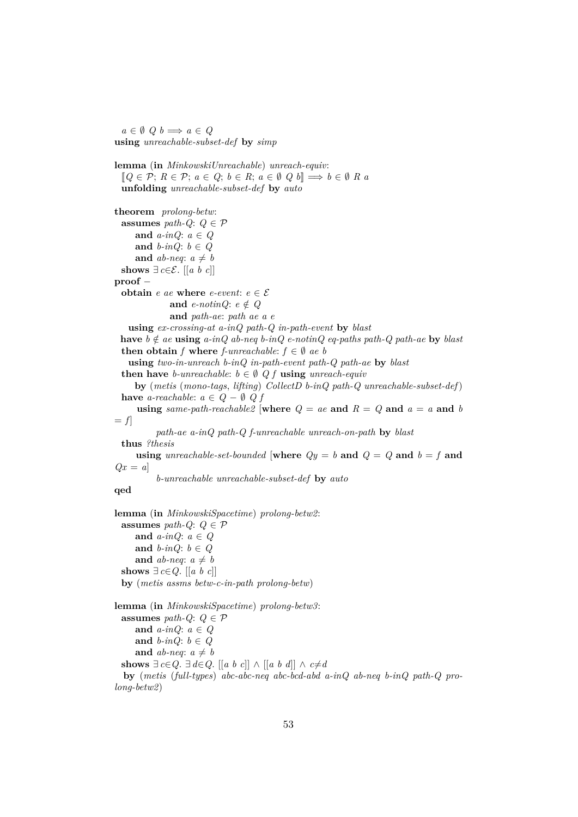$a \in \emptyset$   $Q$   $b \implies a \in Q$ **using** *unreachable-subset-def* **by** *simp*

**lemma** (**in** *MinkowskiUnreachable*) *unreach-equiv*:  $[Q \in \mathcal{P}; R \in \mathcal{P}; a \in Q; b \in R; a \in \emptyset \ Q \ b] \Longrightarrow b \in \emptyset \ R \ a$ **unfolding** *unreachable-subset-def* **by** *auto* **theorem** *prolong-betw*: **assumes** *path-Q*:  $Q \in \mathcal{P}$ **and** *a-inQ*: *a* ∈ *Q* **and** *b-inQ*: *b* ∈ *Q* and *ab-neq*:  $a \neq b$ **shows** ∃  $c \in \mathcal{E}$ . [[a b c]] **proof** − **obtain** *e ae* **where** *e-event*:  $e \in \mathcal{E}$ **and** *e-notinQ*:  $e \notin Q$ **and** *path-ae*: *path ae a e* **using** *ex-crossing-at a-inQ path-Q in-path-event* **by** *blast* **have**  $b \notin ae$  **using**  $a\text{-}inQ$   $ab\text{-}neq b\text{-}inQ$   $e\text{-}notinQ$   $eq\text{-}paths$   $path\text{-}Q$   $path\text{-}ae$  **by**  $blast$ **then obtain** *f* **where** *f*-*unreachable*:  $f \in \emptyset$  *ae b* **using** *two-in-unreach b-inQ in-path-event path-Q path-ae* **by** *blast* **then have** *b*-unreachable:  $b \in \emptyset$  Q f **using** *unreach-equiv* **by** (*metis* (*mono-tags*, *lifting*) *CollectD b-inQ path-Q unreachable-subset-def*) **have** *a-reachable*:  $a \in Q - \emptyset$  *Q f* **using** *same-path-reachable2* [where  $Q = ae$  and  $R = Q$  and  $a = a$  and *b*  $= f$ *path-ae a-inQ path-Q f-unreachable unreach-on-path* **by** *blast* **thus** *?thesis* **using** *unreachable-set-bounded* [where  $Qy = b$  and  $Q = Q$  and  $b = f$  and  $Qx = a$ *b-unreachable unreachable-subset-def* **by** *auto* **qed**

**lemma** (**in** *MinkowskiSpacetime*) *prolong-betw2*: **assumes** *path-Q*:  $Q \in \mathcal{P}$ **and** *a-inQ*: *a* ∈ *Q* **and** *b-inQ*: *b* ∈ *Q* and *ab-neq*:  $a \neq b$ **shows** ∃ *c*∈*Q*. [[*a b c*]] **by** (*metis assms betw-c-in-path prolong-betw*)

**lemma** (**in** *MinkowskiSpacetime*) *prolong-betw3*: **assumes** *path-Q*:  $Q \in \mathcal{P}$ **and** *a-inQ*: *a* ∈ *Q* **and**  $b$ -inQ:  $b \in Q$ and *ab-neq*:  $a \neq b$ **shows**  $\exists$  *c*∈*Q*.  $\exists$  *d*∈*Q*. [[*a b c*]] ∧ [[*a b d*]] ∧ *c*≠*d* **by** (*metis* (*full-types*) *abc-abc-neq abc-bcd-abd a-inQ ab-neq b-inQ path-Q prolong-betw2*)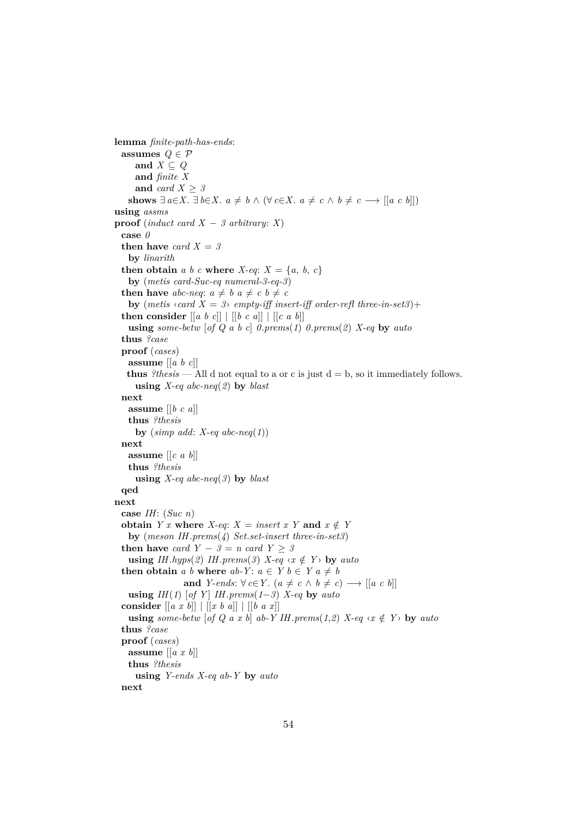```
lemma finite-path-has-ends:
 assumes Q \in \mathcal{P}and X ⊂ Qand finite X
     and card X > 3shows ∃ a∈X. ∃ b∈X. a \neq b ∧ (∀ c∈X. a \neq c ∧ b \neq c → [[a c b]])
using assms
proof (induct card X - 3 arbitrary: X)
 case 0
 then have card X = 3by linarith
 then obtain a b c where X-eq: X = \{a, b, c\}by (metis card-Suc-eq numeral-3-eq-3)
 then have abc-neq: a \neq b a \neq c b \neq cby (metis \langle \text{card } X = 3 \rangle empty-iff insert-iff order-refl three-in-set3)+
 then consider [[a \ b \ c]] \ | [[b \ c \ a]] \ | [[c \ a \ b]]using some-betw [of Q a b c] 0.prems(1) 0.prems(2) X-eq by auto
 thus ?case
 proof (cases)
   assume [[a b c]]
   thus ?thesis — All d not equal to a or c is just d = b, so it immediately follows.
     using X-eq abc-neq(2) by blast
 next
   assume [[b c a]]
   thus ?thesis
     by (simp add: X-eq abc-neq(1))
 next
   assume [[c a b]]
   thus ?thesis
     using X-eq abc-neq(3) by blast
 qed
next
 case IH: (Suc n)
 obtain Y x where X-eq: X = insert x Y and x \notin Yby (meson IH.prems(4) Set.set-insert three-in-set3)
 then have card Y - 3 = n card Y \ge 3using IH.hyps(2) IH.prems(3) X-eq \langle x \notin Y \rangle by auto
 then obtain a b where ab-Y: a \in Y b \in Y a \neq band Y-ends: \forall c \in Y. (a \neq c \land b \neq c) \longrightarrow [[a \ c \ b]]using IH(1) [of Y] IH.prems(1-3) X-eq by autoconsider [[a x b]] | [[x b a]] | [[b a x]]
   using some-betw [of Q a x b] ab-Y IH.prems(1,2) X-eq \langle x \notin Y \rangle by auto
 thus ?case
 proof (cases)
   assume [[a x b]]
   thus ?thesis
     using Y-ends X-eq ab-Y by auto
 next
```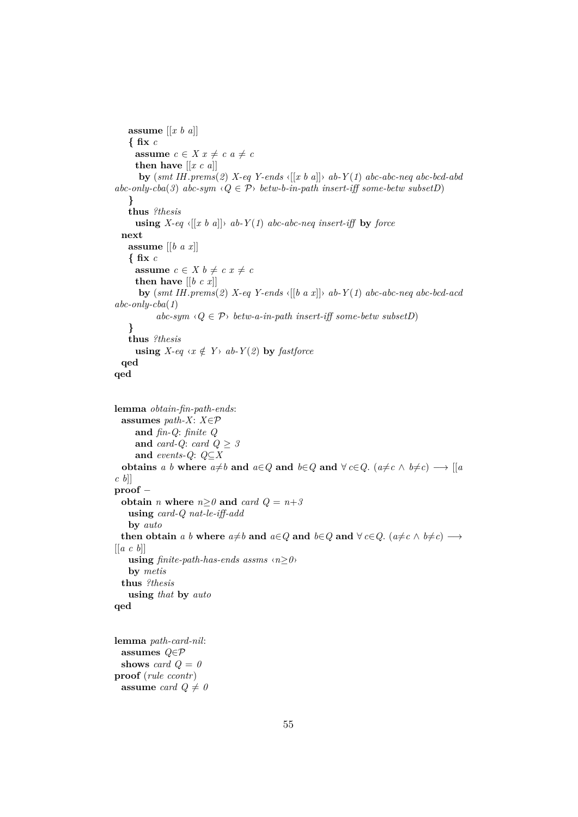```
assume [[x b a]]
   { fix c
     assume c \in X \times x \neq c \times a \neq cthen have [[x c a]]
      by (smt IH.prems(2) X-eq Y-ends ‹[[x b a]]› ab-Y (1) abc-abc-neq abc-bcd-abd
abc-only-cba(3) abc-sym \langle Q \in \mathcal{P} \rangle betw-b-in-path insert-iff some-betw subsetD)
    }
   thus ?thesis
     using X-eq \langle [x \ b \ a] \rangle ab-Y(1) abc\text{-}abc\text{-}neq insert-iff by force
  next
   assume [[b a x]]
    { fix c
     assume c \in X b \neq c x \neq cthen have [[b c x]]
      by (smt IH.prems(2) X-eq Y-ends ‹[[b a x]]› ab-Y (1) abc-abc-neq abc-bcd-acd
abc-only-cba(1)
           abc\text{-}sym \langle Q \in \mathcal{P} \rangle betw-a-in-path insert-iff some-betw subsetD)
    }
   thus ?thesis
     using X-eq \ll x \notin Y ab-Y(2) by fastforce
  qed
qed
lemma obtain-fin-path-ends:
  assumes path-X: X∈P
     and fin-Q: finite Q
     and card-Q: card Q \geq 3and events-Q: Q⊆X
  obtains a b where a \neq b and a \in Q and b \in Q and \forall c \in Q. (a \neq c \land b \neq c) \longrightarrow [[a \in Q, a \neq c \land b \neq c)]c b]]
proof −
 obtain n where n \ge 0 and card Q = n+3using card-Q nat-le-iff-add
   by auto
 then obtain a b where a \neq b and a \in Q and b \in Q and \forall c \in Q. (a \neq c \land b \neq c) \longrightarrow[[a c b]]
   using \text{finite-path-has-ends} assms \langle n \geq 0 \rangleby metis
  thus ?thesis
   using that by auto
qed
lemma path-card-nil:
 assumes Q∈P
 shows card Q = 0proof (rule ccontr)
```
**assume** *card*  $Q \neq 0$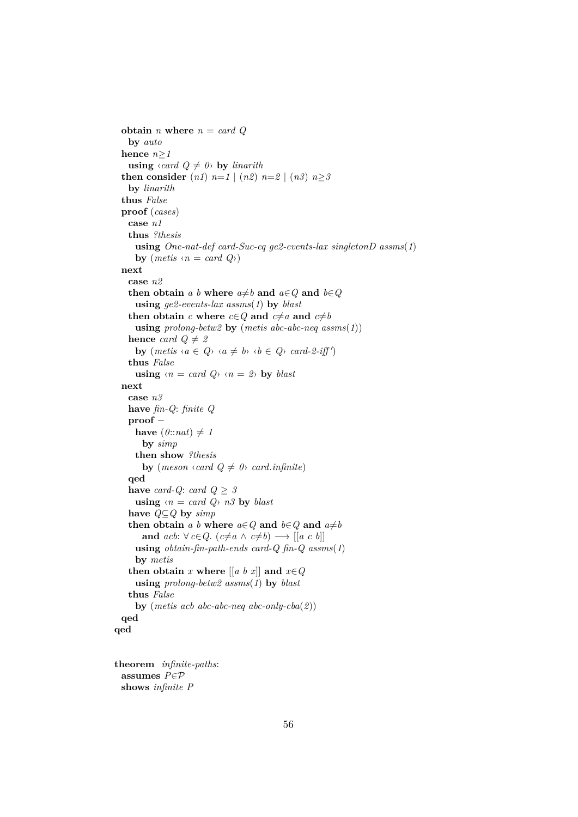```
obtain n where n = card Q
   by auto
  hence n≥1
   using \langle \text{card } Q \neq 0 \rangle by linarith
  then consider (n1) n=1 | (n2) n=2 | (n3) n\geq 3by linarith
  thus False
  proof (cases)
   case n1
   thus ?thesis
     using One-nat-def card-Suc-eq ge2-events-lax singletonD assms(1)
     by (metis \langle n = card \ Q \rangle)next
   case n2
   then obtain a b where a \neq b and a \in Q and b \in Qusing ge2-events-lax assms(1) by blast
   then obtain c where c \in Q and c \neq a and c \neq busing prolong-betw2 by (metis abc-abc-neq assms(1))
   hence card Q \neq 2by (metis \langle a \in Q \rangle \langle a \neq b \rangle \langle b \in Q \rangle \langle card - 2 - i \cdot f \rangle)thus False
     using \langle n = \text{card } Q \rangle \langle n = 2 \rangle by blast
  next
   case n3
   have fin-Q: finite Q
   proof −
     have (0::nat) \neq 1by simp
     then show ?thesis
       by (meson \langle \text{card } Q \neq 0 \rangle card.infinite)
   qed
   have card-Q: card Q \geq 3using \langle n = \text{card } Q \rangle n3 by blast
   have Q⊆Q by simp
   then obtain a b where a \in Q and b \in Q and a \neq band acb: \forall c \in Q. (c \neq a \land c \neq b) \longrightarrow [[a \ c \ b]]using obtain-fin-path-ends card-Q fin-Q assms(1)
     by metis
   then obtain x where [a \ b \ x] and x \in Qusing prolong-betw2 assms(1) by blast
   thus False
     by (metis acb abc-abc-neq abc-only-cba(2))
 qed
qed
```
**theorem** *infinite-paths*: **assumes** *P*∈P **shows** *infinite P*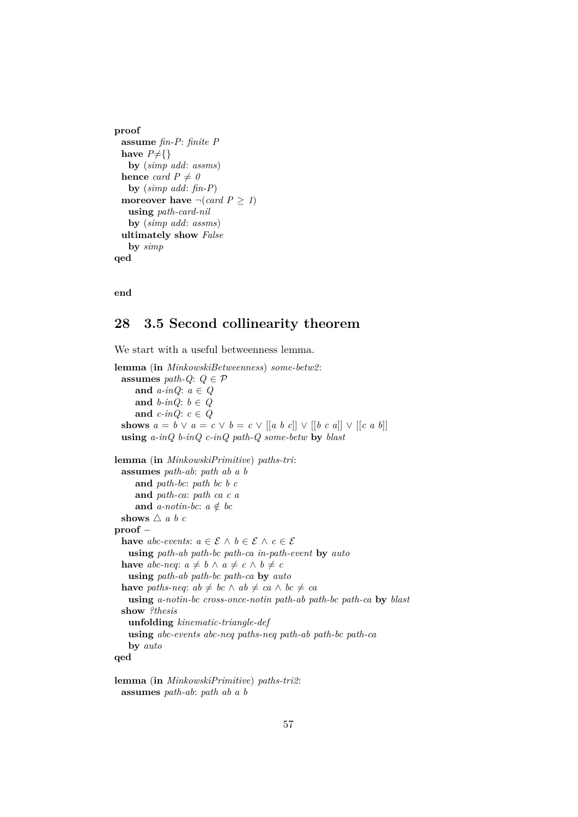```
proof
 assume fin-P: finite P
 have P \neq \{\}by (simp add: assms)
 hence card P \neq 0by (simp add: fin-P)
 moreover have \neg(card P > 1)
   using path-card-nil
   by (simp add: assms)
 ultimately show False
   by simp
qed
```
**end**

## **28 3.5 Second collinearity theorem**

We start with a useful betweenness lemma. **lemma** (**in** *MinkowskiBetweenness*) *some-betw2*: **assumes** *path-Q*:  $Q \in \mathcal{P}$ **and** *a-inQ*: *a* ∈ *Q* and  $b$ -inQ:  $b \in Q$ **and**  $c$ -inQ:  $c \in Q$ **shows**  $a = b \vee a = c \vee b = c \vee [a \ b \ c] \vee [b \ c \ a] \vee [c \ a \ b]$ **using** *a-inQ b-inQ c-inQ path-Q some-betw* **by** *blast* **lemma** (**in** *MinkowskiPrimitive*) *paths-tri*: **assumes** *path-ab*: *path ab a b* **and** *path-bc*: *path bc b c* **and** *path-ca*: *path ca c a* **and**  $a$ -notin-bc:  $a \notin bc$ **shows**  $\triangle$  *a b c* **proof** − **have** *abc-events*:  $a \in \mathcal{E} \land b \in \mathcal{E} \land c \in \mathcal{E}$ **using** *path-ab path-bc path-ca in-path-event* **by** *auto* **have** *abc-neq*:  $a \neq b \land a \neq c \land b \neq c$ **using** *path-ab path-bc path-ca* **by** *auto* **have** *paths-neq*:  $ab \neq bc \land ab \neq ca \land bc \neq ca$ **using** *a-notin-bc cross-once-notin path-ab path-bc path-ca* **by** *blast* **show** *?thesis* **unfolding** *kinematic-triangle-def* **using** *abc-events abc-neq paths-neq path-ab path-bc path-ca* **by** *auto* **qed**

**lemma** (**in** *MinkowskiPrimitive*) *paths-tri2*: **assumes** *path-ab*: *path ab a b*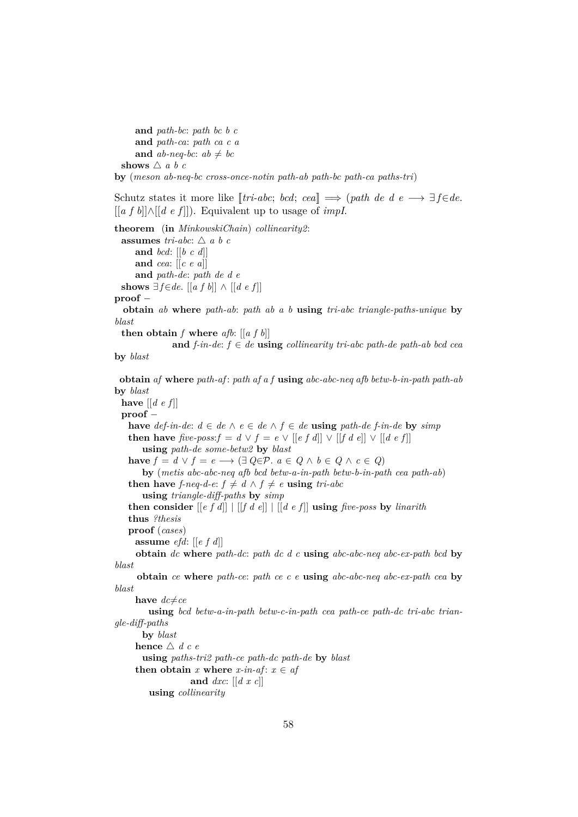**and** *path-bc*: *path bc b c* **and** *path-ca*: *path ca c a* **and**  $ab$ -neq-bc:  $ab \neq bc$ **shows**  $\triangle$  *a b c* 

**by** (*meson ab-neq-bc cross-once-notin path-ab path-bc path-ca paths-tri*)

Schutz states it more like  $[tri-abc; bcd; cea] \implies (path de d e \longrightarrow \exists f \in de.$ [[*a f b*]]∧[[*d e f* ]]). Equivalent up to usage of *impI*.

**theorem** (**in** *MinkowskiChain*) *collinearity2*: **assumes** *tri-abc*:  $\triangle$  *a b c* **and** *bcd*: [[*b c d*]] **and** *cea*: [[*c e a*]] **and** *path-de*: *path de d e* **shows**  $\exists f \in de$ . [[*a f b*]] ∧ [[*d e f*]] **proof** − **obtain** *ab* **where** *path-ab*: *path ab a b* **using** *tri-abc triangle-paths-unique* **by** *blast* **then obtain**  $f$  **where**  $afb$ :  $[[af b]]$ **and**  $f$ -in-de:  $f$  ∈  $de$  **using** collinearity tri-abc path-de path-ab bcd cea **by** *blast* **obtain** *af* **where** *path-af* : *path af a f* **using** *abc-abc-neq afb betw-b-in-path path-ab* **by** *blast* **have**  $\left[ \left[ d \, e \, f \right] \right]$ **proof** − **have** *def-in-de*: *d* ∈ *de*  $\land$  *e* ∈ *de*  $\land$  *f* ∈ *de* **using** *path-de f-in-de* **by** *simp* **then have**  $\text{five-poss:} f = d \lor f = e \lor [[e f d]] \lor [[f d e]] \lor [[d e f]]$ **using** *path-de some-betw2* **by** *blast* **have**  $f = d \lor f = e \longrightarrow (\exists Q \in \mathcal{P} \land e \in Q \land b \in Q \land c \in Q)$ **by** (*metis abc-abc-neq afb bcd betw-a-in-path betw-b-in-path cea path-ab*) **then have** *f-neq-d-e:*  $f \neq d \land f \neq e$  **using** *tri-abc* **using** *triangle-diff-paths* **by** *simp* **then consider** [[*e f d*]] | [[*f d e*]] | [[*d e f* ]] **using** *five-poss* **by** *linarith*

**thus** *?thesis*

**proof** (*cases*)

```
assume efd: [[e f d]]
```
**obtain** *dc* **where** *path-dc*: *path dc d c* **using** *abc-abc-neq abc-ex-path bcd* **by** *blast*

**obtain** *ce* **where** *path-ce*: *path ce c e* **using** *abc-abc-neq abc-ex-path cea* **by** *blast*

**have**  $dc{\neq}ce$ 

**using** *bcd betw-a-in-path betw-c-in-path cea path-ce path-dc tri-abc triangle-diff-paths*

**by** *blast* **hence**  $\triangle$  *d c e* **using** *paths-tri2 path-ce path-dc path-de* **by** *blast* **then obtain** *x* **where**  $x$ -*in*-*af*:  $x \in af$ **and** *dxc*: [[*d x c*]] **using** *collinearity*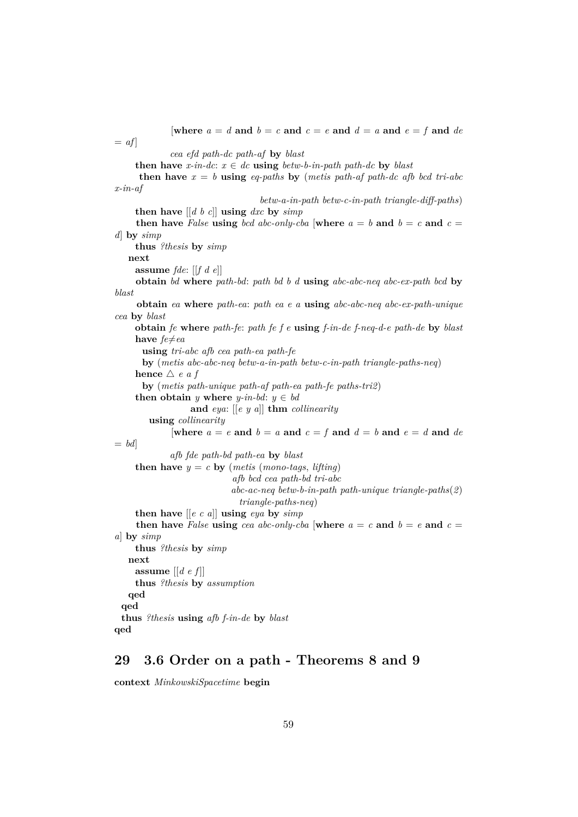[where  $a = d$  and  $b = c$  and  $c = e$  and  $d = a$  and  $e = f$  and  $de$  $= af$ 

*cea efd path-dc path-af* **by** *blast*

**then have**  $x$ -in-dc:  $x \in dc$  **using**  $b_{\text{at}}$  *using*  $a_{\text{at}}$  *b*  $a_{\text{at}}$  *x*  $b_{\text{at}}$  *x*  $c_{\text{at}}$  *x*  $c_{\text{at}}$  *x*  $c_{\text{at}}$  *x*  $c_{\text{at}}$  *x*  $c_{\text{at}}$  *x*  $c_{\text{at}}$  *x*  $c_{\text{at}}$  *x*  $c_{$ 

**then have**  $x = b$  **using** *eq-paths* **by** (*metis path-af path-dc afb bcd tri-abc x-in-af*

*betw-a-in-path betw-c-in-path triangle-diff-paths*) **then have** [[*d b c*]] **using** *dxc* **by** *simp*

**then have** *False* **using** *bcd abc-only-cba* [where  $a = b$  **and**  $b = c$  **and**  $c = c$ *d*] **by** *simp*

**thus** *?thesis* **by** *simp*

**next**

**assume** *fde*: [[*f d e*]]

**obtain** *bd* **where** *path-bd*: *path bd b d* **using** *abc-abc-neq abc-ex-path bcd* **by** *blast*

**obtain** *ea* **where** *path-ea*: *path ea e a* **using** *abc-abc-neq abc-ex-path-unique cea* **by** *blast*

**obtain** *fe* **where** *path-fe*: *path fe f e* **using** *f-in-de f-neq-d-e path-de* **by** *blast* **have**  $fe \neq ea$ 

**using** *tri-abc afb cea path-ea path-fe*

**by** (*metis abc-abc-neq betw-a-in-path betw-c-in-path triangle-paths-neq*) **hence**  $\triangle$  *e a f* 

**by** (*metis path-unique path-af path-ea path-fe paths-tri2*)

**then obtain** *y* **where** *y*-in-bd:  $y \in bd$ 

**and** *eya*: [[*e y a*]] **thm** *collinearity*

```
using collinearity
```

```
[where a = e and b = a and c = f and d = b and e = d and de= bdafb fde path-bd path-ea by blast
```

```
then have y = c by (metis (mono-tags, lifting)
                      afb bcd cea path-bd tri-abc
                      abc-ac-neq betw-b-in-path path-unique triangle-paths(2)
                        triangle-paths-neq)
then have [[e c a]] using eya by simp
```
**then have** *False* **using** *cea abc-only-cba* [where  $a = c$  **and**  $b = e$  **and**  $c =$ *a*] **by** *simp*

**thus** *?thesis* **by** *simp* **next assume** [[*d e f* ]] **thus** *?thesis* **by** *assumption* **qed qed thus** *?thesis* **using** *afb f-in-de* **by** *blast* **qed**

## **29 3.6 Order on a path - Theorems 8 and 9**

**context** *MinkowskiSpacetime* **begin**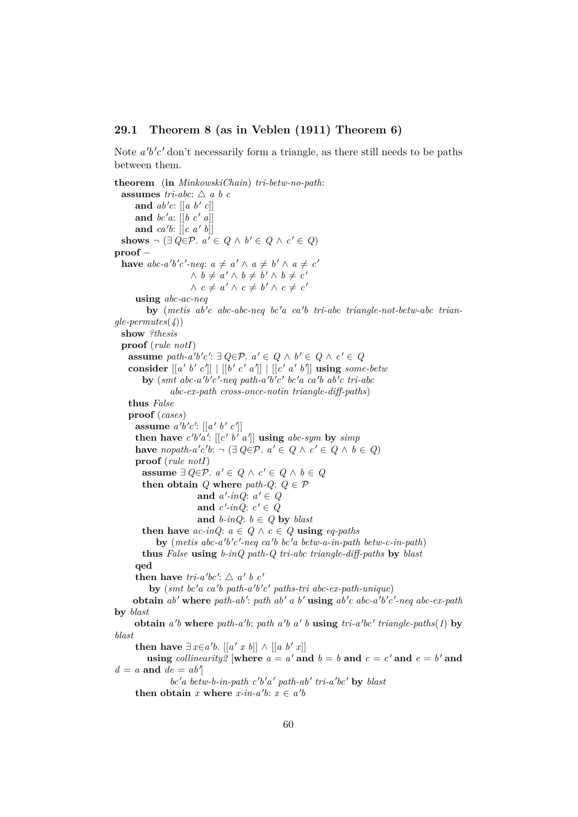### **29.1 Theorem 8 (as in Veblen (1911) Theorem 6)**

Note  $a'b'c'$  don't necessarily form a triangle, as there still needs to be paths between them.

**theorem** (**in** *MinkowskiChain*) *tri-betw-no-path*: **assumes** *tri-abc*:  $\triangle$  *a b c* and  $ab'c: [[a \; b' \; c]]$ **and**  $bc'a$ :  $[[b \ c' \ a]]$ and  $ca'b$ :  $[[c \ a' \ b]]$ **shows**  $\neg$  (∃ *Q*∈ $\mathcal{P}$ *.*  $a' \in Q \land b' \in Q \land c' \in Q$ ) **proof** − **have**  $abc-a'b'c'$ -neq:  $a \neq a' \land a \neq b' \land a \neq c'$  $\wedge$  *b*  $\neq$  *a'*  $\wedge$  *b*  $\neq$  *b'*  $\wedge$  *b*  $\neq$  *c'*  $\wedge$   $c \neq a' \wedge c \neq b' \wedge c \neq c'$ **using** *abc-ac-neq* by (metis ab'c abc-abc-neq bc'a ca'b tri-abc triangle-not-betw-abc trian*gle-permutes*(*4*)) **show** *?thesis* **proof** (*rule notI*) **assume**  $path\text{-}a'b'c': \exists Q \in \mathcal{P}$ .  $a' \in Q \land b' \in Q \land c' \in Q$ consider  $[[a' b' c']]$   $[[b' c' a']]$   $[[c' a' b']]$  using *some-betw*  $\frac{1}{2}$  by (*smt abc-a'b'c'-neq path-a'b'c' bc'a ca'b ab'c tri-abc abc-ex-path cross-once-notin triangle-diff-paths*) **thus** *False* **proof** (*cases*) **assume**  $a'b'c'$ :  $\left[ \left[ a' b' c' \right] \right]$ then have  $c'b'a'$ :  $\left[ \left[ c' b' a' \right] \right]$  using abc-sym by  $simp$ **have** nopath-a'c'b:  $\neg (\exists Q \in \mathcal{P} \land a' \in Q \land c' \in Q \land b \in Q)$ **proof** (*rule notI*) **assume** ∃  $Q \in \mathcal{P}$ .  $a' \in Q \land c' \in Q \land b \in Q$ **then obtain**  $Q$  **where**  $path \cdot Q$ :  $Q \in \mathcal{P}$ and  $a'-inQ$ :  $a' \in Q$ and  $c'$ -inQ:  $c' \in Q$ **and**  $b$ -inQ:  $b \in Q$  **by** *blast* **then have**  $ac\text{-}inQ$ :  $a \in Q \land c \in Q$  **using**  $eq\text{-}paths$ by (metis abc-a'b'c'-neq ca'b bc'a betw-a-in-path betw-c-in-path) **thus** *False* **using** *b-inQ path-Q tri-abc triangle-diff-paths* **by** *blast* **qed then have**  $tri-a'b'c'$ :  $\triangle a' b c'$ **by** (smt bc'a ca'b path-a'b'c' paths-tri abc-ex-path-unique) **obtain**  $ab'$  where  $path-ab'$ :  $path ab'$   $a$   $b'$  using  $ab'c$   $abc-a'b'c'$ -neq  $abc-ex-path$ **by** *blast* **obtain**  $a'b$  where  $path-a'b$ :  $path\ a'b\ a'b\ a'b$  **b** using  $tri-a'bc'$  *triangle-paths* $(1)$  by *blast* **then have**  $\exists x \in a'b$ . [[a' x b]] ∧ [[a b' x]] **using** *collinearity2* [where  $a = a'$  and  $b = b$  and  $c = c'$  and  $e = b'$  and  $d = a$  and  $de = ab'$ *bc*'*a betw-b-in-path c'b'a' path-ab' tri-a'bc'* by *blast* then obtain *x* where  $x$ -in- $a'b$ :  $x \in a'b$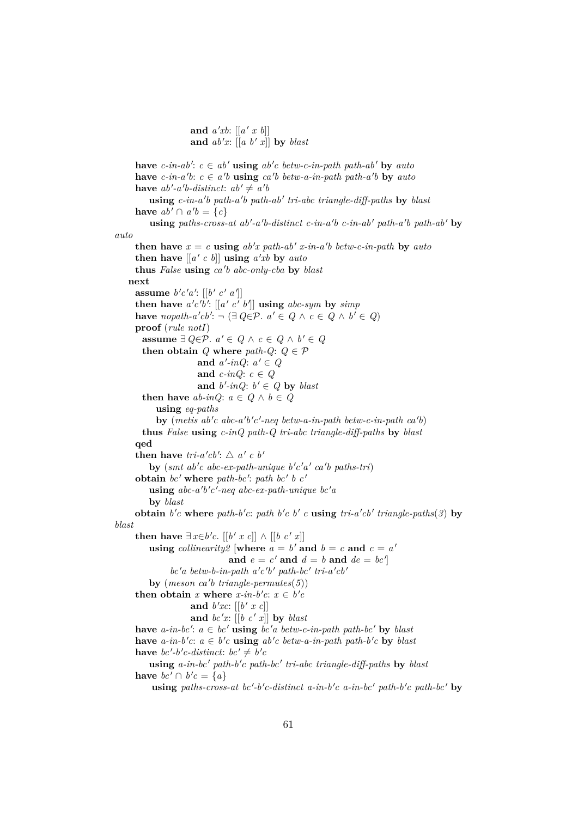and  $a'xb$ :  $\left[ \left[ a' \; x \; b \right] \right]$ and  $ab'x$ :  $[[a \; b' \; x]]$  by *blast* 

**have**  $c$ -in-ab':  $c \in ab'$  **using**  $ab'c$  betw-c-in-path path-ab' **by** auto **have**  $c$ -in-a'b:  $c \in a'$ b **using**  $ca'$ b betw-a-in-path path-a'b **by** auto have  $ab'$ -a'b-distinct:  $ab' \neq a'b$ using  $c$ -in-a<sup>'</sup>b path-a<sup>'</sup>b path-ab<sup>'</sup> tri-abc triangle-diff-paths by blast **have**  $ab' \cap a'b = \{c\}$  $using paths-cross-at ab'-a'b-distinct c-in-a'b c-in-ab' path-a'b path-ab' by$ *auto* **then have**  $x = c$  **using**  $ab'x$  path- $ab'$  x-in-a<sup>t</sup>b betw-c-in-path by auto **then have**  $[[a' c b]]$  **using**  $a'xb$  **by**  $auto$ **thus** *False* **using** *ca* <sup>0</sup> *b abc-only-cba* **by** *blast* **next assume**  $b'c'a'$ :  $[[b' c' a']]$ **then have**  $a'c'b'$ :  $[[a' c' b']]$  **using**  $abc-sym$  by  $simp$ **have** nopath-a'cb':  $\neg (\exists Q \in \mathcal{P} \land a' \in Q \land c \in Q \land b' \in Q)$ **proof** (*rule notI*) **assume** ∃  $Q \in \mathcal{P}$ .  $a' \in Q \land c \in Q \land b' \in Q$ **then obtain**  $Q$  **where**  $path \cdot Q$ :  $Q \in \mathcal{P}$ and  $a'-inQ$ :  $a' \in Q$ **and**  $c$ -inQ:  $c \in Q$ and  $b'$ -inQ:  $b' \in Q$  by *blast* **then have**  $ab$ -inQ:  $a \in Q \land b \in Q$ **using** *eq-paths* by (metis  $ab'c$  abc-a'b'c'-neq betw-a-in-path betw-c-in-path  $ca'b$ ) **thus** *False* **using** *c-inQ path-Q tri-abc triangle-diff-paths* **by** *blast* **qed then have**  $tri-a'cb'$ :  $\triangle a' c b'$  $\mathbf{b}$ **y** (smt ab'c abc-ex-path-unique b'c'a' ca'b paths-tri) obtain  $bc'$  where path-bc': path bc' b c' **using**  $abc-a'b'c'$ -neq  $abc-ex-path-unique$   $bc'a$ **by** *blast* **obtain**  $b'c$  where  $path-b'c$ :  $path b'c$   $b'$   $c$  **using**  $tri-a'cb'$  *triangle-paths* $(3)$  by *blast* **then have**  $\exists x \in b'c$ . [[*b' x c*]] ∧ [[*b c' x*]] **using** *collinearity2* [where  $a = b'$  and  $b = c$  and  $c = a'$ and  $e = c'$  and  $d = b$  and  $de = bc'$  $bc'a$  betw-b-in-path  $a'c'b'$  path-bc' tri- $a'cb'$  $\mathbf{by}$  (*meson ca'b triangle-permutes*(5)) **then obtain** *x* **where**  $x$ -*in*-*b*'*c*:  $x \in b$ '*c* and  $b'xc: [[b' x c]]$ and  $bc'x$ :  $[[b \ c' \ x]]$  by *blast* have  $a$ -in-bc':  $a \in bc'$  using  $bc'a$  betw-c-in-path path-bc' by blast **have**  $a$ -in-b'c:  $a \in b'c$  **using**  $ab'c$  betw-a-in-path path-b'c **by** blast **have**  $bc'$ -*b'c*-distinct:  $bc' \neq b'c$ using *a*-in-bc' path-b'c path-bc' tri-abc triangle-diff-paths by blast have  $bc' \cap b'c = \{a\}$ using paths-cross-at bc'-b'c-distinct a-in-b'c a-in-bc' path-b'c path-bc' by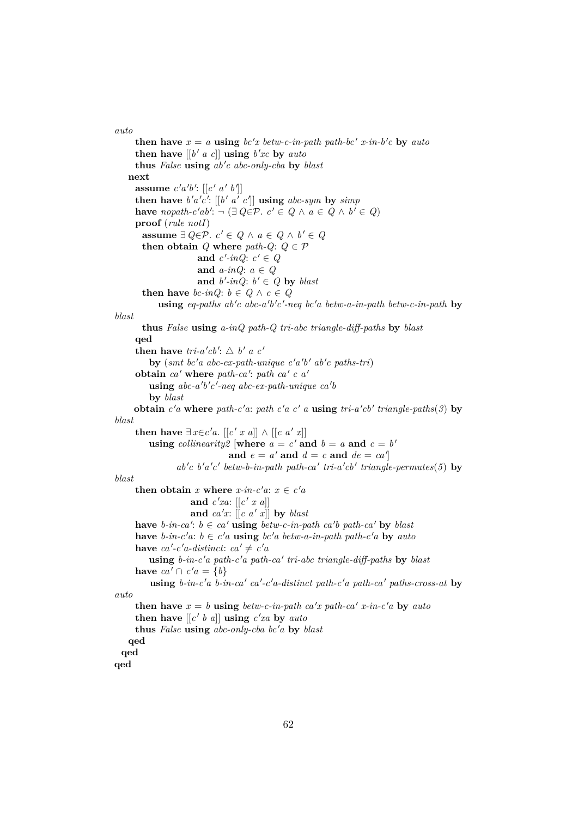*auto*

**then have**  $x = a$  **using**  $bc'x$  *betw-c-in-path path-bc' x-in-b'c* **by** *auto* **then have**  $[[b' a c]]$  **using**  $b'xc$  **by**  $auto$ **thus** *False* **using** *ab* <sup>0</sup> *c abc-only-cba* **by** *blast* **next assume**  $c'a'b'$ :  $\left[ \left[ c' a' b' \right] \right]$ then have  $b'a'c'$ :  $[[b' a' c']]$  using  $abc\text{-}sym$  by  $simp$ **have** nopath-c'ab':  $\neg (\exists Q \in \mathcal{P} \land c' \in Q \land a \in Q \land b' \in Q)$ **proof** (*rule notI*) **assume** ∃  $Q \in \mathcal{P}$ .  $c' \in Q \land a \in Q \land b' \in Q$ **then obtain**  $Q$  **where**  $path \cdot Q$ :  $Q \in \mathcal{P}$ and  $c'$ -inQ:  $c' \in Q$ **and** *a-inQ*: *a* ∈ *Q* and  $b'$ -inQ:  $b' \in Q$  by *blast* **then have** *bc-inQ*:  $b \in Q \land c \in Q$  $u$ sing *eq-paths ab'c abc-a'b'c'-neq bc'a betw-a-in-path betw-c-in-path* by *blast* **thus** *False* **using** *a-inQ path-Q tri-abc triangle-diff-paths* **by** *blast* **qed then have**  $tri-a'cb'$ :  $\triangle b' a c'$  $\mathbf{b}$ **y** (*smt* bc'a abc-ex-path-unique c'a'b' ab'c paths-tri) obtain *ca'* where *path-ca'*: *path ca'* c a'  $using$   $abc-a'b'c'$ -neq  $abc-ex-path-unique$   $ca'b$ **by** *blast* **obtain**  $c'$ **a** where  $path$ - $c'$ **a**:  $path$   $c'$ **a**  $c'$  **a using**  $tri$ **-** $a'$  $cb'$   $triangle$   $paths(3)$  **by** *blast* **then have**  $\exists x \in c'a$ . [[*c' x a*]] ∧ [[*c a' x*]] **using** *collinearity2* [where  $a = c'$  and  $b = a$  and  $c = b'$ and  $e = a'$  and  $d = c$  and  $de = ca'$  $ab'c$   $b'a'c'$   $betw-b-in-path$   $path-ca'$   $tri-a'cb'$   $triangle-permutes(5)$  by *blast* **then obtain** *x* **where**  $x$ -in-c'a:  $x \in c'a$ and  $c'xa$ :  $[[c' x a]]$ and  $ca'x$ :  $[[c \ a' \ x]]$  by *blast* **have**  $b$ -in-ca':  $b \in ca'$  **using**  $b$ etw-c-in-path ca'b path-ca' **by** blast **have** *b*-in-c'a: *b* ∈ *c*'a **using** *bc*'a *betw*-a-in-path path-c'a **by** auto **have**  $ca' - c'a$ -distinct:  $ca' \neq c'a$ **using** *b-in-c* <sup>0</sup>*a path-c* <sup>0</sup>*a path-ca* <sup>0</sup> *tri-abc triangle-diff-paths* **by** *blast* have  $ca' \cap c'a = \{b\}$ **using** *b*-in-c'a *b*-in-ca' ca'-c'a-distinct path-c'a path-ca' paths-cross-at **by** *auto* **then have**  $x = b$  **using** *betw-c-in-path ca'x path-ca' x-in-c'a* by *auto* **then have**  $\left[ \left[ c' \mid b \right] a \right]$  **using**  $c'xa$  **by**  $auto$ **thus** *False* **using** *abc-only-cba bc* <sup>0</sup>*a* **by** *blast* **qed qed qed**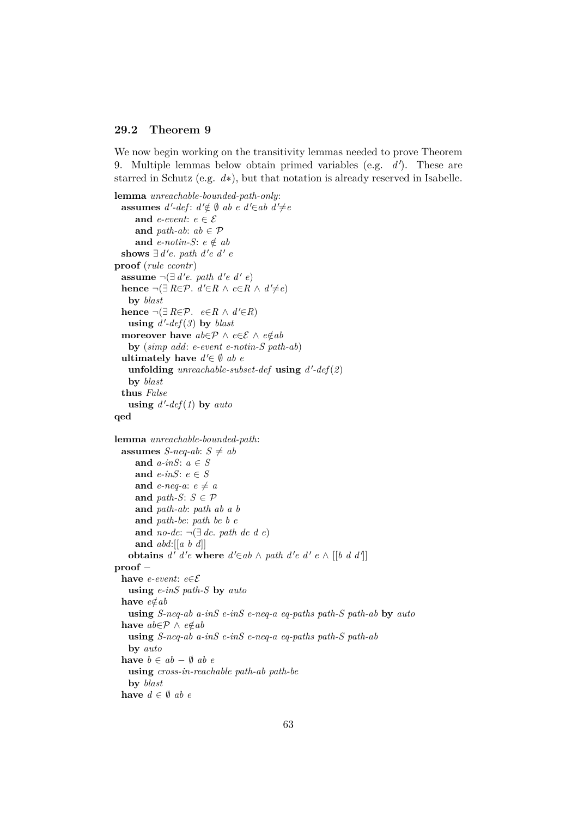### **29.2 Theorem 9**

We now begin working on the transitivity lemmas needed to prove Theorem 9. Multiple lemmas below obtain primed variables (e.g. d'). These are starred in Schutz (e.g. *d*∗), but that notation is already reserved in Isabelle.

```
lemma unreachable-bounded-path-only:
  assumes d'-def: d' \notin \emptyset ab e d' \in ab d' \neq eand e-event: e \in \mathcal{E}and path-ab: ab \in \mathcal{P}and e-notin-S: e \notin abshows ∃ d'e. path d'e d' e
proof (rule ccontr)
  assume \neg(\exists d'e. path d'e d'e)
  hence \neg(\exists R \in \mathcal{P} \cdot d' \in R \land e \in R \land d' \neq e)by blast
  hence \neg(\exists R \in \mathcal{P} \land \neg R \in R \land d' \in R)using d'-def(3) by blast
  moreover have ab \in \mathcal{P} \land e \in \mathcal{E} \land e \notin abby (simp add: e-event e-notin-S path-ab)
  ultimately have d' \in \emptyset ab e
    unfolding unreachable-subset-def using d
0
-def(2)
   by blast
  thus False
    using d'-def(1) by auto
qed
lemma unreachable-bounded-path:
  assumes S-neq-ab: S \neq aband a-inS: a ∈ S
     and e-inS: e \in Sand e-neq-a: e \neq aand path-S: S \in \mathcal{P}and path-ab: path ab a b
     and path-be: path be b e
     and no-de: ¬(∃ de. path de d e)
     and abd:[[a b d]]
    obtains d' d'e where d' \in ab \land path d'e d'e \land [[b d d']]proof −
  have e-event: e∈E
   using e-inS path-S by auto
  have e \notin abusing S-neq-ab a-inS e-inS e-neq-a eq-paths path-S path-ab by auto
  have ab \in \mathcal{P} \land e \notin abusing S-neq-ab a-inS e-inS e-neq-a eq-paths path-S path-ab
   by auto
  have b \in ab - ∅ ab e
   using cross-in-reachable path-ab path-be
   by blast
  have d \in \emptyset ab e
```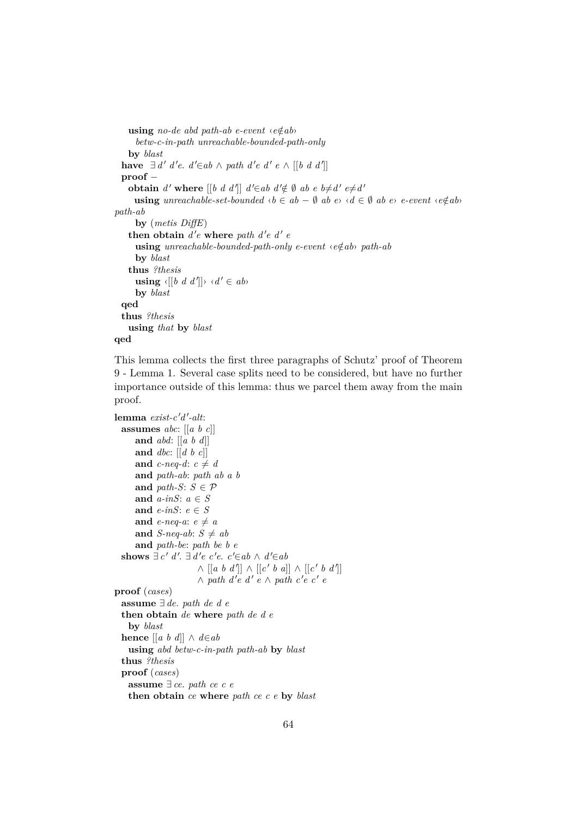```
using no-de abd path-ab e-event \langle e \notin ab \ranglebetw-c-in-path unreachable-bounded-path-only
    by blast
  have \exists d' d'e. d' \in ab \land path d'e d'e ∧ [[b d d']]
  proof −
    obtain d' where [[b \ d \ d]] \ d' \in ab \ d' \notin \emptyset ab e b\neq d' \ e \neq d'using unreachable-set-bounded \langle b \in ab - \emptyset \text{ ab } e \rangle \langle d \in \emptyset \text{ ab } e \rangle e-event \langle e \notin ab \ranglepath-ab
      by (metis DiffE)
    then obtain d'e where path d'e d'eusing unreachable-bounded-path-only e-event ‹e∈/ab› path-ab
      by blast
    thus ?thesis
       using \langle [(b \ d \ d')] \rangle \ \langle d' \in ab \rangleby blast
  qed
  thus ?thesis
    using that by blast
qed
```
This lemma collects the first three paragraphs of Schutz' proof of Theorem 9 - Lemma 1. Several case splits need to be considered, but have no further importance outside of this lemma: thus we parcel them away from the main proof.

```
{\bf lemma} \ exist-c'd'-alt:assumes abc: [[a b c]]
     and abd: [[a b d]]
     and dbc: [[d b c]]
     and c-neq-d: c \neq dand path-ab: path ab a b
     and path-S: S \in \mathcal{P}and a-inS: a ∈ S
     and e-inS: e ∈ S
     and e-neq-a: e \neq aand S-neq-ab: S \neq aband path-be: path be b e
  shows ∃ c' d'. ∃ d'e c'e. c'∈ab ∧ d'∈ab\wedge [[a b d']] \wedge [[c' b a]] \wedge [[c' b d']]
                     \land path d'e d' e ∧ path c'e c' e
proof (cases)
 assume ∃ de. path de d e
  then obtain de where path de d e
   by blast
 hence [[a b d]] ∧ d∈ab
   using abd betw-c-in-path path-ab by blast
  thus ?thesis
  proof (cases)
   assume ∃ ce. path ce c e
   then obtain ce where path ce c e by blast
```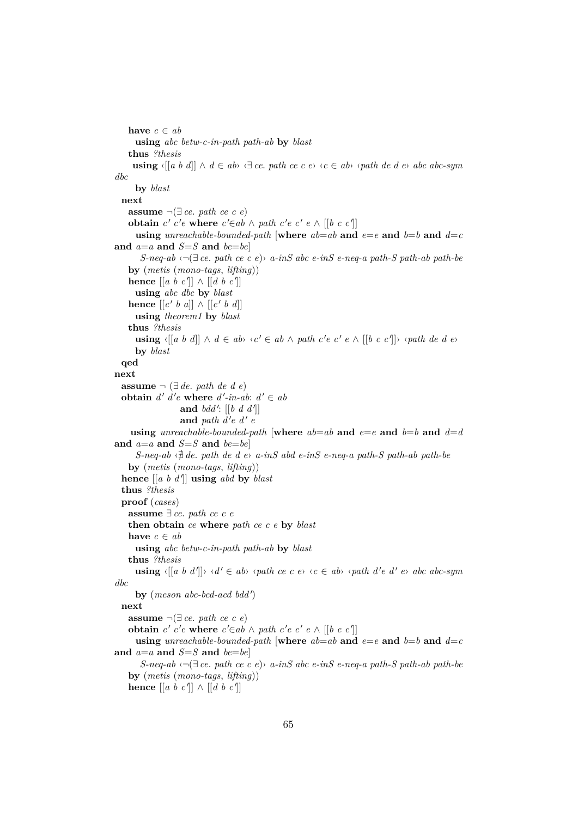```
have c \in abusing abc betw-c-in-path path-ab by blast
    thus ?thesis
     using \langle [a \ b \ d]] \wedge d \in ab \langle \exists \ ce, \ path \ ce \ c \ e \rangle \langle c \in ab \rangle \langle path \ de \ d \ e \rangle \ abc \ ab \c-symdbc
      by blast
 next
    assume \neg(\exists ce. path ce c e)
    obtain c' c'e where c' \in ab \land path \ c'e \ c' e \land [[b \ c \ c']]using unreachable-bounded-path [where ab = ab and e = e and b = b and d = cand a=a and S=S and be=be]
       S-neq-ab ‹¬(∃ ce. path ce c e)› a-inS abc e-inS e-neq-a path-S path-ab path-be
    by (metis (mono-tags, lifting))
    hence [[a \ b \ c]] \wedge [[d \ b \ c]]using abc dbc by blast
    hence \left[ \left[ c' b a \right] \right] \wedge \left[ \left[ c' b d \right] \right]using theorem1 by blast
    thus ?thesis
      using \langle [a \ b \ d] ] \wedge d \in ab \langle c' \in ab \wedge path \ c' \in c' \ e \wedge [[b \ c \ c'] ] \rangle \langle path \ de \ d \ e \rangleby blast
  qed
next
  assume \neg (∃ de. path de d e)
  obtain d' d'e where d'-in-ab: d' \in aband bdd': [[b \ d \ d']]and path d'e d' eusing unreachable-bounded-path [where ab = ab and e = e and b = b and d = dand a=a and S=S and be=beS-neg-ab \Leftrightarrow \text{d} de. path de d e> a-inS abd e-inS e-neq-a path-S path-ab path-be
    by (metis (mono-tags, lifting))
  hence \left[ \left[ a \; b \; d' \right] \right] using abd by blast
  thus ?thesis
  proof (cases)
    assume ∃ ce. path ce c e
    then obtain ce where path ce c e by blast
    have c \in abusing abc betw-c-in-path path-ab by blast
    thus ?thesis
      using \langle [a \ b \ d'] \rangle \ \langle d' \in ab \rangle \ \langle path \ ce \ c \ e \rangle \ \langle c \in ab \rangle \ \langle path \ d' \in d' \ e \rangle \ abc \ abc \text{-sym}dbc
      by (meson abc-bcd-acd bdd')
 next
    assume \neg(\exists ce. path ce c e)
    obtain c' c'e where c' \in ab \land path \ c'e \ c' e \land [[b \ c \ c']]using unreachable-bounded-path [where ab = ab and e = e and b = b and d = cand a=a and S=S and be=beS-neq-ab ‹¬(∃ ce. path ce c e)› a-inS abc e-inS e-neq-a path-S path-ab path-be
    by (metis (mono-tags, lifting))
    hence [[a \ b \ c]] \wedge [[d \ b \ c]]
```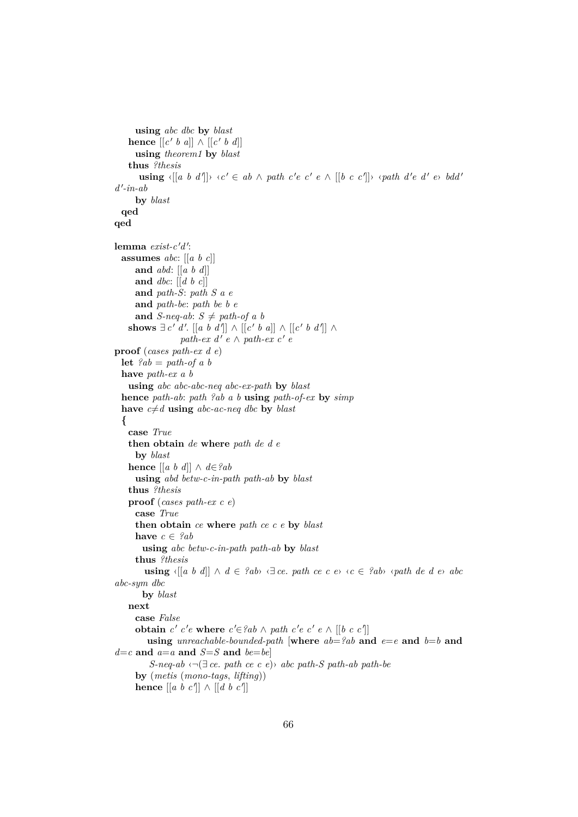```
using abc dbc by blast
    hence [[c' b a]] \wedge [[c' b d]]using theorem1 by blast
    thus ?thesis
       using \langle [a \ b \ d'] \rangle \ \langle c' \in ab \ \land \ path \ c' e \ c' \ e \ \land \ [[b \ c \ c'] \rangle \ \langle path \ d' e \ d' \ e \rangle \ bdd'd
0
-in-ab
      by blast
  qed
qed
lemma exist-c'd':
  assumes abc: [[a b c]]
     and abd: [[a b d]]
     and dbc: [[d b c]]
     and path-S: path S a e
      and path-be: path be b e
      and S-neq-ab: S \neq path\text{-}of a b
    shows \exists c' d'. \exists a b d'' \land \exists c' b a \land \exists c' b d'' \land \exists c' b d''path-ex\ d'\ e \wedge path-ex\ c'\ eproof (cases path-ex d e)
  let ?ab = path-of \, a \, bhave path-ex a b
    using abc abc-abc-neq abc-ex-path by blast
  hence path-ab: path ?ab a b using path-of-ex by simp
  have c \neq d using abc-ac-neq dbc by black{
    case True
    then obtain de where path de d e
     by blast
    hence [[a b d]] ∧ d∈?ab
      using abd betw-c-in-path path-ab by blast
    thus ?thesis
    proof (cases path-ex c e)
     case True
      then obtain ce where path ce c e by blast
     have c \in \mathscr{P}abusing abc betw-c-in-path path-ab by blast
      thus ?thesis
        using \langle [a \ b \ d]] \wedge d \in \{2ab\} \ \langle \exists \ ce, \ path \ ce \ c \ e \rangle \ \langle c \in \{2ab\} \ \langle \ path \ de \ d \ e \rangle \ abcabc-sym dbc
       by blast
    next
     case False
      obtain c' c'e where c' \in \{2ab \land path \; c'e \; c' \; e \land [[b \; c \; c']]\}using unreachable-bounded-path [where ab = ?ab and e = e and b = b and
d = c and a = a and S = S and be = beS-neq-ab ‹¬(∃ ce. path ce c e)› abc path-S path-ab path-be
      by (metis (mono-tags, lifting))
      hence [[a \ b \ c]] \wedge [[d \ b \ c]]
```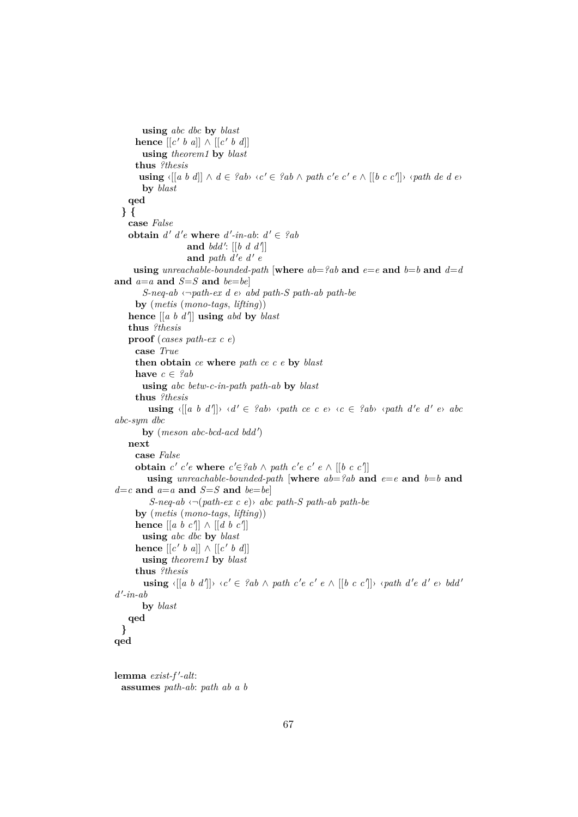```
using abc dbc by blast
       hence [[c' b a]] \wedge [[c' b d]]using theorem1 by blast
      thus ?thesis
        using \langle [a \ b \ d]] \wedge d \in {}^{\circ}ab \rangle \langle c' \in {}^{\circ}ab \wedge path \ c' \in c' \ e \wedge [[b \ c \ c']] \rangle \langle path \ de \ d \ e \rangleby blast
    qed
  } {
    case False
    obtain d' d'e where d'-in-ab: d' \in {}^{\circ}aband bdd': [[b \ d \ d']]and path d'e d' e
      using unreachable-bounded-path [where ab = ?ab and e = e and b = b and d = dand a=a and S=S and be=beS-neq-ab ‹¬path-ex d e› abd path-S path-ab path-be
      by (metis (mono-tags, lifting))
    hence \begin{bmatrix} a & b & d' \end{bmatrix} using abd by blast
    thus ?thesis
    proof (cases path-ex c e)
      case True
      then obtain ce where path ce c e by blast
      have c \in \mathscr{P}abusing abc betw-c-in-path path-ab by blast
      thus ?thesis
           using \langle [a \ b \ d''] \rangle \ \langle d' \in \{2ab\} \ \langle path \ ce \ c \ e \rangle \ \langle c \in \{2ab\} \ \langle path \ d'e \ d' \ e \rangle \ abcabc-sym dbc
         by (meson abc-bcd-acd bdd')
    next
      case False
       obtain c' c'e where c' \in \{2ab \land path \; c'e \; c' \; e \land [[b \; c \; c']\}using unreachable-bounded-path [where ab = ?ab and e = e and b = b and
d = c and a = a and S = S and be = beS-neq-ab ‹¬(path-ex c e)› abc path-S path-ab path-be
      by (metis (mono-tags, lifting))
       hence \begin{bmatrix} a & b & c' \end{bmatrix} \wedge \begin{bmatrix} d & b & c' \end{bmatrix}using abc dbc by blast
       hence \left[ \left[ c' \; b \; a \right] \right] \wedge \left[ \left[ c' \; b \; d \right] \right]using theorem1 by blast
      thus ?thesis
         using \langle [a \ b \ d'] \rangle \langle c' \in \ell ab \land path \ c' \ e \ c' \ e \land [[b \ c \ c']] \rangle \langle path \ d' \ e \ d' \ e \rangle \ bdd'd
0
-in-ab
        by blast
    qed
  }
qed
lemma exist-f'-alt:
```

```
assumes path-ab: path ab a b
```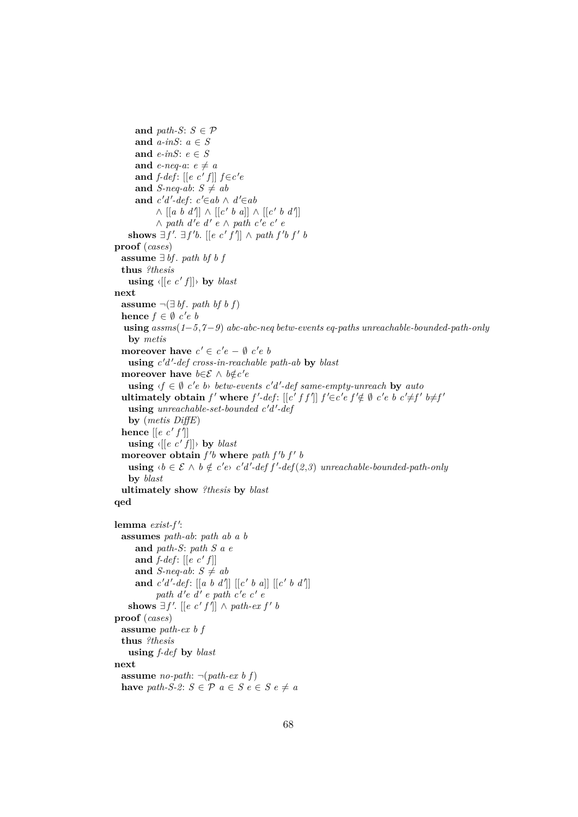```
and path-S: S \in \mathcal{P}and a-inS: a ∈ S
      and e-inS: e ∈ S
      and e-neq-a: e \neq aand f-def: [[e \ c' \ f]] f \in c'e
      and S-neq-ab: S \neq aband c'd'-def: c' \in ab \land d' \in ab\wedge [[a b d']] \wedge [[c' b a]] \wedge [[c' b d']]
             \wedge path d'e d' e ∧ path c'e c' e
    shows \exists f'. \exists f'b. [[e c' f'|] ∧ path f'b f' b
proof (cases)
  assume ∃ bf. path bf b f
  thus ?thesis
    \textbf{using } \left\{ \left[ \left[ e \right] c' \right] \right\} \rightarrow \textbf{by } \textit{blast}next
  assume \neg(\exists bf. path bf b f)
  hence f \in \emptyset c'e b
  using assms(1−5,7−9) abc-abc-neq betw-events eq-paths unreachable-bounded-path-only
    by metis
  moreover have c' \in c'e - \emptyset c'e busing c
0d
0
-def cross-in-reachable path-ab by blast
  moreover have b \in \mathcal{E} \land b \notin c' eusing \langle f \in \emptyset \rangle c'e b betw-events c'd'-def same-empty-unreach by auto
  ultimately obtain f' where f'-def: [[c' f f']] f' \in c' e f' \notin \emptyset \ c' e b c' \neq f' b \neq f'using unreachable-set-bounded c'd'-def
    by (metis DiffE)
  hence \left[ \left[ e \ c' f' \right] \right]\textbf{using } \langle [e \ c' f] \rangle by blast
  moreover obtain f' where path f' f' busing \langle b \in \mathcal{E} \land b \notin c'e \rangle c'd'-def f'-def(2,3) unreachable-bounded-path-only
    by blast
  ultimately show ?thesis by blast
qed
lemma exist-f':
  assumes path-ab: path ab a b
      and path-S: path S a e
      and f-def: [[e \ c' f]]and S-neq-ab: S \neq aband c'd'-def: [[a \ b \ d']] [[c' \ b \ a]] [[c' \ b \ d']]path d'e d' e path c'e c' e
    shows \exists f'. [[e \ c' f']] \land path-ex f' bproof (cases)
 assume path-ex b f
  thus ?thesis
    using f-def by blast
```

```
assume no-path: \neg(\text{path-ex } b \text{ } f)have path-S-2: S \in \mathcal{P} a \in S e \in S e \neq a
```
**next**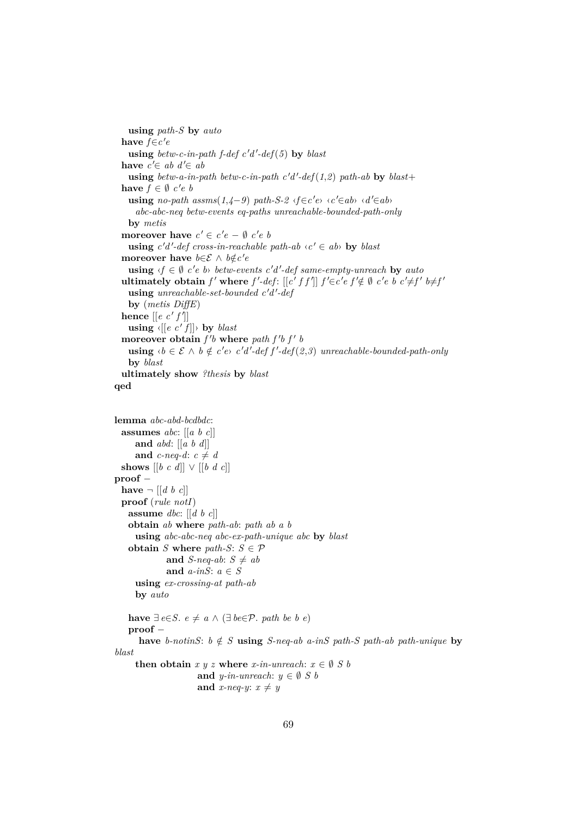**using** *path-S* **by** *auto* have  $f \in c'$ e  $using$   $between -c$ - $in$ - $path$   $f$ - $def$   $c'd'$ - $def$   $(5)$   $by$   $blast$ **have**  $c' \in ab \ d' \in ab$  $using$   $between -a$ -in-path  $between -c$ -in-path  $c'd'$ - $def(1,2)$   $path-ab$  by  $blast+$ **have**  $f \in \emptyset$  *c*'*e b* **using** *no-path assms*( $1,4−9$ )  $path-S-2$   $\langle f \in c'e \rangle$   $\langle c' \in ab \rangle$   $\langle d' \in ab \rangle$ *abc-abc-neq betw-events eq-paths unreachable-bounded-path-only* **by** *metis* **moreover have**  $c' \in c'e - \emptyset$   $c'e$   $b$ **using**  $c'd'$ -def cross-in-reachable path-ab  $\langle c' \in ab \rangle$  by blast **moreover** have  $b \in \mathcal{E} \land b \notin c' e$ **using**  $\langle f \in \emptyset \rangle$  *c'e b betw-events c'd'-def same-empty-unreach* by *auto* **ultimately obtain**  $f'$  where  $f'$ -def:  $[[c' f f']] f' \in c' e f' \notin \emptyset \ c' e b c' \neq f' b \neq f'$ using *unreachable-set-bounded*  $c'd'$ -def **by** (*metis DiffE*) **hence**  $\left[ \left[ e \ c' f' \right] \right]$  $\textbf{using } \langle [e \ c' f] \rangle$  by *blast* moreover obtain  $f'$  where path  $f'$   $f'$   $b$ **using**  $\langle b \in \mathcal{E} \land b \notin c'e \rangle$  *c'd'-def f'-def*(*2,3*) *unreachable-bounded-path-only* **by** *blast* **ultimately show** *?thesis* **by** *blast* **qed lemma** *abc-abd-bcdbdc*: **assumes** *abc*: [[*a b c*]] **and** *abd*: [[*a b d*]] and *c-neq-d*:  $c \neq d$ **shows** [[*b c d*]] ∨ [[*b d c*]] **proof** − **have**  $\neg$   $\left[ \left[ d \; b \; c \right] \right]$ **proof** (*rule notI*) **assume** *dbc*: [[*d b c*]] **obtain** *ab* **where** *path-ab*: *path ab a b* **using** *abc-abc-neq abc-ex-path-unique abc* **by** *blast* **obtain** *S* **where**  $path-S: S \in \mathcal{P}$ **and** *S-neq-ab*:  $S \neq ab$ **and** *a-inS*: *a* ∈ *S* **using** *ex-crossing-at path-ab* **by** *auto* **have** ∃ *e*∈*S*. *e*  $\neq$  *a* ∧ (∃ *be*∈*P*. *path be b e*) **proof** − **have** *b-notinS*:  $b \notin S$  **using** *S-neq-ab a-inS path-S path-ab path-unique* **by** *blast* **then obtain**  $x \, y \, z$  **where**  $x$ -in-unreach:  $x \in \emptyset$  *S b* **and** *y-in-unreach*:  $y \in \emptyset$  *S b* 

```
and x-neq-y: x \neq y
```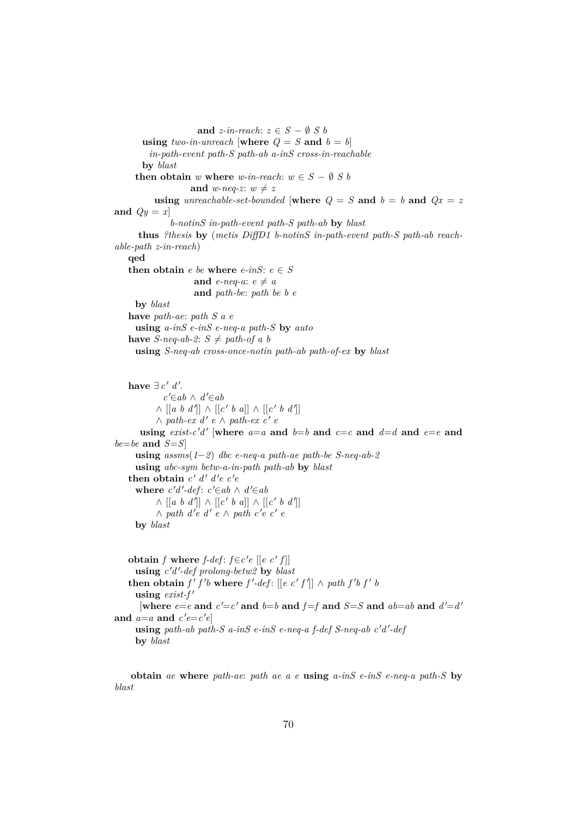**and**  $z\text{-}in\text{-}reach: z \in S - \emptyset S$ **using** *two-in-unreach* [where  $Q = S$  and  $b = b$ ] *in-path-event path-S path-ab a-inS cross-in-reachable* **by** *blast* **then obtain** *w* **where** *w-in-reach*:  $w \in S - \emptyset S$  *b* **and** *w-neq-z*:  $w \neq z$ **using** *unreachable-set-bounded* [where  $Q = S$  and  $b = b$  and  $Qx = z$ and  $Qy = x$ *b-notinS in-path-event path-S path-ab* **by** *blast* **thus** *?thesis* **by** (*metis DiffD1 b-notinS in-path-event path-S path-ab reachable-path z-in-reach*) **qed then obtain**  $e$  *be* where  $e$ -*inS*:  $e \in S$ **and** *e-neq-a*:  $e \neq a$ **and** *path-be*: *path be b e* **by** *blast* **have** *path-ae*: *path S a e* **using** *a-inS e-inS e-neq-a path-S* **by** *auto* **have** *S-neq-ab-2*:  $S \neq path-of \, a \, b$ **using** *S-neq-ab cross-once-notin path-ab path-of-ex* **by** *blast* have  $\exists c' d'.$  $c' \in ab$  ∧  $d' \in ab$  $\wedge$  [[a b d']]  $\wedge$  [[c' b a]]  $\wedge$  [[c' b d']]  $\wedge$  path-ex  $d'$  e  $\wedge$  path-ex  $c'$  e **using**  $exist\text{-}c'd'$  [where  $a=a$  and  $b=b$  and  $c=c$  and  $d=d$  and  $e=e$  and *be*=*be* **and** *S*=*S*] **using** *assms*(*1*−*2*) *dbc e-neq-a path-ae path-be S-neq-ab-2* **using** *abc-sym betw-a-in-path path-ab* **by** *blast* **then obtain**  $c' d' d'e c'e$ where  $c'd'$ - $def: c' \in ab \wedge d' \in ab$  $\wedge$  [[*a b d'*]]  $\wedge$  [[*c' b a*]]  $\wedge$  [[*c' b d'*]]  $\wedge$  path d'e d' e ∧ path c'e c' e **by** *blast* **obtain** *f* where *f-def*:  $f \in c' e$  [[*e c'f*]] **using** *c* 0*d* 0 *-def prolong-betw2* **by** *blast* **then obtain**  $f' f' b$  where  $f'$ -def:  $[[e \ c' f]] \wedge path f' b f' b$  $using \; exist-f'$ [where  $e=e$  and  $c'=c'$  and  $b=b$  and  $f=f$  and  $S=S$  and  $ab=ab$  and  $d'=d'$ and  $a=a$  and  $c'e=c'e$ using path-ab path-S a-inS e-inS e-neq-a f-def S-neq-ab c'd'-def **by** *blast*

**obtain** *ae* **where** *path-ae*: *path ae a e* **using** *a-inS e-inS e-neq-a path-S* **by** *blast*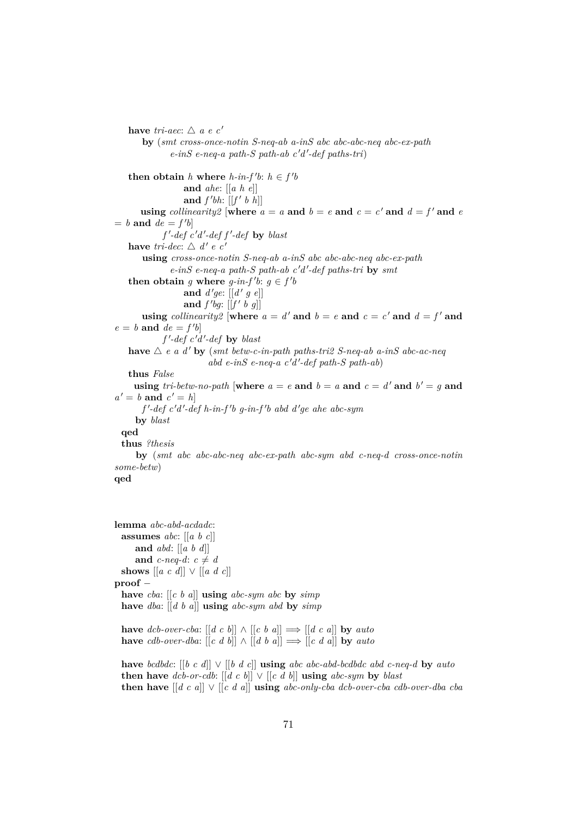**have** *tri-aec*:  $\triangle$  *a e c'* **by** (*smt cross-once-notin S-neq-ab a-inS abc abc-abc-neq abc-ex-path*  $e\text{-}inS$   $e\text{-}neq\text{-}a$   $path\text{-}S$   $path\text{-}ab$   $c'd'\text{-}def$   $path\text{-}tri)$ **then obtain** *h* **where** *h*-*in-f*'*b*:  $h \in f'$ *b* **and** *ahe*: [[*a h e*]] and  $f'bh$ :  $[[f' b h]]$ **using** *collinearity2* [where  $a = a$  and  $b = e$  and  $c = c'$  and  $d = f'$  and  $e$  $= b$  **and**  $de = f'b$  $f'$ -def  $c'd'$ -def  $f'$ -def by blast **have** *tri-dec*:  $\triangle d' e$  *c'* **using** *cross-once-notin S-neq-ab a-inS abc abc-abc-neq abc-ex-path*  $e$ -inS  $e$ -neq-a path-S path-ab  $c'd'$ -def paths-tri by smt **then obtain** *g* where *g*-in-*f*'b:  $g \in f'$ and  $d'ge: [[d' g e]]$ and  $f'bg$ :  $[[f' b g]]$ **using** *collinearity2* [where  $a = d'$  and  $b = e$  and  $c = c'$  and  $d = f'$  and  $e = b$  **and**  $de = f'b$  $f'$ -def  $c'd'$ -def **by** *blast* **have**  $\triangle$  *e a d'* **by** (*smt betw-c-in-path paths-tri2 S-neq-ab a-inS abc-ac-neq*  $abd$   $e$ - $inS$   $e$ - $neq$ - $a$   $c'd'$ - $def$   $path-S$   $path-ab)$ **thus** *False* **using**  $tri\text{-}betw\text{-}no\text{-}path$  [where  $a = e$  and  $b = a$  and  $c = d'$  and  $b' = g$  and  $a' = b$  **and**  $c' = h$ *f*'-def c'd'-def h-in-f'b g-in-f'b abd d'ge ahe abc-sym **by** *blast* **qed thus** *?thesis* **by** (*smt abc abc-abc-neq abc-ex-path abc-sym abd c-neq-d cross-once-notin some-betw*) **qed**

**lemma** *abc-abd-acdadc*: **assumes** *abc*: [[*a b c*]] **and** *abd*: [[*a b d*]] and *c-neq-d*:  $c \neq d$ shows  $[[a \ c \ d]] \lor [[a \ d \ c]]$ **proof** − **have** *cba*: [[*c b a*]] **using** *abc-sym abc* **by** *simp* **have** *dba*: [[*d b a*]] **using** *abc-sym abd* **by** *simp* **have** *dcb-over-cba*:  $[[d \ c \ b]] \wedge [[c \ b \ a]] \Longrightarrow [[d \ c \ a]]$  **by** *auto* 

**have** *cdb-over-dba*:  $[[c \ d \ b]] \wedge [[d \ b \ a]] \Longrightarrow [[c \ d \ a]]$  **by** *auto* 

**have** *bcdbdc*: [[*b c d*]] ∨ [[*b d c*]] **using** *abc abc-abd-bcdbdc abd c-neq-d* **by** *auto* **then have**  $dcb$ -or-cdb:  $[[d \ c \ b]] \lor [[c \ d \ b]]$  **using**  $abc$ -sym by blast **then have** [[*d c a*]] ∨ [[*c d a*]] **using** *abc-only-cba dcb-over-cba cdb-over-dba cba*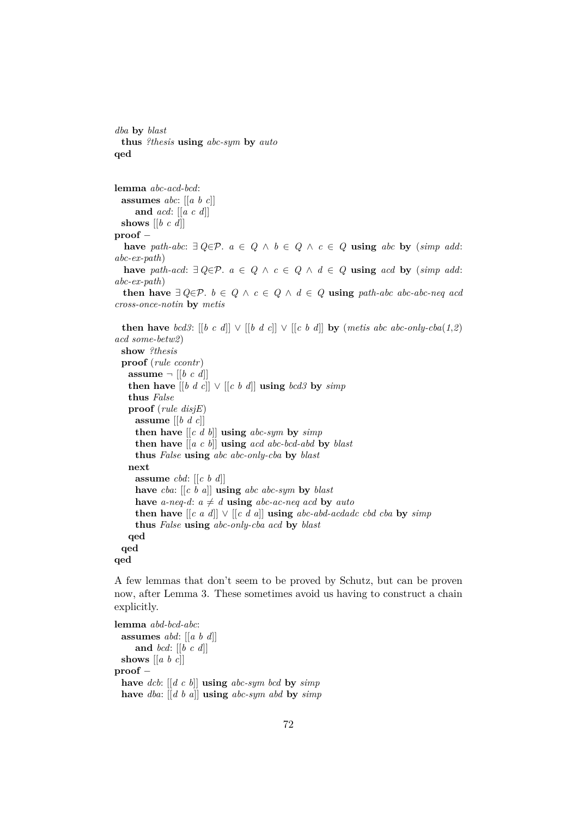*dba* **by** *blast* **thus** *?thesis* **using** *abc-sym* **by** *auto* **qed**

**lemma** *abc-acd-bcd*: **assumes** *abc*: [[*a b c*]] **and** *acd*: [[*a c d*]] **shows** [[*b c d*]] **proof** − **have** *path-abc*: ∃  $Q \in \mathcal{P}$ .  $a \in Q \land b \in Q \land c \in Q$  **using** *abc* **by** (*simp add*: *abc-ex-path*) **have** *path-acd*: ∃  $Q \in \mathcal{P}$ .  $a \in Q \land c \in Q \land d \in Q$  **using** *acd* **by** (*simp add*: *abc-ex-path*) **then have**  $∃ Q∈P$ .  $b ∈ Q ∧ c ∈ Q ∧ d ∈ Q$  **using**  $path-abc$  abc-abc-neq acd *cross-once-notin* **by** *metis*

**then have** *bcd3*:  $[[b \ c \ d]] \lor [[b \ d \ c]] \lor [[c \ b \ d]]$  **by** (*metis abc abc-only-cba*(1,2) *acd some-betw2*) **show** *?thesis* **proof** (*rule ccontr*) **assume**  $\neg$   $[[b \ c \ d]]$ **then have**  $[[b \ d \ c]] \lor [[c \ b \ d]]$  **using** *bcd3* **by** *simp* **thus** *False* **proof** (*rule disjE*) **assume** [[*b d c*]] **then have**  $\left[ \begin{array}{cc} c & d \\ d & \end{array} \right]$  **using** *abc-sym* by *simp* **then have** [[*a c b*]] **using** *acd abc-bcd-abd* **by** *blast* **thus** *False* **using** *abc abc-only-cba* **by** *blast* **next assume** *cbd*: [[*c b d*]] **have** *cba*: [[*c b a*]] **using** *abc abc-sym* **by** *blast* have *a-neq-d*:  $a \neq d$  **using** *abc-ac-neq acd* by *auto* **then have**  $[[c \ a \ d]] \lor [[c \ d \ a]]$  **using**  $abc \ abd \ bc \ abd \ cbd$  **by**  $simp$ **thus** *False* **using** *abc-only-cba acd* **by** *blast* **qed qed qed**

A few lemmas that don't seem to be proved by Schutz, but can be proven now, after Lemma 3. These sometimes avoid us having to construct a chain explicitly.

**lemma** *abd-bcd-abc*: **assumes** *abd*: [[*a b d*]] **and** *bcd*: [[*b c d*]] **shows** [[*a b c*]] **proof** − **have** *dcb*: [[*d c b*]] **using** *abc-sym bcd* **by** *simp* **have** *dba*: [[*d b a*]] **using** *abc-sym abd* **by** *simp*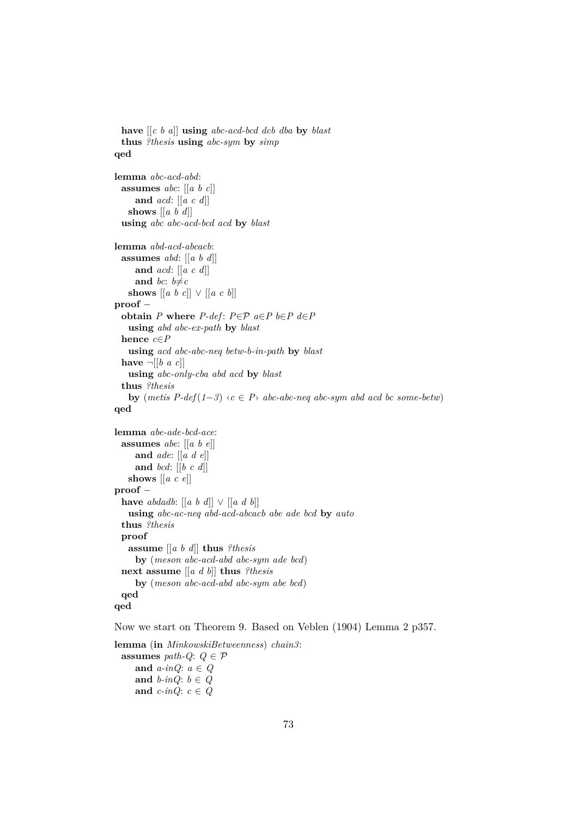```
have [[c b a]] using abc-acd-bcd dcb dba by blast
 thus ?thesis using abc-sym by simp
qed
lemma abc-acd-abd:
 assumes abc: [[a b c]]
    and acd: [[a c d]]
   shows [[a b d]]
 using abc abc-acd-bcd acd by blast
lemma abd-acd-abcacb:
 assumes abd: [[a b d]]
    and acd: [[a c d]]
    and bc: b \neq cshows [[a \; b \; c]] \lor [[a \; c \; b]]proof −
 obtain P where P-def: P \in \mathcal{P} a∈P b∈P d∈P
   using abd abc-ex-path by blast
 hence c∈P
   using acd abc-abc-neq betw-b-in-path by blast
 have \neg[[b a c]]
   using abc-only-cba abd acd by blast
 thus ?thesis
   by (metis P-def(1-3) ⋅c ∈ P<sup>></sup> abc-abc-neq abc-sym abd acd bc some-betw)
qed
lemma abe-ade-bcd-ace:
 assumes abe: [[a b e]]
    and ade: [[a d e]]
    and bcd: [[b c d]]
   shows [[a c e]]
proof −
 have abdadb: [[a b d]] ∨ [[a d b]]
   using abc-ac-neq abd-acd-abcacb abe ade bcd by auto
 thus ?thesis
 proof
   assume [[a b d]] thus ?thesis
     by (meson abc-acd-abd abc-sym ade bcd)
 next assume [[a d b]] thus ?thesis
     by (meson abc-acd-abd abc-sym abe bcd)
 qed
qed
```
Now we start on Theorem 9. Based on Veblen (1904) Lemma 2 p357.

```
lemma (in MinkowskiBetweenness) chain3:
 assumes path-Q: Q \in \mathcal{P}and a-inQ: a ∈ Q
    and b-inQ: b \in Qand c-inQ: c \in Q
```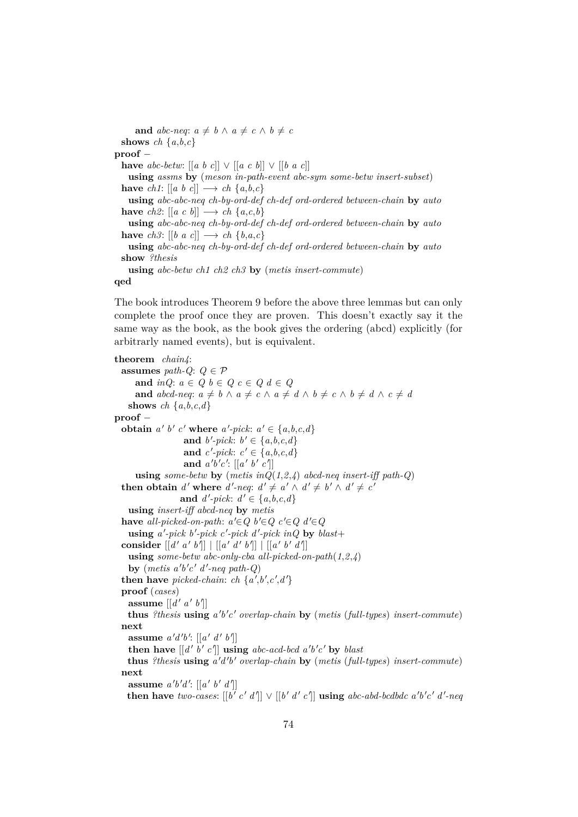**and**  $abc$ -neq:  $a \neq b \land a \neq c \land b \neq c$ **shows** *ch*  $\{a,b,c\}$ **proof** − **have**  $abc\text{-}betw: [[a \ b \ c]] \lor [[a \ c \ b]] \lor [[b \ a \ c]]$ **using** *assms* **by** (*meson in-path-event abc-sym some-betw insert-subset*) **have**  $ch1: [[a \ b \ c]] \longrightarrow ch \{a,b,c\}$ **using** *abc-abc-neq ch-by-ord-def ch-def ord-ordered between-chain* **by** *auto* **have** *ch2*:  $\left[ \left[ a \ c \ b \right] \right] \longrightarrow ch \ \{a,c,b\}$ **using** *abc-abc-neq ch-by-ord-def ch-def ord-ordered between-chain* **by** *auto* **have**  $ch3: [[b \ a \ c]] \longrightarrow ch \{b,a,c\}$ **using** *abc-abc-neq ch-by-ord-def ch-def ord-ordered between-chain* **by** *auto* **show** *?thesis* **using** *abc-betw ch1 ch2 ch3* **by** (*metis insert-commute*)

#### **qed**

The book introduces Theorem 9 before the above three lemmas but can only complete the proof once they are proven. This doesn't exactly say it the same way as the book, as the book gives the ordering (abcd) explicitly (for arbitrarly named events), but is equivalent.

**theorem** *chain4*: **assumes** *path-Q*:  $Q \in \mathcal{P}$ **and**  $inQ: a \in Q$   $b \in Q$   $c \in Q$   $d \in Q$ **and**  $abcd$ -neq:  $a \neq b \land a \neq c \land a \neq d \land b \neq c \land b \neq d \land c \neq d$ **shows** *ch*  $\{a,b,c,d\}$ **proof** − **obtain**  $a' b' c'$  where  $a'$ -pick:  $a' \in \{a,b,c,d\}$ and  $b'$ -pick:  $b' \in \{a, b, c, d\}$ and *c*'-pick:  $c' \in \{a, b, c, d\}$ and  $a'b'c'$ :  $[[a' b' c']]$ **using** *some-betw* **by** (*metis inQ*(*1*,*2*,*4*) *abcd-neq insert-iff path-Q*) **then obtain** *d'* where *d'-neq*:  $d' \neq a' \wedge d' \neq b' \wedge d' \neq c'$ and  $d'$ -pick:  $d' \in \{a, b, c, d\}$ **using** *insert-iff abcd-neq* **by** *metis* **have** *all-picked-on-path*:  $a' \in Q$   $b' \in Q$   $c' \in Q$   $d' \in Q$  $\textbf{using } a'-pick \ b'-pick \ c'-pick \ d'-pick \ inQ \ \textbf{by} \ blast+$ consider  $[[d' a' b']] | [[a' d' b']] || [a' b' d']]$ **using** *some-betw abc-only-cba all-picked-on-path*(*1*,*2*,*4*)  $\mathbf{b}$ **y** (metis a'b'c' d'-neq path-Q) **then have** picked-chain: ch  $\{a\prime, b\prime, c\prime, d\}$ **proof** (*cases*) **assume**  $\left[ \left[ d^{\prime} \, a^{\prime} \, b^{\prime} \right] \right]$ **thus** *?thesis* **using** *a* 0 *b* 0 *c* <sup>0</sup> *overlap-chain* **by** (*metis* (*full-types*) *insert-commute*) **next assume**  $a'd'b'$ :  $[[a'd'b']]$ **then have**  $\left[ \left[ d' \; b' \; c' \right] \right]$  **using** abc-acd-bcd  $a'b'c'$  by blast **thus** *?thesis* **using** *a* 0*d* 0 *b* <sup>0</sup> *overlap-chain* **by** (*metis* (*full-types*) *insert-commute*) **next assume**  $a'b'd'$ :  $\left[ \left[ a' b' d' \right] \right]$ **then have** *two-cases*:  $[[b' c' d']] \vee [[b' d' c']]$  **using** *abc-abd-bcdbdc a*<sup>*'b'c' d'-neq*</sup>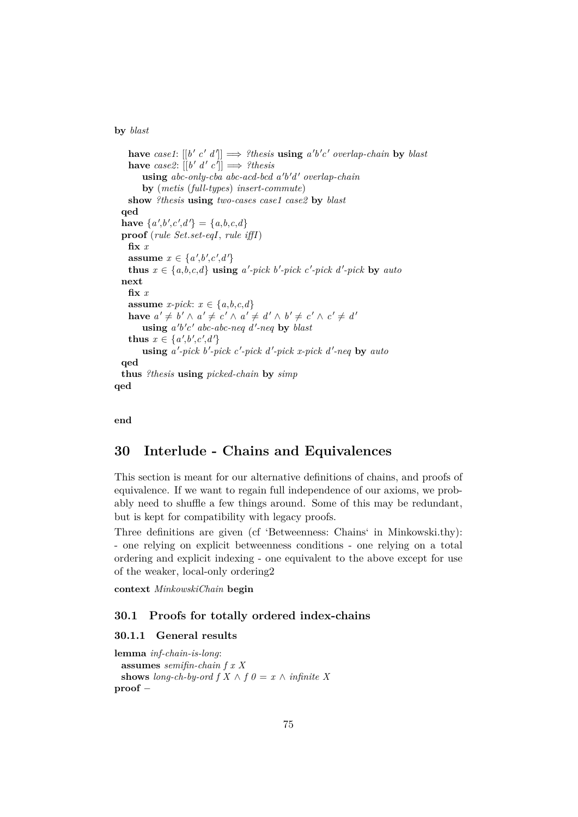#### **by** *blast*

```
have case1: [[b' c' d']] \implies ?thesis using a'b'c' overlap-chain by blast
    have case2: [[b' d' c]] \implies ?thesisusing abc-only-cba abc-acd-bcd a'b'd' overlap-chain
       by (metis (full-types) insert-commute)
   show ?thesis using two-cases case1 case2 by blast
  qed
  have \{a', b', c', d'\} = \{a, b, c, d\}proof (rule Set.set-eqI, rule iffI)
   fix x
    assume x \in \{a', b', c', d'\}thus x \in \{a,b,c,d\} using a'-pick b'-pick c'-pick d'-pick by auto
 next
   fix x
   assume x-pick: x \in \{a,b,c,d\}have a' \neq b' \land a' \neq c' \land a' \neq d' \land b' \neq c' \land c' \neq d'u \sin g a'b'c' abc-abc-neq d'-neq by blast
    thus x \in \{a', b', c', d'\}using a'-pick b'-pick c'-pick d'-pick x-pick d'-neq by auto
 qed
  thus ?thesis using picked-chain by simp
qed
```
**end**

# **30 Interlude - Chains and Equivalences**

This section is meant for our alternative definitions of chains, and proofs of equivalence. If we want to regain full independence of our axioms, we probably need to shuffle a few things around. Some of this may be redundant, but is kept for compatibility with legacy proofs.

Three definitions are given (cf 'Betweenness: Chains' in Minkowski.thy): - one relying on explicit betweenness conditions - one relying on a total ordering and explicit indexing - one equivalent to the above except for use of the weaker, local-only ordering2

**context** *MinkowskiChain* **begin**

## **30.1 Proofs for totally ordered index-chains**

### **30.1.1 General results**

```
lemma inf-chain-is-long:
 assumes semifin-chain f x X
 shows long-ch-by-ord f X \wedge f \theta = x \wedge \text{ infinite } Xproof −
```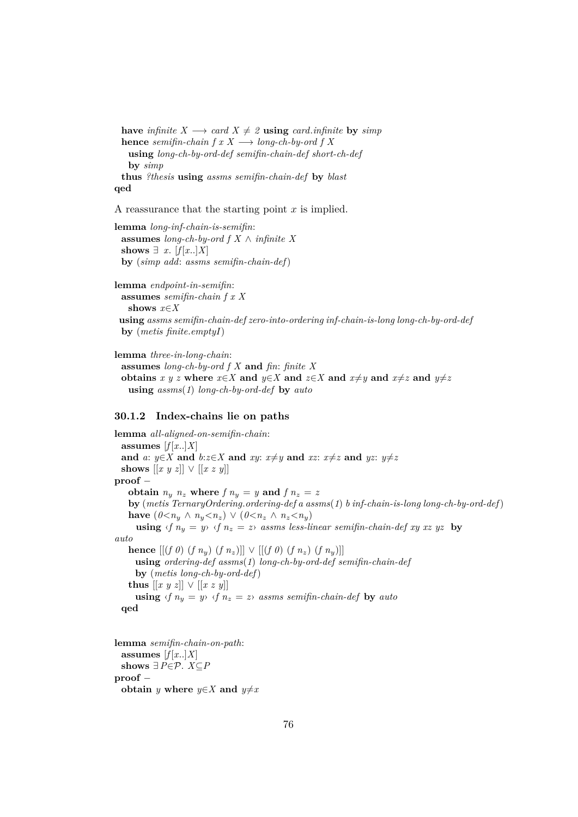**have** *infinite*  $X \longrightarrow \text{card } X \neq 2$  **using** *card.infinite* **by** *simp* **hence** *semifin-chain f*  $x \times \rightarrow$  *long-ch-by-ord f*  $X$ **using** *long-ch-by-ord-def semifin-chain-def short-ch-def* **by** *simp* **thus** *?thesis* **using** *assms semifin-chain-def* **by** *blast* **qed**

A reassurance that the starting point  $x$  is implied.

**lemma** *long-inf-chain-is-semifin*: **assumes** *long-ch-by-ord f X* ∧ *infinite X* shows  $∃ x. [f[x..]X]$ **by** (*simp add*: *assms semifin-chain-def*)

**lemma** *endpoint-in-semifin*: **assumes** *semifin-chain f x X* **shows** *x*∈*X* **using** *assms semifin-chain-def zero-into-ordering inf-chain-is-long long-ch-by-ord-def* **by** (*metis finite*.*emptyI*)

**lemma** *three-in-long-chain*:

**assumes** *long-ch-by-ord f X* **and** *fin*: *finite X* **obtains**  $x \ y \ z$  where  $x \in X$  and  $y \in X$  and  $z \in X$  and  $x \neq y$  and  $x \neq z$  and  $y \neq z$ **using** *assms*(*1*) *long-ch-by-ord-def* **by** *auto*

#### **30.1.2 Index-chains lie on paths**

**lemma** *all-aligned-on-semifin-chain*: assumes  $[f[x..]X]$ **and** *a*: *y*∈*X* **and** *b*:*z*∈*X* **and** *xy*: *x* $\neq$ *y* **and** *xz*: *x* $\neq$ *z* **and** *yz*: *y* $\neq$ *z* shows  $[[x\ y\ z]] \lor [[x\ z\ y]]$ **proof** − **obtain**  $n_y$   $n_z$  **where**  $f$   $n_y$  =  $y$  **and**  $f$   $n_z$  =  $z$ **by** (*metis TernaryOrdering*.*ordering-def a assms*(*1*) *b inf-chain-is-long long-ch-by-ord-def*) **have**  $(0 \lt n_y \land n_y \lt n_z) \lor (0 \lt n_z \land n_z \lt n_y)$ **using**  $\langle f | n_y = y \rangle \langle f | n_z = z \rangle$  *assms less-linear semifin-chain-def xy xz yz* **by** *auto* **hence**  $[[(f 0) (f n_y) (f n_z)]] ∨ [[(f 0) (f n_z) (f n_y)]]$ **using** *ordering-def assms*(*1*) *long-ch-by-ord-def semifin-chain-def* **by** (*metis long-ch-by-ord-def*) **thus**  $[ [x \ y \ z] ] ∨ [x \ z \ y] ]$ **using**  $\langle f \rangle n_y = y \rangle \langle f \rangle n_z = z \rangle$  *assms semifin-chain-def* by *auto* **qed**

**lemma** *semifin-chain-on-path*: assumes  $[f[x..]X]$ shows  $∃P∈P$ . *X*⊂*P* **proof** − **obtain** *y* **where**  $y \in X$  **and**  $y \neq x$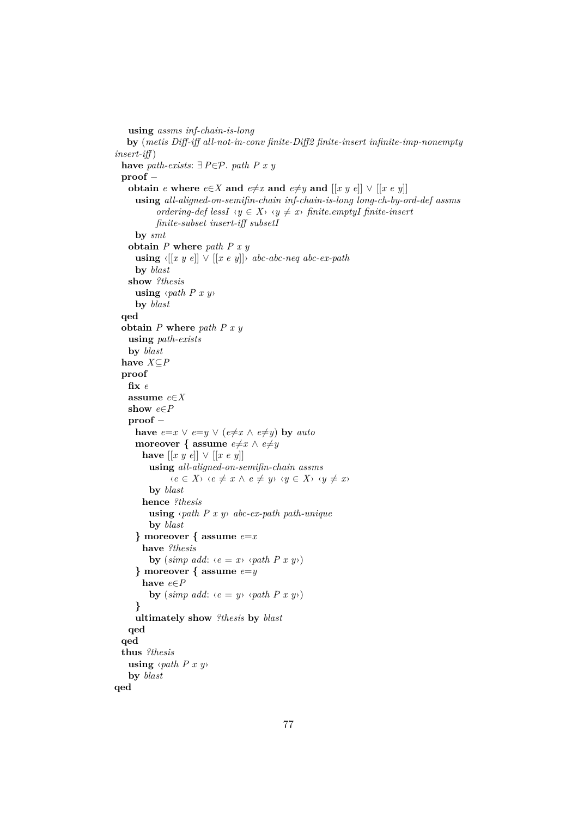```
using assms inf-chain-is-long
   by (metis Diff-iff all-not-in-conv finite-Diff2 finite-insert infinite-imp-nonempty
insert-iff )
  have path-exists: ∃P∈P. path P x y
 proof −
    obtain e where e \in X and e \neq x and e \neq y and [[x \ y \ e]] \lor [[x \ e \ y]]using all-aligned-on-semifin-chain inf-chain-is-long long-ch-by-ord-def assms
            ordering-def lessI \langle y \in X \rangle \langle \langle y \neq x \rangle finite.emptyI finite-insert
            finite-subset insert-iff subsetI
     by smt
    obtain P where path P x y
     using \langle [x \ y \ e] ] \ \lor \ [x \ e \ y] \rangle abc-abc-neq abc-ex-path
     by blast
    show ?thesis
      using ‹path P x y›
     by blast
  qed
  obtain P where path P x y
    using path-exists
    by blast
  have X⊆P
  proof
    fix e
    assume e∈X
    show e∈P
    proof −
     have e=x \vee e=y \vee (e \neq x \wedge e \neq y) by auto
     moreover { assume e \neq x \land e \neq yhave [[x \ y \ e]] \lor [[x \ e \ y]]using all-aligned-on-semifin-chain assms
                \langle e \in X \rangle \langle e \neq x \land e \neq y \rangle \langle y \in X \rangle \langle y \neq x \rangleby blast
        hence ?thesis
          using ‹path P x y› abc-ex-path path-unique
          by blast
      } moreover { assume e=x
       have ?thesis
          by (\textit{simp add: } \langle e = x \rangle \langle \textit{path } P \ x \ y \rangle)} moreover { assume e=y
        have e∈P
          by (\textit{simp add: } \langle e = y \rangle \langle \textit{path } P \textit{x } y \rangle)}
     ultimately show ?thesis by blast
    qed
  qed
  thus ?thesis
    using ‹path P x y›
    by blast
qed
```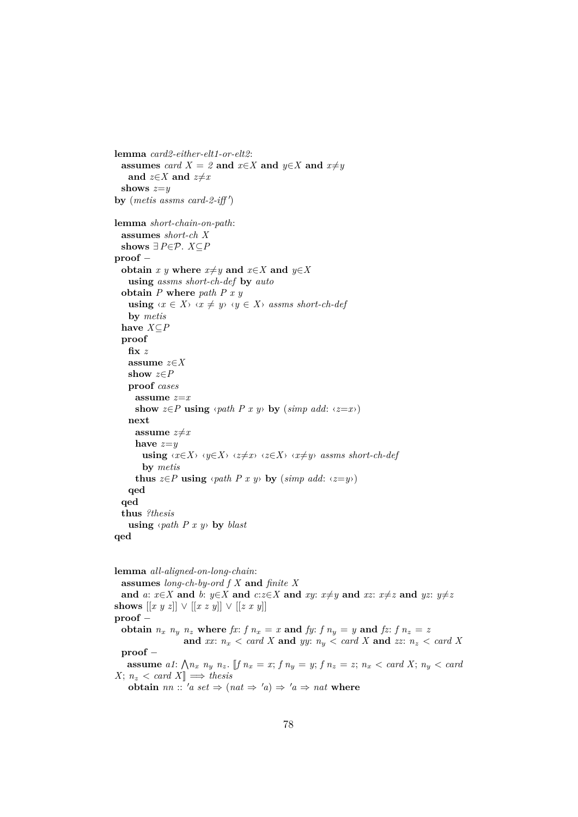```
lemma card2-either-elt1-or-elt2:
  assumes card X = \mathcal{Z} and x \in X and y \in X and x \neq yand z \in X and z \neq xshows z=y
by (metis assms card-2-iff')
lemma short-chain-on-path:
  assumes short-ch X
  shows ∃P∈P. X⊆P
proof −
  obtain x y where x \neq y and x \in X and y \in Xusing assms short-ch-def by auto
  obtain P where path P x y
    using \langle x \in X \rangle \langle x \neq y \rangle \langle y \in X \rangle assms short-ch-def
    by metis
  have X⊆P
  proof
    fix z
    assume z∈X
    show z∈P
    proof cases
      assume z=x
      show z \in P using \langle path \ P \ x \ y \rangle by (\textit{simp add: } \langle z=x \rangle)next
      assume z \neq xhave z=y
        using \langle x \in X \rangle \langle y \in X \rangle \langle z \neq x \rangle \langle z \in X \rangle \langle x \neq y \rangle assms short-ch-def
        by metis
      thus z \in P using \langle path \ P \ x \ y \rangle by (\text{simp } add: \ \langle z=y \rangle)qed
  qed
  thus ?thesis
    using \langle path \space P \space x \space y \rangle by blast
qed
```
**lemma** *all-aligned-on-long-chain*: **assumes** *long-ch-by-ord f X* **and** *finite X* and a:  $x \in X$  and b:  $y \in X$  and  $c:z \in X$  and  $xy: x \neq y$  and  $xz: x \neq z$  and  $yz: y \neq z$ **shows**  $[[x y z]] ∨ [[x z y]] ∨ [[z x y]]$ **proof** − **obtain**  $n_x$   $n_y$   $n_z$  where  $fx$ :  $f n_x = x$  and  $fy$ :  $f n_y = y$  and  $f z$ :  $f n_z = z$ **and** *xx*:  $n_x <$  *card X* **and** *yy*:  $n_y <$  *card X* **and** *zz*:  $n_z <$  *card X* **proof** − **assume** a1:  $\bigwedge n_x$   $n_y$   $n_z$ . [[f  $n_x = x$ ;  $f n_y = y$ ;  $f n_z = z$ ;  $n_x < card X$ ;  $n_y < card$  $X$ ;  $n_z < \text{card } X$   $\Rightarrow$  *thesis* **obtain** *nn* ::  $'a$  *set*  $\Rightarrow$   $(nat \Rightarrow 'a) \Rightarrow 'a \Rightarrow nat$  **where**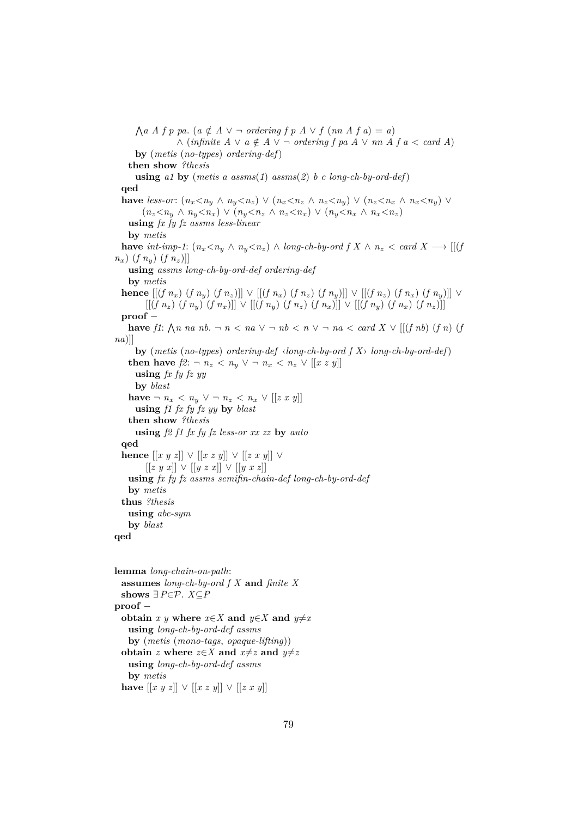$\bigwedge a \land f \ p \text{ pa.} \ (a \notin A \lor \neg \text{ ordering } f \ p \land \lor f \ (nn \land f \ a) = a)$  $\wedge$  (*infinite*  $A \vee a \notin A \vee \neg$  *ordering*  $f$  *pa*  $A \vee nn$   $A$   $f$   $a < \text{card } A$ ) **by** (*metis* (*no-types*) *ordering-def*) **then show** *?thesis* **using** *a1* **by** (*metis a assms*(*1*) *assms*(*2*) *b c long-ch-by-ord-def*) **qed have** less-or:  $(n_x < n_y \land n_y < n_z) \lor (n_x < n_z \land n_z < n_y) \lor (n_z < n_x \land n_x < n_y) \lor$  $(n_z < n_u \land n_u < n_x) \lor (n_u < n_z \land n_z < n_x) \lor (n_u < n_x \land n_x < n_z)$ **using** *fx fy fz assms less-linear* **by** *metis* **have**  $int\text{-}imp-1$ :  $(n_x < n_y \land n_y < n_z) \land long\text{-}ch\text{-}by\text{-}ord f X \land n_z < card X \longrightarrow [[(f\text{-}log\text{-}1) \land (f\text{-}log\text{-}1)]$  $n_x$ ) (*f*  $n_y$ ) (*f*  $n_z$ )]] **using** *assms long-ch-by-ord-def ordering-def* **by** *metis* **hence**  $[(f n_x)(f n_y)(f n_z)] \vee [(f n_x)(f n_z)(f n_y)] \vee [(f n_z)(f n_y)] \vee [(f n_z)(f n_x)]$  $[(f\ n_z)\ (f\ n_y)\ (f\ n_x)][\ \vee\ [[(f\ n_y)\ (f\ n_z)\ (f\ n_x)]]\ \vee\ [[(f\ n_y)\ (f\ n_x)\ (f\ n_z)]]$ **proof** − **have**  $f1$ :  $\bigwedge n$  *na*  $nb$ .  $\neg$   $n < na \vee \neg nb < n \vee \neg na < card X \vee [[(f nb) (f n) (f m)$ *na*)]] **by** (*metis* (*no-types*) *ordering-def* ‹*long-ch-by-ord f X*› *long-ch-by-ord-def*) **then have**  $f2: ∎ n_z < n_y ∨ ∎ n_x < n_z ∨ [[x z y]]$ **using** *fx fy fz yy* **by** *blast* **have**  $\neg$  *n<sub>x</sub>* < *n<sub>y</sub>* ∨  $\neg$  *n<sub>z</sub>* < *n<sub>x</sub>* ∨ [[*z x y*]] **using** *f1 fx fy fz yy* **by** *blast* **then show** *?thesis* **using** *f2 f1 fx fy fz less-or xx zz* **by** *auto* **qed hence**  $[[x \ y \ z]] \ \lor \ [[x \ z \ y]] \ \lor \ [[z \ x \ y]] \ \lor$ [[*z y x*]] ∨ [[*y z x*]] ∨ [[*y x z*]] **using** *fx fy fz assms semifin-chain-def long-ch-by-ord-def* **by** *metis* **thus** *?thesis* **using** *abc-sym* **by** *blast* **qed lemma** *long-chain-on-path*: **assumes** *long-ch-by-ord f X* **and** *finite X* shows  $∃P∈P$ . *X*⊆*P* **proof** − **obtain** *x y* **where**  $x \in X$  **and**  $y \in X$  **and**  $y \neq x$ **using** *long-ch-by-ord-def assms* **by** (*metis* (*mono-tags*, *opaque-lifting*))

```
obtain z where z \in X and x \neq z and y \neq zusing long-ch-by-ord-def assms
 by metis
```
**have**  $[[x \ y \ z]] \ \lor \ [[x \ z \ y]] \ \lor \ [[z \ x \ y]]$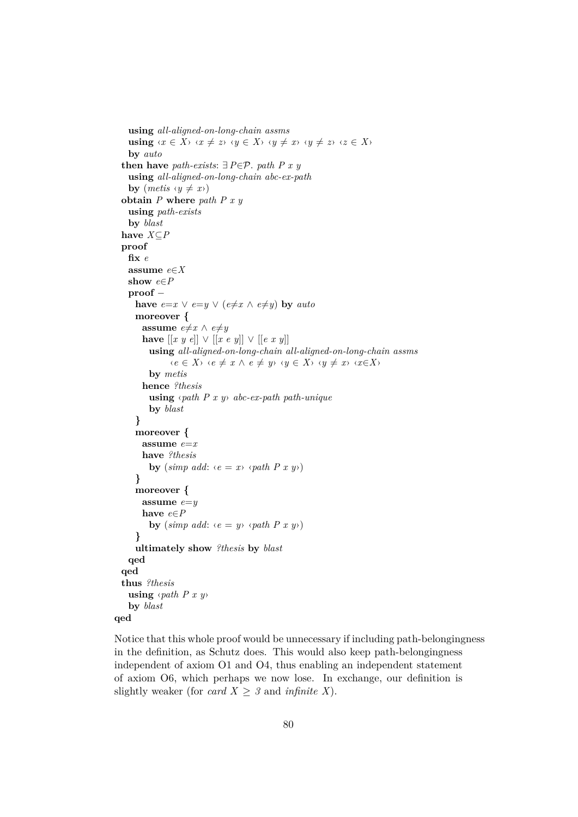```
using all-aligned-on-long-chain assms
    using \langle x \in X \rangle \langle x \neq z \rangle \langle y \in X \rangle \langle y \neq x \rangle \langle y \neq z \rangle \langle z \in X \rangleby auto
  then have path-exists: ∃P∈P. path P x yusing all-aligned-on-long-chain abc-ex-path
    by (metis \langle y \neq x \rangle)obtain P where path P x y
    using path-exists
    by blast
  have X⊆P
  proof
    fix e
    assume e∈X
    show e∈P
    proof −
      have e=x \vee e=y \vee (e \neq x \wedge e \neq y) by auto
      moreover {
        assume e\neq x \land e\neq yhave [[x y e]] ∨ [[x e y]] ∨ [[e x y]]using all-aligned-on-long-chain all-aligned-on-long-chain assms
                 \langle e \in X \rangle \langle e \neq x \land e \neq y \rangle \langle y \in X \rangle \langle y \neq x \rangle \langle x \in X \rangleby metis
        hence ?thesis
          using ‹path P x y› abc-ex-path path-unique
          by blast
      }
      moreover {
        assume e=x
        have ?thesis
          by (\textit{simp add: } \langle e = x \rangle \langle \textit{path } P \ x \ y \rangle)}
      moreover {
        assume e=y
        have e∈P
          by (\textit{simp add: } \langle e = y \rangle \langle \textit{path } P \textit{x } y \rangle)}
      ultimately show ?thesis by blast
    qed
  qed
  thus ?thesis
    using ‹path P x y›
    by blast
qed
```
Notice that this whole proof would be unnecessary if including path-belongingness in the definition, as Schutz does. This would also keep path-belongingness independent of axiom O1 and O4, thus enabling an independent statement of axiom O6, which perhaps we now lose. In exchange, our definition is slightly weaker (for *card X*  $\geq$  *3* and *infinite X*).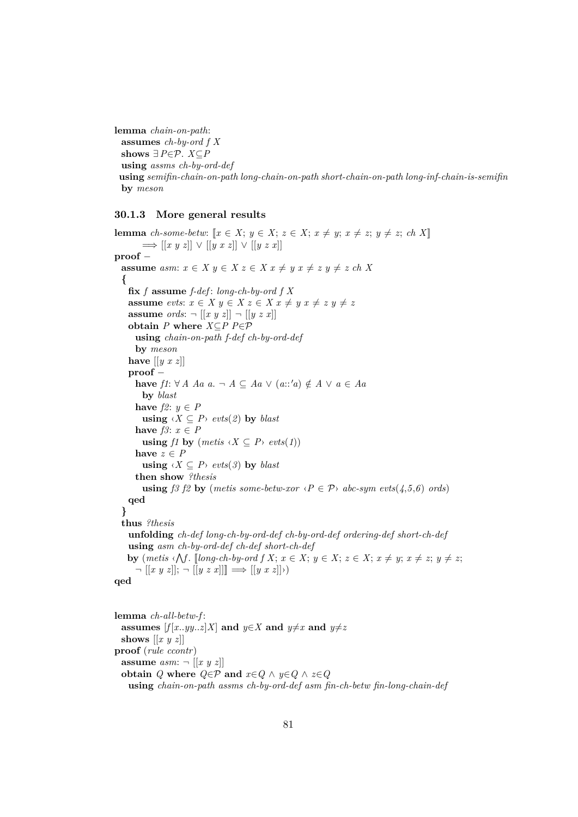**lemma** *chain-on-path*: **assumes** *ch-by-ord f X* shows  $∃P∈P$ . *X*⊆*P* **using** *assms ch-by-ord-def* **using** *semifin-chain-on-path long-chain-on-path short-chain-on-path long-inf-chain-is-semifin* **by** *meson*

#### **30.1.3 More general results**

**lemma** *ch-some-betw:*  $[x \in X; y \in X; z \in X; x \neq y; x \neq z; y \neq z; ch X$  $\implies$  [[*x y z*]] ∨ [[*y x z*]] ∨ [[*y z x*]] **proof** − **assume**  $asm: x \in X, y \in X, z \in X, x \neq y, x \neq z, y \neq z, ch X$ **{ fix** *f* **assume** *f-def* : *long-ch-by-ord f X* **assume** *evts*:  $x \in X$   $y \in X$   $z \in X$   $x \neq y$   $x \neq z$   $y \neq z$ **assume** *ords*:  $\neg$   $[[x \ y \ z]] \neg [[y \ z \ x]]$ **obtain** *P* **where** *X*⊆*P P*∈P **using** *chain-on-path f-def ch-by-ord-def* **by** *meson* **have** [[*y x z*]] **proof** − **have**  $f1: ∀ A \text{ } Aa \text{ } a. \neg A ⊆ Aa \lor (a::'a) \notin A \lor a ∈ Aa$ **by** *blast* **have**  $f2: y \in P$ **using**  $\langle X \subseteq P \rangle$  *evts*(2) **by** *blast* have  $f3: x \in P$ **using** *f1* **by**  $(metis \langle X \subseteq P \rangle evts(1))$ have  $z \in P$ **using**  $\langle X \subseteq P \rangle$  *evts* $(\beta)$  **by** *blast* **then show** *?thesis* **using** *f3 f2* **by** (*metis some-betw-xor*  $\langle P \in \mathcal{P} \rangle$  *abc-sym evts*( $4,5,6$ ) *ords*) **qed } thus** *?thesis* **unfolding** *ch-def long-ch-by-ord-def ch-by-ord-def ordering-def short-ch-def* **using** *asm ch-by-ord-def ch-def short-ch-def* **by** (*metis*  $\{\bigwedge f\}$ . [*long-ch-by-ord*  $f X; x \in X; y \in X; z \in X; x \neq y; x \neq z; y \neq z;$  $\neg [[x \ y \ z]]$ ;  $\neg [[y \ z \ x]]$ ]  $\implies [[y \ x \ z]]$ **qed**

**lemma** *ch-all-betw-f* : **assumes**  $[f[x..yy..z]X]$  and  $y \in X$  and  $y \neq x$  and  $y \neq z$ **shows** [[*x y z*]] **proof** (*rule ccontr*) **assume**  $asm: \neg [[x \ y \ z]]$ **obtain**  $Q$  **where**  $Q \in \mathcal{P}$  **and**  $x \in Q \land y \in Q \land z \in Q$ **using** *chain-on-path assms ch-by-ord-def asm fin-ch-betw fin-long-chain-def*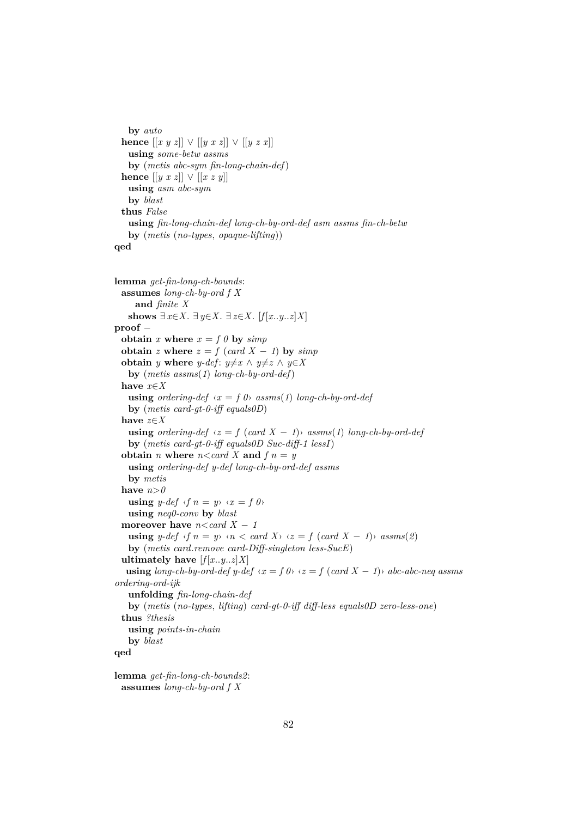```
by auto
 hence [[x y z]] ∨ [[y x z]] ∨ [[y z x]]using some-betw assms
   by (metis abc-sym fin-long-chain-def)
 hence [[y \ x \ z]] \lor [[x \ z \ y]]using asm abc-sym
   by blast
 thus False
   using fin-long-chain-def long-ch-by-ord-def asm assms fin-ch-betw
   by (metis (no-types, opaque-lifting))
qed
```

```
lemma get-fin-long-ch-bounds:
  assumes long-ch-by-ord f X
     and finite X
   shows ∃ x∈X. ∃ y∈X. ∃ z∈X. [f[x..y..z]X]
proof −
  obtain x where x = f \theta by simpobtain z where z = f (card X − 1) by simpobtain y where y-def: y \neq x \land y \neq z \land y \in Xby (metis assms(1) long-ch-by-ord-def)
  have x∈X
   using ordering-def \langle x = f \theta \rangle assms(1) long-ch-by-ord-def
   by (metis card-gt-0-iff equals0D)
  have z∈X
   using ordering-def \langle z = f \rangle (\text{card } X - 1)<sup>i</sup> \langle z = 1 \rangle \langle z = 1 \rangle assms(1) long-ch-by-ord-def
   by (metis card-gt-0-iff equals0D Suc-diff-1 lessI)
  obtain n where n < card X and f n = yusing ordering-def y-def long-ch-by-ord-def assms
   by metis
  have n>0using y-def \langle f \rangle n = y \rangle \langle x = f \rangleusing neq0-conv by blast
  moreover have n < card X - 1using y\text{-}def \text{ }\langle f \rangle n = y \rangle \langle n \rangle \langle card(X) \rangle \langle z \rangle = f \langle card(X - 1) \rangle \langle assms(2) \rangleby (metis card.remove card-Diff-singleton less-SucE)
  ultimately have [f[x..y..z]X]using long-ch-by-ord-def y-def \langle x = f \theta \rangle \langle z = f (card X - 1) \rangle abc-abc-neq assms
ordering-ord-ijk
   unfolding fin-long-chain-def
   by (metis (no-types, lifting) card-gt-0-iff diff-less equals0D zero-less-one)
  thus ?thesis
   using points-in-chain
   by blast
qed
```

```
lemma get-fin-long-ch-bounds2:
 assumes long-ch-by-ord f X
```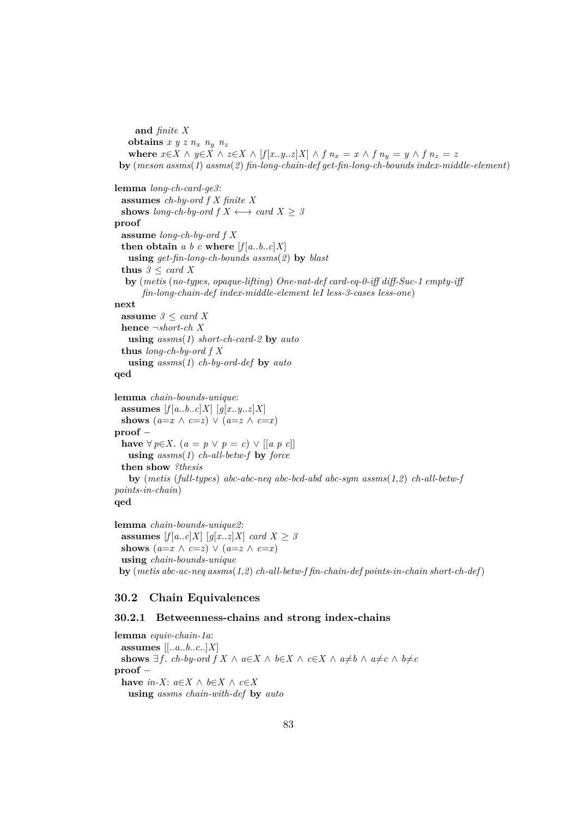**and** *finite X* **obtains**  $x y z n_x n_y n_z$ **where**  $x \in X \land y \in X \land z \in X \land [f[x..y..z]X] \land f\ n_x = x \land f\ n_y = y \land f\ n_z = z$ **by** (*meson assms*(*1*) *assms*(*2*) *fin-long-chain-def get-fin-long-ch-bounds index-middle-element*) **lemma** *long-ch-card-ge3*: **assumes** *ch-by-ord f X finite X* **shows** *long-ch-by-ord*  $f X \leftrightarrow \text{card } X > 3$ **proof assume** *long-ch-by-ord f X* **then obtain** *a b c* **where**  $[f[a..b..c]X]$ **using** *get-fin-long-ch-bounds assms*(*2*) **by** *blast* **thus**  $3 \leq \text{card } X$ **by** (*metis* (*no-types*, *opaque-lifting*) *One-nat-def card-eq-0-iff diff-Suc-1 empty-iff fin-long-chain-def index-middle-element leI less-3-cases less-one*) **next assume** *3* ≤ *card X* **hence** ¬*short-ch X* **using** *assms*(*1*) *short-ch-card-2* **by** *auto* **thus** *long-ch-by-ord f X* **using** *assms*(*1*) *ch-by-ord-def* **by** *auto* **qed lemma** *chain-bounds-unique*: **assumes**  $[f[a..b..c]X]$   $[g[x..y..z]X]$ **shows**  $(a=x \land c=z) \lor (a=z \land c=x)$ **proof** − **have** ∀ *p*∈*X*. (*a* = *p* ∨ *p* = *c*) ∨ [[*a p c*]] **using** *assms*(*1*) *ch-all-betw-f* **by** *force* **then show** *?thesis* **by** (*metis* (*full-types*) *abc-abc-neq abc-bcd-abd abc-sym assms*(*1*,*2*) *ch-all-betw-f points-in-chain*) **qed**

**lemma** *chain-bounds-unique2*: **assumes**  $[f[a..c]X]$   $[g[x..z]X]$  *card*  $X \geq 3$ **shows**  $(a=x \land c=z) \lor (a=z \land c=x)$ **using** *chain-bounds-unique* **by** (*metis abc-ac-neq assms*(*1*,*2*) *ch-all-betw-f fin-chain-def points-in-chain short-ch-def*)

## **30.2 Chain Equivalences**

### **30.2.1 Betweenness-chains and strong index-chains**

**lemma** *equiv-chain-1a*: **assumes** [[..*a*..*b*..*c*..]*X*] **shows**  $\exists f$ *. ch-by-ord*  $f X \wedge a \in X \wedge b \in X \wedge c \in X \wedge a \neq b \wedge a \neq c \wedge b \neq c$ **proof** − **have**  $in-X$ :  $a \in X \land b \in X \land c \in X$ **using** *assms chain-with-def* **by** *auto*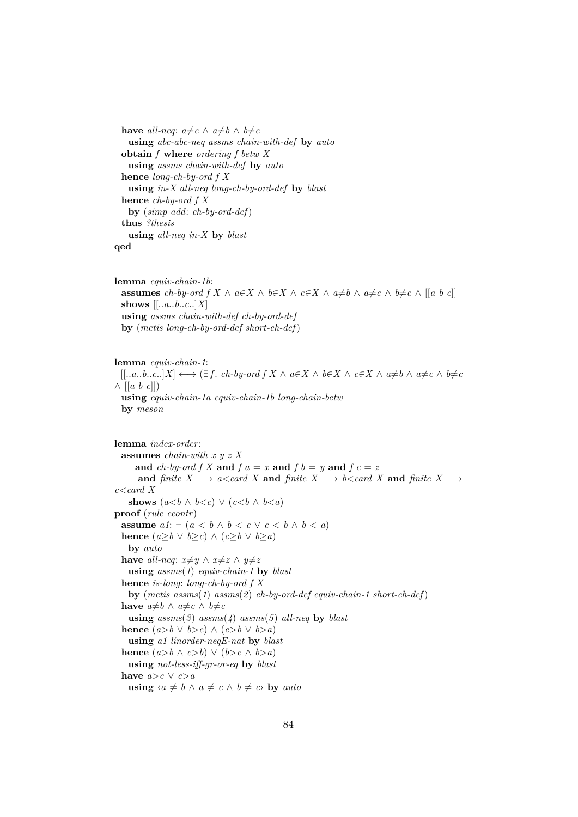**have** *all-neq*:  $a \neq c \land a \neq b \land b \neq c$ **using** *abc-abc-neq assms chain-with-def* **by** *auto* **obtain** *f* **where** *ordering f betw X* **using** *assms chain-with-def* **by** *auto* **hence** *long-ch-by-ord f X* **using** *in-X all-neq long-ch-by-ord-def* **by** *blast* **hence** *ch-by-ord f X* **by** (*simp add*: *ch-by-ord-def*) **thus** *?thesis* **using** *all-neq in-X* **by** *blast* **qed**

```
lemma equiv-chain-1b:
 assumes ch-by-ord f X \land a∈X \land b∈X \land c∈X \land a≠b \land a≠c \land b≠c \land [[a b c]]
 shows [[..a..b..c..]X]
 using assms chain-with-def ch-by-ord-def
 by (metis long-ch-by-ord-def short-ch-def)
```

```
lemma equiv-chain-1:
  [[...a..b..c..]X] \longleftrightarrow (\exists f. \; ch \text{-} by \; ord \; f \; X \; \wedge \; a \in X \; \wedge \; b \in X \; \wedge \; c \in X \; \wedge \; a \neq b \; \wedge \; a \neq c \; \wedge \; b \neq c∧ [[a b c]])
  using equiv-chain-1a equiv-chain-1b long-chain-betw
  by meson
```

```
lemma index-order:
  assumes chain-with x y z X
     and ch-by-ord f X and f a = x and f b = y and f c = zand finite X \longrightarrow a < \text{card } X and finite X \longrightarrow b < \text{card } X and finite X \longrightarrowc<card X
   shows (a < b \land b < c) \lor (c < b \land b < a)proof (rule ccontr)
  assume a1: \neg (a < b \land b < c \lor c < b \land b < a)hence (a \geq b \lor b \geq c) ∧ (c \geq b \lor b \geq a)by auto
  have all-neq: x \neq y \land x \neq z \land y \neq zusing assms(1) equiv-chain-1 by blast
  hence is-long: long-ch-by-ord f X
   by (metis assms(1) assms(2) ch-by-ord-def equiv-chain-1 short-ch-def)
  have a \neq b \land a \neq c \land b \neq cusing assms(3) assms(4) assms(5) all-neq by blast
  hence (a > b \lor b > c) \land (c > b \lor b > a)using a1 linorder-neqE-nat by blast
  hence (a>b \land c>b) \lor (b>c \land b>a)using not-less-iff-gr-or-eq by blast
  have a > c ∨ c > ausing \langle a \neq b \land a \neq c \land b \neq c \rangle by auto
```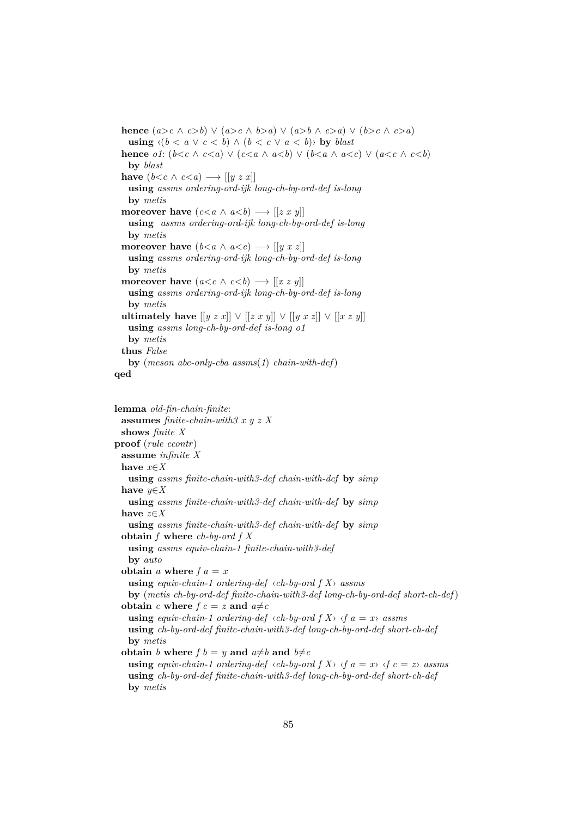**hence**  $(a>c \land c>b) \lor (a>c \land b>a) \lor (a>b \land c>a) \lor (b>c \land c>a)$ **using**  $\langle (b < a \lor c < b) \land (b < c \lor a < b) \rangle$  by *blast* **hence** *o1*:  $(b < c \land c < a) \lor (c < a \land a < b) \lor (b < a \land a < c) \lor (a < c \land c < b)$ **by** *blast* **have**  $(b < c \land c < a) \longrightarrow [[y \ z \ x]]$ **using** *assms ordering-ord-ijk long-ch-by-ord-def is-long* **by** *metis* **moreover have**  $(c < a \land a < b) \longrightarrow [[z x y]]$ **using** *assms ordering-ord-ijk long-ch-by-ord-def is-long* **by** *metis* **moreover have**  $(b < a \land a < c) \rightarrow [[y \ x \ z]]$ **using** *assms ordering-ord-ijk long-ch-by-ord-def is-long* **by** *metis* **moreover have**  $(a < c \land c < b) \longrightarrow [[x \, z \, y]]$ **using** *assms ordering-ord-ijk long-ch-by-ord-def is-long* **by** *metis* **ultimately have**  $[[y z x]] ∨ [[z x y]] ∨ [[y x z]] ∨ [[x z y]]$ **using** *assms long-ch-by-ord-def is-long o1* **by** *metis* **thus** *False* **by** (*meson abc-only-cba assms*(*1*) *chain-with-def*) **qed**

```
lemma old-fin-chain-finite:
 assumes finite-chain-with3 x y z X
 shows finite X
proof (rule ccontr)
 assume infinite X
 have x∈X
   using assms finite-chain-with3-def chain-with-def by simp
 have y∈X
   using assms finite-chain-with3-def chain-with-def by simp
 have z∈X
   using assms finite-chain-with3-def chain-with-def by simp
  obtain f where ch-by-ord f X
   using assms equiv-chain-1 finite-chain-with3-def
   by auto
  obtain a where f a = xusing equiv-chain-1 ordering-def \langle ch-by\text{-}ord\ fX\rangle assms
   by (metis ch-by-ord-def finite-chain-with3-def long-ch-by-ord-def short-ch-def)
  obtain c where f c = z and a \neq cusing equiv-chain-1 ordering-def \langle ch-by\text{-}ord\ f\ X\rangle \ \langle f\ a\ =\ x\rangle assms
   using ch-by-ord-def finite-chain-with3-def long-ch-by-ord-def short-ch-def
   by metis
  obtain b where f b = y and a \neq b and b \neq cusing equiv-chain-1 ordering-def \langlech-by-ord f(X)\langle f \ranglea = x) \langle f \ranglec = z) assms
   using ch-by-ord-def finite-chain-with3-def long-ch-by-ord-def short-ch-def
   by metis
```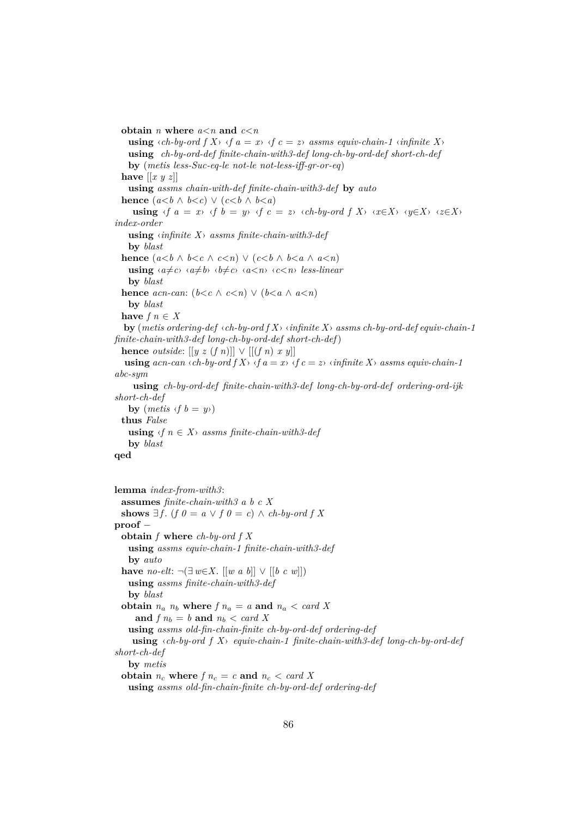**obtain** *n* **where**  $a \leq n$  **and**  $c \leq n$ **using**  $\langle ch-by-ord\ f\ X\rangle \ \langle f\ a=x\rangle \ \langle f\ c=z\rangle$  *assms equiv-chain-1*  $\langle \text{infinite } X\rangle$ **using** *ch-by-ord-def finite-chain-with3-def long-ch-by-ord-def short-ch-def* **by** (*metis less-Suc-eq-le not-le not-less-iff-gr-or-eq*) **have**  $\left[ \left[ x \ y \ z \right] \right]$ **using** *assms chain-with-def finite-chain-with3-def* **by** *auto* **hence**  $(a < b \land b < c) \lor (c < b \land b < a)$ **using**  $\langle f \, a = x \rangle$   $\langle f \, b = y \rangle$   $\langle f \, c = z \rangle$   $\langle ch \, b \, y \, \cdot \rangle$   $\langle f \, X \rangle$   $\langle x \in X \rangle$   $\langle y \in X \rangle$   $\langle z \in X \rangle$ *index-order* **using** ‹*infinite X*› *assms finite-chain-with3-def* **by** *blast* **hence**  $(a < b \land b < c \land c < n) \lor (c < b \land b < a \land a < n)$ **using**  $\langle a \neq c \rangle$   $\langle a \neq b \rangle$   $\langle b \neq c \rangle$   $\langle a \leq n \rangle$   $\langle c \leq n \rangle$  *less-linear* **by** *blast* **hence** *acn-can*:  $(b < c \land c < n) \lor (b < a \land a < n)$ **by** *blast* **have**  $f n \in X$ **by** (*metis ordering-def* ‹*ch-by-ord f X*› ‹*infinite X*› *assms ch-by-ord-def equiv-chain-1 finite-chain-with3-def long-ch-by-ord-def short-ch-def*) **hence** *outside*:  $[[y z (f n)]] \vee [[(f n) x y]]$ **using**  $acn-can \langle ch-by-cnd \rangle fX \rangle \langle f a = x \rangle \langle f c = z \rangle \langle \langle \langle \rangle f \rangle$  assms equiv-chain-1 *abc-sym* **using** *ch-by-ord-def finite-chain-with3-def long-ch-by-ord-def ordering-ord-ijk short-ch-def* **by**  $(metis \langle f \ b = y \rangle)$ **thus** *False* **using**  $\langle f \rangle$  *n*  $\in$  *X* $\rangle$  *assms finite-chain-with3-def* **by** *blast* **qed lemma** *index-from-with3*: **assumes** *finite-chain-with3 a b c X* **shows** ∃ *f*. (*f*  $0 = a ∨ f 0 = c$ ) ∧ *ch-by-ord f X* **proof** − **obtain** *f* **where** *ch-by-ord f X*

**using** *assms equiv-chain-1 finite-chain-with3-def* **by** *auto* **have** *no-elt*:  $\neg(∃ w∈X$ . [[*w a b*]] ∨ [[*b c w*]]) **using** *assms finite-chain-with3-def* **by** *blast* **obtain**  $n_a$   $n_b$  where  $f$   $n_a = a$  and  $n_a < card X$ and  $f n_b = b$  and  $n_b < card X$ **using** *assms old-fin-chain-finite ch-by-ord-def ordering-def* **using** ‹*ch-by-ord f X*› *equiv-chain-1 finite-chain-with3-def long-ch-by-ord-def short-ch-def* **by** *metis* **obtain**  $n_c$  **where**  $f n_c = c$  **and**  $n_c < c$  *and*  $X$ **using** *assms old-fin-chain-finite ch-by-ord-def ordering-def*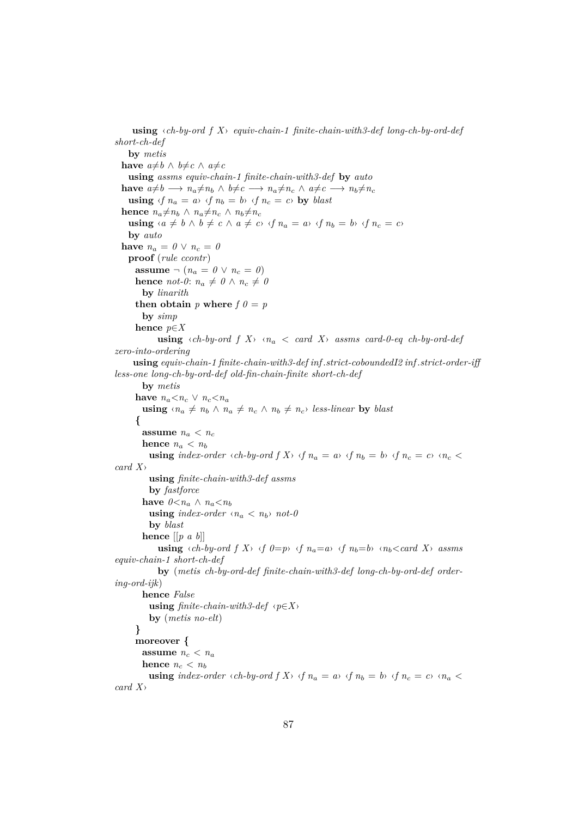**using** ‹*ch-by-ord f X*› *equiv-chain-1 finite-chain-with3-def long-ch-by-ord-def short-ch-def* **by** *metis* **have**  $a \neq b \land b \neq c \land a \neq c$ **using** *assms equiv-chain-1 finite-chain-with3-def* **by** *auto*  $h$ **ave**  $a \neq b \longrightarrow n_a \neq n_b \land b \neq c \longrightarrow n_a \neq n_c \land a \neq c \longrightarrow n_b \neq n_c$ **using**  $\langle f \rangle n_a = a \rangle \langle f \rangle n_b = b \rangle \langle f \rangle n_c = c \rangle$  by *blast* **hence**  $n_a \neq n_b \land n_a \neq n_c \land n_b \neq n_c$ **using**  $\langle a \neq b \land b \neq c \land a \neq c \rangle$   $\langle f \rangle n_a = a \rangle$   $\langle f \rangle n_b = b \rangle$   $\langle f \rangle n_c = c \rangle$ **by** *auto* **have**  $n_a = 0 \vee n_c = 0$ **proof** (*rule ccontr*) **assume**  $\neg$   $(n_a = 0 \lor n_c = 0)$ **hence** *not-0*:  $n_a \neq 0 \land n_c \neq 0$ **by** *linarith* **then obtain** *p* where  $f \theta = p$ **by** *simp* **hence** *p*∈*X* **using**  $\langle ch-by\text{-}ord\ f\ X\rangle \langle n_a\ \langle\ \text{card}\ X\rangle\ \text{assms}\ \text{card-0-eq}\ \text{ch-by-}ord\ \text{-}def$ *zero-into-ordering* **using** *equiv-chain-1 finite-chain-with3-def inf* .*strict-coboundedI2 inf* .*strict-order-iff less-one long-ch-by-ord-def old-fin-chain-finite short-ch-def* **by** *metis* **have**  $n_a < n_c \vee n_c < n_a$ **using**  $\langle n_a \neq n_b \land n_a \neq n_c \land n_b \neq n_c \rangle$  *less-linear* by *blast* **{ assume**  $n_a < n_c$ **hence**  $n_a < n_b$ **using** index-order  $\langle ch-by\text{-}ord\ f\ X\rangle$   $\langle f\ n_a = a\rangle$   $\langle f\ n_b = b\rangle$   $\langle f\ n_c = c\rangle$   $\langle n_c \rangle$ *card X*› **using** *finite-chain-with3-def assms* **by** *fastforce* **have**  $0 \le n_a \land n_a \le n_b$ **using** *index-order*  $\langle n_a \rangle$  *not-0* **by** *blast* **hence** [[*p a b*]] **using**  $\langle ch-by\text{-}ord\ f\ X\rangle \ \langle f\ \theta=p\rangle \ \langle f\ n_a=a\rangle \ \langle f\ n_b=b\rangle \ \langle n_b\text{-}card\ X\rangle \ \text{assms}$ *equiv-chain-1 short-ch-def* **by** (*metis ch-by-ord-def finite-chain-with3-def long-ch-by-ord-def ordering-ord-ijk*) **hence** *False* **using**  $finite-chain-with3-def$   $\langle p \in X \rangle$ **by** (*metis no-elt*) **} moreover { assume**  $n_c < n_a$ **hence**  $n_c < n_b$ **using** index-order  $\langle ch-by\text{-}ord\ f\ X\rangle$   $\langle f\ n_a = a \rangle$   $\langle f\ n_b = b \rangle$   $\langle f\ n_c = c \rangle$   $\langle n_a \rangle$ *card X*›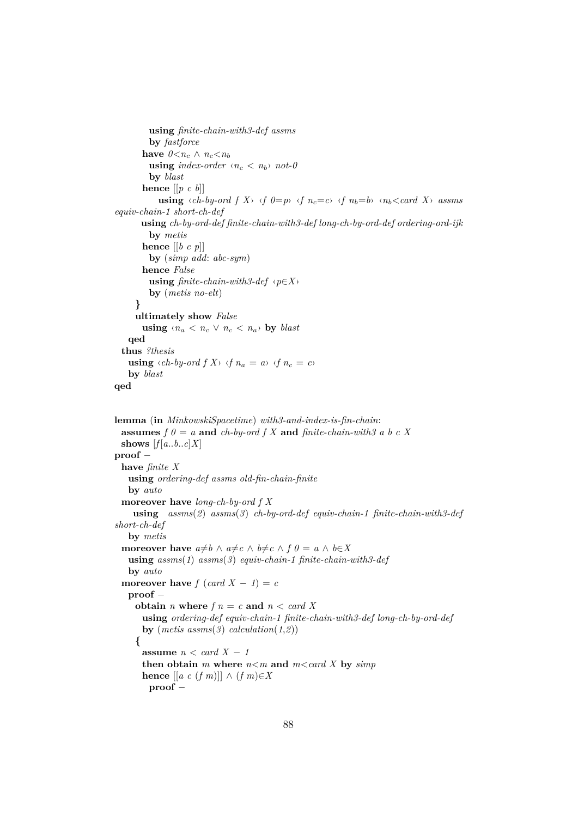```
using finite-chain-with3-def assms
          by fastforce
        have 0 \lt n_c \land n_c \lt n_busing index-order \langle n_c \rangle not-0
          by blast
        hence [[p c b]]
             using \langle ch-by\text{-}ord\ f\ X\rangle \ \langle f\ \theta=p\rangle \ \langle f\ n_c=c\rangle \ \langle f\ n_b=b\rangle \ \langle n_b\langle card\ X\rangle\ \text{assms}equiv-chain-1 short-ch-def
        using ch-by-ord-def finite-chain-with3-def long-ch-by-ord-def ordering-ord-ijk
          by metis
        hence [[b c p]]
          by (simp add: abc-sym)
        hence False
          using finite-chain-with3-def \langle p \in X \rangleby (metis no-elt)
      }
      ultimately show False
        using \langle n_a \rangle \langle n_c \rangle \langle n_a \rangle by blast
    qed
  thus ?thesis
    using \langle ch-by\text{-}ord\ f\ X\rangle \ \langle f\ n_a = a\rangle \ \langle f\ n_c = c\rangleby blast
qed
lemma (in MinkowskiSpacetime) with3-and-index-is-fin-chain:
  assumes f \theta = a and ch-by-ord f X and finite-chain-with3 a b c X
  shows [f[a..b..c]X]proof −
  have finite X
```

```
using ordering-def assms old-fin-chain-finite
   by auto
 moreover have long-ch-by-ord f X
    using assms(2) assms(3) ch-by-ord-def equiv-chain-1 finite-chain-with3-def
short-ch-def
   by metis
 moreover have a \neq b \land a \neq c \land b \neq c \land f \circ b = a \land b \in Xusing assms(1) assms(3) equiv-chain-1 finite-chain-with3-def
   by auto
 moreover have f (card X - 1) = c
   proof −
    obtain n where f n = c and n < card Xusing ordering-def equiv-chain-1 finite-chain-with3-def long-ch-by-ord-def
      by (metis \;assms(3) \; calculation(1,2)){
      assume n < card X - 1then obtain m where n < m and m < card X by simphence [ [a \ c \ (f \ m) ] ] \wedge (f \ m) \in Xproof −
```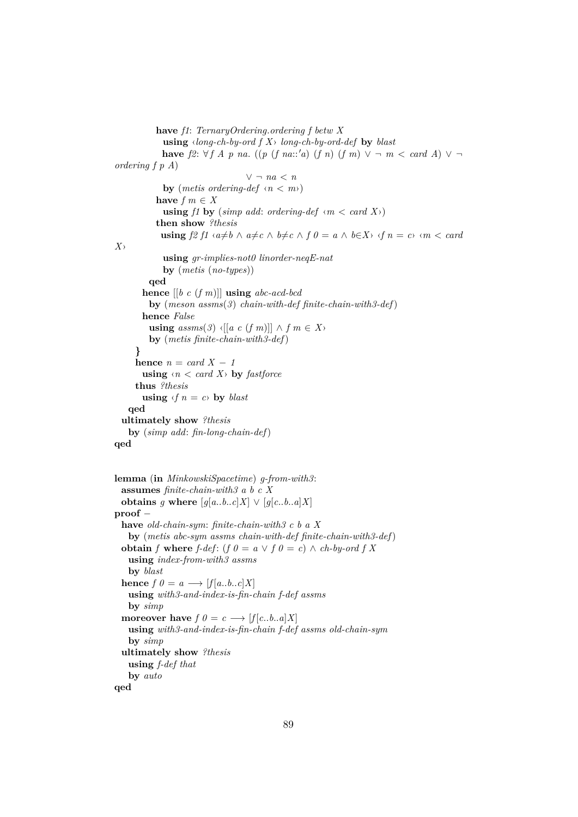```
have f1: TernaryOrdering.ordering f betw X
            using ‹long-ch-by-ord f X› long-ch-by-ord-def by blast
            have f2: \forall f \land p \text{ na. } ((p (f na::'a) (f n) (f m) ∨ ∤ m < card A) ∨ ¬ordering f p A)
                                 ∨ ¬ na < n
            by (metis ordering-def \langle n \ranglehave f m \in Xusing f1 by (simp add: ordering-def \langle m \rangle < card X\rangle)
          then show ?thesis
            using f2 f1 \cdot a \neq b \land a \neq c \land b \neq c \land f0 = a \land b \in X \land f1 = c \land m < c \text{ and }X›
            using gr-implies-not0 linorder-neqE-nat
            by (metis (no-types))
        qed
       hence [[b c (f m)]] using abc-acd-bcd
         by (meson assms(3) chain-with-def finite-chain-with3-def)
       hence False
         using assms(3) ‹[[a c (f m)]] ∧ f m ∈ X
         by (metis finite-chain-with3-def)
     }
     hence n = card X - 1using \langle n \rangle \langle n \rangle by fastforce
     thus ?thesis
       using \langle f \rangle n = c \rangle by blast
   qed
 ultimately show ?thesis
   by (simp add: fin-long-chain-def)
qed
lemma (in MinkowskiSpacetime) g-from-with3:
 assumes finite-chain-with3 a b c X
 obtains g where [g[a..b..c]X] \vee [g[c..b..a]X]proof −
 have old-chain-sym: finite-chain-with3 c b a X
   by (metis abc-sym assms chain-with-def finite-chain-with3-def)
 obtain f where f-def: (f 0 = a \lor f \circ 0 = c) ∧ ch-by-ord f X
   using index-from-with3 assms
   by blast
 hence f \theta = a \longrightarrow [f[a..b..c]X]using with3-and-index-is-fin-chain f-def assms
   by simp
 moreover have f \theta = c \longrightarrow [f[c..b..a]X]using with3-and-index-is-fin-chain f-def assms old-chain-sym
   by simp
  ultimately show ?thesis
   using f-def that
   by auto
```
**qed**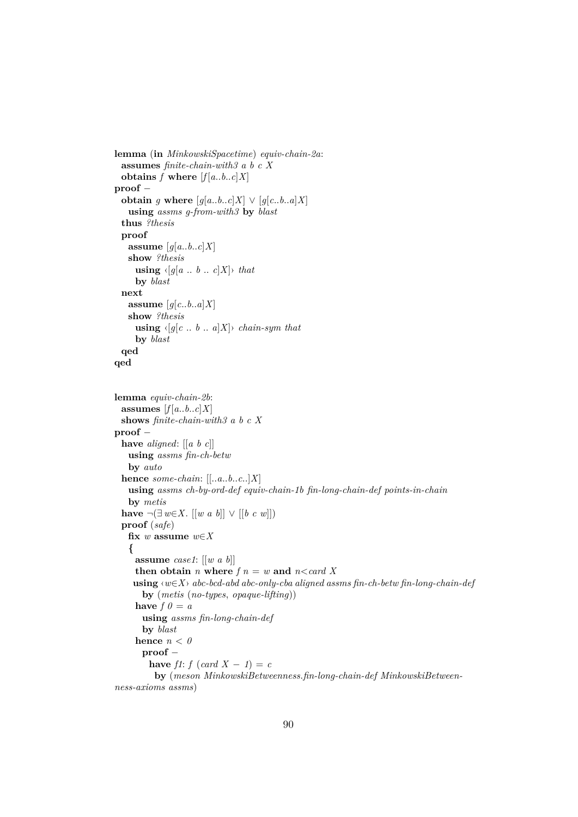```
lemma (in MinkowskiSpacetime) equiv-chain-2a:
 assumes finite-chain-with3 a b c X
 obtains f where [f[a..b..c]X]proof −
 obtain g where [g[a..b..c]X] \vee [g[c..b..a]X]using assms g-from-with3 by blast
 thus ?thesis
 proof
   assume [g[a..b..c]X]show ?thesis
     using \langle g[a \dots b \dots c]X \rangle that
    by blast
 next
   assume [q[c..b..a]X]show ?thesis
    using \langle [g]c \dots b \dots a]X \rangle chain-sym that
    by blast
 qed
qed
lemma equiv-chain-2b:
 assumes [f[a..b..c]X]shows finite-chain-with3 a b c X
proof −
 have aligned: [[a b c]]
   using assms fin-ch-betw
   by auto
 hence some-chain: [[..a..b..c..]X]
   using assms ch-by-ord-def equiv-chain-1b fin-long-chain-def points-in-chain
   by metis
 have \neg(\exists w∈X. [[w a b]] \vee [[b c w]])
 proof (safe)
   fix w assume w∈X
   {
    assume case1: [[w a b]]
     then obtain n where f n = w and n < card Xusing ‹w∈X› abc-bcd-abd abc-only-cba aligned assms fin-ch-betw fin-long-chain-def
      by (metis (no-types, opaque-lifting))
     have f \theta = ausing assms fin-long-chain-def
      by blast
     hence n < 0proof −
        have f1: f (card X - 1) = c
         by (meson MinkowskiBetweenness.fin-long-chain-def MinkowskiBetween-
ness-axioms assms)
```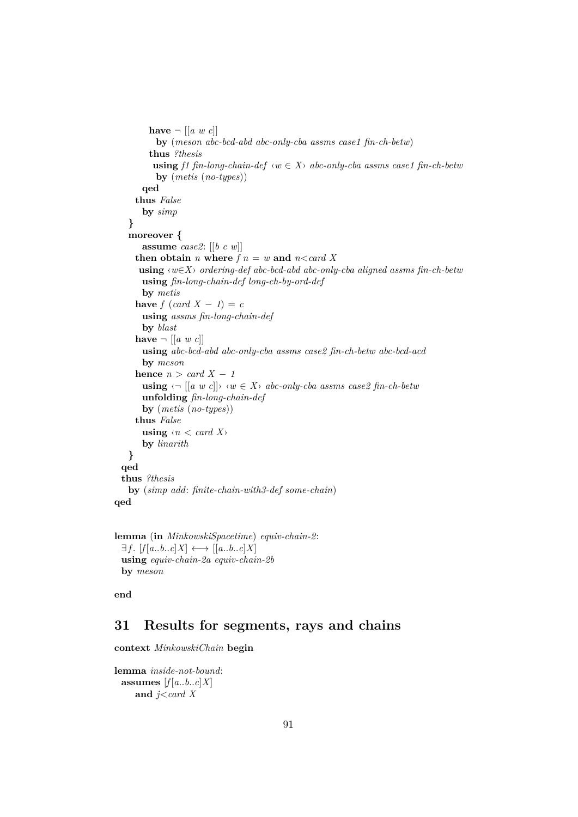```
have \neg [[a \ w \ c]]by (meson abc-bcd-abd abc-only-cba assms case1 fin-ch-betw)
        thus ?thesis
         using f1 fin-long-chain-def \langle w \in X \rangle abc-only-cba assms case1 fin-ch-betw
          by (metis (no-types))
       qed
     thus False
       by simp
   }
   moreover {
       assume case2: [[b c w]]
     then obtain n where f n = w and n < card Xusing ‹w∈X› ordering-def abc-bcd-abd abc-only-cba aligned assms fin-ch-betw
      using fin-long-chain-def long-ch-by-ord-def
      by metis
     have f (card X - 1) = c
       using assms fin-long-chain-def
      by blast
     have \neg [[a \ w \ c]]using abc-bcd-abd abc-only-cba assms case2 fin-ch-betw abc-bcd-acd
       by meson
     hence n > card X - 1using \langle \neg \left[ [a \ w \ c] \right] \rangle \langle w \in X \rangle abc-only-cba assms case2 fin-ch-betw
       unfolding fin-long-chain-def
       by (metis (no-types))
     thus False
      using \langle n \rangle \langle n \rangleby linarith
   }
 qed
 thus ?thesis
   by (simp add: finite-chain-with3-def some-chain)
qed
```

```
lemma (in MinkowskiSpacetime) equiv-chain-2:
 \exists f. [f[a..b..c]X] \longleftrightarrow [a..b..c]X]using equiv-chain-2a equiv-chain-2b
 by meson
```
**end**

# **31 Results for segments, rays and chains**

**context** *MinkowskiChain* **begin**

```
lemma inside-not-bound:
 assumes [f[a..b..c]X]and j<card X
```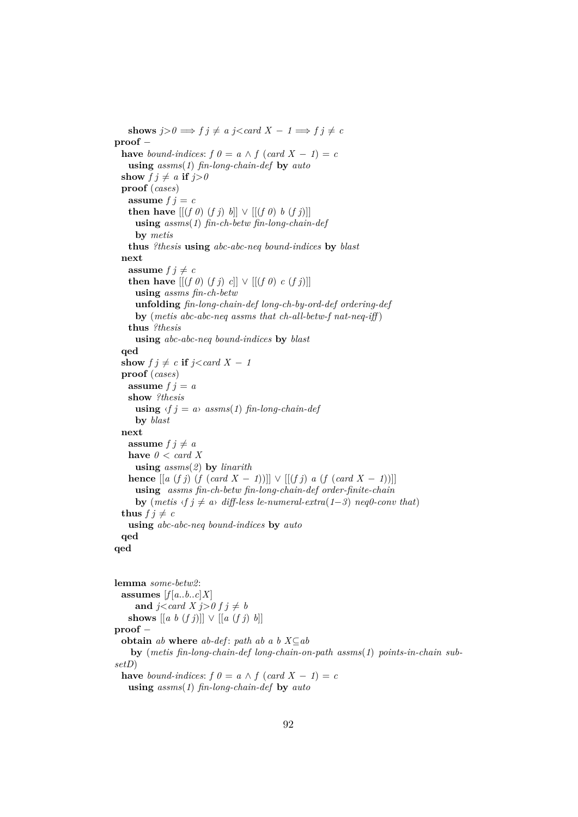**shows**  $j>0 \implies f \, j \neq a \, j < \text{card } X - 1 \implies f \, j \neq c$ **proof** − **have** *bound-indices:*  $f \theta = a \wedge f (card X - 1) = c$ **using** *assms*(*1*) *fin-long-chain-def* **by** *auto* **show**  $f \, j \neq a$  **if**  $j > 0$ **proof** (*cases*) **assume**  $f$   $j = c$ **then have**  $[(f \theta)(f \dot{\theta}) \dot{\theta}] \vee [(f \theta) \dot{\theta}(f \dot{\theta})]$ **using** *assms*(*1*) *fin-ch-betw fin-long-chain-def* **by** *metis* **thus** *?thesis* **using** *abc-abc-neq bound-indices* **by** *blast* **next assume**  $f \neq c$ **then have**  $[[ (f 0) (f j) c]] ∨ [[ (f 0) c (f j)]]$ **using** *assms fin-ch-betw* **unfolding** *fin-long-chain-def long-ch-by-ord-def ordering-def* **by** (*metis abc-abc-neq assms that ch-all-betw-f nat-neq-iff* ) **thus** *?thesis* **using** *abc-abc-neq bound-indices* **by** *blast* **qed show**  $f \, j \neq c$  **if**  $j \leq card X - 1$ **proof** (*cases*) **assume**  $f \, j = a$ **show** *?thesis* **using**  $\langle f \rangle = a \rangle$  *assms*(1) *fin-long-chain-def* **by** *blast* **next assume**  $f \neq a$ **have**  $0 < \text{card } X$ **using** *assms*(*2*) **by** *linarith* **hence**  $[[a (f j) (f (card X − 1))]] ∨ [[(f j) a (f (card X − 1))]]$ **using** *assms fin-ch-betw fin-long-chain-def order-finite-chain* **by** (*metis*  $\langle f \, j \neq a \rangle$  *diff-less le-numeral-extra*(1-3) *neq0-conv that*) **thus**  $f \neq c$ **using** *abc-abc-neq bound-indices* **by** *auto* **qed qed lemma** *some-betw2*: assumes  $[f[a..b..c]X]$ and  $j <$ *card*  $X$   $j > 0$   $f$   $j \neq b$ shows  $[[a \; b \; (f \; j)]] \vee [[a \; (f \; j) \; b]]$ **proof** −

**obtain** *ab* **where** *ab-def*: *path ab a b*  $X \subseteq ab$ 

**by** (*metis fin-long-chain-def long-chain-on-path assms*(*1*) *points-in-chain subsetD*)

**have** *bound-indices*:  $f \theta = a \wedge f (card X - 1) = c$ 

**using** *assms*(*1*) *fin-long-chain-def* **by** *auto*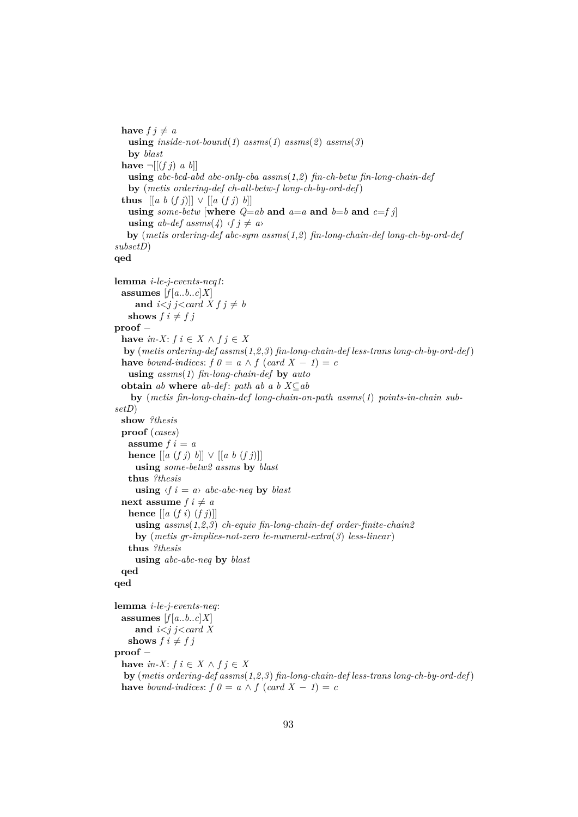**have**  $f \neq a$ **using**  $inside-not-bound(1)$   $assms(1)$   $assms(2)$   $assms(3)$ **by** *blast* **have**  $\neg$   $[(f \, j) \, a \, b]$ **using** *abc-bcd-abd abc-only-cba assms*(*1*,*2*) *fin-ch-betw fin-long-chain-def* **by** (*metis ordering-def ch-all-betw-f long-ch-by-ord-def*) **thus**  $[[a \; b \; (f \; j)]] \vee [[a \; (f \; j) \; b]]$ **using** *some-betw* [where  $Q=ab$  **and**  $a=a$  **and**  $b=b$  **and**  $c=f$  *j*] **using**  $ab$ -def assms(4)  $\langle f | j \neq a \rangle$ **by** (*metis ordering-def abc-sym assms*(*1*,*2*) *fin-long-chain-def long-ch-by-ord-def subsetD*) **qed lemma** *i-le-j-events-neq1*: **assumes**  $[f[a..b..c]X]$ and  $i < j$  j $\leq$  *card*  $X f j \neq b$ **shows**  $f \, i \neq f \, j$ **proof** − **have**  $in-X$ :  $f \in X \wedge f j \in X$ **by** (*metis ordering-def assms*(*1*,*2*,*3*) *fin-long-chain-def less-trans long-ch-by-ord-def*) **have** *bound-indices:*  $f \theta = a \wedge f (card X - 1) = c$ **using** *assms*(*1*) *fin-long-chain-def* **by** *auto* **obtain** *ab* **where**  $ab$ - $def$ :  $path$   $ab$   $a$   $b$   $X \subseteq ab$ **by** (*metis fin-long-chain-def long-chain-on-path assms*(*1*) *points-in-chain subsetD*) **show** *?thesis* **proof** (*cases*) **assume**  $f \neq a$ **hence**  $\left[ \left[ a \left( f \right) \right] b \right] \vee \left[ \left[ a \right] b \left( f \right) \right]$ **using** *some-betw2 assms* **by** *blast* **thus** *?thesis* **using**  $\langle f \rangle$  *i* = *a* $\rangle$  *abc-abc-neq* **by** *blast* **next assume**  $f \, i \neq a$ **hence** [[*a* (*f i*) (*f j*)]] **using** *assms*(*1*,*2*,*3*) *ch-equiv fin-long-chain-def order-finite-chain2* **by** (*metis gr-implies-not-zero le-numeral-extra*(*3*) *less-linear*) **thus** *?thesis* **using** *abc-abc-neq* **by** *blast* **qed qed lemma** *i-le-j-events-neq*: **assumes**  $[f[a..b..c]X]$ **and** *i*<*j j*<*card X* **shows**  $f \, i \neq f \, j$ **proof** − **have**  $in-X$ :  $f \in X \wedge f \in X$ **by** (*metis ordering-def assms*(*1*,*2*,*3*) *fin-long-chain-def less-trans long-ch-by-ord-def*) **have** *bound-indices:*  $f \theta = a \wedge f (card X - 1) = c$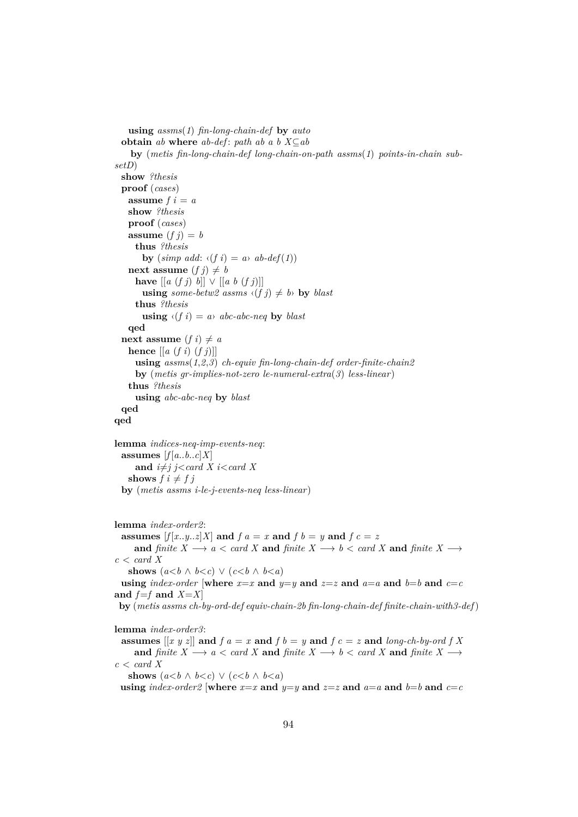```
using assms(1) fin-long-chain-def by auto
  obtain ab where ab-def: path ab a b X \subseteq abby (metis fin-long-chain-def long-chain-on-path assms(1) points-in-chain sub-
setD)
 show ?thesis
 proof (cases)
   assume f \, i = ashow ?thesis
   proof (cases)
   assume (f j) = bthus ?thesis
       by (\text{simp add: } \langle f \text{ } i \rangle = a \text{grave } ab\text{-}def(1))next assume (f j) \neq bhave [[a(fj) b]] ∨ [[a b(fj)]]using some-betw2 assms \langle (f \, j) \, \neq \, b \rangle by blast
     thus ?thesis
       using \langle f \, i \rangle = a abc-abc-neq by blast
   qed
  next assume (f i) \neq ahence \left[ \left[ a \left( f i \right) \left( f j \right) \right] \right]using assms(1,2,3) ch-equiv fin-long-chain-def order-finite-chain2
     by (metis gr-implies-not-zero le-numeral-extra(3) less-linear)
   thus ?thesis
     using abc-abc-neq by blast
 qed
qed
lemma indices-neq-imp-events-neq:
 assumes [f[a..b..c]X]and i \neq j j<card X i<card X
   shows f \, i \neq f \, jby (metis assms i-le-j-events-neq less-linear)
lemma index-order2:
 assumes [f[x..y..z]X] and f a = x and f b = y and f c = zand finite X \longrightarrow a \leq card X and finite X \longrightarrow b \leq card X and finite X \longrightarrowc < \text{card } Xshows (a < b \land b < c) \lor (c < b \land b < a)using index-order [where x=x and y=y and z=z and a=a and b=b and c=cand f=f and X=Xby (metis assms ch-by-ord-def equiv-chain-2b fin-long-chain-def finite-chain-with3-def)
lemma index-order3:
```
**assumes**  $[[x \ y \ z]]$  and  $f \ a = x$  and  $f \ b = y$  and  $f \ c = z$  and *long-ch-by-ord*  $f X$ **and** *finite*  $X \longrightarrow a < \text{card } X$  **and** *finite*  $X \longrightarrow b < \text{card } X$  **and** *finite*  $X \longrightarrow$  $c < \text{card } X$ **shows**  $(a < b \land b < c) \lor (c < b \land b < a)$ 

**using**  $index-order2$  [where  $x=x$  and  $y=y$  and  $z=z$  and  $a=a$  and  $b=b$  and  $c=c$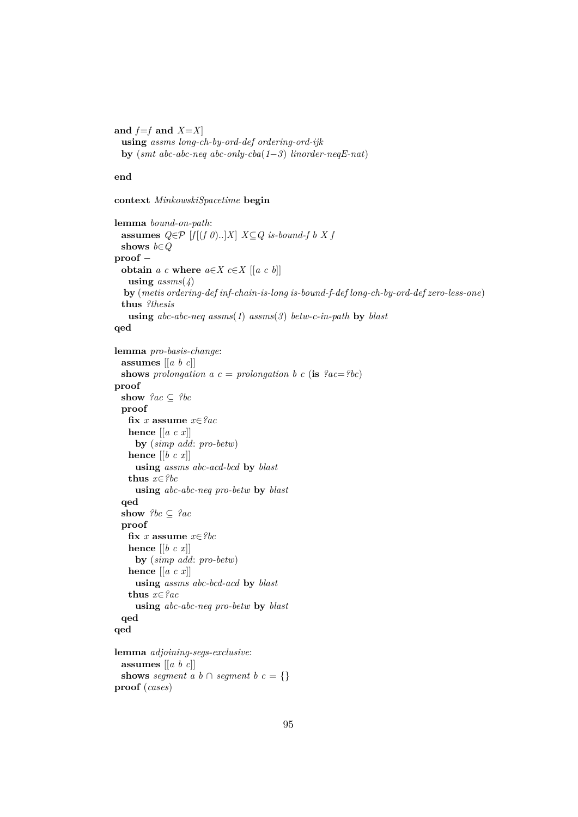and  $f=f$  and  $X=X$ **using** *assms long-ch-by-ord-def ordering-ord-ijk* **by** (*smt abc-abc-neq abc-only-cba*(*1*−*3*) *linorder-neqE-nat*)

## **end**

**context** *MinkowskiSpacetime* **begin**

```
lemma bound-on-path:
 assumes Q \in \mathcal{P} [f[(f 0)..]X] X \subseteq Q is-bound-f b X f
 shows b∈Q
proof −
 obtain a \text{ } c where a \in X \in X [[a \in b]]
   using assms(4)
  by (metis ordering-def inf-chain-is-long is-bound-f-def long-ch-by-ord-def zero-less-one)
 thus ?thesis
   using abc-abc-neq assms(1) assms(3) betw-c-in-path by blast
qed
lemma pro-basis-change:
 assumes [[a b c]]
 shows prolongation a c = prolongation b c (is ?ac = ?bc)
proof
 show ?ac ⊆ ?bc
 proof
   fix x assume x∈?ac
   hence [[a c x]]
     by (simp add: pro-betw)
   hence [[b c x]]
     using assms abc-acd-bcd by blast
   thus x∈?bc
     using abc-abc-neq pro-betw by blast
 qed
 show ?bc \subseteq ?acproof
   fix x assume x∈?bc
   hence [[b c x]]
     by (simp add: pro-betw)
   hence [[a c x]]
     using assms abc-bcd-acd by blast
   thus x∈?ac
     using abc-abc-neq pro-betw by blast
 qed
qed
lemma adjoining-segs-exclusive:
 assumes [[a b c]]
 shows seqment \overline{a} \overline{b} \cap seqment \overline{b} \overline{c} = {}
proof (cases)
```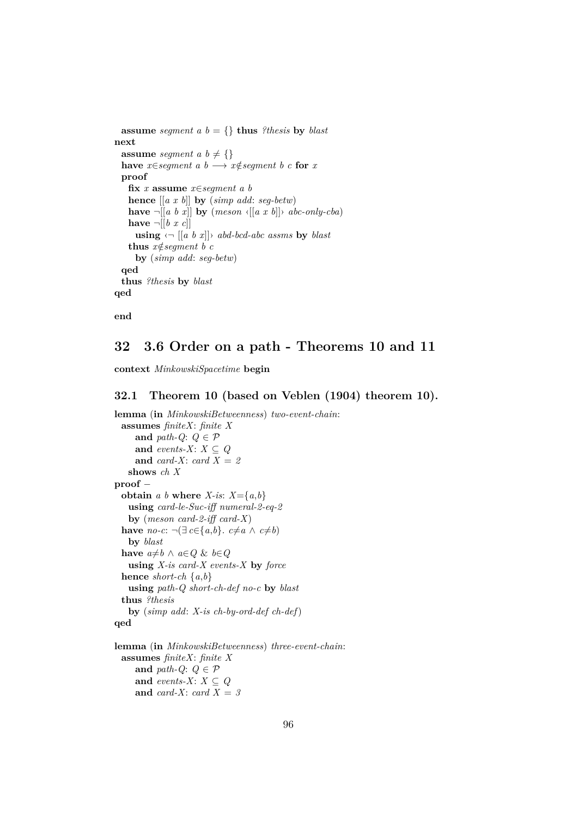```
assume segment a b = \{\} thus ?thesis by blast
next
  assume segment a \, b \neq \{\}have x \in \text{segment } a \text{ } b \longrightarrow x \notin \text{segment } b \text{ } c \text{ for } xproof
    fix x assume x∈segment a b
    hence [[a x b]] by (simp add: seg-betw)
    have \neg[[a b x]] by (meson \langle[[a x b]]\rangle abc-only-cba)
    have \neg \exists \exists \exists x c \existsusing \langle \neg \vert [a \; b \; x] \rangle abd-bcd-abc assms by blast
    thus x \notin segment \ b \ cby (simp add: seg-betw)
  qed
  thus ?thesis by blast
qed
```
**end**

# **32 3.6 Order on a path - Theorems 10 and 11**

**context** *MinkowskiSpacetime* **begin**

### **32.1 Theorem 10 (based on Veblen (1904) theorem 10).**

```
lemma (in MinkowskiBetweenness) two-event-chain:
 assumes finiteX: finite X
    and path-Q: Q \in \mathcal{P}and events-X: X \subseteq Qand card-X: card X = 2
   shows ch X
proof −
 obtain a b where X-is: X=\{a,b\}using card-le-Suc-iff numeral-2-eq-2
   by (meson card-2-iff card-X)
 have no-c: ¬(∃ c∈{a,b}. c≠a ∧ c≠b)
   by blast
 have a \neq b \land a \in Q & b \in Qusing X-is card-X events-X by force
 hence short-ch {a,b}
   using path-Q short-ch-def no-c by blast
 thus ?thesis
   by (simp add: X-is ch-by-ord-def ch-def)
qed
```

```
lemma (in MinkowskiBetweenness) three-event-chain:
 assumes finiteX: finite X
    and path-Q: Q \in \mathcal{P}and events-X: X \subseteq Qand card-X: card X = 3
```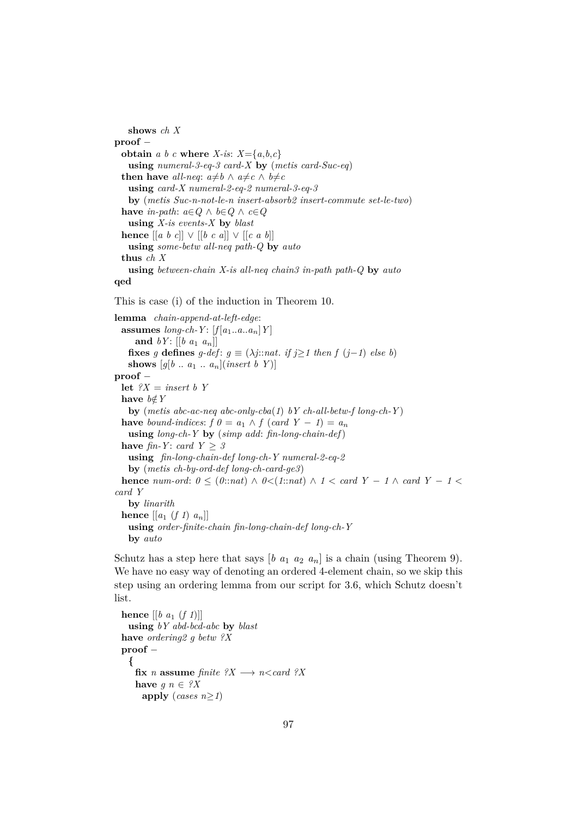**shows** *ch X* **proof** − **obtain** *a b c* **where** *X*-*is*:  $X = \{a, b, c\}$ **using** *numeral-3-eq-3 card-X* **by** (*metis card-Suc-eq*) **then have** *all-neq*:  $a \neq b \land a \neq c \land b \neq c$ **using** *card-X numeral-2-eq-2 numeral-3-eq-3* **by** (*metis Suc-n-not-le-n insert-absorb2 insert-commute set-le-two*) **have** *in-path*:  $a \in Q$  ∧  $b \in Q$  ∧  $c \in Q$ **using** *X-is events-X* **by** *blast* **hence**  $[ [a \ b \ c] ] ∨ [[b \ c \ a]] ∨ [[c \ a \ b]]$ **using** *some-betw all-neq path-Q* **by** *auto* **thus** *ch X* **using** *between-chain X-is all-neq chain3 in-path path-Q* **by** *auto* **qed**

This is case (i) of the induction in Theorem 10.

**lemma** *chain-append-at-left-edge*: **assumes**  $long-ch-Y$ :  $[f[a_1..a..a_n]Y]$ **and**  $bY$ :  $[[b \ a_1 \ a_n]]$ **fixes** *g* **defines**  $g$ -def:  $g \equiv (\lambda j : nat.$  *if*  $j \ge 1$  *then*  $f(j-1)$  *else b*) **shows**  $[g[b \dots a_1 \dots a_n](\text{insert } b \ Y)]$ **proof** − let  $?X$  = *insert b Y* **have**  $b \notin Y$ **by** (*metis abc-ac-neq abc-only-cba*(*1*) *bY ch-all-betw-f long-ch-Y* ) **have** bound-indices:  $f \theta = a_1 \wedge f (card Y - 1) = a_n$ **using** *long-ch-Y* **by** (*simp add*: *fin-long-chain-def*) **have** *fin-Y*: *card*  $Y \geq 3$ **using** *fin-long-chain-def long-ch-Y numeral-2-eq-2* **by** (*metis ch-by-ord-def long-ch-card-ge3*) **hence** *num-ord*:  $0 \leq (0::nat) \land 0 \leq (1::nat) \land 1 \leq card Y - 1 \land card Y - 1 \leq$ *card Y* **by** *linarith* **hence**  $\left[\left[a_1 \left(f_1\right) a_n\right]\right]$ **using** *order-finite-chain fin-long-chain-def long-ch-Y* **by** *auto*

Schutz has a step here that says  $[b \ a_1 \ a_2 \ a_n]$  is a chain (using Theorem 9). We have no easy way of denoting an ordered 4-element chain, so we skip this step using an ordering lemma from our script for 3.6, which Schutz doesn't list.

**hence**  $[[b \ a_1 \ (f \ 1)]]$ **using** *bY abd-bcd-abc* **by** *blast* **have** *ordering2 g betw ?X* **proof** − **{** fix *n* assume *finite*  $?X \rightarrow n <$  *card*  $?X$ **have**  $g \, n \in \mathcal{X}$ apply (*cases n* $\geq$ *1*)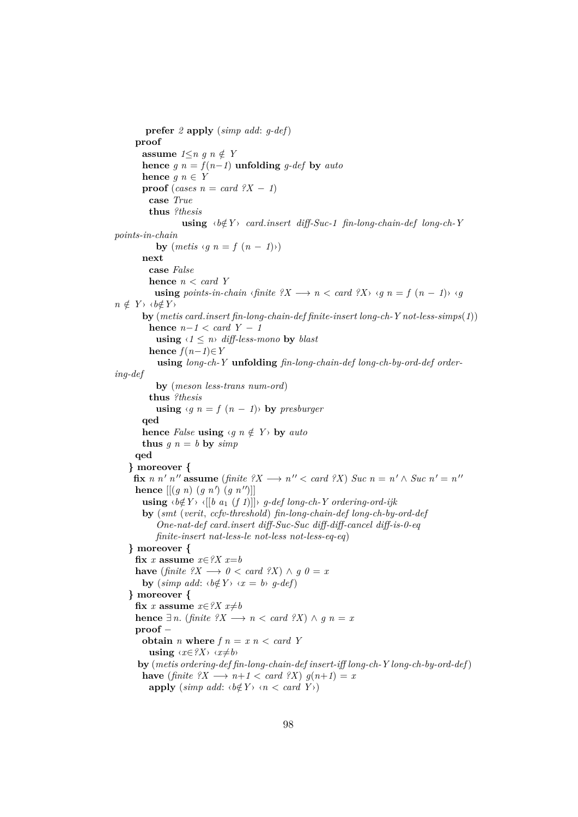```
prefer 2 apply (simp add: g-def)
      proof
        assume 1 \leq n \leq n \notin Yhence g \neq n = f(n-1) unfolding g-def by autohence q \, n \in Yproof (cases n = card ?X − 1)
           case True
           thus ?thesis
                     using \langle b \notin Y \rangle card.insert diff-Suc-1 fin-long-chain-def long-ch-Y
points-in-chain
             by (metis \langle q \rangle n = f(n-1) \rangle)next
           case False
           hence n < card Y
             using points-in-chain \langlefinite ?X \longrightarrow n \langle card ?X \rangle \langle q \rangle n = f(n-1) \langle q \ranglen \notin Y › ‹b \notin Y ›
        by (metis card.insert fin-long-chain-def finite-insert long-ch-Y not-less-simps(1))
          hence n−1 < card Y − 1
             using \langle 1 \leq n \rangle diff-less-mono by blast
           hence f(n-1) \in Yusing long-ch-Y unfolding fin-long-chain-def long-ch-by-ord-def order-
ing-def
             by (meson less-trans num-ord)
           thus ?thesis
             using \langle q \rangle n = f(n-1)by presburger
        qed
        hence False using \langle q \, n \notin Y \rangle by auto
        thus q n = b by simpqed
    } moreover {
      fix n n<sup>'</sup> n<sup>''</sup> assume (finite ?X \longrightarrow n<sup>''</sup> \lt card ?X) Suc n = n' \land Suc n' = n''hence \left[\left[\left(g\ n\right)\left(g\ n'\right)\left(g\ n''\right)\right]\right]using \langle b \notin Y \rangle \langle [b \ a_1 \ (f \ 1)] \rangle g-def long-ch-Y ordering-ord-ijk
        by (smt (verit, ccfv-threshold) fin-long-chain-def long-ch-by-ord-def
             One-nat-def card.insert diff-Suc-Suc diff-diff-cancel diff-is-0-eq
             finite-insert nat-less-le not-less not-less-eq-eq)
    } moreover {
      fix x assume x \in \mathcal{X} x = bhave (finite ?X \longrightarrow 0 < card ?X) \land q 0 = x
        by (\textit{simp add:} \langle \mathit{b} \notin Y \rangle \langle \mathit{x} = \mathit{b} \rangle \mathit{g}\text{-} \mathit{def})} moreover {
      fix x assume x \in ?X x \neq bhence \exists n. (finite \mathcal{X} \longrightarrow n < \text{card } \mathcal{X}) \wedge g \subseteq n = xproof −
        obtain n where f n = x n < \text{card } Yusing \langle x \in ?X \rangle \langle x \neq b \rangleby (metis ordering-def fin-long-chain-def insert-iff long-ch-Y long-ch-by-ord-def)
        have (finite ?X \longrightarrow n+1 < card ?X) g(n+1) = xapply (\textit{simp add:} \langle \mathit{b\notin} Y \rangle \langle \mathit{n} \langle \textit{card} Y \rangle)
```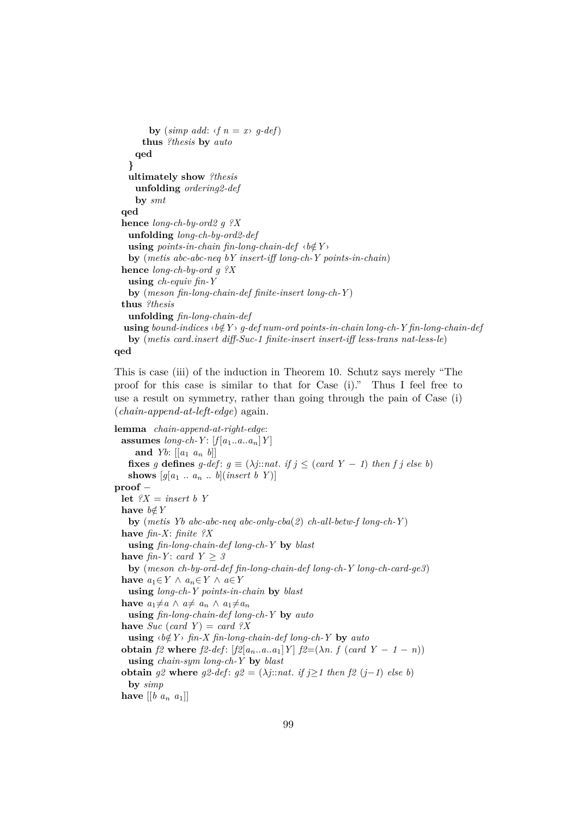```
by (simp add: \langle f \rangle n = x \rangle g-def)
     thus ?thesis by auto
   qed
 }
 ultimately show ?thesis
   unfolding ordering2-def
   by smt
qed
hence long-ch-by-ord2 g ?X
 unfolding long-ch-by-ord2-def
 using points-in-chain fin-long-chain-def \langle b \notin Y \rangleby (metis abc-abc-neq bY insert-iff long-ch-Y points-in-chain)
hence long-ch-by-ord g ?X
 using ch-equiv fin-Y
 by (meson fin-long-chain-def finite-insert long-ch-Y )
thus ?thesis
 unfolding fin-long-chain-def
using bound-indices \langle b \notin Y \rangle g-def num-ord points-in-chain long-ch-Y fin-long-chain-def
 by (metis card.insert diff-Suc-1 finite-insert insert-iff less-trans nat-less-le)
```


This is case (iii) of the induction in Theorem 10. Schutz says merely "The proof for this case is similar to that for Case (i)." Thus I feel free to use a result on symmetry, rather than going through the pain of Case (i) (*chain-append-at-left-edge*) again.

**lemma** *chain-append-at-right-edge*: **assumes**  $long-ch-Y$ :  $[f[a_1..a..a_n]Y]$ **and** *Yb*:  $[ [a_1 \ a_n \ b]]$ **fixes** *g* **defines** *g-def*:  $g \equiv (\lambda j : \text{nat. if } j \leq (\text{card } Y - 1)$  *then f j else b*) **shows**  $[q[a_1 \ldots a_n \ldots b](insert b Y)]$ **proof** − **let**  $?X$  = *insert b Y* **have**  $b \notin Y$ **by** (*metis Yb abc-abc-neq abc-only-cba*(*2*) *ch-all-betw-f long-ch-Y* ) **have** *fin-X*: *finite ?X* **using** *fin-long-chain-def long-ch-Y* **by** *blast* **have** *fin-Y*: *card*  $Y \geq 3$ **by** (*meson ch-by-ord-def fin-long-chain-def long-ch-Y long-ch-card-ge3*) **have**  $a_1 ∈ Y ∆ a_n ∈ Y ∆ a ∈ Y$ **using** *long-ch-Y points-in-chain* **by** *blast* **have**  $a_1 \neq a \land a \neq a_n \land a_1 \neq a_n$ **using** *fin-long-chain-def long-ch-Y* **by** *auto* **have** *Suc* (*card Y*) = *card ?X* **using**  $\langle b \notin Y \rangle$  *fin-X fin-long-chain-def long-ch-Y* by *auto* **obtain**  $f2$  where  $f2$ -def:  $[f2[a_n..a..a_1]Y]$   $f2=(\lambda n.f (card Y - 1 - n))$ **using** *chain-sym long-ch-Y* **by** *blast* **obtain**  $g2$  **where**  $g2$ -def:  $g2 = (\lambda j$ ::*nat. if*  $j \ge 1$  *then*  $f2$  ( $j-1$ ) *else b*) **by** *simp* **have**  $[[b \ a_n \ a_1]]$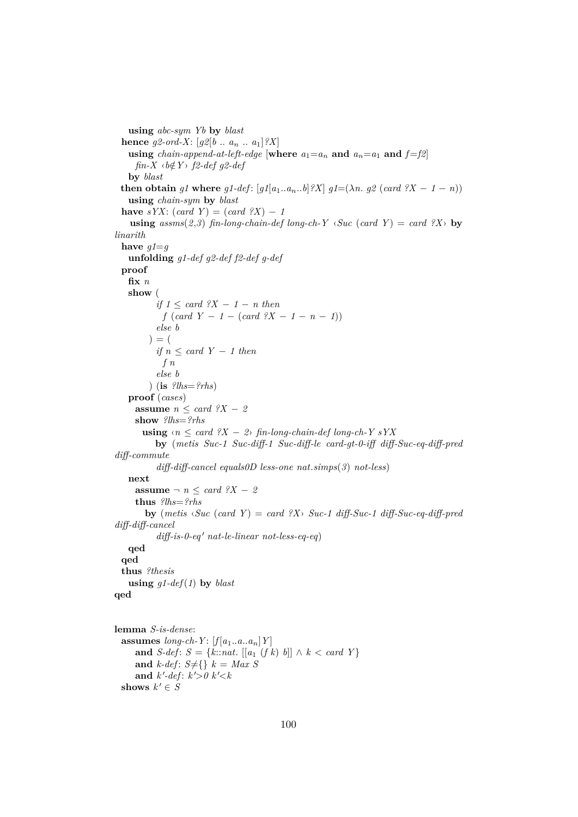**using** *abc-sym Yb* **by** *blast* **hence**  $g2\text{-}ord-X$ :  $[g2[b \dots a_n \dots a_1]$ ?X] **using** *chain-append-at-left-edge* [where  $a_1 = a_n$  and  $a_n = a_1$  and  $f=f2$ ] *fin-X*  $\langle b \notin Y \rangle$  *f2-def g2-def* **by** *blast* **then obtain** *g1* **where** *g1-def*:  $[g1[a_1..a_n..b]$  *?X*]  $g1=(\lambda n. g2 \text{ (card } ?X - 1 - n))$ **using** *chain-sym* **by** *blast* have  $sYX$ :  $(card Y) = (card 2X) - 1$ **using**  $assms(2,3)$  *fin-long-chain-def long-ch-Y*  $\langle \textit{Suc} \rangle$  (*card Y*) = *card ?X* $\rangle$  **by** *linarith* have  $q1 = q$ **unfolding** *g1-def g2-def f2-def g-def* **proof fix** *n* **show** ( *if*  $1 \leq \text{card } ?X - 1 - n$  *then*  $f (card Y - 1 - (card 2X - 1 - n - 1))$ *else b*  $) = ($ *if n* ≤ *card Y* − *1 then f n else b* ) (**is** *?lhs*=*?rhs*) **proof** (*cases*) **assume**  $n \leq card \, ?X - 2$ **show** *?lhs*=*?rhs* **using**  $\langle n \rangle \langle \text{card } ?X - 2 \rangle$  *fin-long-chain-def long-ch-Y sYX* **by** (*metis Suc-1 Suc-diff-1 Suc-diff-le card-gt-0-iff diff-Suc-eq-diff-pred diff-commute diff-diff-cancel equals0D less-one nat*.*simps*(*3*) *not-less*) **next assume**  $\neg$  *n*  $\leq$  *card ?X*  $-$  *2* **thus** *?lhs*=*?rhs* **by** (*metis*  $\langle Suc \rangle$  (*card Y*) = *card ?X* $\rangle$  *Suc-1 diff-Suc-1 diff-Suc-eq-diff-pred diff-diff-cancel*  $diff-is-0-eq'$  *nat-le-linear not-less-eq-eq*) **qed qed thus** *?thesis* **using**  $q1-def(1)$  **by** *blast* **qed lemma** *S-is-dense*: assumes  $long-ch-Y$ :  $[f[a_1..a..a_n]Y]$ **and** *S-def*:  $S = \{k : \text{nat.} \mid [a_1 \ (f \ k) \ b] \mid \land \ k < \text{card } Y \}$ and  $k$ -def:  $S \neq \{ \} k = Max S$ and  $k'$ -def:  $k'$ >0  $k'$  <  $k$ **shows**  $k' \in S$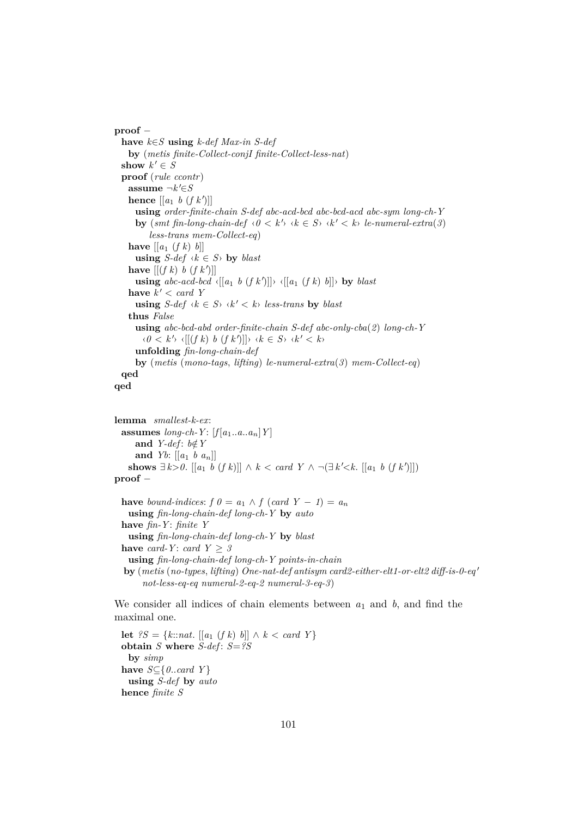**proof** − **have** *k*∈*S* **using** *k-def Max-in S-def* **by** (*metis finite-Collect-conjI finite-Collect-less-nat*) **show**  $k' \in S$ **proof** (*rule ccontr*) **assume**  $\neg k' \in S$ **hence**  $[[a_1 \ b \ (f \ k')]$ **using** *order-finite-chain S-def abc-acd-bcd abc-bcd-acd abc-sym long-ch-Y* **by**  $(\text{smt fin-long-chain-def} \land 0 \leq k' \land \land k \in S \land \land k' \leq k) \text{ le-numberal-extra}(3)$ *less-trans mem-Collect-eq*) **have**  $[[a_1 (f k) b]]$ **using**  $S$ -def  $\langle k \in S \rangle$  **by** *blast* **have**  $[[ (f k) b (f k')] ]$ **using**  $abc\text{-}acd\text{-}bcd \langle [[a_1 \ b \ (f k')]] \rangle \langle [[a_1 \ (f k) \ b]] \rangle$  by *blast* **have**  $k' < card$  Y **using**  $S$ -def  $\langle k \in S \rangle$   $\langle k' \leq k \rangle$  *less-trans* by *blast* **thus** *False* **using** *abc-bcd-abd order-finite-chain S-def abc-only-cba*(*2*) *long-ch-Y*  $\langle 0 \leq k' \rangle \langle [(f k) b (f k')] \rangle \langle k \in S \rangle \langle k' \leq k \rangle$ **unfolding** *fin-long-chain-def* **by** (*metis* (*mono-tags*, *lifting*) *le-numeral-extra*(*3*) *mem-Collect-eq*) **qed lemma** *smallest-k-ex*: **assumes**  $\text{long-ch-}Y$ :  $\left[\text{f}[a_1..a..a_n]Y\right]$ and *Y-def*:  $b \notin Y$ and *Yb*:  $\left[ \left[ a_1 \; b \; a_n \right] \right]$ **shows**  $\exists k > 0$ . [[a<sub>1</sub> *b* (*f k*)]] ∧ *k* < *card Y* ∧ ¬( $\exists k' < k$ . [[a<sub>1</sub> *b* (*f k'*)]]) **proof** − **have** *bound-indices:*  $f \theta = a_1 \wedge f (card Y - 1) = a_n$ 

**qed**

```
using fin-long-chain-def long-ch-Y by auto
have fin-Y : finite Y
 using fin-long-chain-def long-ch-Y by blast
have card-Y: card Y \geq 3using fin-long-chain-def long-ch-Y points-in-chain
by (metis (no-types, lifting) One-nat-def antisym card2-either-elt1-or-elt2 diff-is-0-eq 0
     not-less-eq-eq numeral-2-eq-2 numeral-3-eq-3)
```
We consider all indices of chain elements between  $a_1$  and  $b$ , and find the maximal one.

**let**  $?S = \{k::nat. [[a_1 (f k) b]] \land k < card Y\}$ **obtain** *S* **where** *S-def* : *S*=*?S* **by** *simp* **have**  $S \subseteq \{0$ .*card Y*} **using** *S-def* **by** *auto* **hence** *finite S*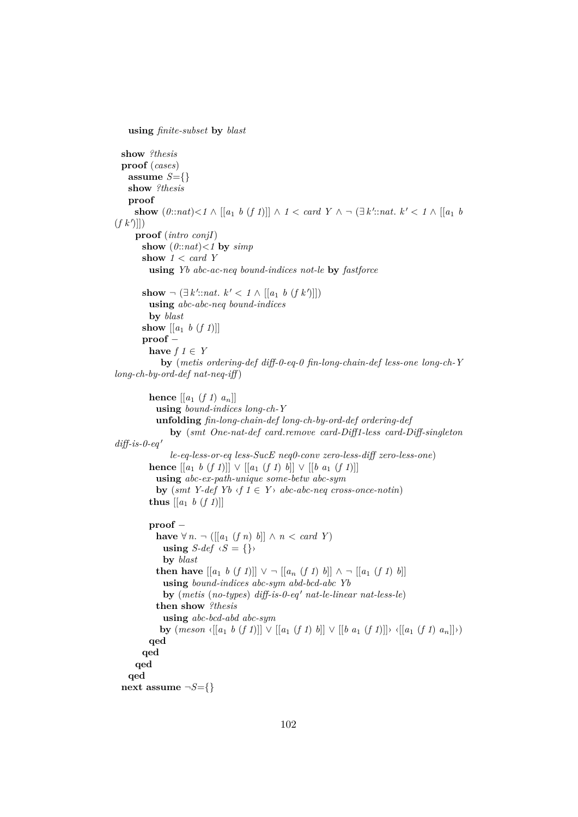```
using finite-subset by blast
  show ?thesis
  proof (cases)
   assume S=\{\}show ?thesis
   proof
      show (0::nat) < 1 \wedge [[a_1 \ b \ (f \ 1)]] \wedge 1 < card Y \wedge \neg (\exists k':nat. k' < 1 \wedge [[a_1 \ b \ (b \ 1)]] \wedge 1 < id)(f k')]
     proof (intro conjI)
       show (0:nat) < 1 by simpshow 1 < card Y
         using Yb abc-ac-neq bound-indices not-le by fastforce
        show ¬ (∃ k'::nat. k' < 1 ∧ [[a_1 b (f k')]])
         using abc-abc-neq bound-indices
         by blast
       show \left[\begin{bmatrix} a_1 & b & (f \ 1) \end{bmatrix}\right]proof −
         have f \in Yby (metis ordering-def diff-0-eq-0 fin-long-chain-def less-one long-ch-Y
long-ch-by-ord-def nat-neq-iff )
         hence [[a_1 (f 1) a_n]]using bound-indices long-ch-Y
            unfolding fin-long-chain-def long-ch-by-ord-def ordering-def
               by (smt One-nat-def card.remove card-Diff1-less card-Diff-singleton
diff-is-0-ea'le-eq-less-or-eq less-SucE neq0-conv zero-less-diff zero-less-one)
         hence [[a_1 \; b \; (f \; 1)]] \vee [[a_1 \; (f \; 1) \; b]] \vee [[b \; a_1 \; (f \; 1)]]using abc-ex-path-unique some-betw abc-sym
           by (smt Y-def Yb \langle f \mid f \in Y \rangle abc-abc-neq cross-once-notin)
         thus [[a_1 \; b \; (f \; 1)]]proof −
           have ∀ n. ¬ ([[a<sub>1</sub> (f n) b]] ∧ n < card Y)
             using S\text{-}def \ (S = \{\}by blast
            then have [[a_1 \; b \; (f \; 1)]] \vee \neg [[a_n \; (f \; 1) \; b]] \wedge \neg [[a_1 \; (f \; 1) \; b]]using bound-indices abc-sym abd-bcd-abc Yb
             by (metis (no-types) diff-is-0-eq' nat-le-linear nat-less-le)
            then show ?thesis
             using abc-bcd-abd abc-sym
             by {meson \{[a_1 \ b \ (f1)]\} \lor [[a_1 \ (f1) \ b]] \lor [[b \ a_1 \ (f1)]\} \lor [[a_1 \ (f1) \ a_n]]})}qed
       qed
     qed
   qed
  next assume \neg S = \{\}
```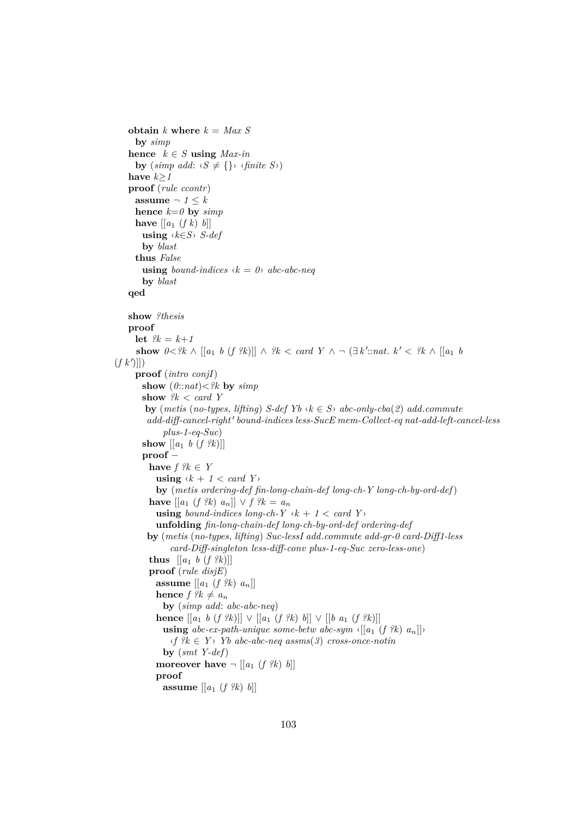```
obtain k where k = Max Sby simp
   hence k \in S using Max-inby (\textit{simp add:} \langle S \neq \{\} \rangle \langle \textit{finite} \rangle)have k≥1
   proof (rule ccontr)
     assume \neg 1 \leq k
     hence k=0 by simphave \left[ \left[ a_1 \left( f \right) b \right] \right]using ‹k∈S› S-def
       by blast
     thus False
       using bound-indices \langle k = 0 \rangle abc-abc-neq
       by blast
   qed
   show ?thesis
   proof
     let ?k = k + 1show 0 < ?k \wedge [[a_1 \ b \ (f \ ?k)]] \wedge ?k < card \ Y \wedge \neg (\exists k' :: nat \ k' < ?k \wedge [[a_1 \ b(f k')]
     proof (intro conjI)
       show (0:nat) < ?k by simpshow ?k < card Y
        by (metis (no-types, lifting) S-def Yb \langle k \in S \rangle abc-only-cba(2) add.commute
         add\text{-}diff\text{-}cancel\text{-}right' bound-indices less-SucE mem-Collect-eq nat-add-left-cancel-less
             plus-1-eq-Suc)
       show \left[ \left[ a_1 \; b \; (f \; ?k) \right] \right]proof −
         have f \, ?k \in Yusing \langle k + 1 \rangle \langle card Y
           by (metis ordering-def fin-long-chain-def long-ch-Y long-ch-by-ord-def)
          have [[a_1 (f % a_2) (f % a_3) ] ∨ f (f % a_4) (f % a_5) (g_1(g_2) g_2(g_3))using bound-indices long-ch-Y \langle k + 1 \rangle \langle card Y
            unfolding fin-long-chain-def long-ch-by-ord-def ordering-def
         by (metis (no-types, lifting) Suc-lessI add.commute add-gr-0 card-Diff1-less
                card-Diff-singleton less-diff-conv plus-1-eq-Suc zero-less-one)
          thus [[a_1 \; b \; (f \; ?k)]]proof (rule disjE)
           assume [[a1 (f ?k) an]]
           hence f \, \mathscr{R} \neq a_nby (simp add: abc-abc-neq)
           hence [[a_1 \; b \; (f \; ?k)]] \vee [[a_1 \; (f \; ?k) \; b]] \vee [[b \; a_1 \; (f \; ?k)]]using abc-ex-path-unique some-betw abc-sym \langle [a_1 (f \, ?k) \, a_n] \rangle\langle f \rangle^2 k \in Y Yb abc-abc-neq assms(3) cross-once-notin
             by (smt Y-def)
            moreover have \neg [[a_1 (f \, ?k) b]]proof
             assume [[a1 (f ?k) b]]
```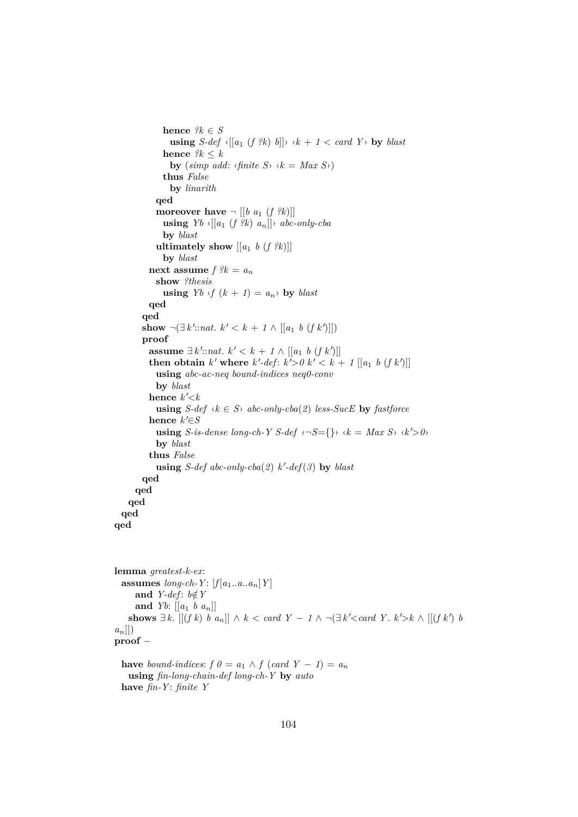```
hence ?k \in Susing S-def \{[a_1 \ (f \ R) \ b]\} \ \ k + 1 < \text{card } Y by blast
             hence ?k \leq kby (simp add: \langlefinite S \rangle \langle k = Max S \rangle)
             thus False
                by linarith
            qed
            moreover have \neg [[b \ a_1 \ (f \ \mathscr{R})]]using Yb \in [a_1 (f \mathcal{R}) a_n] \rightarrow abc\text{-}only\text{-}cbaby blast
            ultimately show [[a_1 \; b \; (f \; ?k)]]by blast
          next assume f ?k = a_nshow ?thesis
             using Yb \nvert f(k+1) = a_n by blast
         qed
        qed
        show ¬(∃ k'::nat. k' < k + 1 \wedge [[a_1 \ b (f k')]])proof
          assume \exists k': \text{nat. } k' < k + 1 \land [[a_1 \ b \ (f k')]]then obtain k' where k'-def: k' > 0 k' < k + 1 [[a_1 b (f k')]]
            using abc-ac-neq bound-indices neq0-conv
            by blast
          hence k' < kusing S-def \langle k \in S \rangle abc-only-cba(2) less-SucE by fastforce
          hence k' \in Susing S-is-dense long-ch-Y S-def \langle \neg S = \{\} \rangle \langle k = Max S \rangle \langle k' \rangle 0>
           by blast
          thus False
            using S-def abc-only-cba(2) k'-def(3) by blastqed
     qed
    qed
 qed
qed
```

```
lemma greatest-k-ex:
  assumes long-ch-Y: [f[a_1..a..a_n]Y]and Y-def: b \notin Yand Yb: \left[ \begin{bmatrix} a_1 & b & a_n \end{bmatrix} \right]shows ∃ k. [[(f k) b a_n]] ∧ k < card Y - 1 \wedge \neg (\exists k' < card Y. k' > k \wedge [[(f k') b
an]])
proof −
```

```
have bound-indices: f \theta = a_1 \wedge f (card Y - 1) = a_nusing fin-long-chain-def long-ch-Y by auto
have fin-Y : finite Y
```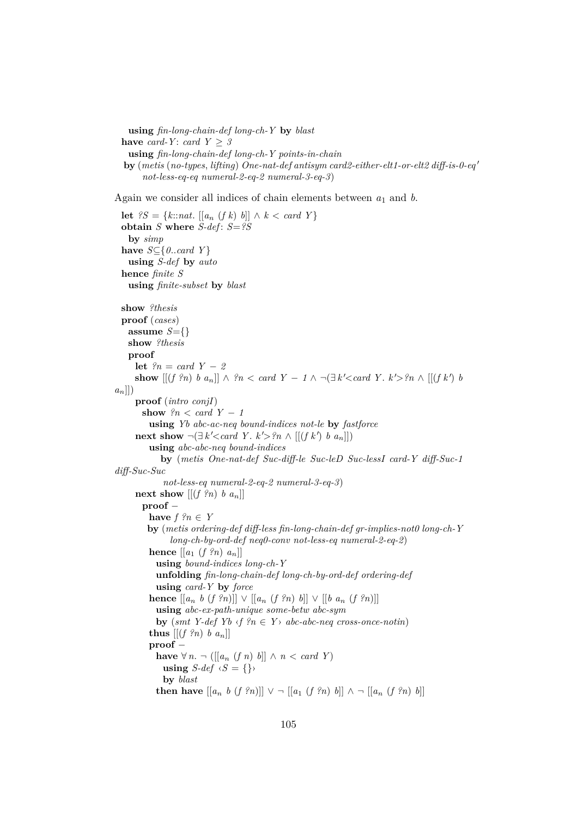```
using fin-long-chain-def long-ch-Y by blast
have card-Y : card Y \geq 3using fin-long-chain-def long-ch-Y points-in-chain
by (metis (no-types, lifting) One-nat-def antisym card2-either-elt1-or-elt2 diff-is-0-eq'
     not-less-eq-eq numeral-2-eq-2 numeral-3-eq-3)
```
Again we consider all indices of chain elements between *a*<sup>1</sup> and *b*.

```
let ?S = \{k::nat. [[a_n (f k) b]] \wedge k < card Y\}obtain S where S-def : S=?S
   by simp
  have S⊆{0..card Y }
   using S-def by auto
  hence finite S
   using finite-subset by blast
  show ?thesis
  proof (cases)
   assume S = \{\}show ?thesis
   proof
     let ?n = card Y - 2show [[(f \nvert \nvert n) b a_n]] \wedge \nvert n < \text{card } Y - 1 \wedge \neg (\exists k' < \text{card } Y \nvert k' > \text{ln } \wedge [[(f k') b_n] \nvert k')a_n]])
     proof (intro conjI)
       show ?n < card Y - 1using Yb abc-ac-neq bound-indices not-le by fastforce
      next show \neg(∃ k' < card Y. k' > ?n ∧ [[(f k') b a<sub>n</sub>]])using abc-abc-neq bound-indices
            by (metis One-nat-def Suc-diff-le Suc-leD Suc-lessI card-Y diff-Suc-1
diff-Suc-Suc
             not-less-eq numeral-2-eq-2 numeral-3-eq-3)
     next show [(f ?n) b a_n]proof −
         have f \, ?n \in Yby (metis ordering-def diff-less fin-long-chain-def gr-implies-not0 long-ch-Y
               long-ch-by-ord-def neq0-conv not-less-eq numeral-2-eq-2)
         hence \left[ \left[ a_1 \left( f^2 n \right) a_n \right] \right]using bound-indices long-ch-Y
           unfolding fin-long-chain-def long-ch-by-ord-def ordering-def
           using card-Y by force
         hence [[a_n \; b \; (f \; ?n)]] \lor [[a_n \; (f \; ?n) \; b]] \lor [[b \; a_n \; (f \; ?n)]]using abc-ex-path-unique some-betw abc-sym
           by (smt Y-def Yb \langle f, g \rangle \in Y abc-abc-neq cross-once-notin)
         thus [(f ?n) b a_n]proof −
           have \forall n. ¬ ([[a<sub>n</sub> (f n) b]] ∧ n < card Y)
             using S-def \langle S = \{\} \rangleby blast
           then have [[a_n \; b \; (f \; ?n)]] \lor \neg [[a_1 \; (f \; ?n) \; b]] \land \neg [[a_n \; (f \; ?n) \; b]]
```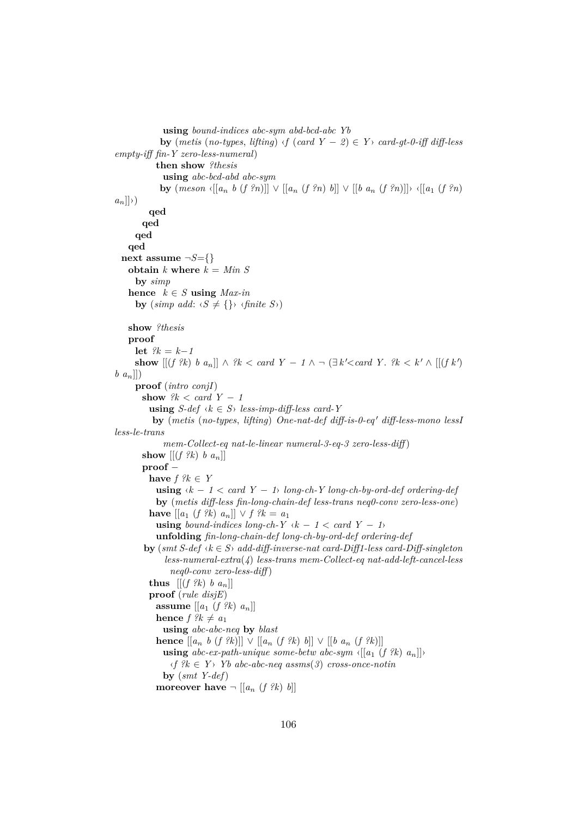```
using bound-indices abc-sym abd-bcd-abc Yb
             by (metis (no-types, lifting) \langle f \rangle (card Y - 2 \rangle \in Y> card-gt-0-iff diff-less
empty-iff fin-Y zero-less-numeral)
            then show ?thesis
              using abc-bcd-abd abc-sym
             by (meson \{[a_n, b (f?n)] \} \vee [a_n (f?n) b] \vee [b a_n (f?n)] \times [a_1 (f?n)a_n]\rangle)
          qed
        qed
      qed
    qed
  next assume \neg S = \{\}obtain k where k = Min Sby simp
   hence k \in S using Max-inby (simp add: \langle S \neq \{\} \rangle \langle \text{finite } S \rangle)
    show ?thesis
    proof
     let ?k = k-1show [[(f \, ?k) \, b \, a_n]] \land \, ?k < \text{card } Y - 1 \land \neg (\exists k' < \text{card } Y \, . \, ?k < k' \land [[(f \, k') \,b an]])
      proof (intro conjI)
       show ?k < card Y - 1using S-def \langle k \in S \rangle less-imp-diff-less card-Y
           by (metis (no-types, lifting) One-nat-def diff-is-0-eq' diff-less-mono lessI
less-le-trans
              mem-Collect-eq nat-le-linear numeral-3-eq-3 zero-less-diff )
       show [(f \, ?k) \, b \, a_n]proof −
          have f ?k \in Yusing \langle k − 1 \rangle card Y − 1 long-ch-Y long-ch-by-ord-def ordering-def
            by (metis diff-less fin-long-chain-def less-trans neq0-conv zero-less-one)
          have [[a_1 (f % a_2) (f % a_3) ] ∨ f (f % a_1) (f % a_2) (f % a_2)using bound-indices long-ch-Y \langle k - 1 \rangle \langle card Y − 1
            unfolding fin-long-chain-def long-ch-by-ord-def ordering-def
        by (smt S-def ‹k ∈ S› add-diff-inverse-nat card-Diff1-less card-Diff-singleton
              less-numeral-extra(4) less-trans mem-Collect-eq nat-add-left-cancel-less
                neq0-conv zero-less-diff )
          thus [(f \nvert \nvert k) b a_n]proof (rule disjE)
            assume \left[\left[a_1 \left(f \, \hat{\mathcal{E}} \mathcal{E}\right) \, a_n\right]\right]hence f ?k \neq a_1using abc-abc-neq by blast
            hence [[a_n \; b \; (f \; ?k)]] \vee [[a_n \; (f \; ?k) \; b]] \vee [[b \; a_n \; (f \; ?k)]]using abc-ex-path-unique some-betw abc-sym \langle [a_1 (f \, ?k) a_n] \rangle\langle f \rangle^2 k \in Y Yb abc-abc-neq assms(3) cross-once-notin
              by (smt Y-def)
            moreover have \neg [[a_n (f \, ?k) b]]
```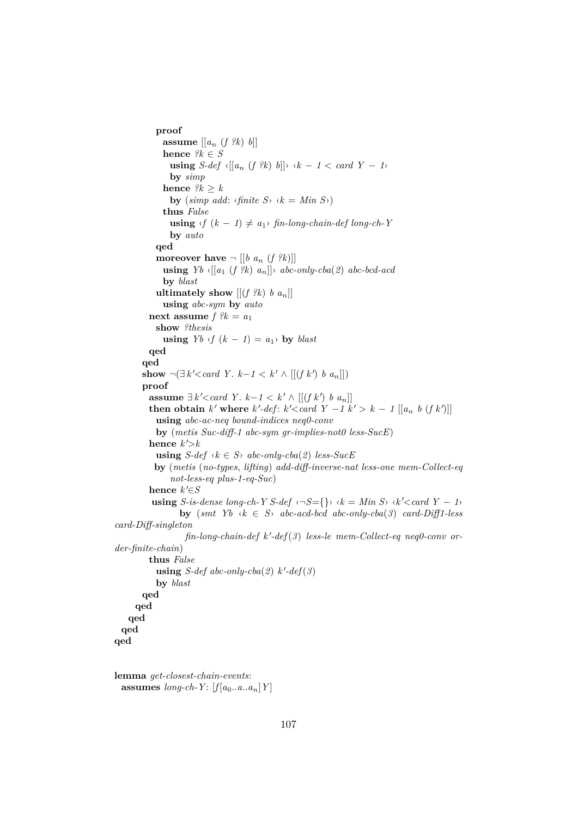```
proof
             assume [[an (f ?k) b]]
             hence ?k \in Susing S-def \langle [a_n (f \, ?k) b] \rangle \langle k - 1 \rangle \langle and \langle Y - 1 \rangle \rangleby simp
             hence ?k > kby (\textit{simp add: } \langle \textit{finite} \rangle \land k = \textit{Min} \rangle)thus False
               using \langle f (k − 1) ≠ a_1 \rangle fin-long-chain-def long-ch-Y
               by auto
           qed
           moreover have \neg [[b \ a_n \ (f \ \mathscr{R})]]using Yb \in [[a_1 (f \nvert k) a_n]] abc-only-cba(2) abc-bcd-acd
             by blast
           ultimately show [(f \, ?k) \, b \, a_n]]using abc-sym by auto
         next assume f ?k = a_1show ?thesis
             using Yb \le f (k-1) = a_1 by blast
         qed
       qed
        show \neg(∃ k' < card Y. k−1 < k' ∧ [[(f k') b a<sub>n</sub>]])proof
          assume ∃k' < card Y. k-1 < k' \wedge [[(f k') b a_n]]then obtain k' where k'-def: k'<card Y - 1 k' > k − 1 [[a_n b (f k')]]
           using abc-ac-neq bound-indices neq0-conv
           by (metis Suc-diff-1 abc-sym gr-implies-not0 less-SucE)
          hence k'<sub>></sub>kusing S\text{-}def \langle k \in S \rangle abc-only-cba(2) less-SucE
           by (metis (no-types, lifting) add-diff-inverse-nat less-one mem-Collect-eq
               not-less-eq plus-1-eq-Suc)
          hence k \in Susing S-is-dense long-ch-Y S-def \langle \neg S = \{\} \rangle \langle k = Min S \rangle \langle k' < card Y - 1 \rangleby (smt \ Yb \ \ k \in S) abc-acd-bcd abc-only-cba(3) card-Diff1-less
card-Diff-singleton
                    fin-long-chain-def k'-def(3) less-le mem-Collect-eq neq0-conv or-
der-finite-chain)
         thus False
            using S-def abc-only-cba(2) k'-def(3)
           by blast
       qed
     qed
   qed
 qed
qed
lemma get-closest-chain-events:
```

```
assumes long-ch-Y: [f[a_0..a..a_n]Y]
```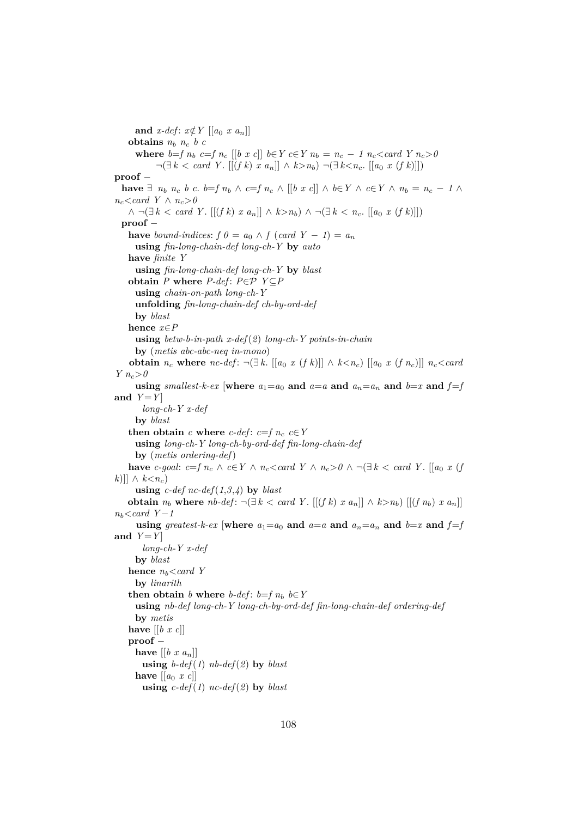**and**  $x$ -def:  $x \notin Y$  [[a<sub>0</sub>  $x$  a<sub>n</sub>]] **obtains**  $n_b$   $n_c$   $b$   $c$ **where**  $b=f n_b$   $c=f n_c$  [[b x c]]  $b \in Y c \in Y n_b = n_c - 1 n_c < \text{card } Y n_c > 0$ ¬(∃ *k* < *card Y* . [[(*f k*) *x a*n]] ∧ *k*>*n*b) ¬(∃ *k*<*n*c. [[*a*<sup>0</sup> *x* (*f k*)]]) **proof** − **have** ∃  $n_b$   $n_c$  *b c. b*=*f*  $n_b$  ∧ *c*=*f*  $n_c$  ∧ [[*b x c*]] ∧ *b*∈*Y* ∧ *c*∈*Y* ∧  $n_b$  =  $n_c$  − *1* ∧  $n_c$ <*card Y* ∧  $n_c > 0$ ∧  $\neg \exists k < \text{card } Y$ .  $[(f k) x a_n] \land k > n_b$ ) ∧  $\neg \exists k < n_c$ .  $[[a_0 x (f k)]]$ **proof** − **have** *bound-indices:*  $f \theta = a_0 \wedge f (card Y - 1) = a_n$ **using** *fin-long-chain-def long-ch-Y* **by** *auto* **have** *finite Y* **using** *fin-long-chain-def long-ch-Y* **by** *blast* **obtain**  $P$  **where**  $P$ -def:  $P \in \mathcal{P}$   $Y \subseteq P$ **using** *chain-on-path long-ch-Y* **unfolding** *fin-long-chain-def ch-by-ord-def* **by** *blast* **hence** *x*∈*P* **using** *betw-b-in-path x-def*(*2*) *long-ch-Y points-in-chain* **by** (*metis abc-abc-neq in-mono*) **obtain**  $n_c$  where  $nc$ -def:  $\neg(\exists k. [[a_0 x (f k)]] \wedge k \leq n_c) [[a_0 x (f n_c)]]$   $n_c \leq card$ *Y*  $n_c > 0$ **using** *smallest-k-ex* [where  $a_1 = a_0$  and  $a = a$  and  $a_n = a_n$  and  $b = x$  and  $f = f$ and  $Y = Y$ *long-ch-Y x-def* **by** *blast* **then obtain**  $c$  **where**  $c$ -def:  $c = f n_c$   $c \in Y$ **using** *long-ch-Y long-ch-by-ord-def fin-long-chain-def* **by** (*metis ordering-def*) **have** *c-goal:*  $c = f n_c \land c \in Y \land n_c < card Y \land n_c > 0 \land \neg (\exists k < card Y$ . [[ $a_0 x (f$ ]] *k*)]] ∧  $k < n_c$ ) **using**  $c$ -def nc-def(1,3,4) **by** blast **obtain**  $n_b$  where  $nb\text{-}def: \neg (\exists k < card Y$ .  $[(\int f k) \ x \ a_n]] \wedge k > n_b)$   $[(\int f n_b) \ x \ a_n]]$ *n*b<*card Y*−*1* **using** greatest-k-ex [where  $a_1 = a_0$  and  $a = a$  and  $a_n = a_n$  and  $b = x$  and  $f = f$ and  $Y = Y$ *long-ch-Y x-def* **by** *blast* **hence**  $n_b$ <card Y **by** *linarith* **then obtain** *b* **where** *b-def*:  $b=f$  *n<sub>b</sub>*  $b \in Y$ **using** *nb-def long-ch-Y long-ch-by-ord-def fin-long-chain-def ordering-def* **by** *metis* **have** [[*b x c*]] **proof** − **have**  $[[b \; x \; a_n]]$ **using**  $b\text{-}def(1)$   $nb\text{-}def(2)$  **by**  $blast$ **have**  $\left[ \left[ a_0 \ x \ c \right] \right]$ **using**  $c$ -def(1)  $\operatorname{nc-def}(2)$  **by** *blast*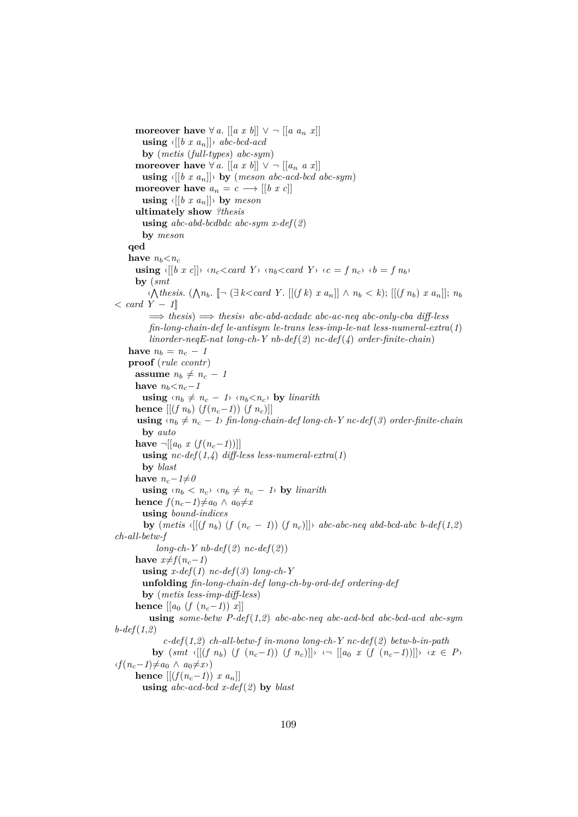**moreover have**  $\forall a. \left[ \left[ a \ x \ b \right] \right] \vee \neg \left[ \left[ a \ a_n \ x \right] \right]$ **using**  $\langle [(b \ x \ a_n)] \rangle$  *abc-bcd-acd* **by** (*metis* (*full-types*) *abc-sym*) **moreover have**  $\forall a. [[a \; x \; b]] \lor \neg [[a_n \; a \; x]]$ **using**  $\langle [(b \ x \ a_n)] \rangle$  **by** (*meson abc-acd-bcd abc-sym*) **moreover have**  $a_n = c \longrightarrow [[b \; x \; c]]$ **using**  $\langle [(b \ x \ a_n] \rangle \rangle$  **by** *meson* **ultimately show** *?thesis* **using** *abc-abd-bcdbdc abc-sym x-def*(*2*) **by** *meson* **qed have**  $n_b < n_c$ **using**  $\langle [(b \; x \; c)] \rangle$   $\langle n_c \langle \; card \; Y \rangle$   $\langle n_b \langle \; card \; Y \rangle$   $\langle c = f \; n_c \rangle$   $\langle b = f \; n_b \rangle$ **by** (*smt*  $\langle \bigwedge \text{thesis. } (\bigwedge n_b. \ [ \neg (\exists k < \text{card } Y \text{. } [[(f k) x a_n]] \land n_b < k); [[(f n_b) x a_n]]; n_b$ < *card Y* − *1*]] =⇒ *thesis*) =⇒ *thesis*› *abc-abd-acdadc abc-ac-neq abc-only-cba diff-less fin-long-chain-def le-antisym le-trans less-imp-le-nat less-numeral-extra*(*1*) *linorder-neqE-nat long-ch-Y nb-def*(*2*) *nc-def*(*4*) *order-finite-chain*) **have**  $n_b = n_c - 1$ **proof** (*rule ccontr*) **assume**  $n_b \neq n_c - 1$ **have**  $n_b < n_c − 1$ **using**  $\langle n_b \neq n_c - 1 \rangle$   $\langle n_b \langle n_c \rangle$  **by** *linarith* **hence**  $[(f n_b) (f (n_c−1)) (f n_c)]$ **using**  $\langle n_b \neq n_c - 1 \rangle$  *fin-long-chain-def long-ch-Y nc-def*(3) *order-finite-chain* **by** *auto* **have**  $\neg$ [[*a*<sub>0</sub> *x* (*f*(*n<sub>c</sub>−<i>1*))]] **using**  $nc\text{-}def(1,4)$  diff-less less-numeral-extra(1) **by** *blast* **have**  $n_c − 1 \neq 0$ **using**  $\langle n_b \rangle \langle n_c \rangle \langle n_b \neq n_c - 1 \rangle$  by *linarith* **hence**  $f(n_c-1) \neq a_0 \land a_0 \neq x$ **using** *bound-indices* **by**  $(metis \{[(f\ n_b)\ (f\ (n_c - 1))\ (f\ n_c)]\}$  *abc-abc-neq abd-bcd-abc b-def* $(1,2)$ *ch-all-betw-f*  $long-ch-Y nb-def(2) nc-def(2)$ **have**  $x\neq f(n_c-1)$ **using**  $x\text{-}def(1)$   $\operatorname{nc-def}(3)$   $\operatorname{long-ch-}Y$ **unfolding** *fin-long-chain-def long-ch-by-ord-def ordering-def* **by** (*metis less-imp-diff-less*) **hence**  $[[a_0 (f (n_c−1)) x]]$ **using** *some-betw P-def*(*1*,*2*) *abc-abc-neq abc-acd-bcd abc-bcd-acd abc-sym b-def*(*1*,*2*) *c-def*(*1*,*2*) *ch-all-betw-f in-mono long-ch-Y nc-def*(*2*) *betw-b-in-path* **by**  $(smt \{[(f \ n_b) \ (f \ (n_c-1)) \ (f \ n_c)]]\}$   $\left( \neg \ [a_0 \ x \ (f \ (n_c-1))]]\right)$   $\{x \in P\}$  $\langle f(n_c-1) \neq a_0 \land a_0 \neq x \rangle$ **hence**  $[(f(n_c-1))$  *x*  $a_n]$ **using** *abc-acd-bcd x-def*(*2*) **by** *blast*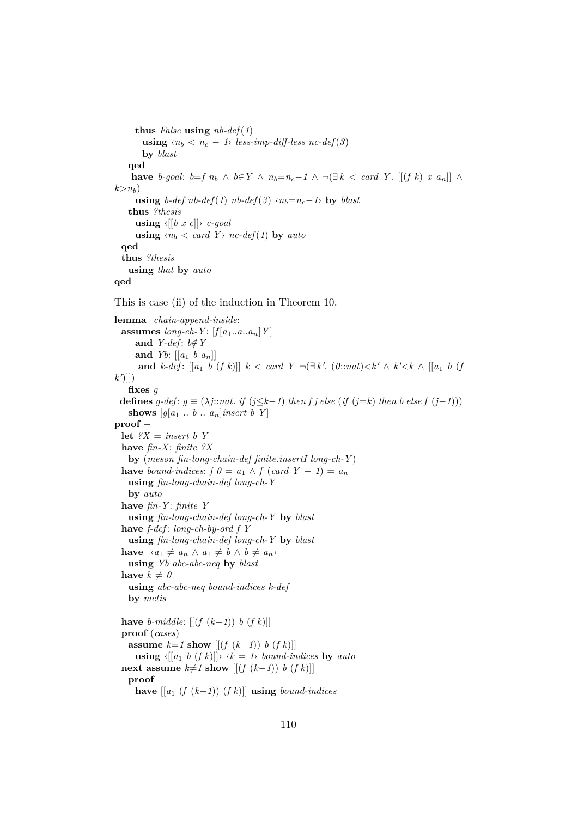**thus** *False* **using** *nb-def*(*1*) **using**  $\langle n_b \rangle \langle n_c - 1 \rangle$  *less-imp-diff-less nc-def*(3) **by** *blast* **qed have** *b*-goal:  $b=f$  *n*<sub>b</sub> ∧  $b \in Y$  ∧  $n_b=n_c-1$  ∧  $\neg(\exists k < card Y$ . [[(*f k*) *x an*]] ∧  $k > n_b$ ) **using** *b-def*  $nb$ - $def(1)$   $nb$ - $def(3)$   $\langle n_b=n_c-1 \rangle$  **by**  $blast$ **thus** *?thesis* **using**  $\langle [(b \ x \ c)] \rangle$  *c-goal* **using**  $\langle n_b \rangle \langle \text{card } Y \rangle$  *nc-def*(1) **by** *auto* **qed thus** *?thesis* **using** *that* **by** *auto* **qed** This is case (ii) of the induction in Theorem 10. **lemma** *chain-append-inside*: **assumes**  $long-ch-Y: [f[a_1..a..a_n]Y]$ and *Y-def*:  $b \notin Y$ **and** *Yb*: [[*a*<sup>1</sup> *b a*n]] **and**  $k$ -def:  $[[a_1 \ b \ (f \ k)]] \ k < card \ Y \ \neg (\exists k'. \ (0::nat) < k' \land k' < k \land [[a_1 \ b \ (f \ b))]$  $k^{\prime}$ ]]) **fixes** *g* **defines**  $g$ -def:  $g$  ≡ ( $\lambda j$ ::*nat. if* ( $j \leq k-1$ ) *then f j else* (*if* ( $j=k$ ) *then b else*  $f (j-1)$ )) **shows**  $[g[a_1 \ldots b \ldots a_n]$ *insert b Y* **proof** − **let**  $?X$  = *insert b Y* **have** *fin-X*: *finite ?X* **by** (*meson fin-long-chain-def finite*.*insertI long-ch-Y* ) **have** bound-indices:  $f \theta = a_1 \wedge f (card Y - 1) = a_n$ **using** *fin-long-chain-def long-ch-Y* **by** *auto* **have** *fin-Y* : *finite Y* **using** *fin-long-chain-def long-ch-Y* **by** *blast* **have** *f-def* : *long-ch-by-ord f Y* **using** *fin-long-chain-def long-ch-Y* **by** *blast* **have**  $\langle a_1 \neq a_n \land a_1 \neq b \land b \neq a_n \rangle$ **using** *Yb abc-abc-neq* **by** *blast* have  $k \neq 0$ **using** *abc-abc-neq bound-indices k-def* **by** *metis* **have** *b*-middle:  $[(f (k−1)) b (f k)]]$ **proof** (*cases*) **assume**  $k=1$  **show**  $[(f(k-1)) \; b \; (f \; k)]$ **using**  $\langle [a_1 \ b \ (f \ k) ] \rangle \ \langle k = 1 \rangle$  *bound-indices* by *auto* **next assume**  $k≠1$  **show**  $[[(f (k-1)) b (f k)]]$ **proof** − **have**  $[[a_1 (f (k−1)) (f k)]]$  **using** *bound-indices*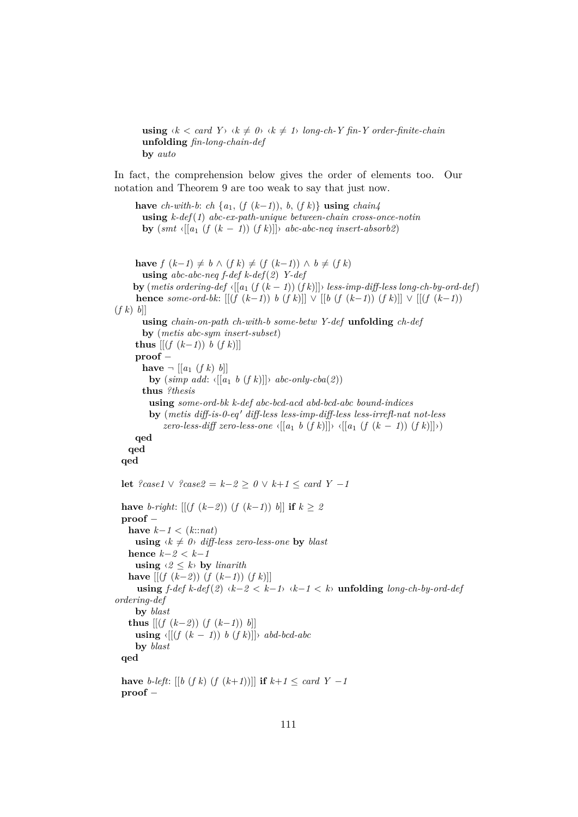**using**  $\langle k \rangle \langle \text{card } Y \rangle \langle k \rangle \neq 0$   $\langle k \rangle \langle k \rangle \neq 1$  *long-ch-Y fin-Y order-finite-chain* **unfolding** *fin-long-chain-def* **by** *auto*

In fact, the comprehension below gives the order of elements too. Our notation and Theorem 9 are too weak to say that just now.

**have** *ch*-with-b: *ch* {*a*<sub>1</sub>, (*f* (*k*−*1*)), *b*, (*f k*)} **using** *chain4* **using** *k-def*(*1*) *abc-ex-path-unique between-chain cross-once-notin* **by**  $(smt \{[a_1 \ (f \ (k-1)) \ (f \ k)]\}$  *abc-abc-neq insert-absorb2*)

**have**  $f(k-1) \neq b \land (f k) \neq (f (k-1)) \land b \neq (f k)$ **using** *abc-abc-neq f-def k-def*(*2*) *Y-def* **by** (*metis ordering-def*  $\langle [(a_1 (f (k-1)) (fk)] \rangle$  *less-imp-diff-less long-ch-by-ord-def*) **hence** *some-ord-bk*:  $[(\int (k-1)) b (f k)] \vee [(b (f (k-1)) (f k)]] \vee [(f (k-1))$  $(f k) b]$ **using** *chain-on-path ch-with-b some-betw Y-def* **unfolding** *ch-def* **by** (*metis abc-sym insert-subset*) **thus**  $\left[ \left[ \left( \frac{f}{k-1} \right) \right) b \left( \frac{f}{k} \right) \right]$ **proof** − **have**  $\neg$   $[[a_1 (f k) b]]$ **by**  $(\textit{simp add: } \{[[a_1 \ b \ (f \ k)]]\} \ \textit{abc-only-cba(2)})$ **thus** *?thesis* **using** *some-ord-bk k-def abc-bcd-acd abd-bcd-abc bound-indices* **by** (*metis diff-is-0-eq* <sup>0</sup> *diff-less less-imp-diff-less less-irrefl-nat not-less zero-less-diff zero-less-one*  $\langle [(a_1 \ b \ (f \ k)]] \rangle \ \langle [(a_1 \ (f \ (k-1)) \ (f \ k)]] \rangle)$ **qed qed qed let** *?case1* ∨ *?case2* = *k*−*2* ≥ *0* ∨ *k*+*1* ≤ *card Y* −*1* **have** *b-right*:  $[(f (k-2)) (f (k-1)) b]$  **if**  $k > 2$ **proof** − **have**  $k−1$  < ( $k::nat$ ) **using**  $\langle k \neq 0 \rangle$  *diff-less zero-less-one* by *blast* **hence** *k*−*2* < *k*−*1* **using**  $\langle 2 \leq k \rangle$  **by** *linarith* **have**  $[(f (k−2)) (f (k−1)) (f k)]$ **using** *f-def k-def*(*2*) ‹*k*−*2* < *k*−*1*› ‹*k*−*1* < *k*› **unfolding** *long-ch-by-ord-def ordering-def* **by** *blast* **thus**  $[(f (k−2)) (f (k−1)) b]$ **using**  $\langle [(f (k-1)) b (f k)] \rangle$  *abd-bcd-abc* **by** *blast* **qed have** *b*-*left*: [[*b* (*f k*) (*f* (*k*+*1*))]] **if**  $k+1 \leq card$  *Y* −*1* 

**proof** −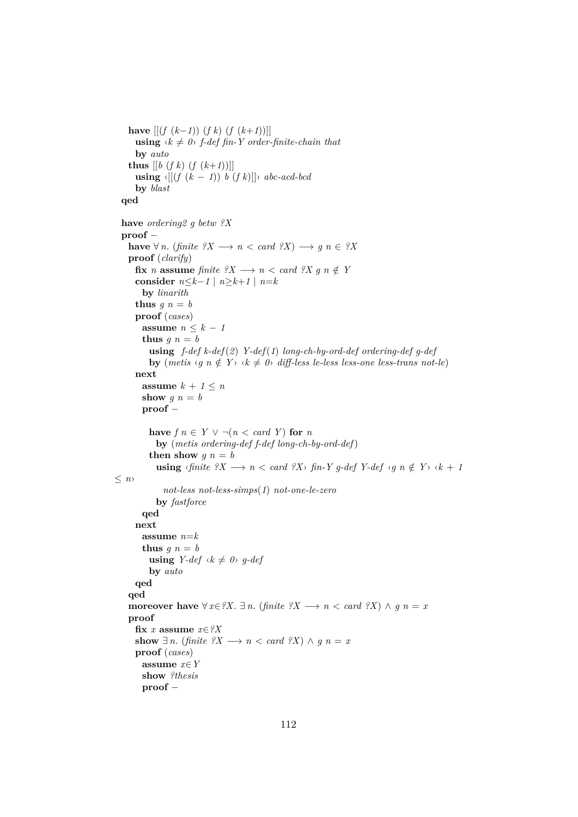```
have [(f (k-1)) (f k) (f (k+1))]using \langle k \neq 0 \rangle f-def fin-Y order-finite-chain that
       by auto
     thus [ [b (f k) (f (k+1))] ]using \langle [(f (k-1)) b (f k)] \rangle abc-acd-bcd
       by blast
  qed
  have ordering2 g betw ?X
  proof −
     have \forall n. (finite \mathcal{X} \longrightarrow n < \text{card } \mathcal{X}) \longrightarrow g \in \mathcal{X}proof (clarify)
       fix n assume finite ?X \longrightarrow n < \text{card } ?X g n \notin Yconsider n \leq k-1 \mid n \geq k+1 \mid n = kby linarith
       thus q n = bproof (cases)
         assume n \leq k - 1thus g \, n = busing f-def k-def(2) Y-def(1) long-ch-by-ord-def ordering-def g-def
            by (metis \langle g \, n \notin Y \rangle \langle k \neq 0 \rangle diff-less le-less less-one less-trans not-le)
       next
         assume k + 1 \leq nshow g n = bproof −
            have f \circ n \in Y \vee \neg (n < \text{card } Y) for nby (metis ordering-def f-def long-ch-by-ord-def)
            then show q n = b\text{using }\langle \text{finite }\rangle X\longrightarrow n<\text{card }\rangle X\quad\text{fin-} Y\text{ }g\text{-}def\text{ }Y\text{-}def\text{ }\langle g\text{ }\text{ }n\notin Y\rangle\text{ }\langle k+1\rangle Y\text{ }g\text{-}def\text{ }X\text{-}\langle g\text{ }\text{ }n\notin Y\text{ }\rangle\text{ }\langle k+1\rangle Y\text{ }g\text{-}def\text{ }X\text{-}\langle k+1\rangle Y\text{ }g\text{-}def\text{ }Y\text{-}\langle k+1\rangle Y\text{ }g\text{-}def\text{ }X\text{-}\langle k+1\rangle Y\text{ }g\text{-}≤ n›
                 not-less not-less-simps(1) not-one-le-zero
               by fastforce
         qed
       next
         assume n=k
         thus g \, n = busing Y-def \ (k \neq 0) \ g-defby auto
       qed
     qed
     moreover have \forall x \in \mathcal{X}. \exists n. (finite \mathcal{X} \rightarrow n < \text{card } \mathcal{X}) \land g n = xproof
       fix x assume x∈?X
       show ∃ n. (finite ?X → n < card ?X) \land g n = x
       proof (cases)
         assume x∈Y
         show ?thesis
         proof −
```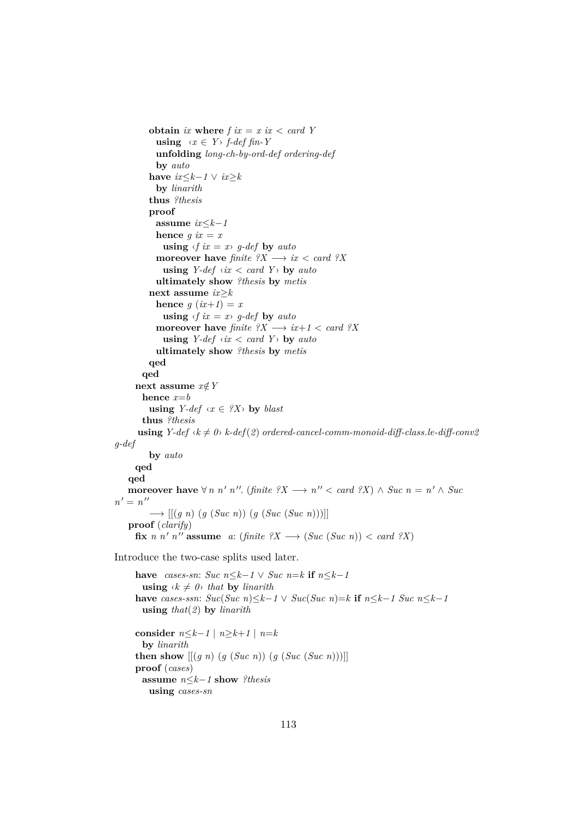```
obtain ix where f ix = x ix < card Yusing \langle x \in Y \rangle f-def fin-Y
           unfolding long-ch-by-ord-def ordering-def
           by auto
         have ix≤k-1 ∨ ix≥kby linarith
         thus ?thesis
         proof
           assume ix≤k−1
           hence q ix = xusing \langle f \rangle = x, g-def by automoreover have finite ?X \rightarrow ix < card ?Xusing Y\text{-}def \text{ }\langle \textit{ix} \rangle \langle \textit{card} \rangle \langle \textit{Y} \rangle by auto
           ultimately show ?thesis by metis
         next assume ix≥k
           hence q (ix+1) = x
             using \langle f \rangle = x, g-def by auto
           moreover have finite ?X \rightarrow ix+1 < card ?Xusing Y-def \langle ix \rangle \langle card \rangle by autoultimately show ?thesis by metis
         qed
       qed
     next assume x \notin Yhence x=b
         using Y\text{-}def \text{`x} \in \{?X\} by blast
       thus ?thesis
      using Y\text{-}def \&\neq 0<sup>l</sup> k\text{-}def(2) ordered-cancel-comm-monoid-diff-class.le-diff-conv2
g-def
         by auto
     qed
   qed
    moreover have \forall n \; n' \in \mathbb{R} n''. (finite ?X \longrightarrow n'' < \text{card } ?X) ∧ Suc n = n' \land \text{Suc}n' = n''−→ [[(g n) (g (Suc n)) (g (Suc (Suc n)))]]
   proof (clarify)
      fix n n' n'' assume a: (finite ?X \longrightarrow (Suc (Suc n)) < card ?X)
Introduce the two-case splits used later.
     have cases-sn: Suc n≤k-1 ∨ Suc n=k if n≤k-1using \langle k \neq 0 \rangle that by linarith
     have cases-ssn: Suc(Suc|n) \leq k-1 \vee Suc(Suc|n) = k if n \leq k-1 Suc|n \leq k-1using that(2) by linarith
     consider n \leq k-1 \mid n \geq k+1 \mid n = kby linarith
     then show [(g \; n) \; (g \; (Suc \; n)) \; (g \; (Suc \; n)))
```
**proof** (*cases*)

**using** *cases-sn*

**assume** *n*≤*k*−*1* **show** *?thesis*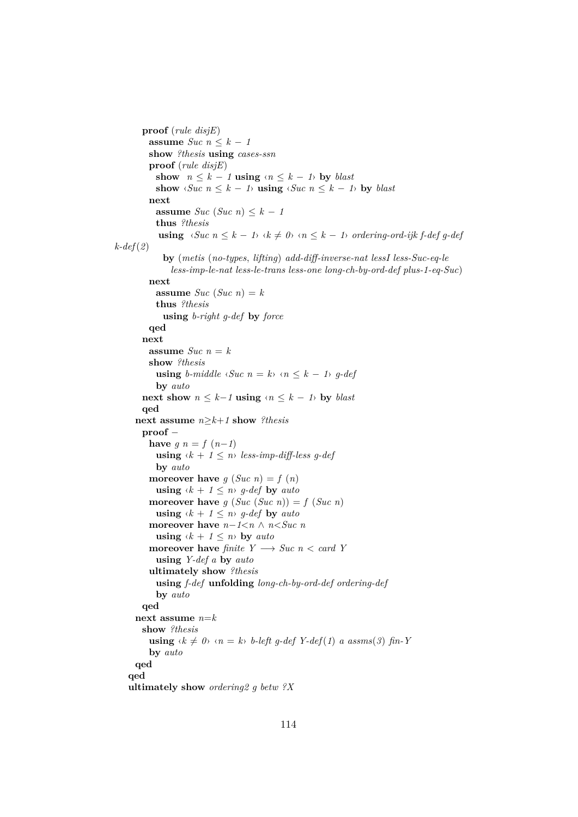```
proof (rule disjE)
         assume Suc \; n \leq k - 1show ?thesis using cases-ssn
         proof (rule disjE)
           show n \leq k - 1 using \langle n \leq k - 1 \rangle by blast
           show \langle \textit{Suc~} n \leq k - 1 \rangle using \langle \textit{Suc~} n \leq k - 1 \rangle by blast
         next
           assume Suc (Suc n) \leq k - 1thus ?thesis
            using \langle \textit{Suc~} n \leq k - 1 \rangle \langle k \neq 0 \rangle \langle n \leq k - 1 \rangle ordering-ord-ijk f-def g-def
k-def(2)
             by (metis (no-types, lifting) add-diff-inverse-nat lessI less-Suc-eq-le
               less-imp-le-nat less-le-trans less-one long-ch-by-ord-def plus-1-eq-Suc)
         next
           assume Suc (Suc n) = k
           thus ?thesis
             using b-right g-def by force
         qed
       next
         assume Suc n = kshow ?thesis
           using b-middle \langle \textit{Suc~} n = k \rangle \langle n \leq k - 1 \rangle g-def
           by auto
       next show n \leq k-1 using \langle n \leq k-1 \rangle by blast
       qed
     next assume n≥k+1 show ?thesis
       proof −
         have q n = f(n-1)using \langle k + 1 \leq n \rangle less-imp-diff-less g-def
           by auto
         moreover have g(Suc n) = f(n)using \langle k + 1 \leq n \rangle g-def by auto
         moreover have g(Suc(Suc n)) = f(Suc n)using \langle k + 1 \leq n \rangle g-def by auto
         moreover have n−1<n ∧ n<Suc n
           using \langle k + 1 \leq n \rangle by auto
         moreover have finite Y \rightarrow \textit{Suc } n < \textit{card } Yusing Y-def a by auto
         ultimately show ?thesis
           using f-def unfolding long-ch-by-ord-def ordering-def
           by auto
       qed
     next assume n=k
       show ?thesis
         using \langle k \neq 0 \rangle \langle n = k \rangle b-left q-def Y\text{-}def(1) a assms(3) fin-Y
         by auto
     qed
   qed
   ultimately show ordering2 g betw ?X
```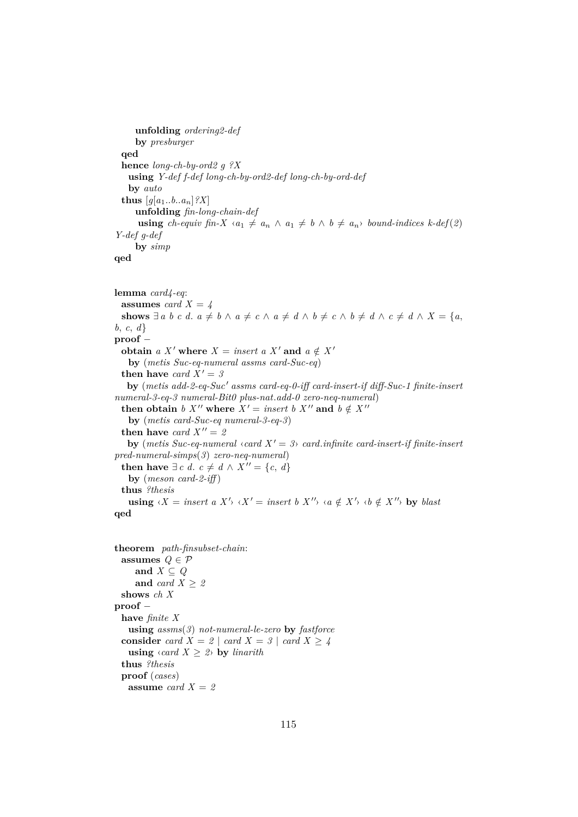```
unfolding ordering2-def
    by presburger
 qed
 hence long-ch-by-ord2 g ?X
   using Y-def f-def long-ch-by-ord2-def long-ch-by-ord-def
   by auto
 thus [q[a_1..b..a_n] ?X
    unfolding fin-long-chain-def
     using ch-equiv fin-X \langle a_1 \neq a_n \land a_1 \neq b \land b \neq a_n \rangle bound-indices k-def(2)
Y-def g-def
    by simp
```

```
qed
```

```
lemma card4-eq:
  assumes card X = \lambdashows \exists a \ b \ c \ d. \ a \neq b \ \land \ a \neq c \ \land \ a \neq d \ \land \ b \neq c \ \land \ b \neq d \ \land \ c \neq d \ \land \ X = \{a,b, c, d}
proof −
  obtain a X' where X = insert a X' and a \notin X'by (metis Suc-eq-numeral assms card-Suc-eq)
  then have card X' = 3by (metis add-2-eq-Suc' assms card-eq-0-iff card-insert-if diff-Suc-1 finite-insert
numeral-3-eq-3 numeral-Bit0 plus-nat.add-0 zero-neq-numeral)
  then obtain b X'' where X' = insert b X'' and b \notin X''by (metis card-Suc-eq numeral-3-eq-3)
  then have card X'' = 2by (metis Suc-eq-numeral \langle \text{card } X' = 3 \rangle card.infinite card-insert-if finite-insert
pred-numeral-simps(3) zero-neq-numeral)
  then have \exists c \ d. c ≠ d \land X'' = \{c, d\}by (meson card-2-iff )
  thus ?thesis
    using \langle X = \text{insert } a \ X' \rangle \ \langle X' = \text{insert } b \ X'' \rangle \ \langle a \notin X' \rangle \ \langle b \notin X'' \rangle by blast
qed
```

```
theorem path-finsubset-chain:
  assumes Q \in \mathcal{P}and X \subseteq Qand card X \geq 2shows ch X
proof −
 have finite X
   using assms(3) not-numeral-le-zero by fastforce
 consider card X = 2 \mid \text{card } X = 3 \mid \text{card } X \ge 4using \langle \text{card } X \geq 2 \rangle by linarith
  thus ?thesis
 proof (cases)
   assume card X = 2
```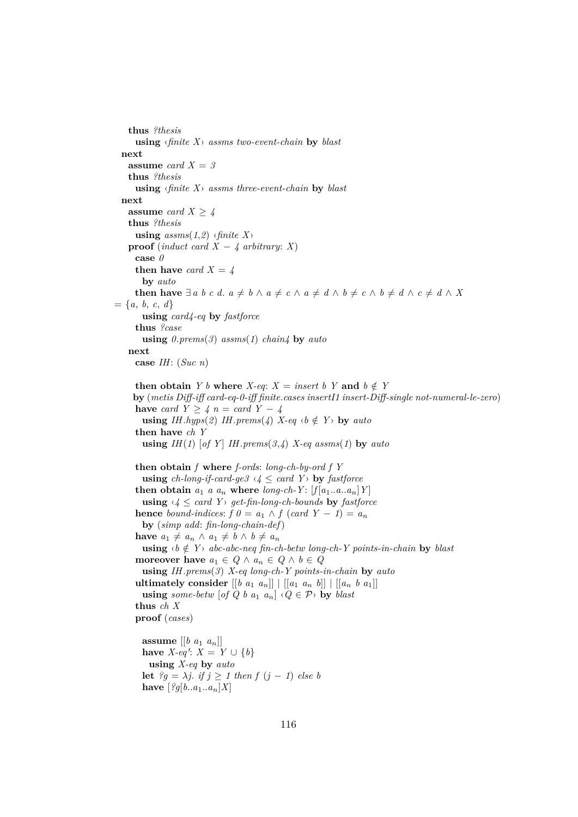**thus** *?thesis* **using** ‹*finite X*› *assms two-event-chain* **by** *blast* **next assume** *card*  $X = 3$ **thus** *?thesis* **using** ‹*finite X*› *assms three-event-chain* **by** *blast* **next assume** *card*  $X > 4$ **thus** *?thesis* **using**  $assms(1,2)$  ‹*finite X*› **proof** (*induct card X* –  $4$  *arbitrary*: *X*) **case** *0* **then have** *card*  $X = 4$ **by** *auto* **then have**  $\exists a \ b \ c \ d. \ a \neq b \ \land \ a \neq c \ \land \ a \neq d \ \land \ b \neq c \ \land \ b \neq d \ \land \ c \neq d \ \land \ X$  $= \{a, b, c, d\}$ **using** *card4-eq* **by** *fastforce* **thus** *?case* **using** *0*.*prems*(*3*) *assms*(*1*) *chain4* **by** *auto* **next case** *IH*: (*Suc n*) **then obtain** *Y b* **where** *X-eq*: *X* = *insert b Y* **and**  $b \notin Y$ **by** (*metis Diff-iff card-eq-0-iff finite*.*cases insertI1 insert-Diff-single not-numeral-le-zero*) **have** *card*  $Y \geq 4$  *n* = *card*  $Y - 4$ **using** *IH*.*hyps*(2) *IH*.*prems*(4) *X-eq*  $\langle b \notin Y \rangle$  **by** *auto* **then have** *ch Y* **using**  $IH(1)$  [of Y]  $IH.prems(3,4)$   $X$ -eq assms(1) **by** auto **then obtain** *f* **where** *f-ords*: *long-ch-by-ord f Y* **using** *ch-long-if-card-ge3*  $\langle 4 \leq \text{card } Y \rangle$  **by** *fastforce* **then obtain**  $a_1$  *a*  $a_n$  **where** *long-ch-Y*:  $[f|a_1...a...a_n]Y$ **using**  $\langle 4 \leq \text{card } Y \rangle$  *get-fin-long-ch-bounds* **by** *fastforce* **hence** *bound-indices*:  $f \theta = a_1 \wedge f (card Y - 1) = a_n$ **by** (*simp add*: *fin-long-chain-def*) **have**  $a_1 \neq a_n \land a_1 \neq b \land b \neq a_n$ **using**  $\langle b \notin Y \rangle$  *abc-abc-neq fin-ch-betw long-ch-Y points-in-chain* **by** *blast* **moreover have**  $a_1 \in Q \land a_n \in Q \land b \in Q$ **using** *IH*.*prems*(*3*) *X-eq long-ch-Y points-in-chain* **by** *auto* **ultimately consider**  $[[b \ a_1 \ a_n]] \ | [[a_1 \ a_n \ b]] \ | [[a_n \ b \ a_1]]$ **using** *some-betw* [*of Q b a*<sub>1</sub>  $a_n$ ]  $\langle Q \in \mathcal{P} \rangle$  **by** *blast* **thus** *ch X* **proof** (*cases*) **assume**  $\begin{bmatrix} b & a_1 & a_n \end{bmatrix}$ **have** *X*-*eq*': *X* = *Y* ∪ {*b*} **using** *X-eq* **by** *auto* **let**  $?g = \lambda j$ , *if*  $j \ge 1$  *then*  $f(j - 1)$  *else b* **have**  $[?g[b..a_1..a_n]X]$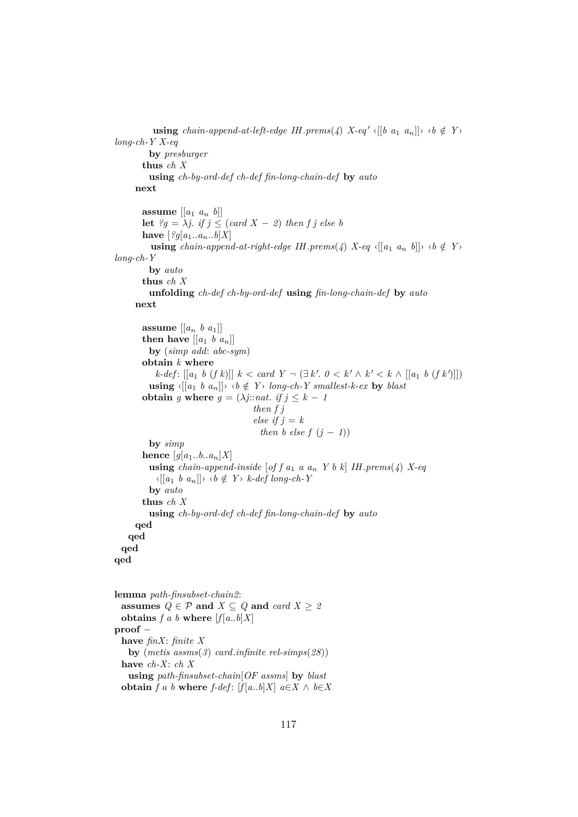```
using chain-append-at-left-edge IH.prems(4) X-eq' \langle [[b \ a_1 \ a_n]] \rangle \ \langle b \notin Y \ranglelong-ch-Y X-eq
          by presburger
        thus ch X
          using ch-by-ord-def ch-def fin-long-chain-def by auto
      next
        assume \begin{bmatrix} a_1 & a_n & b \end{bmatrix}let ?g = \lambda j. if j \leq (card X - 2) then f j else b
        have [?g[a_1...a_n..b]X]using chain-append-at-right-edge IH.prems(4) X-eq \{[a_1 \ a_n \ b]\}\ \ \ \ \ b \notin Ylong-ch-Y
          by auto
        thus ch X
          unfolding ch-def ch-by-ord-def using fin-long-chain-def by auto
      next
        assume \left[\begin{bmatrix} a_n & b & a_1 \end{bmatrix}\right]then have \left[ \begin{bmatrix} a_1 & b & a_n \end{bmatrix} \right]by (simp add: abc-sym)
        obtain k where
            k-def: [[a<sub>1</sub> b (f k)]] k < \text{card } Y → (∃ k'. 0 < k' \wedge k' < k \wedge [[a<sub>1</sub> b (f k')]])
          using \{[a_1 \ b \ a_n]\} \forall b \notin Y long-ch-Y smallest-k-ex by blast
        obtain g where g = (\lambda j : \text{nat. if } j \leq k - 1)then f j
                                          else if j = kthen b else f (i - 1)by simp
        hence [g[a_1..b..a_n]X]using chain-append-inside [of f a<sub>1</sub> a a_n Y b k] IH.prems(4) X-eq
            \langle [a_1 \ b \ a_n] \rangle \ \langle b \notin Y \rangle \ \textit{k-def long-ch-Y}by auto
        thus ch X
          using ch-by-ord-def ch-def fin-long-chain-def by auto
      qed
    qed
  qed
qed
lemma path-finsubset-chain2:
  assumes Q \in \mathcal{P} and X \subseteq Q and card X \geq 2obtains f a b where [f[a..b]X]
```
**proof** − **have** *finX*: *finite X* **by** (*metis assms*(*3*) *card*.*infinite rel-simps*(*28*)) **have** *ch-X*: *ch X* **using** *path-finsubset-chain*[*OF assms*] **by** *blast*

**obtain**  $f$  a  $b$  **where**  $f$ -def:  $[f]$   $a..b]X$   $a \in X \wedge b \in X$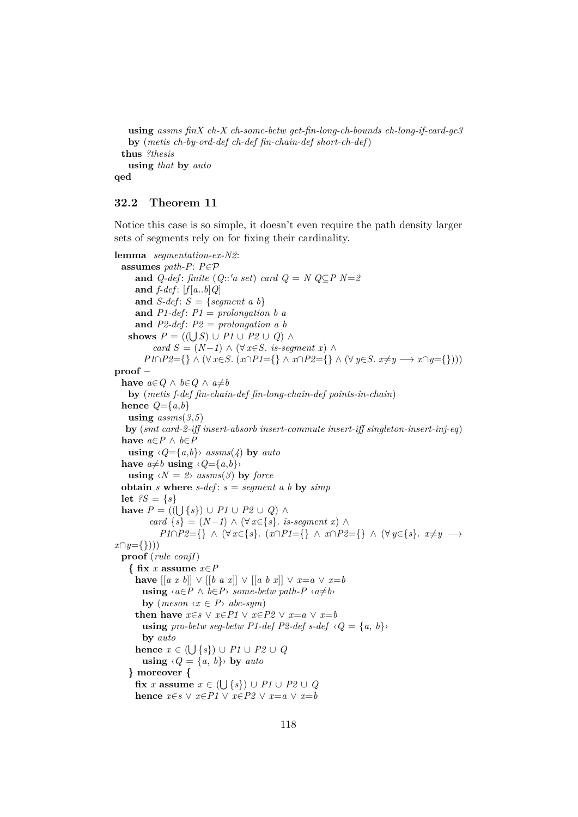**using** *assms finX ch-X ch-some-betw get-fin-long-ch-bounds ch-long-if-card-ge3* **by** (*metis ch-by-ord-def ch-def fin-chain-def short-ch-def*) **thus** *?thesis* **using** *that* **by** *auto* **qed**

### **32.2 Theorem 11**

Notice this case is so simple, it doesn't even require the path density larger sets of segments rely on for fixing their cardinality.

```
lemma segmentation-ex-N2:
  assumes path-P: P∈P
     and Q-def: finite (Q::'a set) card Q = N Q \subseteq P N=2and f-def: [f[a..b]Q]and S-def: S = \{segment \ a \ b\}and P1-def: P1 = prolongation b aand P2-def : P2 = prolongation a b
    shows P = ((\bigcup S) \cup P1 \cup P2 \cup Q) \wedgecard S = (N-1) \land (\forall x \in S. is-seqment x) ∧
        P1 \cap P2 = \{\} \wedge (\forall x \in S, (x \cap P1 = \{\} \wedge x \cap P2 = \{\} \wedge (\forall y \in S, x \neq y \longrightarrow x \cap y = \{\}))proof −
  have a \in Q \land b \in Q \land a \neq bby (metis f-def fin-chain-def fin-long-chain-def points-in-chain)
  hence Q = \{a, b\}using assms(3,5)by (smt card-2-iff insert-absorb insert-commute insert-iff singleton-insert-inj-eq)
  have a \in P ∧ b \in Pusing \langle Q=\{a,b\}\rangle assms(4) by auto
  have a \neq b using \langle Q = \{a, b\} \rangleusing \langle N = 2 \rangle assms(3) by force
  obtain s where s-def: s = segment \ a \ b \ by \ simplet ?S = \{s\}have P = ((U{s}) ∪ P1 ∪ P2 ∪ Q) ∧
         card {s} = (N-1) ∧ (\forall x \in \{s\}. is-segment x) ∧
            P1∩P2={} ∧ (∀ x∈{s}. (x∩P1={} ∧ x∩P2={} ∧ (∀ y∈{s}. x≠y →
x∩y={})))
  proof (rule conjI)
    { fix x assume x∈P
      have [ [a x b] ] ∨ [[b a x]] ∨ [[a b x]] ∨ x=a ∨ x=busing \langle a \in P \land b \in P \rangle some-betw path-P \langle a \neq b \rangleby (meson \langle x \in P \rangle abc-sym)then have x \in s \lor x \in P1 \lor x \in P2 \lor x = a \lor x = busing pro-betw seq-betw P1-def P2-def s-def \langle Q = \{a, b\} \rangleby auto
      hence x \in (\bigcup \{s\}) \cup P1 \cup P2 \cup Qusing \langle Q = \{a, b\} \rangle by auto
    } moreover {
      f(x \mid x) = x \in (\bigcup \{s\}) \cup P1 \cup P2 \cup Qhence x \in s \lor x \in P1 \lor x \in P2 \lor x = a \lor x = b
```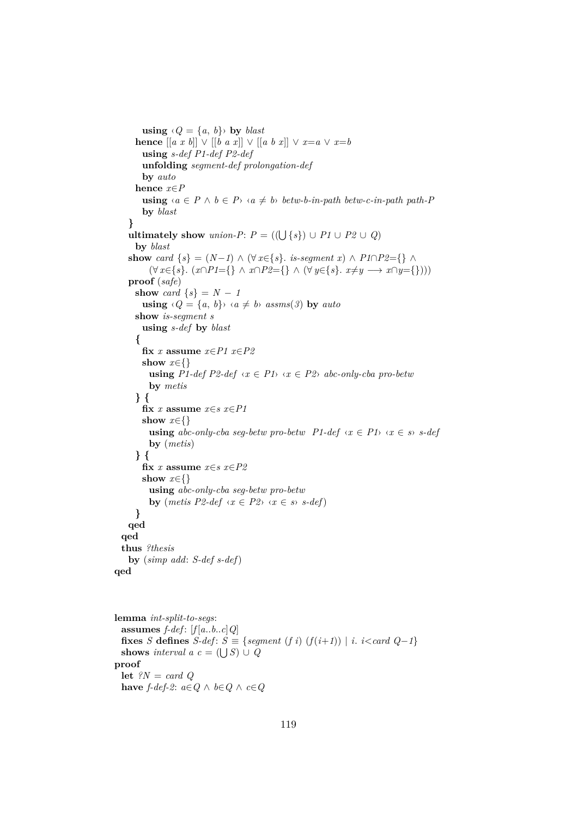```
using \langle Q = \{a, b\} \rangle by blast
      hence [[a x b]] \vee [[b a x]] \vee [[a b x]] \vee x=a \vee x=busing s-def P1-def P2-def
       unfolding segment-def prolongation-def
       by auto
     hence x∈P
        using \langle a \in P \land b \in P \rangle \langle a \neq b \rangle betw-b-in-path betw-c-in-path path-P
        by blast
    }
    ultimately show union-P: P = ((\bigcup \{ s \}) \cup P1 \cup P2 \cup Q)by blast
    show card \{s\} = (N-1) \wedge (\forall x \in \{s\}. is-segment x) \wedge P1∩P2={} \wedge(\forall x \in \{s\} \colon (x \cap P1 = \{\} \land x \cap P2 = \{\} \land (\forall y \in \{s\} \colon x \neq y \longrightarrow x \cap y = \{\}))proof (safe)
     show card \{s\} = N - 1using \langle Q = \{a, b\} \rangle \langle a \neq b \rangle assms(3) by auto
     show is-segment s
       using s-def by blast
      {
       fix x assume x \in P1 x \in P2show x∈{}
          using P1-def P2-def \langle x \in P1 \rangle \langle x \in P2 \rangle abc-only-cba pro-betw
          by metis
      } {
       fix x assume x∈s x∈P1
       show x∈{}
          using abc-only-cba seq-betw pro-betw P1-def \{x \in P1\} \{x \in s\} s-def
          by (metis)
      } {
       fix x assume x∈s x∈P2
       show x∈{}
          using abc-only-cba seg-betw pro-betw
          by (metis P2-def \langle x \in P2 \rangle \langle x \in s \rangle s-def)
     }
    qed
  qed
  thus ?thesis
    by (simp add: S-def s-def)
qed
lemma int-split-to-segs:
```
assumes  $f$ -def:  $[f[a..b..c]Q]$ **fixes** *S* **defines**  $S$ -def:  $S \equiv \{segment(f_i) (f(i+1)) | i. \}$  *i*. *i*<*card Q-1*} **shows** *interval*  $a \ c = (\bigcup S) \cup Q$ **proof let** *?N* = *card Q* **have**  $f$ -def-2:  $a \in Q \land b \in Q \land c \in Q$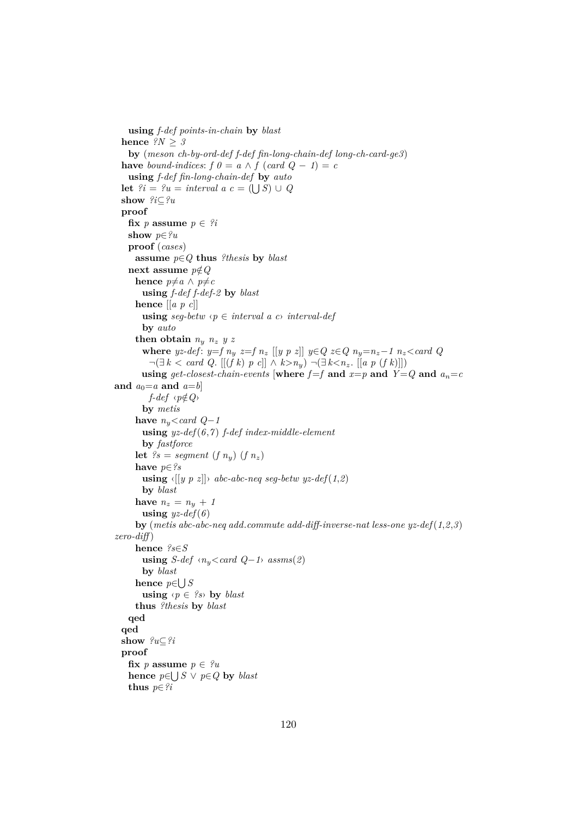**using** *f-def points-in-chain* **by** *blast* **hence**  $?N \geq 3$ **by** (*meson ch-by-ord-def f-def fin-long-chain-def long-ch-card-ge3*) **have** bound-indices:  $f \theta = a \wedge f (card Q - 1) = c$ **using** *f-def fin-long-chain-def* **by** *auto* **let**  $\mathscr{D}i = \mathscr{D}u = \text{interval } a \ c = (\bigcup S) \cup Q$ **show** *?i*⊆*?u* **proof fix** *p* **assume**  $p \in \mathcal{P}$ *i* **show** *p*∈*?u* **proof** (*cases*) **assume** *p*∈*Q* **thus** *?thesis* **by** *blast* **next** assume  $p \notin Q$ **hence**  $p \neq a \land p \neq c$ **using** *f-def f-def-2* **by** *blast* **hence** [[*a p c*]] **using**  $seq\text{-}betw \, \langle p \in interval \, a \, c \rangle$  *interval-def* **by** *auto* **then obtain**  $n_y$   $n_z$   $y$   $z$ **where** *yz-def*:  $y=f n_y z=f n_z [[y p z]]$   $y \in Q z \in Q n_y=n_z-1 n_z < \text{card } Q$ ¬(∃ *k* < *card Q*. [[(*f k*) *p c*]] ∧ *k*>*n*y) ¬(∃ *k*<*n*z. [[*a p* (*f k*)]]) **using**  $get\text{-}closest\text{-}chain\text{-}events$  [where  $f=f$  and  $x=p$  and  $Y=Q$  and  $a_n=c$ and  $a_0=a$  and  $a=b$ ] *f-def*  $\langle p \notin Q \rangle$ **by** *metis* have  $n_y <$ *card Q*−1 **using** *yz-def*(*6*,*7* ) *f-def index-middle-element* **by** *fastforce* **let**  $?s = segment (f n_y) (f n_z)$ **have** *p*∈*?s* **using**  $\langle [(y \ p \ z)] \rangle$  *abc-abc-neq seq-betw yz-def* $(1,2)$ **by** *blast* have  $n_z = n_y + 1$ **using**  $yz\text{-}def(6)$ **by** (*metis abc-abc-neq add*.*commute add-diff-inverse-nat less-one yz-def*(*1*,*2*,*3*) *zero-diff* ) **hence** *?s*∈*S* **using** *S-def*  $\langle n_y \rangle \langle \text{card } Q - 1 \rangle$  *assms*(2) **by** *blast* **hence** *p*∈ S *S* **using**  $\langle p \in \{0\} \rangle$  **by** *blast* **thus** *?thesis* **by** *blast* **qed qed show** *?u*⊆*?i* **proof fix** *p* **assume**  $p \in \mathcal{P}u$ **hence**  $p ∈ ∪ S ∨ p ∈ Q$  **by** *blast* **thus** *p*∈*?i*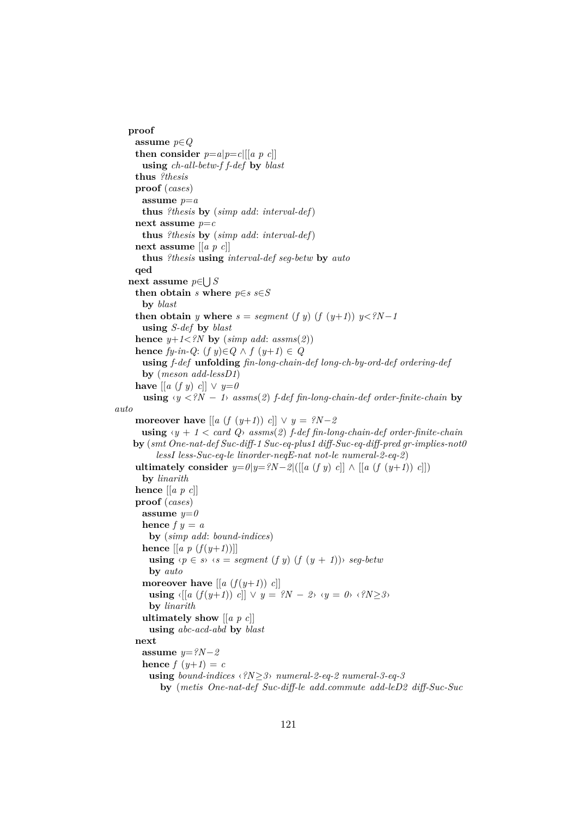```
proof
     assume p∈Q
     then consider p=a|p=c|[[a \ p \ c]]using ch-all-betw-f f-def by blast
     thus ?thesis
     proof (cases)
       assume p=a
       thus ?thesis by (simp add: interval-def)
     next assume p=c
       thus ?thesis by (simp add: interval-def)
     next assume [[a p c]]
       thus ?thesis using interval-def seg-betw by auto
     qed
   next assume p∈
S
S
     then obtain s where p \in s s∈S
       by blast
     then obtain y where s = segment (f y) (f (y+1)) y < ?N-1using S-def by blast
     hence y+1\leq?N by (simp add: assms(2))
     hence fy-in-Q: (f y)∈Q ∧ f (y+1) ∈ Qusing f-def unfolding fin-long-chain-def long-ch-by-ord-def ordering-def
       by (meson add-lessD1)
     have [[a (f y) c]] \vee y=0using ‹y <?N − 1› assms(2) f-def fin-long-chain-def order-finite-chain by
auto
     moreover have \left[ \left[ a \left( f \left( y+1 \right) \right) c \right] \right] \vee y = ?N-2using \langle y + 1 \rangle \langle x \rangle assms(2) f-def fin-long-chain-def order-finite-chain
    by (smt One-nat-def Suc-diff-1 Suc-eq-plus1 diff-Suc-eq-diff-pred gr-implies-not0
          lessI less-Suc-eq-le linorder-neqE-nat not-le numeral-2-eq-2)
     ultimately consider y=0|y=?N-2|([[a (f y) c]] ∧ [[a (f (y+1)) c]])
       by linarith
     hence [[a p c]]
     proof (cases)
       assume y=0hence f y = aby (simp add: bound-indices)
      hence \left[ \left[ a \ p \ (f(y+1)) \right] \right]using \langle p \in s \rangle \langle s = segment (f y) (f (y + 1)) \rangle seg-betw
        by auto
       moreover have [[a(f(y+1)) c]]using \langle [(a \ (f(y+1)) \ c]] \ \lor \ y = ?N - 2 \rangle \ \land \ y = 0 \rangle \ \land \ ?N \geq 3 \rangleby linarith
       ultimately show [[a p c]]
        using abc-acd-abd by blast
     next
       assume y=?N−2
       hence f(y+1) = cusing bound-indices ‹?N≥3› numeral-2-eq-2 numeral-3-eq-3
           by (metis One-nat-def Suc-diff-le add.commute add-leD2 diff-Suc-Suc
```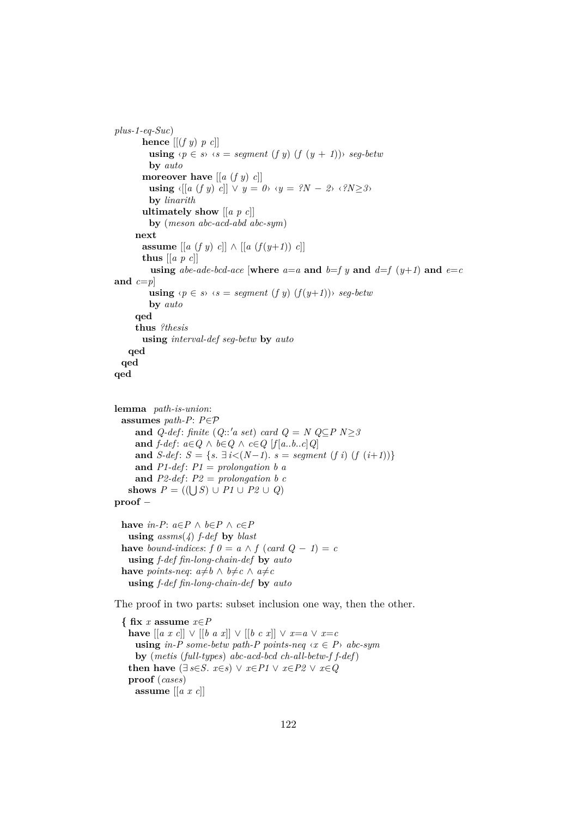```
plus-1-eq-Suc)
       hence [[ (f \, y) \, p \, c]]using \langle p \in s \rangle \langle s = segment (f \ y) (f (y + 1)) \rangle seg-betw
         by auto
       moreover have [[a (f y) c]]using \langle [(a (f y) c)] \vee (y = 0) \vee (y = ?N - ? \vee (?N \ge 3) \rangleby linarith
       ultimately show [[a p c]]
         by (meson abc-acd-abd abc-sym)
     next
       assume [[a (f y) c]] ∧ [[a (f (y+1)) c]]thus [[a p c]]
         using abe-ade-bcd-ace [where a=a and b=f y and d=f (y+1) and e=cand c=pusing \langle p \in s \rangle \langle s = \text{segment}(f \ y) \ (f(y+1)) \rangle \ \text{seq-beta}by auto
     qed
     thus ?thesis
       using interval-def seg-betw by auto
   qed
 qed
qed
lemma path-is-union:
 assumes path-P: P∈P
     and Q-def: finite (Q::'a set) card Q = N Q \subseteq P N > 3and f\text{-}def: a \in Q \land b \in Q \land c \in Q [f[a..b..c]Q]
     and S-def: S = {s. \exists i < (N-1). s = segment (f i) (f (i+1))}
     and P1-def: P1 = prolongation b a
     and P2-def: P2 = prolongation b cshows P = ((\bigcup S) \cup P1 \cup P2 \cup Q)proof −
 have in-P: a \in P \land b \in P \land c \in Pusing assms(4) f-def by blast
 have bound-indices: f \theta = a \wedge f (c \theta \theta - 1) = cusing f-def fin-long-chain-def by auto
 have points-neq: a \neq b \land b \neq c \land a \neq cusing f-def fin-long-chain-def by auto
```
The proof in two parts: subset inclusion one way, then the other.

**{ fix** *x* **assume** *x*∈*P* **have**  $[ [a \ x \ c] ] ∨ [[b \ a \ x] ] ∨ [[b \ c \ x] ] ∨ x=a ∨ x=c$ **using** in-P some-betw path-P points-neq  $\langle x \in P \rangle$  abc-sym **by** (*metis* (*full-types*) *abc-acd-bcd ch-all-betw-f f-def*) **then have**  $(\exists s \in S, x \in s) \lor x \in P1 \lor x \in P2 \lor x \in Q$ **proof** (*cases*) **assume** [[*a x c*]]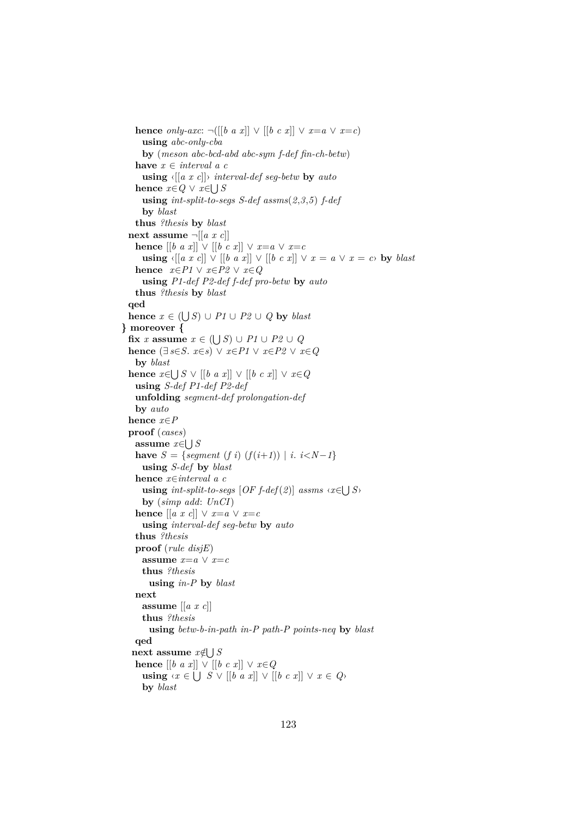**hence** *only-axc*:  $\neg([b \ a \ x]] \lor [[b \ c \ x]] \lor x=a \lor x=c)$ **using** *abc-only-cba* **by** (*meson abc-bcd-abd abc-sym f-def fin-ch-betw*) **have** *x* ∈ *interval a c* **using** ‹[[*a x c*]]› *interval-def seg-betw* **by** *auto* **hence**  $x \in Q$  ∨  $x \in \bigcup S$ **using** *int-split-to-segs S-def assms*(*2*,*3*,*5*) *f-def* **by** *blast* **thus** *?thesis* **by** *blast* **next assume**  $\neg$   $[$ [ $a \ x \ c$ ]] **hence**  $[[b \ a \ x]] \lor [[b \ c \ x]] \lor x=a \lor x=c$ **using**  $\langle [a \ x \ c] \rangle \lor [b \ a \ x] \rangle \lor [b \ c \ x] \lor x = a \lor x = c$  by *blast* **hence** *x*∈*P1* ∨ *x*∈*P2* ∨ *x*∈*Q* **using** *P1-def P2-def f-def pro-betw* **by** *auto* **thus** *?thesis* **by** *blast* **qed hence**  $x \in (\bigcup S) \cup P1 \cup P2 \cup Q$  **by** *blast* **} moreover {**  $f(x \mid x) = x \in (\bigcup S) \cup P1 \cup P2 \cup Q$ **hence** (∃ *s*∈*S*. *x*∈*s*) ∨ *x*∈*P1* ∨ *x*∈*P2* ∨ *x*∈*Q* **by** *blast* **hence**  $x \in \bigcup S$  ∨  $[[b \ a \ x]]$  ∨  $[[b \ c \ x]]$  ∨  $x \in Q$ **using** *S-def P1-def P2-def* **unfolding** *segment-def prolongation-def* **by** *auto* **hence** *x*∈*P* **proof** (*cases*) **assume** *x*∈ S *S* **have**  $S = \{segment(f i) (f(i+1)) | i. i < N-1 \}$ **using** *S-def* **by** *blast* **hence** *x*∈*interval a c* **using**  $int-split-to-segs$   $[OF_f-def(2)]$  assms  $\langle x \in \bigcup S \rangle$ **by** (*simp add*: *UnCI*) **hence**  $[[a \ x \ c]] \lor x=a \lor x=c$ **using** *interval-def seg-betw* **by** *auto* **thus** *?thesis* **proof** (*rule disjE*) **assume**  $x=a \vee x=c$ **thus** *?thesis* **using** *in-P* **by** *blast* **next assume** [[*a x c*]] **thus** *?thesis* **using** *betw-b-in-path in-P path-P points-neq* **by** *blast* **qed next assume** *x*∈/ S *S* **hence**  $[[b \ a \ x]] \lor [[b \ c \ x]] \lor x \in Q$ **using**  $\langle x \in \bigcup S \vee [b \ a \ x] \rangle \vee [b \ c \ x] \rangle \vee x \in Q$ **by** *blast*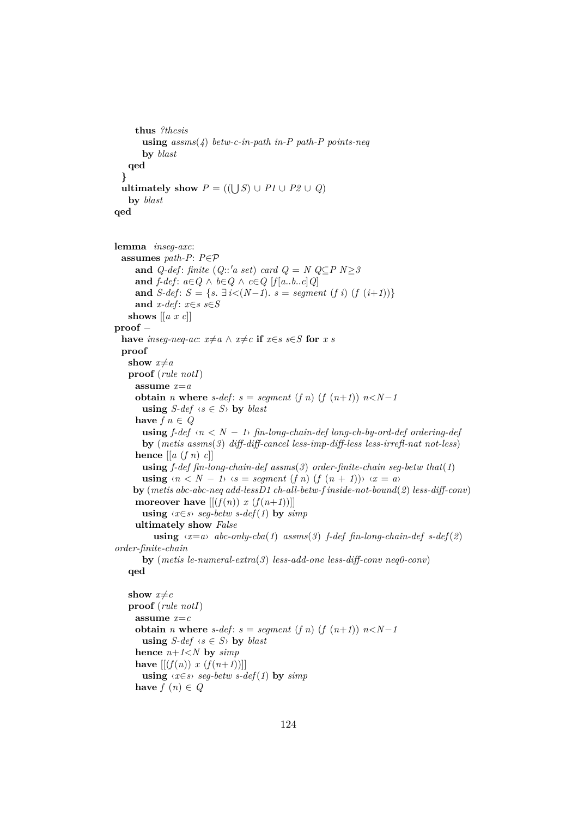```
thus ?thesis
       using assms(4) betw-c-in-path in-P path-P points-neq
       by blast
   qed
  }
  ultimately show P = ((\bigcup S) \cup P1 \cup P2 \cup Q)by blast
qed
lemma inseg-axc:
  assumes path-P: P∈P
     and Q-def: finite (Q::'a set) card Q = N Q \subseteq P N \geq 3and f\text{-}def: a \in Q \land b \in Q \land c \in Q [f[a..b..c]Q]
     and S-def: S = \{s, \exists i \le (N-1), s = segment (f i) (f (i+1))\}and x-def: x \in s s \in Sshows [[a x c]]
proof −
  have inseq-neq-ac: x \neq a \land x \neq c if x \in s s \in S for x s
  proof
   show x \neq aproof (rule notI)
     assume x=a
     obtain n where s-def: s = segment (f n) (f (n+1)) n < N-1using S-def \langle s \in S \rangle by blast
     have f n \in Qusing f\text{-}def \langle n \rangle \langle N-1 \rangle fin-long-chain-def long-ch-by-ord-def ordering-def
       by (metis assms(3) diff-diff-cancel less-imp-diff-less less-irrefl-nat not-less)
     hence \left[ \left[ a \left( f \right) n \right) c \right]using f-def fin-long-chain-def assms(3) order-finite-chain seg-betw that(1)
       using \langle n \rangle \langle N - 1 \rangle \langle s = \text{segment}(f n) (f (n + 1)) \rangle \langle x = a \rangleby (metis abc-abc-neq add-lessD1 ch-all-betw-f inside-not-bound(2) less-diff-conv)
     moreover have [[ (f(n)) x (f(n+1))] ]using \langle x \in s \rangle seg-betw s-def(1) by simp
     ultimately show False
          using \langle x=a \rangle abc-only-cba(1) assms(3) f-def fin-long-chain-def s-def(2)
order-finite-chain
       by (metis le-numeral-extra(3) less-add-one less-diff-conv neq0-conv)
   qed
   show x \neq cproof (rule notI)
     assume x=c
     obtain n where s-def: s = segment (f n) (f (n+1)) n < N-1using S-def \langle s \in S \rangle by blast
     hence n+1<N by simp
     have [[(f(n)) x (f(n+1))]
```
**using**  $\langle x \in s \rangle$  *seq-betw s-def*(1) **by** *simp* 

```
have f(n) \in Q
```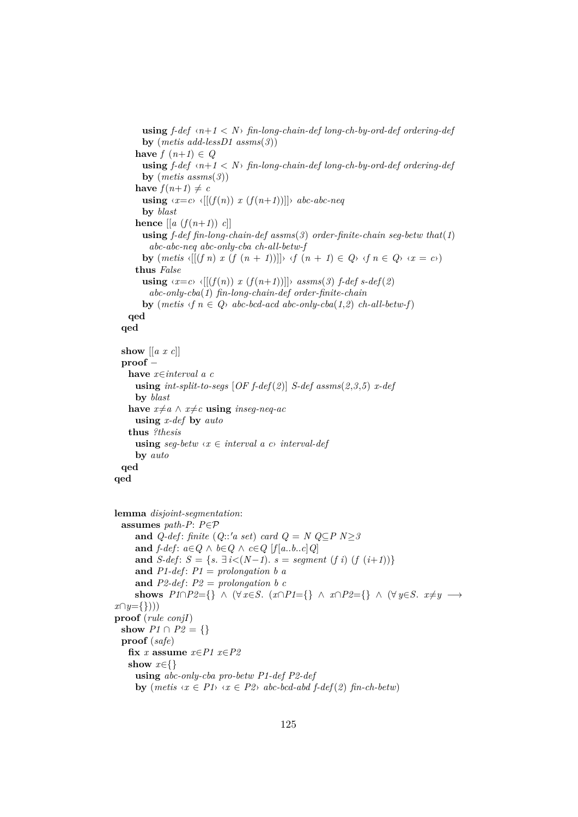```
using f-def ‹n+1 < N› fin-long-chain-def long-ch-by-ord-def ordering-def
       by (metis add-lessD1 assms(3))
      have f(n+1) \in Qusing f-def ‹n+1 < N› fin-long-chain-def long-ch-by-ord-def ordering-def
       by (metis assms(3))
      have f(n+1) \neq cusing \langle x=c \rangle \langle [(f(n)) \ x \ (f(n+1))] \rangle abc-abc-neq
       by blast
      hence \left[ \left[ a \left( f(n+1) \right) c \right] \right]using f-def fin-long-chain-def assms(3) order-finite-chain seg-betw that(1)
          abc-abc-neq abc-only-cba ch-all-betw-f
       by (metis \langle [(f\ n) \ x\ (f\ (n+1))] \rangle \ \langle f\ (n+1) \in Q \rangle \ \langle f\ n \in Q \rangle \ \langle x = c \rangle)thus False
       using \langle x=c \rangle \langle [(f(n)) \ x \ (f(n+1))] \rangle assms(3) f-def s-def(2)
          abc-only-cba(1) fin-long-chain-def order-finite-chain
       by (metis \langle f \circ n \in Q \rangle abc-bcd-acd abc-only-cba(1,2) ch-all-betw-f)
   qed
  qed
  show [[a x c]]
  proof −
   have x∈interval a c
      using int-split-to-segs [OF f-def(2)] S-def assms(2,3,5) x-def
      by blast
   have x \neq a ∧ x \neq c using inseq-neq-ac
      using x-def by auto
   thus ?thesis
      using \text{seq}-betw \langle x \in \text{interval } a \rangle c interval-def
     by auto
  qed
qed
lemma disjoint-segmentation:
 assumes path-P: P∈P
     and Q-def: finite (Q::'a set) card Q = N Q \subseteq P N > 3and f\text{-}def: a \in Q \land b \in Q \land c \in Q [f[a..b..c]Q]
      and S-def: S = \{s, \exists i < (N-1), s = segment (f i) (f (i+1))\}and P1-def: P1 = prolongation b aand P2-def: P2 = prolongation b cshows P1 \cap P2 = \{\} \wedge (\forall x \in S. \ (x \cap P1 = \{\} \wedge x \cap P2 = \{\} \wedge (\forall y \in S. \ x \neq y \rightarrow \{ \}x∩y={})))
proof (rule conjI)
  show P1 \cap P2 = \{\}proof (safe)
   fix x assume x∈P1 x∈P2
   show x∈{}
      using abc-only-cba pro-betw P1-def P2-def
      by (metis \ x \in P1 \rightarrow x \in P2 \rightarrow abc-bcd-abd \ f\text{-}def(2) \ fin-ch-betw)
```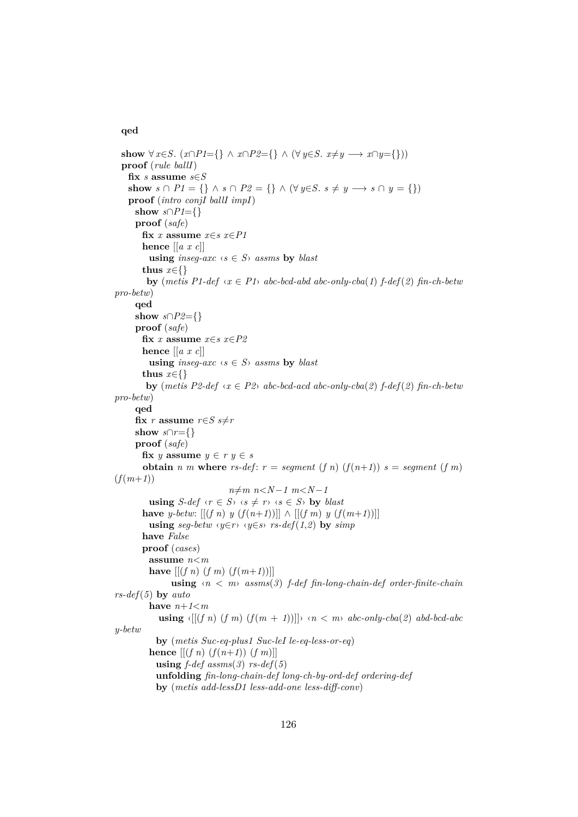### **qed**

```
show ∀ x∈S. (x∩P1={} ∧ x∩P2={} ∧ (∀ y∈S. x≠y → x∩y={}))
  proof (rule ballI)
   fix s assume s∈S
   show s \cap P1 = \{\} \land s \cap P2 = \{\} \land (\forall y \in S. s \neq y \rightarrow s \cap y = \{\})proof (intro conjI ballI impI)
     show s∩P1={}
     proof (safe)
       fix x assume x∈s x∈P1
       hence [[a x c]]
         using inseg-axc \langle s \in S \rangle assms by blast
       thus x∈{}
         by (metis P1-def \langle x \in P1 \rangle abc-bcd-abd abc-only-cba(1) f-def(2) \hat{f}in-ch-betw
pro-betw)
     qed
     show s \cap P2 = \{\}proof (safe)
       fix x assume x \in s x \in P2hence [[a x c]]
         using inseg-axc \langle s \in S \rangle assms by blast
       thus x∈{}
        by (metis P2-def \langle x \in P2 \rangle abc-bcd-acd abc-only-cba(2) f-def(2) fin-ch-betw
pro-betw)
     qed
     fix r assume r \in S s \neq rshow s \cap r = \{\}proof (safe)
       fix y assume y \in r y \in sobtain n m where rs-def: r = segment (f n) (f (n+1)) s = segment (f m)(f(m+1))n \neq m n < N-1 m < N-1using S-def \langle r \in S \rangle \langle s \neq r \rangle \langle s \in S \rangle by blast
       have y-betw: [(f n) y (f (n+1))] \wedge [[(f m) y (f (m+1))]]using \text{seg-}b\text{etw} \land \text{y} \in \text{r} \land \text{y} \in \text{s} \land \text{rs-} \text{def}(1,2) by \text{simp}have False
       proof (cases)
         assume n<m
         have [(f\ n)(f\ m)(f(m+1))]using \langle n \rangle \langle m \rangle assms(3) f-def fin-long-chain-def order-finite-chain
rs-def(5) by auto
         have n+1 musing \langle [(f\ n)(f\ m)(f(m+1))] \rangle \langle n \rangle \langle m \rangle abc-only-cba(2) abd-bcd-abc
y-betw
           by (metis Suc-eq-plus1 Suc-leI le-eq-less-or-eq)
         hence [(f n) (f (n+1)) (f m)]using f-def assms(3) rs-def(5)
           unfolding fin-long-chain-def long-ch-by-ord-def ordering-def
           by (metis add-lessD1 less-add-one less-diff-conv)
```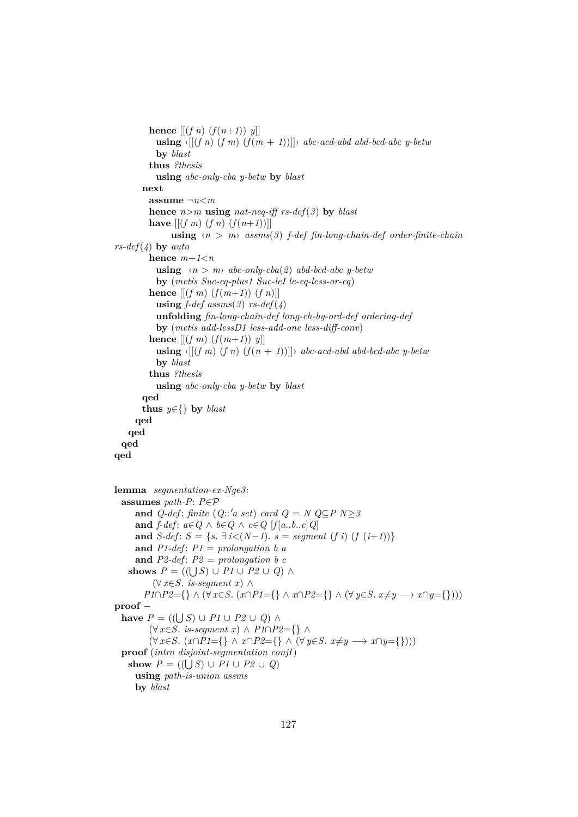**hence**  $[(f \, n) \, (f(n+1)) \, y]$ **using**  $\langle [(f\ n)(f\ m)(f(m + 1))] \rangle$  *abc-acd-abd abd-bcd-abc y-betw* **by** *blast* **thus** *?thesis* **using** *abc-only-cba y-betw* **by** *blast* **next assume** ¬*n*<*m* **hence**  $n>m$  **using**  $nat-neq$ -iff  $rs\text{-}def(3)$  **by**  $blast$ **have**  $[(f \, m) \, (f \, n) \, (f(n+1))]$ **using**  $\langle n \rangle$  *m assms*(3) *f-def fin-long-chain-def order-finite-chain rs-def*(*4*) **by** *auto* **hence**  $m+1\leq n$ **using**  $\langle n \rangle$  *m abc-only-cba(2) abd-bcd-abc y-betw* **by** (*metis Suc-eq-plus1 Suc-leI le-eq-less-or-eq*) **hence**  $[(f \, m) \, (f(m+1)) \, (f \, n)]$ **using**  $f\text{-}def$  assms(3)  $rs\text{-}def(\lambda)$ **unfolding** *fin-long-chain-def long-ch-by-ord-def ordering-def* **by** (*metis add-lessD1 less-add-one less-diff-conv*) **hence**  $[(f \, m) \, (f(m+1)) \, y]$ **using**  $\langle [(f \, m) \, (f \, n) \, (f(n+1))] \rangle$  *abc-acd-abd abd-bcd-abc y-betw* **by** *blast* **thus** *?thesis* **using** *abc-only-cba y-betw* **by** *blast* **qed thus** *y*∈{} **by** *blast* **qed qed qed qed lemma** *segmentation-ex-Nge3*: **assumes** *path-P*: *P*∈P **and** *Q-def*: *finite* (*Q*::'*a set*) *card*  $Q = N$   $Q \subseteq P$   $N > 3$ **and**  $f\text{-}def$ :  $a \in Q \land b \in Q \land c \in Q$  [ $f[a..b..c]Q$ ] **and** *S*-def: *S* = { $s$ .  $\exists i < (N-1)$ .  $s = segment (f i) (f (i+1))$ } and  $P1$ -def:  $P1 = prolongation b a$ and  $P2$ -def:  $P2 = prolongation b c$ **shows**  $P = ((\bigcup S) \cup P1 \cup P2 \cup Q) \wedge$ (∀ *x*∈*S*. *is-segment x*) ∧ *P1*∩*P2*={} ∧ (∀ *x*∈*S*. (*x*∩*P1*={} ∧ *x*∩*P2*={} ∧ (∀ *y*∈*S*. *x*≠*y* → *x*∩*y*={}))) **proof** − **have**  $P = ((\bigcup S) \cup P1 \cup P2 \cup Q) \wedge$ (∀ *x*∈*S*. *is-segment x*) ∧ *P1*∩*P2*={} ∧  $(\forall x \in S$ .  $(x \cap P1 = \{\} \land x \cap P2 = \{\} \land (\forall y \in S$ .  $x \neq y \longrightarrow x \cap y = \{\})$ **proof** (*intro disjoint-segmentation conjI*) **show**  $P = ((\bigcup S) \cup P1 \cup P2 \cup Q)$ **using** *path-is-union assms* **by** *blast*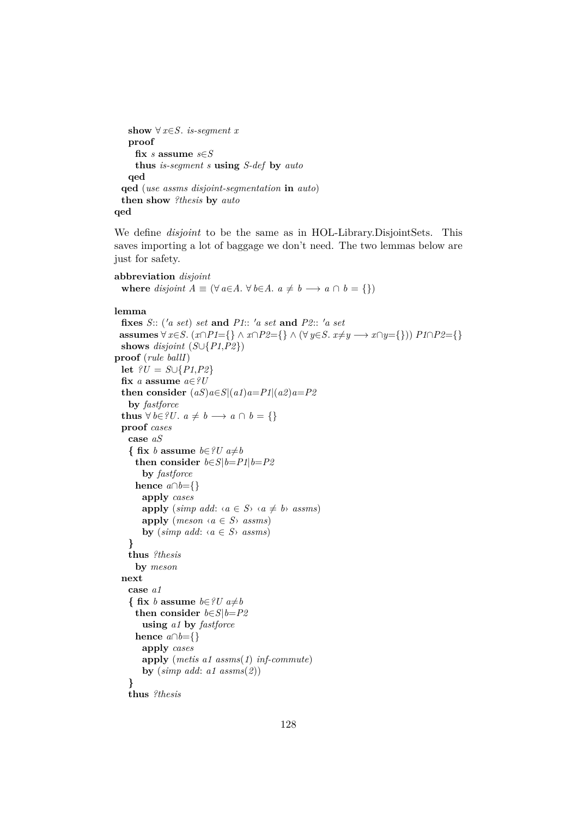```
show ∀ x \in S. is-segment x
   proof
    fix s assume s∈S
    thus is-segment s using S-def by auto
   qed
 qed (use assms disjoint-segmentation in auto)
 then show ?thesis by auto
qed
```
We define *disjoint* to be the same as in HOL-Library.DisjointSets. This saves importing a lot of baggage we don't need. The two lemmas below are just for safety.

```
abbreviation disjoint
  where disjoint A \equiv (\forall a \in A \land \forall b \in A \land a \neq b \rightarrow a \cap b = \{\})
```

```
lemma
```

```
fixes S:: (a set) set and P1:: 'a set and P2:: 'a setassumes \forall x \in S. (x \cap P1 = \{\} \land x \cap P2 = \{\} \land (\forall y \in S. x \neq y \longrightarrow x \cap y = \{\}) P1∩P2={}
 shows disjoint (S \cup \{P1, P2\})proof (rule ballI)
  let ?U = S ∪ {P1,P2}fix a assume a∈?U
  then consider (aS)a \in S|(a1)a = P1|(a2)a = P2by fastforce
  thus \forall b \in \{U, a \neq b \longrightarrow a \cap b = \{\}\}\proof cases
   case aS
    { fix b assume b \in \mathscr{V}U a \neq bthen consider b \in S | b = P1 | b = P2by fastforce
     hence a \cap b = \{\}apply cases
       apply (simp add: \langle a \in S \rangle \langle a \neq b \rangle assms)
       apply (meson \leq a \leq S \leq s)by (simp add: \langle a \in S \rangle assms)
    }
   thus ?thesis
     by meson
  next
   case a1
    { fix b assume b∈?U a \neq bthen consider b∈S|b=P2
       using a1 by fastforce
     hence a \cap b = \{\}apply cases
       apply (metis a1 assms(1) inf-commute)
       by (simp add: a1 assms(2))
   }
   thus ?thesis
```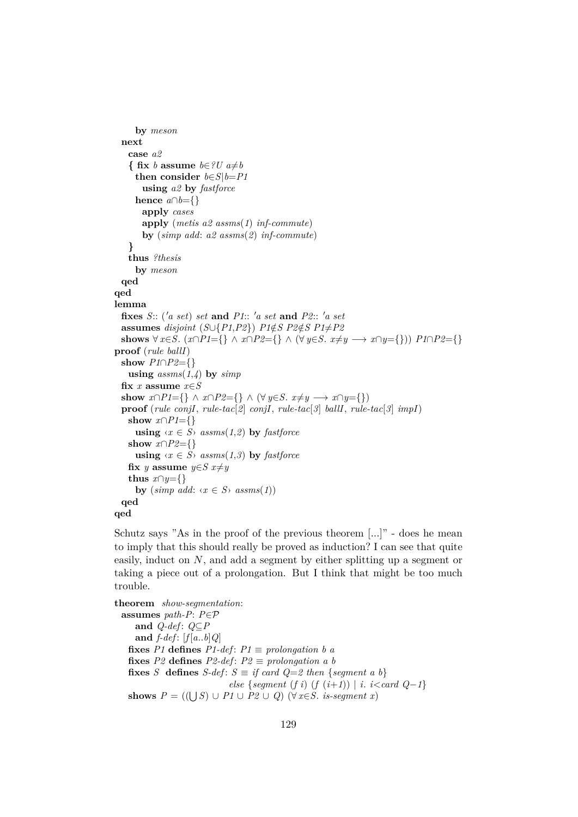```
by meson
  next
   case a2
    { fix b assume b∈?U a≠b
     then consider b \in S | b = P1using a2 by fastforce
     hence a \cap b = \{\}apply cases
       apply (metis a2 assms(1) inf-commute)
       by (simp add: a2 assms(2) inf-commute)
    }
   thus ?thesis
     by meson
  qed
qed
lemma
  fixes S: (a \text{ set}) \text{ set and } P1: (a \text{ set} \text{ and } P2: : a \text{ set})assumes disjoint (S \cup \{P1, P2\}) P1 \notin S P2 \notin S P1 \neq P2shows \forall x \in S. (x∩P1={} ∧ x∩P2={} ∧ (\forall y \in S. x≠y → x∩y={})) P1∩P2={}
proof (rule ballI)
  show P1∩P2={}
    using assms(1,4) by simpfix x assume x∈S
  show x \cap P1 = \{\} \land x \cap P2 = \{\} \land (\forall y \in S. x \neq y \rightarrow x \cap y = \{\})proof (rule conjI, rule-tac[2] conjI, rule-tac[3] ballI, rule-tac[3] impI)
   show x \cap P1 = \{\}using \langle x \in S \rangle assms(1,2) by fastforce
   show x \cap P2 = \{\}using \langle x \in S \rangle assms(1,3) by fastforce
   fix y assume y∈S x≠ythus x \cap y = \{\}by (\textit{simp add:} \langle x \in S \rangle \textit{assms}(1))qed
```
**qed**

Schutz says "As in the proof of the previous theorem [...]" - does he mean to imply that this should really be proved as induction? I can see that quite easily, induct on  $N$ , and add a segment by either splitting up a segment or taking a piece out of a prolongation. But I think that might be too much trouble.

**theorem** *show-segmentation*: **assumes** *path-P*: *P*∈P **and** *Q-def* : *Q*⊆*P* **and** *f-def* : [*f* [*a*..*b*]*Q*] **fixes** *P1* **defines**  $P1$ -def:  $P1 \equiv$  *prolongation b a* **fixes**  $P2$  **defines**  $P2$ -def:  $P2 \equiv$  prolongation a b **fixes** *S* **defines** *S-def*:  $S \equiv \text{if card } Q = 2 \text{ then } \{ \text{segment } a \text{ } b \}$ *else* {*segment* (*f i*) (*f* ( $i+1$ )) | *i*.  $i$  < *card*  $Q-1$ } **shows**  $P = ((\bigcup S) \cup P1 \cup P2 \cup Q)$  (∀ *x*∈*S*. *is-segment x*)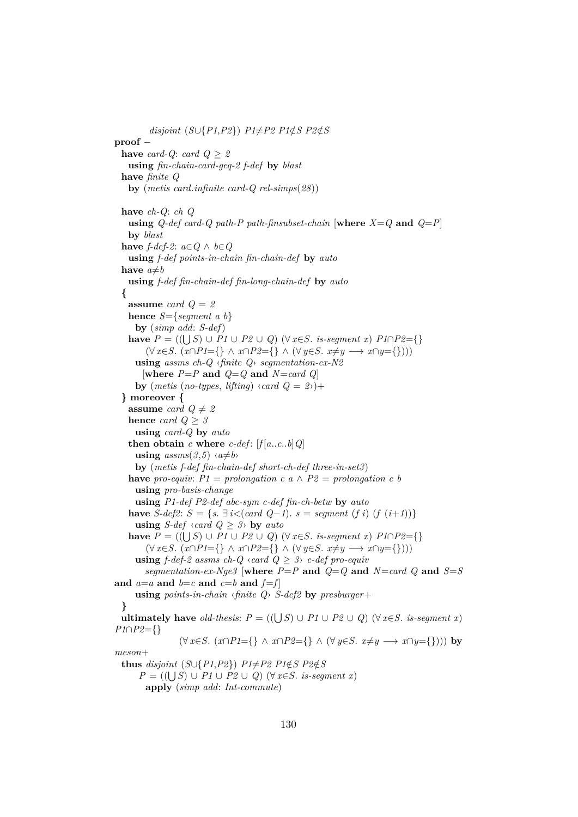$disjoint(S \cup \{P1, P2\})$   $P1 \neq P2$   $P1 \notin S$   $P2 \notin S$ **proof** − **have** *card-Q*: *card*  $Q \geq 2$ **using** *fin-chain-card-geq-2 f-def* **by** *blast* **have** *finite Q* **by** (*metis card*.*infinite card-Q rel-simps*(*28*)) **have** *ch-Q*: *ch Q* **using**  $Q$ -def card-Q path-P path-finsubset-chain [where  $X = Q$  and  $Q = P$ ] **by** *blast* **have** *f*-*def*-2:  $a \in Q$  ∧  $b \in Q$ **using** *f-def points-in-chain fin-chain-def* **by** *auto* **have**  $a \neq b$ **using** *f-def fin-chain-def fin-long-chain-def* **by** *auto* **{ assume** *card Q* = *2* **hence** *S*={*segment a b*} **by** (*simp add*: *S-def*) **have**  $P = ((\bigcup S) \cup P1 \cup P2 \cup Q)$  (∀ *x*∈*S*. *is-segment x*)  $P1 \cap P2 = \{\}$  $(\forall x \in S$ .  $(x \cap P1 = \{\} \land x \cap P2 = \{\} \land (\forall y \in S$ .  $x \neq y \longrightarrow x \cap y = \{\})$ **using** *assms ch-Q* ‹*finite Q*› *segmentation-ex-N2*  $[where P = P \text{ and } Q = Q \text{ and } N = card Q]$ **by** (*metis* (*no-types*, *lifting*)  $\langle \text{card } Q = 2 \rangle$ )+ **} moreover { assume** *card*  $Q \neq 2$ **hence** *card*  $Q > 3$ **using** *card-Q* **by** *auto* **then obtain**  $c$  **where**  $c$ -def:  $[f[a..c..b]Q]$ **using**  $assms(3,5) \land a \neq b$ **by** (*metis f-def fin-chain-def short-ch-def three-in-set3*) **have** *pro-equiv:*  $PI = prolongation$  *c*  $a \wedge P2 = prolongation$  *c*  $b$ **using** *pro-basis-change* **using** *P1-def P2-def abc-sym c-def fin-ch-betw* **by** *auto* **have** *S*-def2: *S* = {*s*. ∃ *i*<(*card Q*−*1*). *s* = *segment* (*f i*) (*f* (*i*+*1*))} **using** *S-def*  $\langle \text{card } Q \geq 3 \rangle$  **by**  $\text{auto}$ **have**  $P = ((\bigcup S) \cup P1 \cup P2 \cup Q)$  (∀ *x*∈*S*. *is-segment x*)  $P1 \cap P2 = \{\}$  $(\forall x \in S, (x \cap P1 = \{\} \land x \cap P2 = \{\} \land (\forall y \in S, x \neq y \longrightarrow x \cap y = \{\})$ **using**  $f$ -def-2 assms ch-Q  $\langle$  card  $Q \geq 3 \rangle$  c-def pro-equiv *segmentation-ex-Nge3* [where  $P = P$  and  $Q = Q$  and  $N = card$  Q and  $S = S$ and  $a=a$  and  $b=c$  and  $c=b$  and  $f=f$ **using** *points-in-chain* ‹*finite Q*› *S-def2* **by** *presburger*+ **} ultimately have** *old-thesis*:  $P = ((\bigcup S) \cup P1 \cup P2 \cup Q)$  ( $\forall x \in S$ . *is-segment x*) *P1*∩*P2*={}  $(\forall x \in S, (x \cap P1 = \{\} \land x \cap P2 = \{\} \land (\forall y \in S, x \neq y \longrightarrow x \cap y = \{\}))$  by *meson*+ **thus** disjoint  $(S \cup \{P1, P2\})$   $P1 \neq P2$   $P1 \notin S$   $P2 \notin S$ *P* = (( $\bigcup S$ ) ∪ *P1* ∪ *P2* ∪ *Q*) ( $\forall$  *x*∈*S*. *is-segment x*) **apply** (*simp add*: *Int-commute*)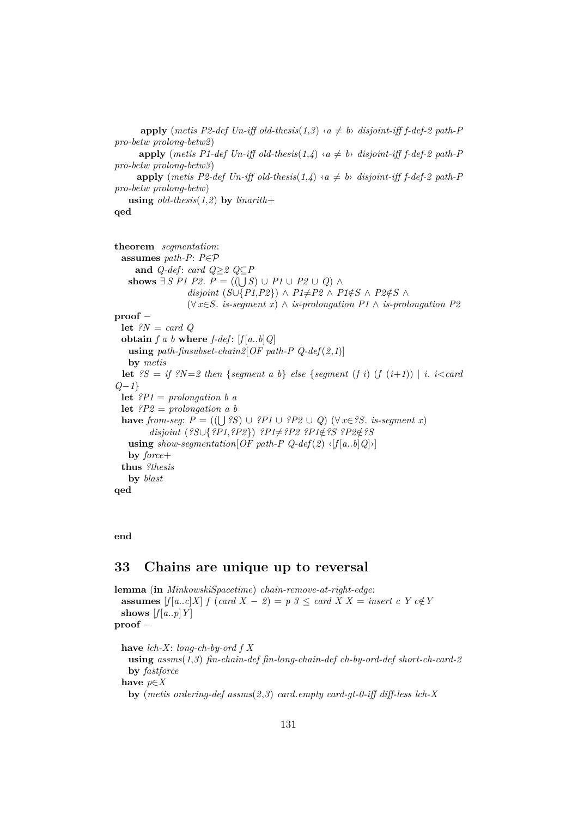```
apply (metis P2-def Un-iff old-thesis(1,3) \langle a \neq b \rangle disjoint-iff f-def-2 path-P
pro-betw prolong-betw2)
      apply (metis P1-def Un-iff old-thesis(1,4) \langle a \neq b \rangle disjoint-iff f-def-2 path-P
pro-betw prolong-betw3)
      apply (metis P2-def Un-iff old-thesis(1,4) \langle a \neq b \rangle disjoint-iff f-def-2 path-P
pro-betw prolong-betw)
   using old-thesis(1,2) by linarith+
```
#### **qed**

```
theorem segmentation:
 assumes path-P: P∈P
     and Q-def: card Q \geq 2 Q \subseteq Pshows \exists S \; P1 \; P2. P = ((\bigcup S) \cup P1 \cup P2 \cup Q) \land P2disjoint (S \cup \{P1, P2\}) ∧ P1 \neq P2 ∧ P1 \notin S ∧ P2 \notin S ∧
                  (∀ x∈S. is-segment x) ∧ is-prolongation P1 ∧ is-prolongation P2
proof −
 let ?N = card Q
 obtain f a b where f-def: [f(a..b]Q]using path-finsubset-chain2[OF path-P Q-def(2,1)]
   by metis
 let {}^{2}S = i f {}^{2}N = 2 then {segment a b} else {segment (f i) (f (i+1)) | i. i<card
Q−1}
 let ?P1 = prolongation b a
 let ?P2 = prolongation a b
  have from-seg: P = ((\bigcup ?S) \cup ?P1 \cup ?P2 \cup Q) (∀ x∈?S. is-segment x)
        disjoint (?S∪{?P1,?P2}) ?P1≠?P2 ?P1∉?S ?P2∉?S
   using show-seqmentation [OF path-P Q-def(2) \langle f[a..b]Q] \rangle]by force+
 thus ?thesis
   by blast
qed
```
#### **end**

# **33 Chains are unique up to reversal**

**lemma** (**in** *MinkowskiSpacetime*) *chain-remove-at-right-edge*: **assumes**  $[f(a..c]X]$   $f$  (*card*  $X - 2$ ) =  $p$   $3 \leq$  *card*  $X X =$  *insert c*  $Y c \notin Y$ **shows**  $[f[a..p]Y]$ **proof** −

**have** *lch-X*: *long-ch-by-ord f X* **using** *assms*(*1*,*3*) *fin-chain-def fin-long-chain-def ch-by-ord-def short-ch-card-2* **by** *fastforce* **have** *p*∈*X* **by** (*metis ordering-def assms*(*2*,*3*) *card*.*empty card-gt-0-iff diff-less lch-X*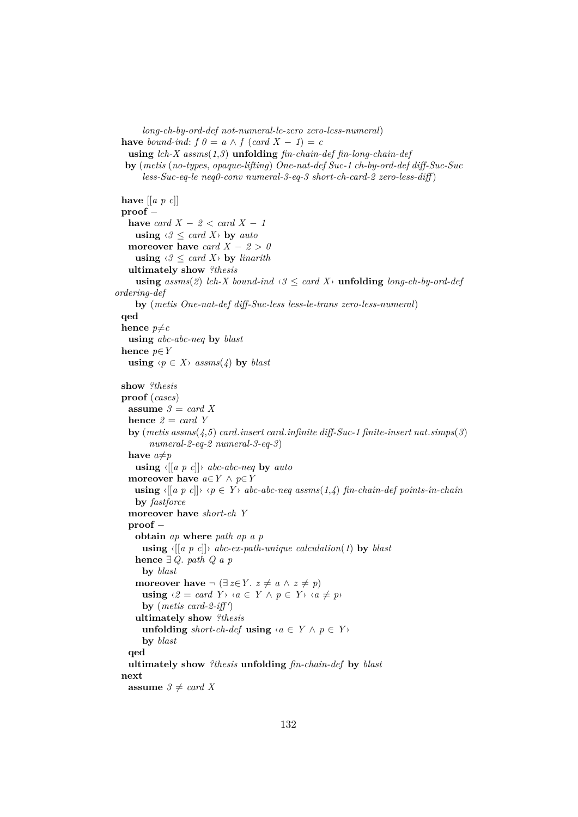```
long-ch-by-ord-def not-numeral-le-zero zero-less-numeral)
 have bound-ind: f \theta = a \wedge f (card X - 1) = cusing lch-X assms(1,3) unfolding fin-chain-def fin-long-chain-def
  by (metis (no-types, opaque-lifting) One-nat-def Suc-1 ch-by-ord-def diff-Suc-Suc
       less-Suc-eq-le neq0-conv numeral-3-eq-3 short-ch-card-2 zero-less-diff )
 have [[a p c]]
 proof −
   have card X - 2 < card X - 1using \langle \vartheta \rangle \leq \text{card } X by \text{auto}moreover have card X - 2 > 0using \langle \vartheta \rangle \leq \text{card } X by linarith
   ultimately show ?thesis
     using assms(2) lch-X bound-ind \langle 3 \leq \text{card } X \rangle unfolding long-ch-by-ord-def
ordering-def
     by (metis One-nat-def diff-Suc-less less-le-trans zero-less-numeral)
 qed
 hence p \neq cusing abc-abc-neq by blast
 hence p∈Y
   using \langle p \in X \rangle assms(4) by blast
 show ?thesis
 proof (cases)
   assume 3 = card Xhence 2 = card Y
   by (metis assms(4,5) card.insert card.infinite diff-Suc-1 finite-insert nat.simps(3)
         numeral-2-eq-2 numeral-3-eq-3)
   have a \neq pusing ‹[[a p c]]› abc-abc-neq by auto
   moreover have a \in Y \land p \in Yusing \langle [a \ p \ c] \rangle \ \langle p \in Y \rangle abc-abc-neq assms(1,4) fin-chain-def points-in-chain
     by fastforce
   moreover have short-ch Y
   proof −
     obtain ap where path ap a p
       using \langle [a \ p \ c] \rangle abc-ex-path-unique calculation(1) by blast
     hence ∃ Q. path Q a p
       by blast
     moreover have \neg (\exists z \in Y, z \neq a \land z \neq p)
       using \langle 2 = \text{card } Y \rangle \langle a \in Y \land p \in Y \rangle \langle a \neq p \rangleby (metis card-2-iff')
     ultimately show ?thesis
       unfolding short-ch-def using \langle a \in Y \land p \in Y \rangleby blast
   qed
   ultimately show ?thesis unfolding fin-chain-def by blast
 next
   assume 3 \neq card X
```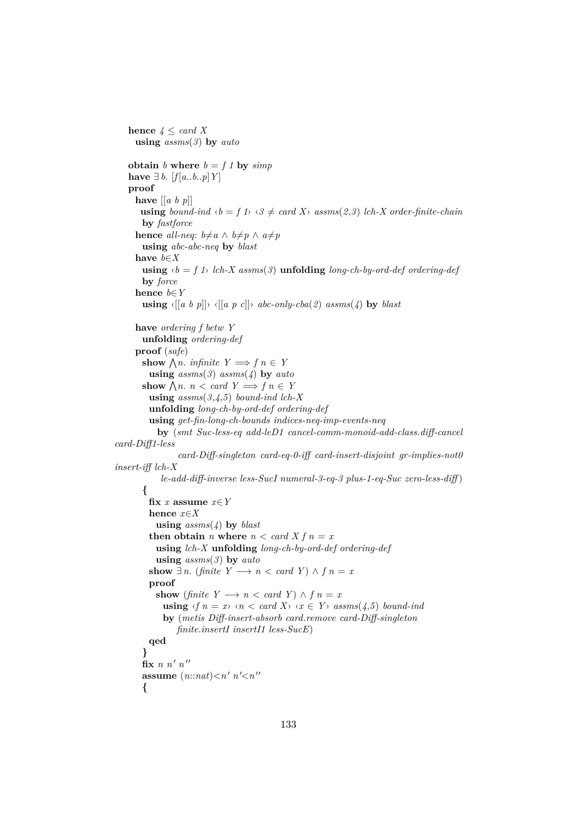```
hence 4 \leq \text{card } Xusing assms(3) by auto
   obtain b where b = f \mathbf{1} by simphave ∃ b. [f[a..b..p]Y]proof
     have [[a b p]]
       using bound-ind \langle b = f \rangle \langle \vartheta \rangle \neq \operatorname{card} X \rangle assms(2,3) lch-X order-finite-chain
       by fastforce
      hence all-neq: b \neq a \land b \neq p \land a \neq pusing abc-abc-neq by blast
      have b∈X
       using \langle b = f \rangle lch-X assms(3) unfolding long-ch-by-ord-def ordering-def
       by force
      hence b∈Y
       using \langle [a \ b \ p] \rangle \langle [a \ p \ c] \rangle abc-only-cba(2) assms(4) by blast
      have ordering f betw Y
       unfolding ordering-def
      proof (safe)
        show \bigwedge n. infinite Y \implies f n \in Yusing assms(3) assms(4) by auto
        show \bigwedge n. n < card Y \Longrightarrow f n \in Yusing assms(3,4,5) bound-ind lch-X
         unfolding long-ch-by-ord-def ordering-def
         using get-fin-long-ch-bounds indices-neq-imp-events-neq
            by (smt Suc-less-eq add-leD1 cancel-comm-monoid-add-class.diff-cancel
card-Diff1-less
                  card-Diff-singleton card-eq-0-iff card-insert-disjoint gr-implies-not0
insert-iff lch-X
             le-add-diff-inverse less-SucI numeral-3-eq-3 plus-1-eq-Suc zero-less-diff )
        {
         fix x assume x∈Y
         hence x∈X
           using assms(4) by blast
         then obtain n where n < card X f n = xusing lch-X unfolding long-ch-by-ord-def ordering-def
            using assms(3) by auto
         show ∃ n. (finite Y \rightarrow n < \text{card } Y) ∧ f n = xproof
           show (finite Y \rightarrow n < \text{card } Y) \wedge f n = xusing \langle f \rangle n = x \rangle \langle n \rangle \langle \langle \rangle card X\rangle \langle \langle x \rangle \langle \rangle x \langle \rangle x \langle \rangle ssms(4,5) bound-ind
             by (metis Diff-insert-absorb card.remove card-Diff-singleton
                 finite.insertI insertI1 less-SucE)
         qed
        }
        fix n n' n''assume (n::nat) < n' n' < n''{
```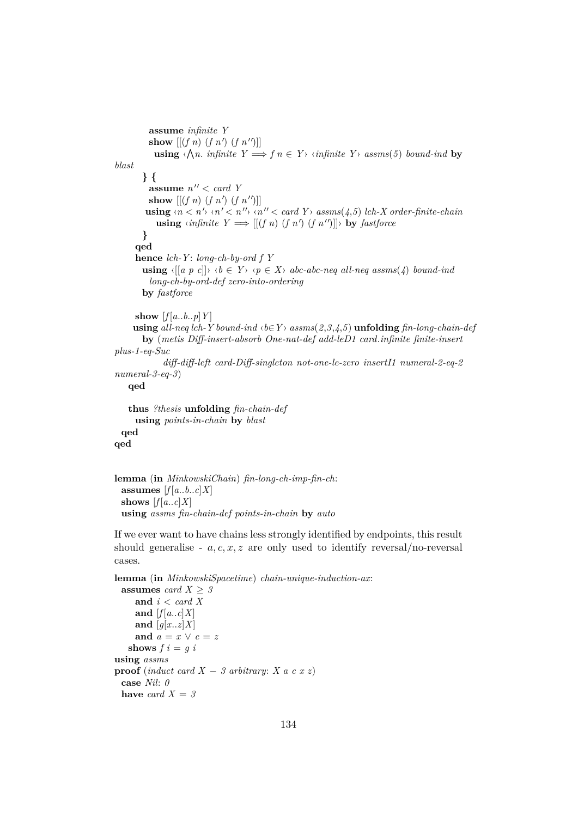```
assume infinite Y
           show [(f n) (f n') (f n'')]\textbf{using } \langle \bigwedge n \rangle infinite Y \Longrightarrow f \circ n \in Y \rangle \langle \textit{infinite } Y \rangle \textit{assms}(5) bound-ind by
blast
        } {
           assume n'' < card Y
           show [(f n)(f n') (f n'')]using \langle n \leq n' \rangle \langle n' \leq n'' \rangle \langle n'' \leq card \ Y \rangle \; \text{assms}(4,5) \; \text{lch-X} \; \text{order-finite-chain}using \langle \text{infinite } Y \implies [[(f \ n) \ (f \ n') \ (f \ n'')]] \rangle by fastforce
        }
      qed
      hence lch-Y : long-ch-by-ord f Y
        using \langle [a \ p \ c] \rangle \ \langle b \in Y \rangle \ \langle p \in X \rangle abc-abc-neq all-neq assms(4) bound-ind
          long-ch-by-ord-def zero-into-ordering
        by fastforce
      show [f[a..b..p]Y]using all-neq lch-Y bound-ind ⋅b∈Y > assms(2,3,4,5) unfolding fin-long-chain-def
        by (metis Diff-insert-absorb One-nat-def add-leD1 card.infinite finite-insert
plus-1-eq-Suc
               diff-diff-left card-Diff-singleton not-one-le-zero insertI1 numeral-2-eq-2
numeral-3-eq-3)
    qed
    thus ?thesis unfolding fin-chain-def
      using points-in-chain by blast
  qed
qed
```

```
lemma (in MinkowskiChain) fin-long-ch-imp-fin-ch:
 assumes [f[a..b..c]X]shows [f[a..c]X]using assms fin-chain-def points-in-chain by auto
```
If we ever want to have chains less strongly identified by endpoints, this result should generalise -  $a, c, x, z$  are only used to identify reversal/no-reversal cases.

**lemma** (**in** *MinkowskiSpacetime*) *chain-unique-induction-ax*:

```
assumes card X > 3and i < card X
    and [f[a..c]X]and [q[x..z]X]and a = x \vee c = zshows f \mathbf{i} = q \mathbf{i}using assms
proof (induct card X − 3 arbitrary: X a c x z)
 case Nil: 0
 have card X = 3
```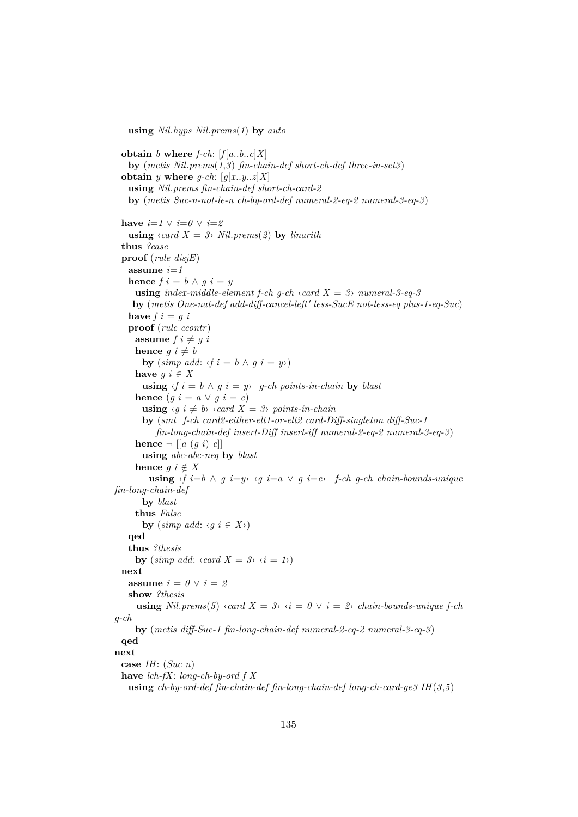**using** *Nil*.*hyps Nil*.*prems*(*1*) **by** *auto*

**obtain** *b* **where**  $f\text{-}ch$ :  $[f(a..b..c]X]$ **by** (*metis Nil*.*prems*(*1*,*3*) *fin-chain-def short-ch-def three-in-set3*) **obtain** *y* **where** *q-ch*:  $[q[x..y..z]X]$ **using** *Nil*.*prems fin-chain-def short-ch-card-2* **by** (*metis Suc-n-not-le-n ch-by-ord-def numeral-2-eq-2 numeral-3-eq-3*) **have**  $i=1 \vee i=0 \vee i=2$ **using**  $\langle \text{card } X = 3 \rangle$  *Nil.* prems(2) **by** *linarith* **thus** *?case* **proof** (*rule disjE*) **assume** *i*=*1* **hence**  $f \circ i = b \land q \circ i = y$ **using** *index-middle-element f-ch g-ch*  $\langle$  *card X = 3* $\rangle$  *numeral-3-eq-3* **by** (*metis One-nat-def add-diff-cancel-left' less-SucE not-less-eq plus-1-eq-Suc*) **have**  $f$ *i* =  $g$ *i* **proof** (*rule ccontr*) **assume**  $f \, i \neq g \, i$ **hence**  $g \, i \neq b$ **by**  $(\text{simp add:} \langle f \rangle i = b \land g \rangle i = y$ **have**  $g$   $i \in X$ **using**  $\langle f \, i = b \land g \, i = y \rangle$  *g-ch points-in-chain* **by** *blast* **hence**  $(g \, i = a \vee g \, i = c)$ **using**  $\langle g \, i \neq b \rangle \langle \text{card } X = 3 \rangle$  points-in-chain **by** (*smt f-ch card2-either-elt1-or-elt2 card-Diff-singleton diff-Suc-1 fin-long-chain-def insert-Diff insert-iff numeral-2-eq-2 numeral-3-eq-3*) **hence**  $\neg$  [[*a* (*q i*) *c*]] **using** *abc-abc-neq* **by** *blast* **hence**  $g \, i \notin X$ **using**  $\langle f \rangle$ *i*=*b* ∧ *g i*=*y*  $\langle g \rangle$  *i*=*a*  $\lor$  *g i*=*c* $\land$  *f-ch g-ch chain-bounds-unique fin-long-chain-def* **by** *blast* **thus** *False* **by** (*simp add:*  $\langle q \mid i \in X \rangle$ ) **qed thus** *?thesis* **by**  $(\textit{simp add: } \langle \textit{card } X = 3 \rangle \langle i = 1 \rangle)$ **next assume**  $i = 0 \vee i = 2$ **show** *?thesis* **using**  $Nil. \text{prems}(5) \triangleleft card X = 3 \triangleleft i = 0 \vee i = 2 \triangleleft chain-bounds-unique \text{ } f-chi$ *g-ch* **by** (*metis diff-Suc-1 fin-long-chain-def numeral-2-eq-2 numeral-3-eq-3*) **qed next case** *IH*: (*Suc n*) **have** *lch-fX*: *long-ch-by-ord f X* **using** *ch-by-ord-def fin-chain-def fin-long-chain-def long-ch-card-ge3 IH*(*3*,*5*)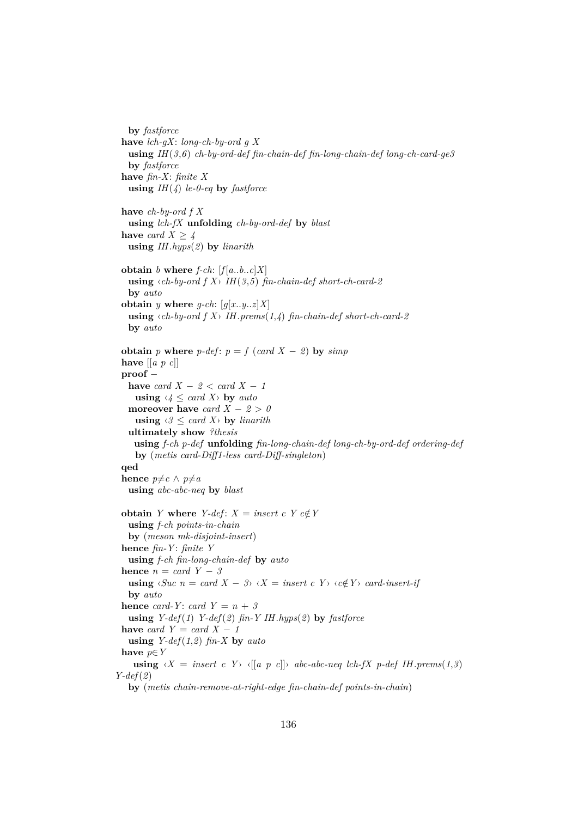```
by fastforce
 have lch-gX: long-ch-by-ord g X
   using IH(3,6) ch-by-ord-def fin-chain-def fin-long-chain-def long-ch-card-ge3
   by fastforce
 have fin-X: finite X
   using IH(4) le-0-eq by fastforce
 have ch-by-ord f X
   using lch-fX unfolding ch-by-ord-def by blast
 have card X \geq 4using IH.hyps(2) by linarith
 obtain b where f-ch: [f(a..b..c]X]using \langle ch-by\text{-}ord\ f\ X\rangle IH(3,5) fin-chain-def short-ch-card-2
   by auto
 obtain y where g-ch: [q[x..y..z]X]using \langle ch-by\text{-}ord\ f\ X\rangle IH. prems(1,4) fin-chain-def short-ch-card-2
   by auto
 obtain p where p-def: p = f (card X − 2) by simphave [[a p c]]
 proof −
   have card X - 2 < card X - 1using \langle 4 \leq \text{card } X \rangle by \text{auto}moreover have card X - 2 > 0using \langle \vartheta \rangle \langle \vartheta \rangle card X\rangle by linarith
  ultimately show ?thesis
    using f-ch p-def unfolding fin-long-chain-def long-ch-by-ord-def ordering-def
    by (metis card-Diff1-less card-Diff-singleton)
 qed
 hence p \neq c \land p \neq ausing abc-abc-neq by blast
 obtain Y where Y-def: X = insert\ c\ Y\ c \notin Yusing f-ch points-in-chain
   by (meson mk-disjoint-insert)
 hence fin-Y : finite Y
   using f-ch fin-long-chain-def by auto
 hence n = card Y - 3using \langle \textit{Suc~} n = \textit{card~} X - 3 \rangle \langle X = \textit{insert~} c \, Y \rangle \langle c \notin Y \rangle card-insert-if
   by auto
 hence card-Y: card Y = n + 3using Y-def(1) Y-def(2) fin-Y IH.hyps(2) by fastforce
 have card Y = card X - 1using Y\text{-}def(1,2) fin-X by auto
 have p∈Y
    using \langle X = \text{insert } c \ Y \rangle \langle [a \ p \ c] \rangle abc-abc-neq lch-fX p-def IH.prems(1.3)
Y-def(2)
   by (metis chain-remove-at-right-edge fin-chain-def points-in-chain)
```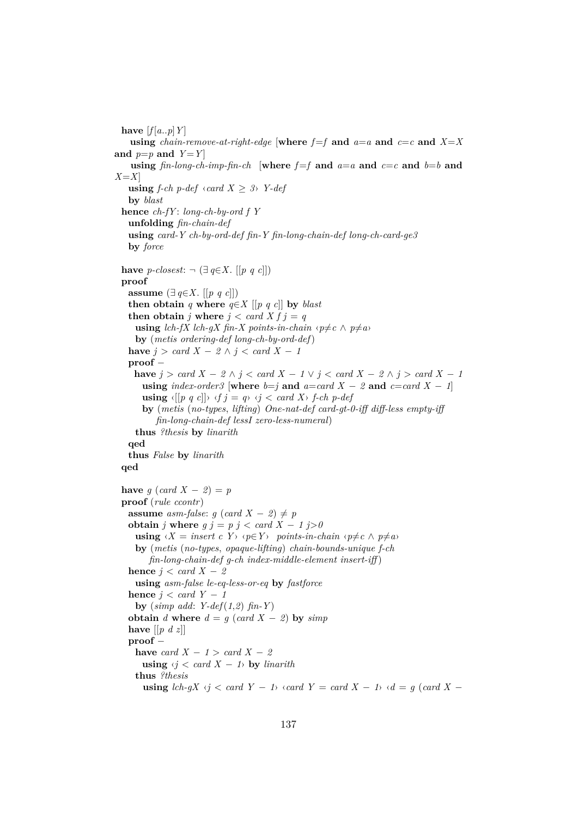have  $[f[a..p]Y]$ **using** *chain-remove-at-right-edge* [where  $f=f$  and  $a=a$  and  $c=c$  and  $X=X$ and  $p=p$  and  $Y=Y$ **using**  $\int$ *fin-long-ch-imp-fin-ch* [where  $f=f$  and  $a=a$  and  $c=c$  and  $b=b$  and *X*=*X*] **using** *f-ch p-def*  $\langle \text{card } X \rangle$  *3* $\rangle$  *Y-def* **by** *blast* **hence** *ch-fY* : *long-ch-by-ord f Y* **unfolding** *fin-chain-def* **using** *card-Y ch-by-ord-def fin-Y fin-long-chain-def long-ch-card-ge3* **by** *force* **have** *p-closest*:  $\neg$  (∃ *q*∈*X*. [[*p q c*]]) **proof assume**  $(∃ q∈X. [[p q c]])$ **then obtain** *q* **where**  $q \in X$  [[*p q c*]] **by** *blast* **then obtain** *j* **where**  $j < \text{card } X f j = q$ **using** *lch-fX lch-gX fin-X points-in-chain*  $\langle p \neq c \land p \neq a \rangle$ **by** (*metis ordering-def long-ch-by-ord-def*) **have**  $j > \text{card } X - 2 \land j < \text{card } X - 1$ **proof** − **have**  $j > \text{card } X - 2 \land j < \text{card } X - 1 \lor j < \text{card } X - 2 \land j > \text{card } X - 1$ **using**  $index-order3$  [where  $b=j$  and  $a=card X - 2$  and  $c=card X - 1$ ] **using**  $\langle [p \ q \ c] \rangle \ \langle f \ j = q \rangle \ \langle j \ < \mathit{card } X \rangle \ f \text{-}ch \ p \text{-}def$ **by** (*metis* (*no-types*, *lifting*) *One-nat-def card-gt-0-iff diff-less empty-iff fin-long-chain-def lessI zero-less-numeral*) **thus** *?thesis* **by** *linarith* **qed thus** *False* **by** *linarith* **qed have**  $g$  (*card*  $X - 2 = p$ **proof** (*rule ccontr*) **assume** *asm-false:*  $g$  (*card*  $X - 2$ )  $\neq p$ **obtain** *j* **where**  $g$  *j* =  $p$  *j* < *card*  $X - 1$  *j*>0  $using \langle X = insert\ c \ Y \rangle \langle p \in Y \rangle$  *points-in-chain*  $\langle p \neq c \land p \neq a \rangle$ **by** (*metis* (*no-types*, *opaque-lifting*) *chain-bounds-unique f-ch fin-long-chain-def g-ch index-middle-element insert-iff* ) **hence**  $j < \text{card } X - 2$ **using** *asm-false le-eq-less-or-eq* **by** *fastforce* **hence**  $j < card$   $Y - 1$ **by** (*simp add*: *Y-def*(*1*,*2*) *fin-Y* ) **obtain** *d* **where**  $d = g$  (*card X* − *2*) **by**  $simp$ **have** [[*p d z*]] **proof** − **have** *card*  $X - 1 > \text{card } X - 2$ **using**  $\langle i \rangle$  < card  $X$  − 1 $\rangle$  **by** *linarith* **thus** *?thesis* **using**  $\text{lc} h \cdot gX \leq \text{card } Y - 1 \leq \text{card } Y = \text{card } X - 1 \leq d = g \text{ (card } X - 1$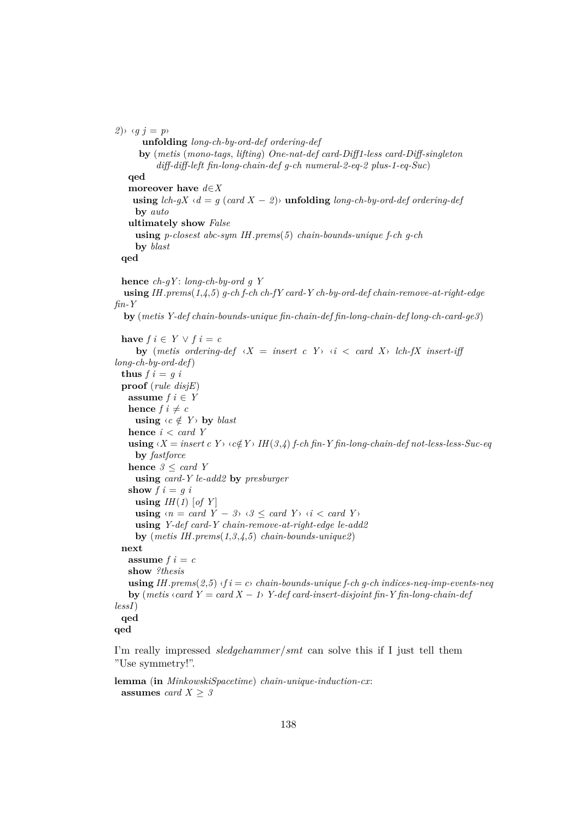```
(2) \rightarrow (qj = p)unfolding long-ch-by-ord-def ordering-def
      by (metis (mono-tags, lifting) One-nat-def card-Diff1-less card-Diff-singleton
           diff-diff-left fin-long-chain-def g-ch numeral-2-eq-2 plus-1-eq-Suc)
   qed
   moreover have d∈X
    using lch-qX \cdot d = q (card X - 2)) unfolding long-ch-by-ord-def ordering-def
     by auto
   ultimately show False
     using p-closest abc-sym IH.prems(5) chain-bounds-unique f-ch g-ch
     by blast
  qed
  hence ch-gY : long-ch-by-ord g Y
  using IH.prems(1,4,5) g-ch f-ch ch-fY card-Y ch-by-ord-def chain-remove-at-right-edge
fin-Y
  by (metis Y-def chain-bounds-unique fin-chain-def fin-long-chain-def long-ch-card-ge3)
  have f \in Y \lor f \in cby (metis ordering-def \langle X = \text{insert } c \ Y \rangle \ \langle i \rangle \langle c \rangle card X\rangle lch-fX insert-iff
long-ch-by-ord-def)
  thus f \, i = g \, iproof (rule disjE)
   assume f \in Yhence f \, i \neq cusing \langle c \notin Y \rangle by blast
   hence i < card Y
   using \langle X = \text{insert } c \ Y \rangle \langle c \notin Y \rangle IH(3,4) f-ch fin-Y fin-long-chain-def not-less-less-Suc-eq
     by fastforce
   hence 3 \leq \text{card } Yusing card-Y le-add2 by presburger
   show f \mathbf{i} = q \mathbf{i}using IH(1) [of Y]
     using \langle n = \text{card } Y - 3 \rangle \langle 3 \leq \text{card } Y \rangle \langle i < \text{card } Y \rangleusing Y-def card-Y chain-remove-at-right-edge le-add2
     by (metis IH.prems(1,3,4,5) chain-bounds-unique2)
  next
   assume f i = cshow ?thesis
   using IH.prems(2.5) \langle f \, i \, \rangle = c chain-bounds-unique f-ch g-ch indices-neq-imp-events-neq
   by (metis \langle \text{card } Y = \text{card } X - 1 \rangle Y-def card-insert-disjoint fin-Y fin-long-chain-def
lessI)
 qed
qed
```
I'm really impressed *sledgehammer*/*smt* can solve this if I just tell them "Use symmetry!".

**lemma** (**in** *MinkowskiSpacetime*) *chain-unique-induction-cx*: **assumes** *card*  $X \geq 3$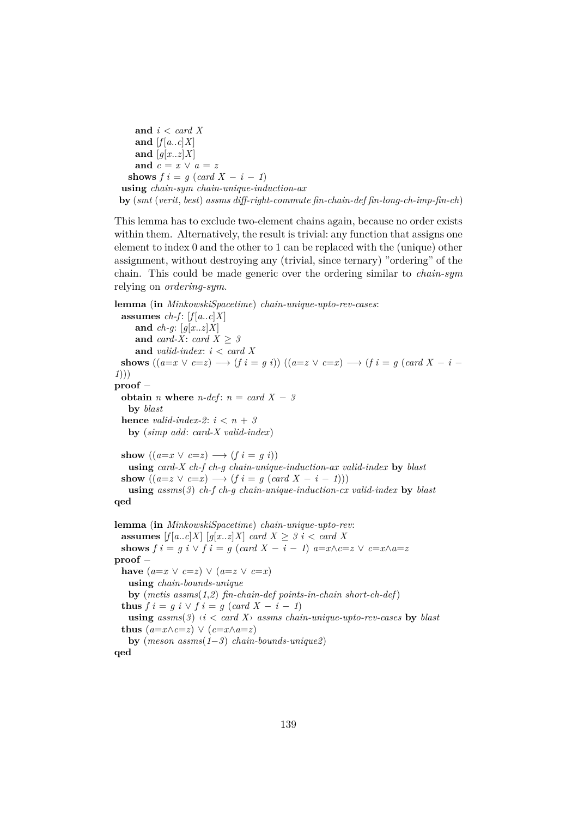**and** *i* < *card X* and  $[f[a..c]X]$ and  $[g[x..z]X]$ and  $c = x \vee a = z$ **shows**  $f \mathbf{i} = q \ (card \ X - \mathbf{i} - 1)$ **using** *chain-sym chain-unique-induction-ax* **by** (*smt* (*verit*, *best*) *assms diff-right-commute fin-chain-def fin-long-ch-imp-fin-ch*)

This lemma has to exclude two-element chains again, because no order exists within them. Alternatively, the result is trivial: any function that assigns one element to index 0 and the other to 1 can be replaced with the (unique) other assignment, without destroying any (trivial, since ternary) "ordering" of the chain. This could be made generic over the ordering similar to *chain-sym* relying on *ordering-sym*.

```
lemma (in MinkowskiSpacetime) chain-unique-upto-rev-cases:
 assumes ch-f: [f[a..c]X]and ch-g: [g[x..z]X]
     and card-X: card X \geq 3and valid-index: i < card X
 shows ((a=x \vee c=z) \rightarrow (f \cdot i = g \cdot i)) ((a=z \vee c=x) \rightarrow (f \cdot i = g \cdot (card X - i -1)))
proof −
 obtain n where n-def: n = card X - 3by blast
 hence valid-index-2: i < n + 3by (simp add: card-X valid-index)
 show ((a=x \vee c=z) \rightarrow (f \, i = q \, i))using card-X ch-f ch-g chain-unique-induction-ax valid-index by blast
  show ((a=z \vee c=x) \longrightarrow (f \, i = g \, (card X - i - 1)))using assms(3) ch-f ch-g chain-unique-induction-cx valid-index by blast
qed
lemma (in MinkowskiSpacetime) chain-unique-upto-rev:
 assumes [f[a..c]X] [g[x..z]X] card X \geq 3 i < card X
 shows f i = g i \lor f i = g (card X - i - 1) a = x \land c = z \lor c = x \land a = zproof −
  have (a=x \vee c=z) \vee (a=z \vee c=x)using chain-bounds-unique
   by (metis assms(1,2) fin-chain-def points-in-chain short-ch-def)
  thus f \circ i = g \circ \vee f \circ i = g \ (card \ X - i - 1)using assms(3) \le i < card X assms chain-unique-upto-rev-cases by blast
  thus (a=x \wedge c=z) \vee (c=x \wedge a=z)by (meson assms(1−3) chain-bounds-unique2)
qed
```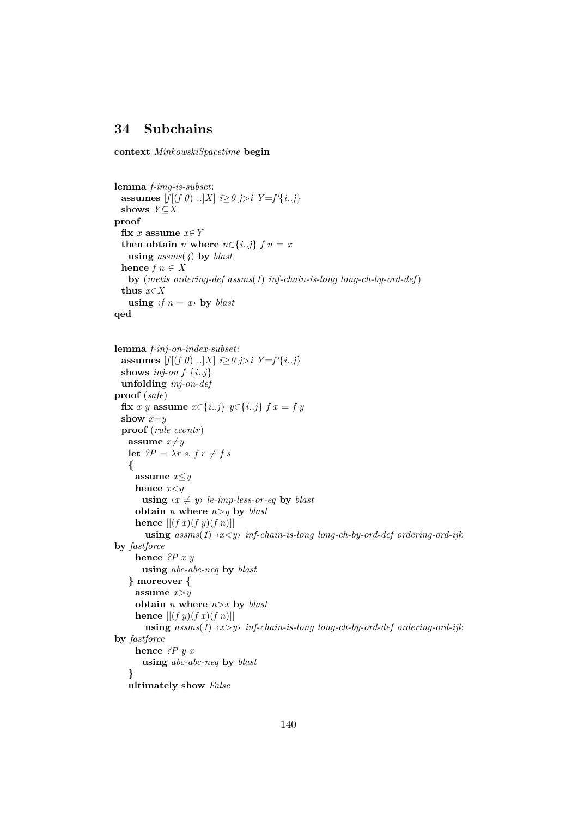### **34 Subchains**

**context** *MinkowskiSpacetime* **begin**

```
lemma f-img-is-subset:
 assumes [f|(f \theta) \dots | X| \leq \theta j > i \ Y = f' \{i..j\}shows Y⊆X
proof
 fix x assume x \in Ythen obtain n where n \in \{i..j\} f \in \mathbb{R}using assms(4) by blast
 hence f n \in Xby (metis ordering-def assms(1) inf-chain-is-long long-ch-by-ord-def)
 thus x∈X
   using \langle f \rangle n = xby blast
qed
lemma f-inj-on-index-subset:
 assumes [f|(f \theta) \dots | X| \leq \theta j > i \ Y = f' \{i..j\}shows inj-on f {i..j}
 unfolding inj-on-def
proof (safe)
 fix x y assume x∈{i..j} y∈{i..j} f x = f y
 show x=y
 proof (rule ccontr)
   assume x \neq ylet ?P = \lambda r \ s, f r \neq f s{
     assume x≤y
     hence x<y
      using \langle x \neq y \rangle le-imp-less-or-eq by blast
     obtain n where n>y by blast
     hence [(f x)(f y)(f n)]using assms(1) ‹x<y› inf-chain-is-long long-ch-by-ord-def ordering-ord-ijk
by fastforce
     hence ?P x y
      using abc-abc-neq by blast
   } moreover {
     assume x>y
     obtain n where n>x by blast
     hence [(f \, y)(f \, x)(f \, n)]using assms(1) ‹x>y› inf-chain-is-long long-ch-by-ord-def ordering-ord-ijk
by fastforce
     hence ?P y x
      using abc-abc-neq by blast
   }
   ultimately show False
```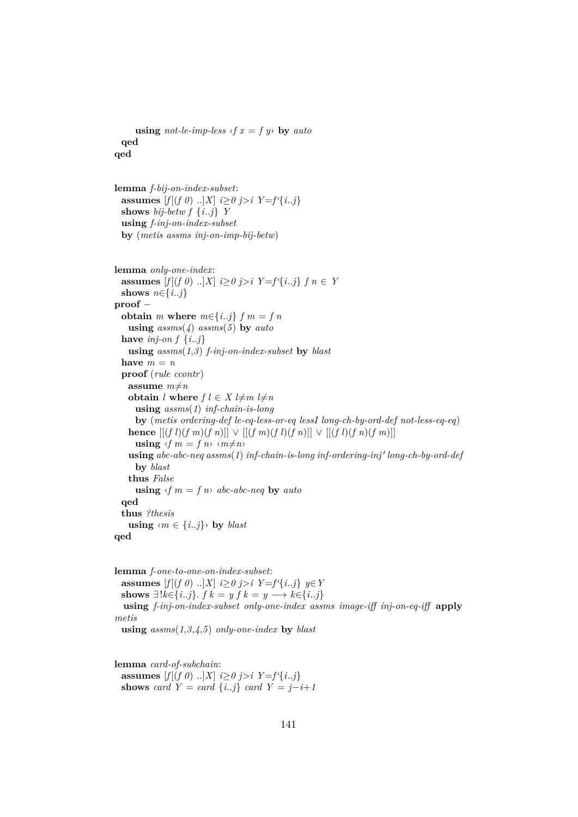```
using not-le-imp-less \langle f x = f y \rangle by auto
  qed
qed
lemma f-bij-on-index-subset:
  assumes [f](f \theta)..]X i > 0 j>i Y=f'{i..j}
  shows bij-betw f\{i..j\} Y
  using f-inj-on-index-subset
  by (metis assms inj-on-imp-bij-betw)
lemma only-one-index:
  assumes [f|(f \theta) \dots | X| \leq \theta j > i \ Y = f' \{i..j\} \ f \ n \in Yshows n \in \{i..j\}proof −
  obtain m where m \in \{i..j\} f m = f nusing assms(4) assms(5) by auto
  have inj-on f \{i..j\}using assms(1,3) f-inj-on-index-subset by blast
  have m = nproof (rule ccontr)
   assume m \neq nobtain l where f l \in X l\neqm l\neqn
      using assms(1) inf-chain-is-long
      by (metis ordering-def le-eq-less-or-eq lessI long-ch-by-ord-def not-less-eq-eq)
   hence [(f l)(f m)(f n)] \vee [(f m)(f l)(f n)] \vee [(f l)(f n)(f m)]]using \langle f | m = f | n \rangle \langle m \neq n \rangleusing\ abc\text{-}abc\text{-}neg\ assms(1)\ inf\text{-}chain\text{-}is\text{-}long\ inf\text{-}ordering\text{-}inj'\ long\text{-}ch\text{-}by\text{-}ord\text{-}def\}by blast
   thus False
      using \langle f | m = f | n \rangle abc-abc-neq by auto
  qed
  thus ?thesis
   using \langle m \in \{i..j\} \rangle by blast
qed
```
**lemma** *f-one-to-one-on-index-subset*: **assumes**  $[f[(f \ 0) \ ..]X]$  *i*≥*0 j*>*i Y*=*f'*{*i*..*j*} *y*∈*Y* shows ∃! $k \in \{i..j\}$ .  $f k = y f k = y \longrightarrow k \in \{i..j\}$ **using** *f-inj-on-index-subset only-one-index assms image-iff inj-on-eq-iff* **apply** *metis* **using** *assms*(*1*,*3*,*4*,*5*) *only-one-index* **by** *blast*

**lemma** *card-of-subchain*: **assumes**  $[f|(f \theta) ... | X| \leq \theta j > i \ Y = f' \{i..j\}$ **shows** *card*  $Y = card \{i..j\}$  *card*  $Y = j-i+1$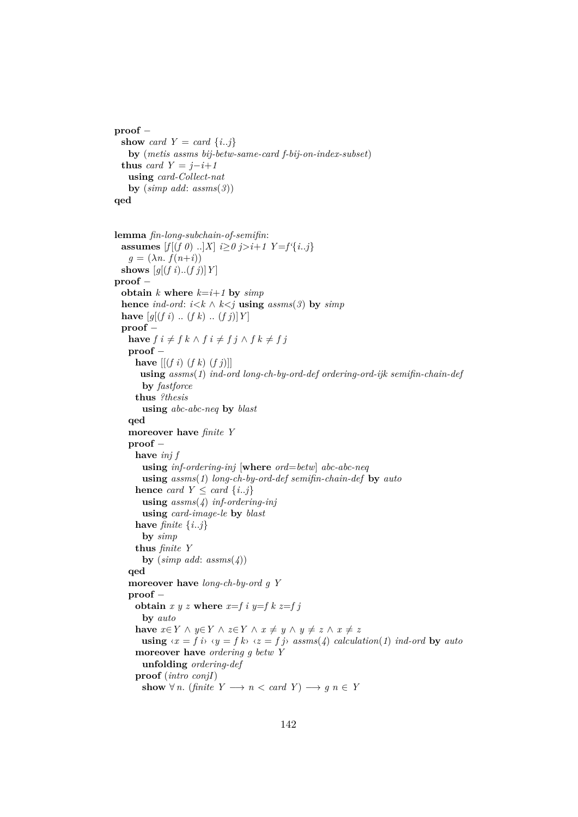```
proof −
 show card Y = card \{i..j\}by (metis assms bij-betw-same-card f-bij-on-index-subset)
 thus card Y = j - i + 1using card-Collect-nat
   by (simp add: assms(3))
qed
```

```
lemma fin-long-subchain-of-semifin:
 assumes [f[(f \ 0) \ ...]X] i \geq 0 j > i+1 Y = f' {i..j}g = (\lambda n. f(n+i))shows [g[(f\ i)..(f\ j)]Y]proof −
 obtain k where k=i+1 by simphence ind-ord: i \leq k \land k \leq j using assms(3) by simphave [g[(f\ i) \ ..\ (f\ k) \ ..\ (f\ j)]\ Y]proof −
   have f i \neq f k \land f i \neq f j \land f k \neq f jproof −
     have [[ (f i) (f k) (f j)]]using assms(1) ind-ord long-ch-by-ord-def ordering-ord-ijk semifin-chain-def
       by fastforce
     thus ?thesis
       using abc-abc-neq by blast
   qed
   moreover have finite Y
   proof −
     have inj f
       using inf-ordering-inj [where ord=betw] abc-abc-neq
       using assms(1) long-ch-by-ord-def semifin-chain-def by auto
     hence card Y \leq card \{i..j\}using assms(4) inf-ordering-inj
       using card-image-le by blast
     have finite \{i..j\}by simp
     thus finite Y
       by (\textit{simp add:} \textit{assms}(4))qed
   moreover have long-ch-by-ord g Y
   proof −
     obtain x y z where x=f i y=f k z=f jby auto
     have x \in Y \land y \in Y \land z \in Y \land x \neq y \land y \neq z \land x \neq zusing \langle x = f \, i \rangle \langle y = f \, k \rangle \langle z = f \, j \rangle assms(4) calculation(1) ind-ord by auto
     moreover have ordering g betw Y
       unfolding ordering-def
     proof (intro conjI)
       show \forall n. (finite Y \rightarrow n < \text{card } Y \rightarrow g n \in Y
```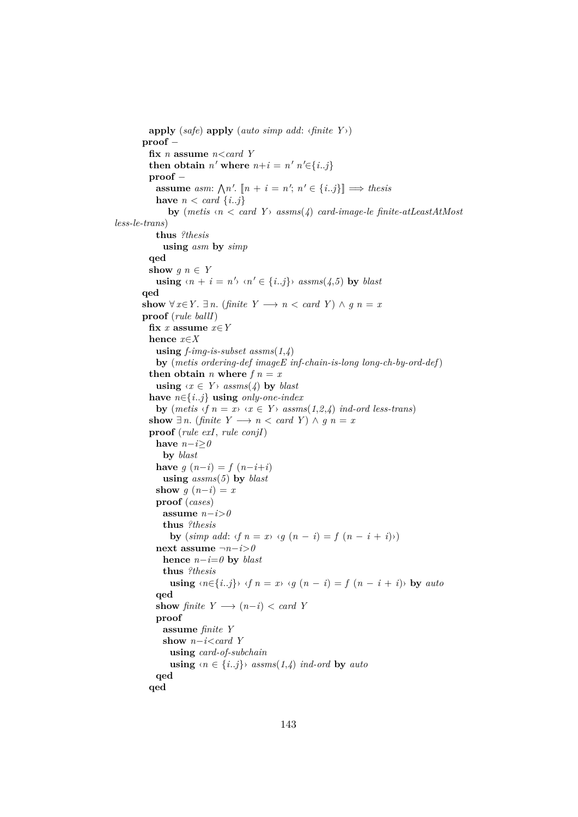```
apply (safe) apply (auto simp add: ‹finite Y ›)
       proof −
          fix n assume n<card Y
          then obtain n' where n+i = n' n'\in{i..j}
          proof −
            assume asm: \bigwedge n'. \llbracket n + i = n'; n' \in \{i..j\} \rrbracket \implies \text{thesis}have n < \text{card } \{i..j\}by (metis \langle n \rangle \langle card Y \rangle assms(\angle) card-image-le finite-atLeastAtMost
less-le-trans)
           thus ?thesis
             using asm by simp
          qed
          show g \circ n \in Yusing \langle n + i = n' \rangle \langle n' \in \{i..j\} \rangle assms(4,5) by blast
       qed
       show \forall x \in Y. ∃ n. (finite Y \rightarrow n \ltq card Y) ∧ q n = xproof (rule ballI)
          fix x assume x∈Y
          hence x∈X
           using f-img-is-subset assms(1,4)
           by (metis ordering-def imageE inf-chain-is-long long-ch-by-ord-def)
          then obtain n where f n = xusing \langle x \in Y \rangle assms(4) by blast
          have n∈{i..j} using only-one-index
           by (metis \langle f \ranglen = x \langle x \rangle \langle f \rangle x = Y \langle f \rangle assms(1,2,4) ind-ord less-trans)
          show \exists n. (finite Y \rightarrow n < \text{card } Y) \land q n = xproof (rule exI, rule conjI)
           have n−i≥0
             by blast
           have g(n-i) = f(n-i+i)using assms(5) by blast
           show q(n-i) = xproof (cases)
             assume n−i>0
             thus ?thesis
               by (\textit{simp add:} \langle f \rangle n = x) \langle q \rangle (n - i) = f(n - i + i))next assume ¬n−i>0
             hence n−i=0 by blast
             thus ?thesis
               using \langle n \in \{i..j\} \rangle \langle f \rangle = x \langle g \rangle = f \rangle = f \langle n - i + i \rangle by auto
           qed
           show finite Y \rightarrow (n-i) < \text{card } Yproof
             assume finite Y
             show n−i<card Y
               using card-of-subchain
               using \langle n \in \{i..j\}\rangle assms(1,4) ind-ord by auto
           qed
          qed
```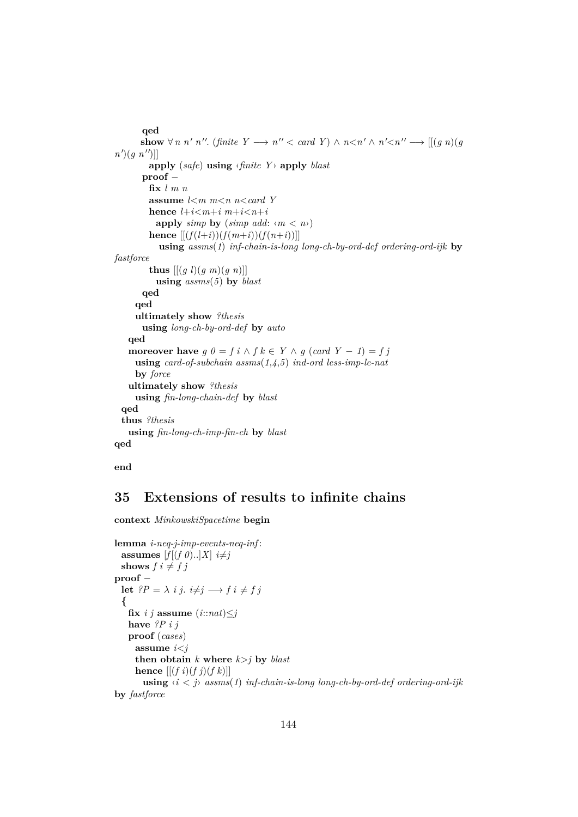```
qed
       show \forall n \; n' \; n''. (finite Y \longrightarrow n'' < \text{card } Y) \land n < n' \land n' < n'' \longrightarrow [[(g \; n)(gn'(g \ n'')]
        apply (safe) using ‹finite Y › apply blast
       proof −
        fix l m n
        assume l<m m<n n<card Y
        hence l+i < m+i m+i < n+iapply simp by (simp add: \langle m \rangle)
        hence [[(f(l+i))(f(m+i))(f(n+i))]using assms(1) inf-chain-is-long long-ch-by-ord-def ordering-ord-ijk by
fastforce
        thus [(g \, l)(g \, m)(g \, n)]using assms(5) by blast
       qed
     qed
     ultimately show ?thesis
       using long-ch-by-ord-def by auto
   qed
   moreover have g \theta = f i \wedge f k \in Y \wedge g (card Y - 1) = f jusing card-of-subchain assms(1,4,5) ind-ord less-imp-le-nat
     by force
   ultimately show ?thesis
     using fin-long-chain-def by blast
 qed
 thus ?thesis
   using fin-long-ch-imp-fin-ch by blast
qed
```
**end**

# **35 Extensions of results to infinite chains**

**context** *MinkowskiSpacetime* **begin**

```
lemma i-neq-j-imp-events-neq-inf :
 assumes [f[(f \theta) \dots]X] i \neq jshows f \, i \neq f \, jproof −
 let ?P = \lambda i j. i \neq j \rightarrow f i \neq f j
  {
   fix i j assume (i::nat) \leq jhave ?P i j
   proof (cases)
     assume i<j
     then obtain k where k > j by \text{blast}hence [(f\ i)(f\ j)(f\ k)]using ‹i < j› assms(1) inf-chain-is-long long-ch-by-ord-def ordering-ord-ijk
by fastforce
```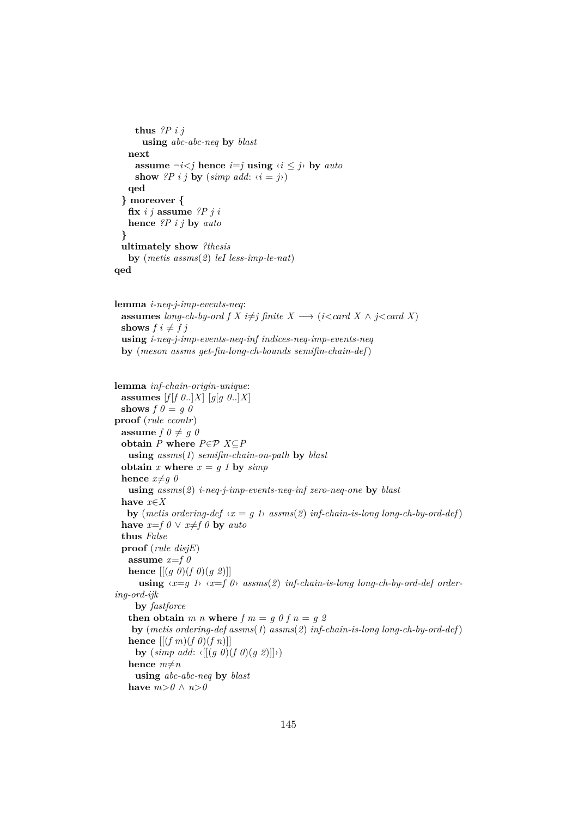```
thus ?P i j
      using abc-abc-neq by blast
   next
     assume \neg i < j hence i = j using \langle i \rangle by auto
     show ?P i j by (simp add: \langle i = j \rangle)
   qed
  } moreover {
   fix i j assume ?P j i
   hence ?P i j by auto
  }
 ultimately show ?thesis
   by (metis assms(2) leI less-imp-le-nat)
qed
```

```
lemma i-neq-j-imp-events-neq:
 assumes long-ch-by-ord f X i\neq j finite X \longrightarrow (i<card X \land j<card X)
 shows f \, i \neq f \, jusing i-neq-j-imp-events-neq-inf indices-neq-imp-events-neq
 by (meson assms get-fin-long-ch-bounds semifin-chain-def)
```

```
lemma inf-chain-origin-unique:
 assumes [f|f \theta..]X] [g[g \theta..]X]
 shows f \theta = q \thetaproof (rule ccontr)
 assume f \theta \neq g \thetaobtain P where P \in \mathcal{P} X \subseteq Pusing assms(1) semifin-chain-on-path by blast
 obtain x where x = g 1 by simphence x \neq q 0
   using assms(2) i-neq-j-imp-events-neq-inf zero-neq-one by blast
 have x∈X
   by (metis ordering-def \langle x = g \rangle t) assms(2) inf-chain-is-long long-ch-by-ord-def)
 have x=f \theta \lor x \neq f \theta by auto
 thus False
 proof (rule disjE)
   assume x=f 0
   hence [(g \theta)(f \theta)(g \theta)]using ‹x=g 1› ‹x=f 0› assms(2) inf-chain-is-long long-ch-by-ord-def order-
ing-ord-ijk
     by fastforce
   then obtain m n where f m = g 0 f n = g 2
    by (metis ordering-def assms(1) assms(2) inf-chain-is-long long-ch-by-ord-def)
   hence [(f \, m)(f \, 0)(f \, n)]by (\text{simp } \text{add: } \langle [((g \ 0)(f \ 0)(g \ 2)]|) \rangle)hence m \neq nusing abc-abc-neq by blast
   have m>0 \land n>0
```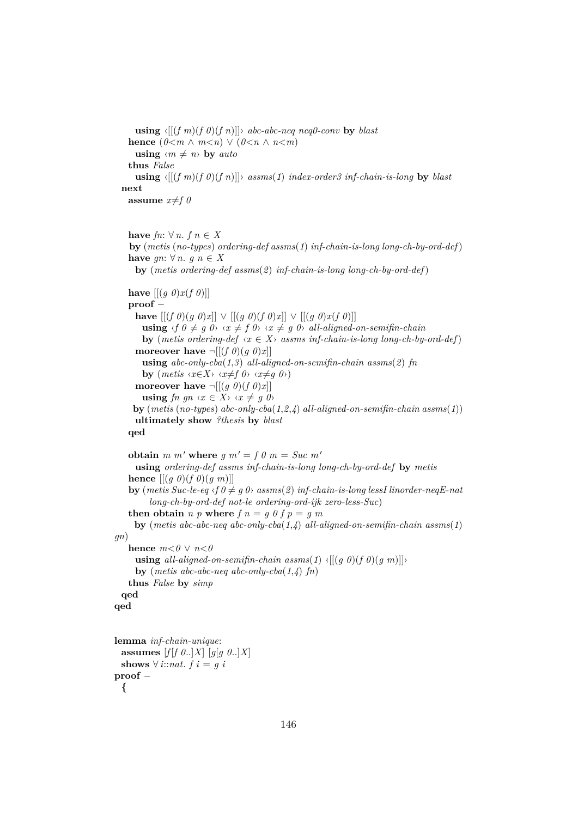**using**  $\langle [(f \, m)(f \, 0)(f \, n)] \rangle$  *abc-abc-neq neq0-conv* **by** *blast* **hence**  $(0 < m \land m < n) \lor (0 < n \land n < m)$ **using**  $\langle m \neq n \rangle$  **by** *auto* **thus** *False* **using**  $\langle [(f \, m)(f \, 0)(f \, n)] \rangle$  *assms*(1) *index-order3 inf-chain-is-long* by *blast* **next assume**  $x \neq f \theta$ 

```
have fn: \forall n. f \in Xby (metis (no-types) ordering-def assms(1) inf-chain-is-long long-ch-by-ord-def)
    have gn: \forall n. g n \in Xby (metis ordering-def assms(2) inf-chain-is-long long-ch-by-ord-def)
    have [(q \theta)x(f \theta)]proof −
      have [[ (f \theta)(g \theta)x]] \lor [[ (g \theta)(f \theta)x]] \lor [[ (g \theta)x(f \theta)]]]using \langle f \circ \theta \neq g \circ \theta \rangle \langle x \neq f \circ \theta \rangle \langle x \neq g \circ \theta \rangle all-aligned-on-semifin-chain
        by (metis ordering-def \langle x \in X \rangle assms inf-chain-is-long long-ch-by-ord-def)
      moreover have \neg [(f \theta)(g \theta)x]using abc-only-cba(1,3) all-aligned-on-semifin-chain assms(2) fn
        by (metis \langle x \in X \rangle \langle x \neq f \theta \rangle \langle x \neq g \theta \rangle)moreover have \neg [(g \theta)(f \theta)x]using fn gn \ (x \in X) \ (x \neq g \ 0)by (metis (no-types) abc-only-cba(1,2,4) all-aligned-on-semifin-chain assms(1))
      ultimately show ?thesis by blast
    qed
   obtain m \cdot m' where g \cdot m' = f \cdot 0 m = Suc \cdot m'using ordering-def assms inf-chain-is-long long-ch-by-ord-def by metis
    hence [(q \theta)(f \theta)(q \theta)]by (metis Suc-le-eq \langle f \theta \neq g \theta \rangle assms(2) inf-chain-is-long lessI linorder-neqE-nat
          long-ch-by-ord-def not-le ordering-ord-ijk zero-less-Suc)
    then obtain n p where f n = g 0 f p = g m
     by (metis abc-abc-neq abc-only-cba(1,4) all-aligned-on-semifin-chain assms(1)
gn)
    hence m < 0 \vee n < 0using all-aligned-on-semifin-chain assms(1) \langle [(g \ 0)(f \ 0)(g \ m)] \rangleby (metis abc-abc-neq abc-only-cba(1,4) fn)
    thus False by simp
  qed
qed
lemma inf-chain-unique:
  assumes [f|f \theta..|X] [g[g 0..]X]
 shows \forall i::nat. f i = g i
proof −
  {
```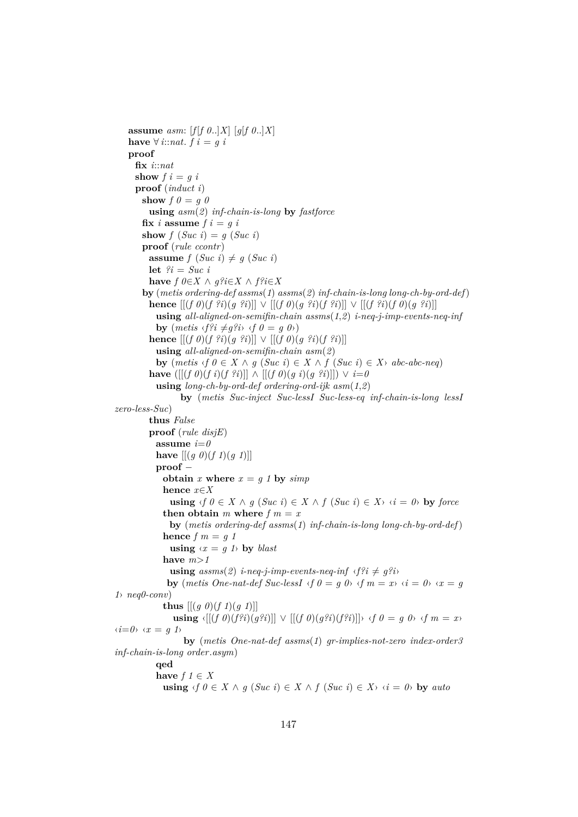**assume** *asm:*  $[f|f \theta..|X]$   $[g|f \theta..|X]$ **have** ∀ *i*::*nat*. *f i* = *g i* **proof fix** *i*::*nat* **show**  $f \mathbf{i} = q \mathbf{i}$ **proof** (*induct i*) **show**  $f \theta = q \theta$ **using** *asm*(*2*) *inf-chain-is-long* **by** *fastforce* fix *i* assume  $f i = q i$ **show**  $f(Suc i) = g(Suc i)$ **proof** (*rule ccontr*) **assume**  $f(Suc i) \neq g(Suc i)$ **let** *?i* = *Suc i* **have**  $f \theta \in X \land q?i \in X \land f?i \in X$ **by** (*metis ordering-def assms*(*1*) *assms*(*2*) *inf-chain-is-long long-ch-by-ord-def*) **hence**  $[[ (f \theta)(f \hat{?}i)(g \hat{?}i)]] \vee [[ (f \theta)(g \hat{?}i)(f \hat{?}i)]] \vee [[ (f \hat{?}i)(f \theta)(g \hat{?}i)]]$ **using** *all-aligned-on-semifin-chain assms*(*1*,*2*) *i-neq-j-imp-events-neq-inf* **by**  $(metis \langle f?i \neq g?i \rangle \langle f \theta = g \theta \rangle)$ **hence** [[(*f 0*)(*f ?i*)(*g ?i*)]] ∨ [[(*f 0*)(*g ?i*)(*f ?i*)]] **using** *all-aligned-on-semifin-chain asm*(*2*) **by**  $(metis \text{ } f \text{ } 0 \in X \land g \text{ } (Suc \text{ } i) \in X \land f \text{ } (Suc \text{ } i) \in X \land abc\text{-}abc\text{-}neg)$ **have** ([[(*f 0*)(*f i*)(*f ?i*)]] ∧ [[(*f 0*)(*g i*)(*g ?i*)]]) ∨ *i*=*0* **using** *long-ch-by-ord-def ordering-ord-ijk asm*(*1*,*2*) **by** (*metis Suc-inject Suc-lessI Suc-less-eq inf-chain-is-long lessI zero-less-Suc*) **thus** *False* **proof** (*rule disjE*) **assume**  $i=0$ **have**  $[(g \theta)(f \theta)(f \theta)]$ **proof** − **obtain** *x* **where**  $x = g \, 1$  **by**  $simp$ **hence** *x*∈*X* **using**  $\langle f \mid \theta \in X \land g$  (*Suc i*) ∈ *X*  $\land$  *f* (*Suc i*) ∈ *X*  $\land$  *i* =  $\theta$  **by** *force* **then obtain** *m* where  $f$   $m = x$ **by** (*metis ordering-def assms*(*1*) *inf-chain-is-long long-ch-by-ord-def*) **hence**  $f$   $m = q$  1 **using**  $\langle x = q \rangle$  **by** *blast* **have** *m*>*1* **using**  $assms(2)$  *i-neq-j-imp-events-neq-inf*  $\langle f^2i \neq g^2i \rangle$ **by** (*metis One-nat-def Suc-lessI*  $\langle f \theta \rangle = g \theta$   $\langle f \theta \rangle = g \theta$   $\langle f \theta \rangle = g \theta$   $\langle g \rangle = g \theta$ *1*› *neq0-conv*) **thus**  $[(g \theta)(f \theta)(f \theta)]$ **using**  $\{[(f\ \theta)(f^{2}i)(g^{2}i)]\}$  ∨  $[(f\ \theta)(g^{2}i)(f^{2}i)]\}$  *⋅f*  $\theta = g\ \theta$ *⋅ if*  $m = x$ *γ*  $\langle i=0 \rangle \langle x=q \rangle$ **by** (*metis One-nat-def assms*(*1*) *gr-implies-not-zero index-order3 inf-chain-is-long order*.*asym*) **qed** have  $f \in X$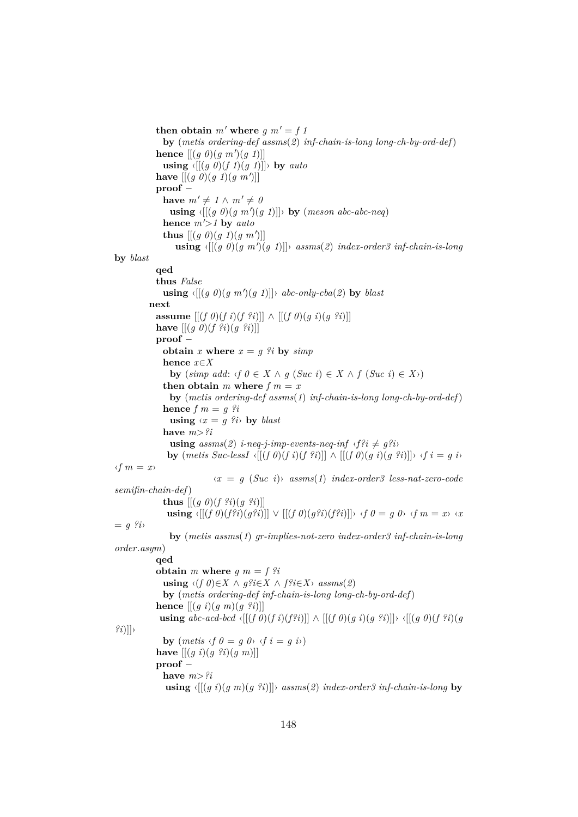```
then obtain m' where q m' = f 1
               by (metis ordering-def assms(2) inf-chain-is-long long-ch-by-ord-def)
             hence [[ (g \ 0) (g \ m')(g \ 1)]]using \langle [(g \theta)(f \theta)(f \theta)] \rangle by auto
             have [[ (g \ 0) (g \ 1) (g \ m')]proof −
               have m' \neq 1 \land m' \neq 0using \langle [(g \theta)(g \pi') (g \theta)] \rangle by (meson abc-abc-neq)
               hence m'>1 by auto
               thus [(g \theta)(g \theta)(g \pi)]using \{[(g\ 0)(g\ m')(g\ 1)]\} is a asms(2) index-order 3 inf-chain-is-longby blast
             qed
             thus False
               \textbf{using } \{[(g \theta)(g \theta)(g \theta)]\} \rightarrow abc\text{-}only\text{-}cba(2) \text{ by } blastnext
             assume [(f \theta)(f \hat{i})(f \hat{i})] \wedge [[(f \theta)(g \hat{i})(g \hat{i})]]have [(g \theta)(f \hat{?}i)(g \hat{?}i)]proof −
               obtain x where x = g ?i by simphence x∈X
                 by (\text{simp add: } \{f \mid \theta \in X \land g \text{ (}Suc \text{ } i\text{)} \in X \land f \text{ (}Suc \text{ } i\text{)} \in X \}then obtain m where f m = xby (metis ordering-def assms(1) inf-chain-is-long long-ch-by-ord-def)
               hence f \, m = g \, \hat{?}i
                 using \langle x = q \rangle?i\rangle by blast
               have m>?i
                 using assms(2) i-neq-j-imp-events-neq-inf \langle f^2i \neq g^2i \rangleby (metis \;Suc\; lessI \; \langle [(f \; 0)(f \; i)(f \; ?i)] \rangle \wedge [(f \; 0)(q \; i)(q \; ?i)] \rangle \; \langle f \; i = q \; i \rangle\langle f | m = x \rangle\langle x \rangle = g (Suc i) assms(1) index-order3 less-nat-zero-code
semifin-chain-def)
               thus [[ (g \theta)(f \hat{?}i)(g \hat{?}i)]]using \{[(f\ \theta)(f^{2}i)(g^{2}i)]\} \lor [[(f\ \theta)(g^{2}i)(f^{2}i)]\} ⋅f 0 = g 0⋅ ·f m = x⋅ ·x
= q \hat{i}by (metis assms(1) gr-implies-not-zero index-order3 inf-chain-is-long
order.asym)
             qed
             obtain m where q m = f ?i
               using \langle (f \theta) \in X \land g?i \in X \land f?i \in X \rangle assms(2)
               by (metis ordering-def inf-chain-is-long long-ch-by-ord-def)
             hence [[(g i)(g m)(g ?i)]]
              using abc\text{-}acd\text{-}bcd <sub>i</sub>[[(f 0)(f i)(f?i)]] ∧ [[(f 0)(g i)(g ?i)]]› \langle[[(g 0)(f ?i)(g
?i)]]›
               by (metis \t f \t 0 = g \t 0 \t \cdot f \t i = g \t i)have [[(g i)(g ?i)(g m)]]
             proof −
               have m > iusing \langle [(g\ i)(g\ m)(g\ ?i)] \rangle assms(2) index-order3 inf-chain-is-long by
```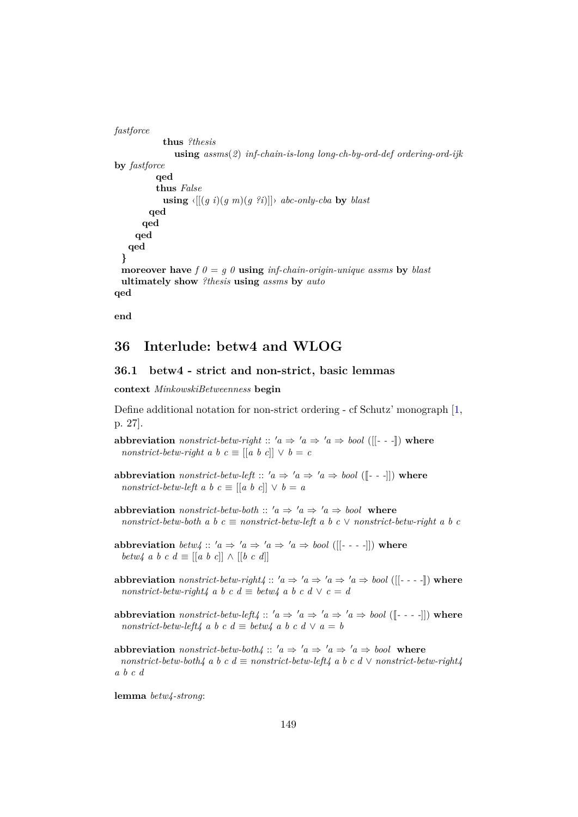```
fastforce
            thus ?thesis
               using assms(2) inf-chain-is-long long-ch-by-ord-def ordering-ord-ijk
by fastforce
          qed
          thus False
            using \langle [(q \ i)(q \ m)(q \ 2i)] \rangle abc-only-cba by blast
        qed
      qed
     qed
   qed
  }
 moreover have f \theta = q \theta using inf-chain-origin-unique assms by blast
 ultimately show ?thesis using assms by auto
qed
```
**end**

## **36 Interlude: betw4 and WLOG**

#### **36.1 betw4 - strict and non-strict, basic lemmas**

**context** *MinkowskiBetweenness* **begin**

Define additional notation for non-strict ordering - cf Schutz' monograph [\[1,](#page-190-0) p. 27].

**abbreviation** *nonstrict-betw-right* ::  $'a \Rightarrow 'a \Rightarrow 'a \Rightarrow bool$  ([[- - -]]) where *nonstrict-betw-right a b c*  $\equiv$   $\left[ \begin{bmatrix} a & b & c \end{bmatrix} \right] \vee b = c$ 

- **abbreviation** *nonstrict-betw-left* ::  $'a \Rightarrow 'a \Rightarrow 'a \Rightarrow bool$  ([[- --]]) where *nonstrict-betw-left a b c*  $\equiv$  [[*a b c*]]  $\vee$  *b* = *a*
- **abbreviation** *nonstrict-betw-both* ::  $'a \Rightarrow 'a \Rightarrow 'a \Rightarrow bool$  where  $nonstrict-betw-both \, a \, b \, c \equiv nonstrict-betw-left \, a \, b \, c \vee nonstrict-betw-right \, a \, b \, c$

**abbreviation** *betw4* ::  $'a \Rightarrow 'a \Rightarrow 'a \Rightarrow 'a \Rightarrow bool$  ([[- - - -]]) where *betw4 a b c d*  $\equiv$  [[*a b c*]]  $\wedge$  [[*b c d*]]

- **abbreviation** *nonstrict-betw-right4* ::  $'a \Rightarrow 'a \Rightarrow 'a \Rightarrow 'a \Rightarrow bool$  ([[- - -]]) where *nonstrict-betw-right4 a b c d*  $\equiv$  *betw4 a b c d*  $\vee$  *c* = *d*
- **abbreviation** *nonstrict-betw-left4* ::  $'a \Rightarrow 'a \Rightarrow 'a \Rightarrow 'a \Rightarrow bool$  ([[- - -]]) where *nonstrict-betw-left4 a b c d*  $\equiv$  *betw4 a b c d*  $\vee$  *a* = *b*

**abbreviation** *nonstrict-betw-both4* ::  $'a \Rightarrow 'a \Rightarrow 'a \Rightarrow 'a \Rightarrow bool$  where  $nonstrict-betw-both4$  a b c  $d \equiv nonstrict-betw-left4$  a b c  $d \vee nonstrict-betw-right4$ *a b c d*

**lemma** *betw4-strong*: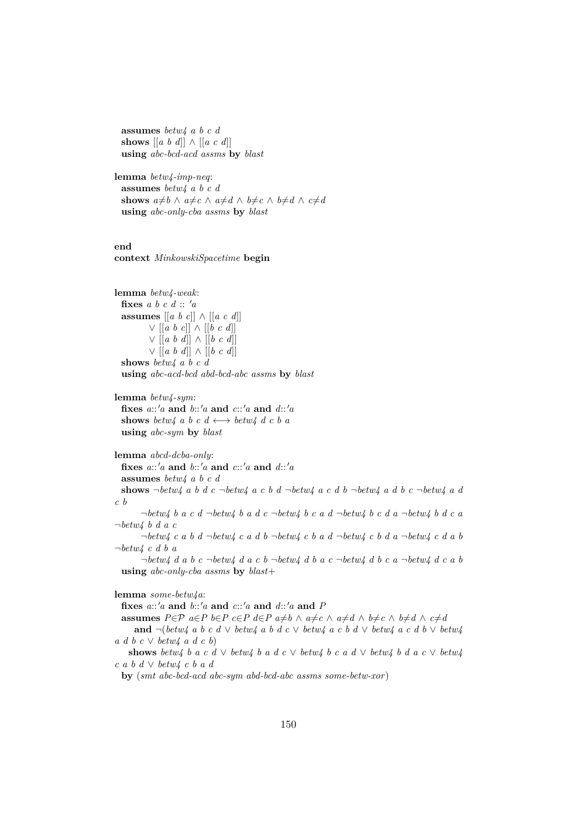**assumes** *betw4 a b c d* **shows** [[*a b d*]] ∧ [[*a c d*]] **using** *abc-bcd-acd assms* **by** *blast*

**lemma** *betw4-imp-neq*: **assumes** *betw4 a b c d* **shows**  $a \neq b \land a \neq c \land a \neq d \land b \neq c \land b \neq d \land c \neq d$ **using** *abc-only-cba assms* **by** *blast*

#### **end context** *MinkowskiSpacetime* **begin**

**lemma** *betw4-weak*: fixes  $a \, b \, c \, d :: 'a$ **assumes** [[*a b c*]] ∧ [[*a c d*]] ∨ [[*a b c*]] ∧ [[*b c d*]] ∨ [[*a b d*]] ∧ [[*b c d*]] ∨ [[*a b d*]] ∧ [[*b c d*]] **shows** *betw4 a b c d* **using** *abc-acd-bcd abd-bcd-abc assms* **by** *blast*

**lemma** *betw4-sym*: fixes  $a::'a$  and  $b::'a$  and  $c::'a$  and  $d::'a$ **shows** *betw4 a b c d*  $\longleftrightarrow$  *betw4 d c b a* **using** *abc-sym* **by** *blast*

**lemma** *abcd-dcba-only*: **fixes** *a*::0*a* **and** *b*::0*a* **and** *c*::0*a* **and** *d*::0*a* **assumes** *betw4 a b c d* shows  $\neg betw4$  *a b d c*  $\neg betw4$  *a c b d*  $\neg betw4$  *a c d b*  $\neg betw4$  *a d b c*  $\neg betw4$  *a d c b* ¬*betw4 b a c d* ¬*betw4 b a d c* ¬*betw4 b c a d* ¬*betw4 b c d a* ¬*betw4 b d c a* ¬*betw4 b d a c* ¬*betw4 c a b d* ¬*betw4 c a d b* ¬*betw4 c b a d* ¬*betw4 c b d a* ¬*betw4 c d a b* ¬*betw4 c d b a* ¬*betw4 d a b c* ¬*betw4 d a c b* ¬*betw4 d b a c* ¬*betw4 d b c a* ¬*betw4 d c a b* **using** *abc-only-cba assms* **by** *blast*+

## **lemma** *some-betw4a*:

fixes  $a::'a$  and  $b::'a$  and  $c::'a$  and  $d::'a$  and  $P$ **assumes**  $P \in \mathcal{P}$   $a \in P$   $b \in P$   $c \in P$   $d \in P$   $a \neq b \wedge a \neq c \wedge a \neq d \wedge b \neq c \wedge b \neq d \wedge c \neq d$ **and** ¬(*betw4 a b c d* ∨ *betw4 a b d c* ∨ *betw4 a c b d* ∨ *betw4 a c d b* ∨ *betw4 a d b c* ∨ *betw4 a d c b*) shows *betw4 b a c d*  $\vee$  *betw4 b a d*  $\vee$  *c kotw4 b c a d*  $\vee$  *betw4 b d a c*  $\vee$  *betw4 c a b d* ∨ *betw4 c b a d* **by** (*smt abc-bcd-acd abc-sym abd-bcd-abc assms some-betw-xor*)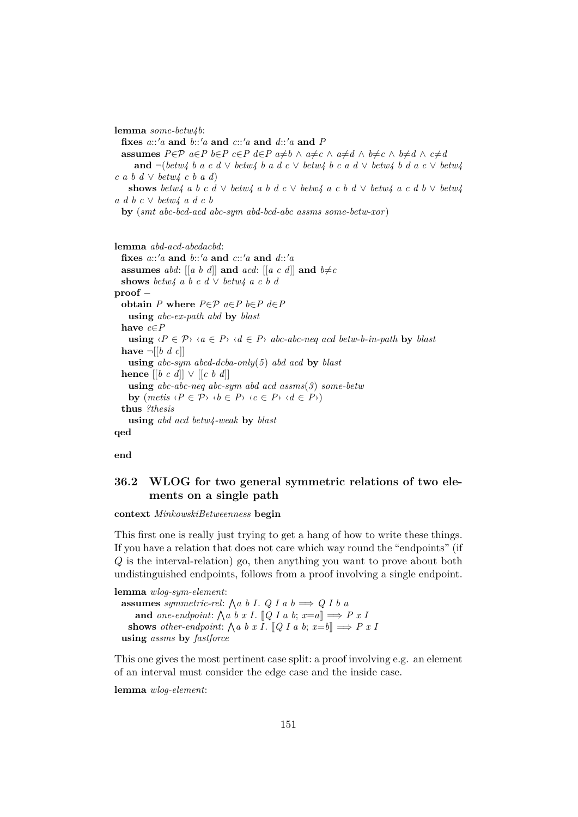**lemma** *some-betw4b*: fixes  $a::'a$  and  $b::'a$  and  $c::'a$  and  $d::'a$  and  $P$ **assumes**  $P \in \mathcal{P}$   $a \in P$   $b \in P$   $c \in P$   $d \in P$   $a \neq b \wedge a \neq c \wedge a \neq d \wedge b \neq c \wedge b \neq d \wedge c \neq d$ **and**  $\neg$ (*betw4 b a c d*  $\vee$  *betw4 b a d c*  $\vee$  *betw4 b c a d*  $\vee$  *betw4 b d a c*  $\vee$  *betw4 c a b d* ∨ *betw4 c b a d*) shows *betw4* a *b c*  $d \vee betw4$  a *b*  $d$  *c*  $\vee$  *betw4* a *c*  $b$   $d \vee$  *betw4*  $a$  *c*  $d$   $b \vee$  *betw4 a d b c* ∨ *betw4 a d c b*

**by** (*smt abc-bcd-acd abc-sym abd-bcd-abc assms some-betw-xor*)

**lemma** *abd-acd-abcdacbd*: **fixes** *a*::<sup>0</sup>*a* **and** *b*::<sup>0</sup>*a* **and** *c*::<sup>0</sup>*a* **and** *d*::<sup>0</sup>*a* **assumes** abd:  $[[a \ b \ d]]$  **and**  $acd$ :  $[[a \ c \ d]]$  **and**  $b \neq c$ **shows** *betw4 a b c d*  $\vee$  *betw4 a c b d* **proof** − **obtain**  $P$  **where**  $P \in \mathcal{P}$   $a \in P$   $b \in P$   $d \in P$ **using** *abc-ex-path abd* **by** *blast* **have** *c*∈*P* **using**  $\langle P \in \mathcal{P} \rangle$   $\langle a \in P \rangle$   $\langle d \in P \rangle$  *abc-abc-neq acd betw-b-in-path* by *blast* **have**  $\neg$   $[$ *b d c* $]$ **using** *abc-sym abcd-dcba-only*(*5*) *abd acd* **by** *blast* **hence** [[*b c d*]] ∨ [[*c b d*]] **using** *abc-abc-neq abc-sym abd acd assms*(*3*) *some-betw* **by**  $(metis \langle P \in \mathcal{P} \rangle \langle b \in P \rangle \langle c \in P \rangle \langle d \in P \rangle)$ **thus** *?thesis* **using** *abd acd betw4-weak* **by** *blast* **qed**

**end**

## **36.2 WLOG for two general symmetric relations of two elements on a single path**

#### **context** *MinkowskiBetweenness* **begin**

This first one is really just trying to get a hang of how to write these things. If you have a relation that does not care which way round the "endpoints" (if Q is the interval-relation) go, then anything you want to prove about both undistinguished endpoints, follows from a proof involving a single endpoint.

**lemma** *wlog-sym-element*: **assumes** *symmetric-rel*:  $\bigwedge a \ b \ I. \ Q \ I \ a \ b \Longrightarrow Q \ I \ b \ a$ and *one-endpoint*:  $\bigwedge a \ b \ x \ I. \ \llbracket Q \ I \ a \ b; \ x = a \rrbracket \Longrightarrow P \ x \ I$ shows *other-endpoint*:  $\bigwedge a \ b \ x \ I. \ [Q \ I \ a \ b; x = b] \Longrightarrow P \ x \ I$ **using** *assms* **by** *fastforce*

This one gives the most pertinent case split: a proof involving e.g. an element of an interval must consider the edge case and the inside case.

**lemma** *wlog-element*: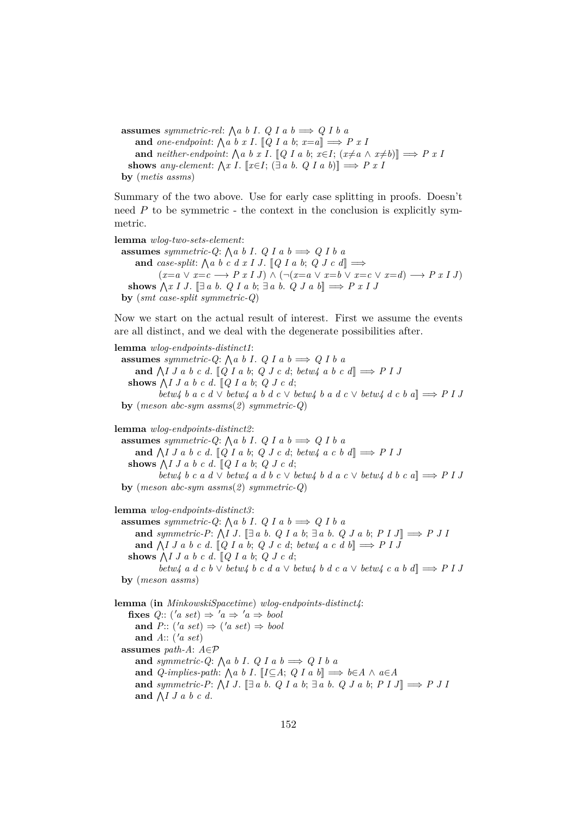**assumes** *symmetric-rel*:  $\bigwedge a \ b \ I. \ Q \ I \ a \ b \Longrightarrow Q \ I \ b \ a$ and *one-endpoint*:  $\bigwedge a \ b \ x \ I. \ [Q \ I \ a \ b; \ x=a] \Longrightarrow P \ x \ I$ **and** *neither-endpoint:*  $\bigwedge a \ b \ x \ I$ . [*Q I a b*;  $x \in I$ ;  $(x \neq a \land x \neq b)$ ]  $\implies P \ x \ I$ **shows** any-element:  $\bigwedge x \ I$ . [ $x \in I$ ;  $(\exists a \ b \ldotp \ Q \ I \ a \ b)$ ]  $\implies P \ x \ I$ **by** (*metis assms*)

Summary of the two above. Use for early case splitting in proofs. Doesn't need  $P$  to be symmetric - the context in the conclusion is explicitly symmetric.

**lemma** *wlog-two-sets-element*: **assumes** symmetric-Q:  $\bigwedge a \ b \ I. \ Q \ I \ a \ b \Longrightarrow Q \ I \ b \ a$ and *case-split*:  $\bigwedge a \ b \ c \ d \ x \ I \ J. \ [Q \ I \ a \ b; \ Q \ J \ c \ d] \Longrightarrow$  $(x=a \vee x=c \longrightarrow P x I J) \wedge (\neg(x=a \vee x=b \vee x=c \vee x=d) \longrightarrow P x I J)$ shows  $\bigwedge x \mid J$ .  $[\exists a \ b. \ Q \ I \ a \ b; \exists a \ b. \ Q \ J \ a \ b] \Longrightarrow P \ x \mid J$ **by** (*smt case-split symmetric-Q*)

Now we start on the actual result of interest. First we assume the events are all distinct, and we deal with the degenerate possibilities after.

**lemma** *wlog-endpoints-distinct1*: **assumes** symmetric-Q:  $\bigwedge a \ b \ I. \ Q \ I \ a \ b \Longrightarrow Q \ I \ b \ a$ and  $\bigwedge I J a b c d. [Q I a b; Q J c d; betw4 a b c d] \Rightarrow P I J$ shows  $\bigwedge I J a b c d. \big[ Q I a b; Q J c d; \big]$ *betw4 b a c d* ∨ *betw4 a b d c* ∨ *betw4 b a d c* ∨ *betw4 d c b a*]] =⇒ *P I J* **by** (*meson abc-sym assms*(*2*) *symmetric-Q*)

**lemma** *wlog-endpoints-distinct2*: **assumes** symmetric-Q:  $\bigwedge a \ b \ I. \ Q \ I \ a \ b \Longrightarrow Q \ I \ b \ a$ and  $\bigwedge I J a b c d. [Q I a b; Q J c d; betw4 a c b d] \Rightarrow P I J$ shows  $\bigwedge I J a b c d. \big[ Q I a b; Q J c d; \big]$ *betw4 b c a d* ∨ *betw4 a d b c* ∨ *betw4 b d a c* ∨ *betw4 d b c a*]] =⇒ *P I J* **by** (*meson abc-sym assms*(*2*) *symmetric-Q*)

**lemma** *wlog-endpoints-distinct3*: **assumes** symmetric-Q:  $\bigwedge a \ b \ I. \ Q \ I \ a \ b \Longrightarrow Q \ I \ b \ a$ **and** symmetric-P:  $\bigwedge I J$ . [ $\exists a \ b$ . *Q I a b*;  $\exists a \ b$ . *Q J a b*;  $P I J$ ]  $\Longrightarrow P J I$ and  $\bigwedge I J a b c d. [Q I a b; Q J c d; betw4 a c d b] \Rightarrow P I J$ shows  $\bigwedge I J a b c d. \big[ Q I a b; Q J c d; \big]$ *betw4* a d c b  $\vee$  *betw4* b c d a  $\vee$  *betw4* b d c a  $\vee$  *betw4* c a b d $\Rightarrow$  P I J **by** (*meson assms*)

**lemma** (**in** *MinkowskiSpacetime*) *wlog-endpoints-distinct4*: **fixes**  $Q$ :: ('a set)  $\Rightarrow$  'a  $\Rightarrow$  'a  $\Rightarrow$  bool and  $P: (\text{a set}) \Rightarrow (\text{a set}) \Rightarrow \text{bool}$ **and** *A*:: ('*a set*) **assumes** *path-A*: *A*∈P and *symmetric-Q*:  $\bigwedge a \ b \ I. \ Q \ I \ a \ b \Longrightarrow Q \ I \ b \ a$ **and**  $Q$ -implies-path:  $\bigwedge a \ b \ I$ .  $\bigupharpoonright I \subseteq A$ ;  $Q \ I \ a \ b \bigupharpoonright \Rightarrow b \in A \ \wedge \ a \in A$ and *symmetric-P*:  $\bigwedge I J$ .  $\Box a b$ . *Q I a b*;  $\Box a b$ . *Q J a b*;  $P I J \Box \Rightarrow P J I$ and  $\bigwedge I J a b c d$ .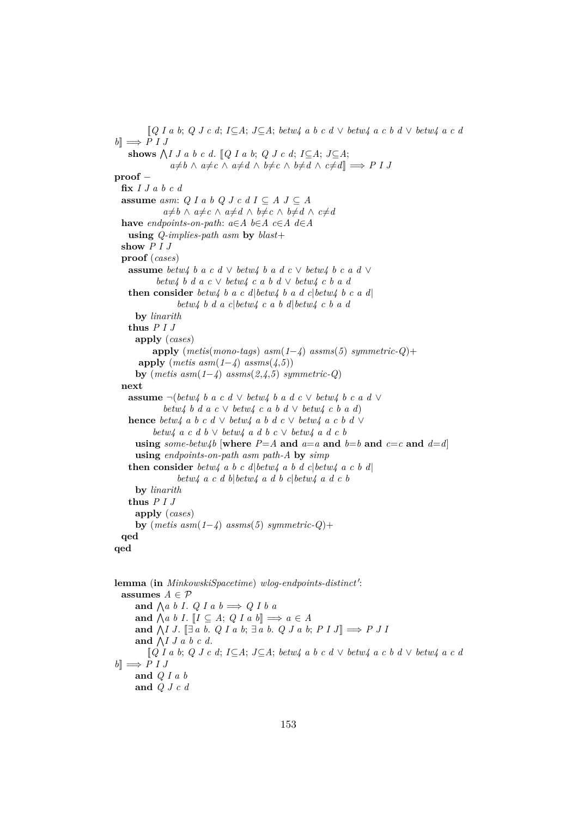[[*Q I a b*; *Q J c d*; *I*⊆*A*; *J*⊆*A*; *betw4 a b c d* ∨ *betw4 a c b d* ∨ *betw4 a c d*  $b \implies P I J$ shows  $\bigwedge I J a b c d$ . [*Q I a b*; *Q J c d*; *I*⊆*A*; *J*⊆*A*;  $a \neq b \land a \neq c \land a \neq d \land b \neq c \land b \neq d \land c \neq d$ ]  $\implies$  *P I J* **proof** − **fix** *I J a b c d* **assume** *asm: Q I a b Q J c d I*  $\subseteq$  *A J*  $\subseteq$  *A a*≠*b* ∧ *a*≠*c* ∧ *a*≠*d* ∧ *b*≠*c* ∧ *b*≠*d* ∧ *c*≠*d* **have** *endpoints-on-path*:  $a \in A$  *b*∈*A*  $c \in A$  *d*∈*A* **using** *Q-implies-path asm* **by** *blast*+ **show** *P I J* **proof** (*cases*) **assume** *betw4 b a c d* ∨ *betw4 b a d c* ∨ *betw4 b c a d* ∨ *betw4 b d a c* ∨ *betw4 c a b d* ∨ *betw4 c b a d* **then consider** *betw4 b a c d*|*betw4 b a d c*|*betw4 b c a d*| *betw4 b d a c*|*betw4 c a b d*|*betw4 c b a d* **by** *linarith* **thus** *P I J* **apply** (*cases*) **apply** (*metis*(*mono-tags*) *asm*(*1*−*4*) *assms*(*5*) *symmetric-Q*)+  $\text{apply}$  (*metis asm*(1−*4*)  $\text{assms}(4,5)$ ) **by** (*metis asm*(*1*−*4*) *assms*(*2*,*4*,*5*) *symmetric-Q*) **next assume** ¬(*betw4 b a c d* ∨ *betw4 b a d c* ∨ *betw4 b c a d* ∨ *betw4 b d a c* ∨ *betw4 c a b d* ∨ *betw4 c b a d*) **hence** *betw4 a b c d*  $\vee$  *betw4 a b d c*  $\vee$  *betw4 a c b d*  $\vee$ *betw4 a c d b* ∨ *betw4 a d b c* ∨ *betw4 a d c b* **using** some-betw $\Delta b$  [where  $P = A$  and  $a = a$  and  $b = b$  and  $c = c$  and  $d = d$ ] **using** *endpoints-on-path asm path-A* **by** *simp* **then consider** *betw4 a b c d*|*betw4 a b d c*|*betw4 a c b d*| *betw4 a c d b*|*betw4 a d b c*|*betw4 a d c b* **by** *linarith* **thus** *P I J* **apply** (*cases*) **by**  $(metis asm(1-4) assms(5) symmetric-Q)+$ **qed qed**

lemma (in *MinkowskiSpacetime*) wlog-endpoints-distinct': **assumes**  $A \in \mathcal{P}$ and  $\bigwedge a \ b \ I. \ Q \ I \ a \ b \Longrightarrow Q \ I \ b \ a$ and  $\bigwedge a \ b \ I. \ [I \subseteq A; \ Q \ I \ a \ b] \Longrightarrow a \in A$ **and**  $\bigwedge I J$ .  $[\exists a \ b. \ Q I a \ b; \exists a \ b. \ Q J a \ b; P I J] \Longrightarrow P J I$ and  $\bigwedge I J a b c d$ . [[*Q I a b*; *Q J c d*; *I*⊆*A*; *J*⊆*A*; *betw4 a b c d* ∨ *betw4 a c b d* ∨ *betw4 a c d*  $b \rceil \Rightarrow P I J$ **and** *Q I a b* **and** *Q J c d*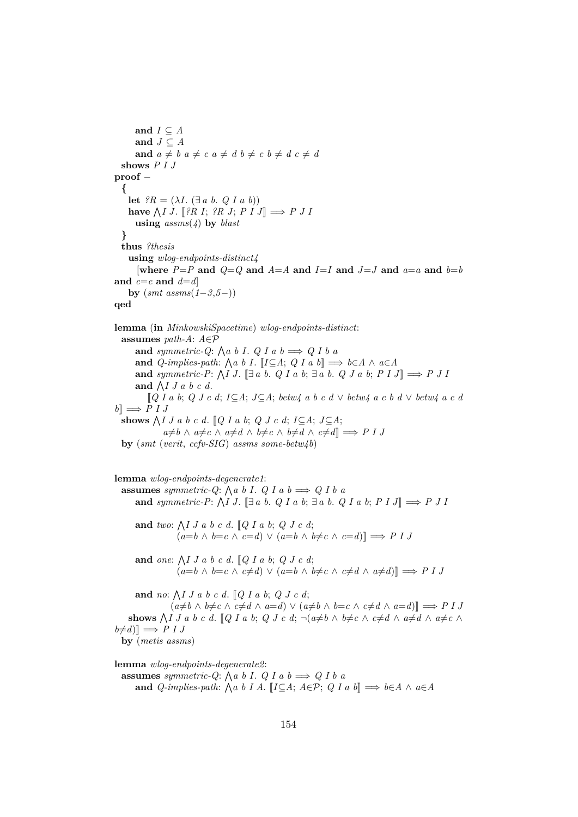**and**  $I \subseteq A$ and  $J \subseteq A$ and  $a \neq b$   $a \neq c$   $a \neq d$   $b \neq c$   $b \neq d$   $c \neq d$ **shows** *P I J* **proof** − **{ let**  $?R = (\lambda I. (\exists a b. Q I a b))$ have  $\bigwedge I J$ . [*?R I*; *?R J*; *P I J*]  $\implies$  *P J I* **using** *assms*(*4*) **by** *blast* **} thus** *?thesis* **using** *wlog-endpoints-distinct4* [where  $P = P$  and  $Q = Q$  and  $A = A$  and  $I = I$  and  $J = J$  and  $a = a$  and  $b = b$ and  $c=c$  and  $d=d$ **by** (*smt assms*(*1*−*3*,*5*−)) **qed**

**lemma** (**in** *MinkowskiSpacetime*) *wlog-endpoints-distinct*: **assumes** *path-A*: *A*∈P and *symmetric-Q*:  $\bigwedge a \ b \ I. \ Q \ I \ a \ b \Longrightarrow Q \ I \ b \ a$ **and**  $Q$ -implies-path:  $\bigwedge a \ b \ I$ .  $\big[ I \subseteq A; \ Q \ I \ a \ b \big] \Longrightarrow b \in A \ \wedge \ a \in A$ **and** symmetric-P:  $\bigwedge I J$ . [ $\exists a \ b$ . *Q I a b*;  $\exists a \ b$ . *Q J a b*;  $P I J$ ]  $\Longrightarrow P J I$ and  $\bigwedge I J a b c d$ . [[*Q I a b*; *Q J c d*; *I*⊆*A*; *J*⊆*A*; *betw4 a b c d* ∨ *betw4 a c b d* ∨ *betw4 a c d*  $b \rVert \Rightarrow P I J$ shows  $\bigwedge I J a b c d$ .  $[Q I a b; Q J c d; I \subseteq A; J \subseteq A;$  $a \neq b$  ∧  $a \neq c$  ∧  $a \neq d$  ∧  $b \neq c$  ∧  $b \neq d$  ∧  $c \neq d$ ]  $\implies$  *P I J* **by** (*smt* (*verit*, *ccfv-SIG*) *assms some-betw4b*)

**lemma** *wlog-endpoints-degenerate1*: **assumes** symmetric-Q:  $\bigwedge a \ b \ I. \ Q \ I \ a \ b \Longrightarrow Q \ I \ b \ a$ **and** symmetric-P:  $\bigwedge I J$ . [ $\exists a \ b$ . *Q I a b*;  $\exists a \ b$ . *Q I a b*;  $P I J$ ]  $\Longrightarrow P J I$ and *two*:  $\bigwedge I J a b c d$ .  $\lbrack Q I a b; Q J c d;$  $(a=b \land b=c \land c=d) \lor (a=b \land b \neq c \land c=d)$ and *one*:  $\bigwedge I J a b c d$ .  $\mathbb{Q} I a b$ ;  $Q J c d$ ;  $(a=b \land b=c \land c \neq d) \lor (a=b \land b \neq c \land c \neq d \land a \neq d)$ ]  $\implies$  *P I J* 

**and** *no*: V *I J a b c d*. [[*Q I a b*; *Q J c d*;  $(a \neq b \land b \neq c \land c \neq d \land a = d) \lor (a \neq b \land b = c \land c \neq d \land a = d)$ **shows**  $\bigwedge I J a b c d$ .  $[Q I a b; Q J c d; \neg(a \neq b \land b \neq c \land c \neq d \land a \neq d \land a \neq c \land c \neq d)$  $b \neq d$ <sup> $\parallel \Rightarrow$ </sup> *P I J* **by** (*metis assms*)

**lemma** *wlog-endpoints-degenerate2*: **assumes** *symmetric-Q*:  $\bigwedge a \ b \ I. \ Q \ I \ a \ b \Longrightarrow Q \ I \ b \ a$ **and**  $Q$ -implies-path:  $\bigwedge a \ b \ I \ A$ .  $\llbracket I \subseteq A; A \in \mathcal{P}; Q \ I \ a \ b \rrbracket \Longrightarrow b \in A \ \wedge \ a \in A$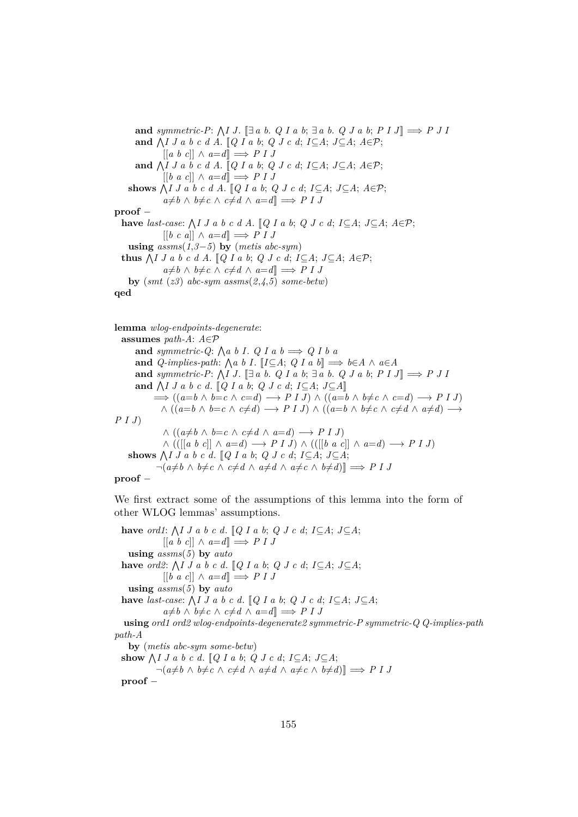and *symmetric-P*:  $\bigwedge I J$ .  $\Box a b$ . *Q I a b*;  $\Box a b$ . *Q J a b*;  $P I J \Box \Rightarrow P J I$ **and**  $\bigwedge I J a b c d A$ . [*Q I a b*; *Q J c d*; *I*⊆*A*; *J*⊆*A*; *A*∈*P*; [[*a b c*]] ∧ *a*=*d*]] =⇒ *P I J* and  $\bigwedge I J a b c d A$ . [Q I a b; Q J c d; I ⊆A; J ⊆A;  $A \in \mathcal{P}$ ;  $[[b \ a \ c]] \wedge a=d] \implies P I J$ shows  $\bigwedge I J a b c d A$ .  $[Q I a b; Q J c d; I \subseteq A; J \subseteq A; A \in \mathcal{P};$  $a \neq b$  ∧  $b \neq c$  ∧  $c \neq d$  ∧  $a = d$ ]  $\implies$  *P I J* **proof** − have *last-case*:  $\bigwedge I J a b c d A$ . [*Q I a b*; *Q J c d*; *I*⊆*A*; *J*⊆*A*; *A*∈P;  $[[b \ c \ a]] \wedge a=d] \implies P I J$ **using**  $assms(1,3-5)$  **by** (*metis abc-sym*) **thus**  $\bigwedge I J a b c d A$ . [Q I a b; Q J c d; I ⊆A; J ⊆A; A ∈P;  $a \neq b$  ∧  $b \neq c$  ∧  $c \neq d$  ∧  $a = d$ ]  $\implies$  *P I J* **by**  $(smt (z3) abc-sym assms(2,4,5) some-betw)$ **qed**

**lemma** *wlog-endpoints-degenerate*:

**assumes** *path-A*: *A*∈P and *symmetric-Q*:  $\bigwedge a \ b \ I. \ Q \ I \ a \ b \Longrightarrow Q \ I \ b \ a$ **and**  $Q$ -implies-path:  $\bigwedge a \ b \ I$ .  $\big[ I \subseteq A; \ Q \ I \ a \ b \big] \Longrightarrow b \in A \ \wedge \ a \in A$ **and** symmetric-P:  $\bigwedge I J$ . [ $\exists a \ b$ . *Q I a b*;  $\exists a \ b$ . *Q J a b*;  $P I J$ ]  $\Longrightarrow P J I$ and  $\bigwedge I J a b c d$ . [*Q I a b*; *Q J c d*; *I*⊆*A*; *J*⊆*A*]  $\implies ((a=b \land b=c \land c=d) \longrightarrow P \cup I) \land ((a=b \land b \neq c \land c=d) \longrightarrow P \cup I)$  $\wedge ((a=b \wedge b=c \wedge c\neq d) \longrightarrow P I J) \wedge ((a=b \wedge b\neq c \wedge c\neq d \wedge a\neq d) \longrightarrow$ *P I J*)  $∧ ((a \neq b ∧ b = c ∧ c \neq d ∧ a = d) \rightarrow P I J)$ ∧ (([[*a b c*]] ∧ *a*=*d*) −→ *P I J*) ∧ (([[*b a c*]] ∧ *a*=*d*) −→ *P I J*) shows  $\bigwedge I J a b c d$ .  $[Q I a b; Q J c d; I \subseteq A; J \subseteq A;$  $\neg(a \neq b \land b \neq c \land c \neq d \land a \neq d \land a \neq c \land b \neq d)$ ]  $\implies$  *P I J* 

#### **proof** −

We first extract some of the assumptions of this lemma into the form of other WLOG lemmas' assumptions.

have *ord1*:  $\bigwedge I J a b c d$ .  $\lbrack Q I a b; Q J c d; I \subseteq A; J \subseteq A;$  $[[a \ b \ c]] \wedge a=d] \implies P I J$ **using** *assms*(*5*) **by** *auto* have *ord2*:  $\bigwedge I J a b c d$ . [ $Q I a b$ ;  $Q J c d$ ;  $I \subseteq A$ ;  $J \subseteq A$ ;  $[[b \ a \ c]] \wedge a=d] \implies P I J$ **using** *assms*(*5*) **by** *auto* have *last-case*:  $\bigwedge I J a b c d. [Q I a b; Q J c d; I \subseteq A; J \subseteq A;$  $a \neq b$  ∧  $b \neq c$  ∧  $c \neq d$  ∧  $a = d$ ]  $\implies$  *P I J* **using** *ord1 ord2 wlog-endpoints-degenerate2 symmetric-P symmetric-Q Q-implies-path path-A* **by** (*metis abc-sym some-betw*) show  $\bigwedge I \cup A$  b c d.  $[Q \cup A \cup B] \cup Q \cup C$  d;  $I \subseteq A$ ;  $J \subseteq A$ ;  $\neg(a \neq b \land b \neq c \land c \neq d \land a \neq d \land a \neq c \land b \neq d)$ ]  $\implies$  *P I J* 

**proof** −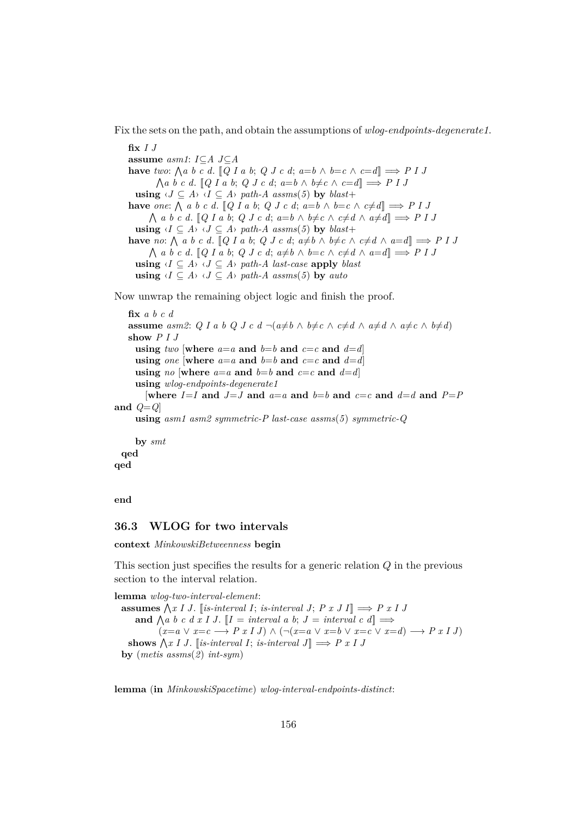Fix the sets on the path, and obtain the assumptions of *wlog-endpoints-degenerate1*.

**fix** *I J* **assume** *asm1*: *I*⊆*A J*⊆*A* **have** *two*:  $\bigwedge a \ b \ c \ d$ .  $\lbrack\!\lbrack Q \ l \ a \ b; \ Q \ J \ c \ d; \ a = b \ \wedge \ b = c \ \wedge \ c = d \rbrack \Longrightarrow P \ I \ J$  $\bigwedge a \ b \ c \ d. \ [Q \ I \ a \ b; \ Q \ J \ c \ d; \ a = b \ \land \ b \neq c \ \land \ c = d] \Longrightarrow P \ I \ J$ **using**  $\langle J \subseteq A \rangle$   $\langle I \subseteq A \rangle$  *path-A assms*(5) **by** *blast*+ **have** one:  $\bigwedge$  a b c d.  $[Q \mid a \mid b; Q \mid c \mid d; a = b \land b = c \land c \neq d] \implies P \mid J$  $\bigwedge$  *a b c d*.  $[Q I a b; Q J c d; a=b \wedge b \neq c \wedge c \neq d \wedge a \neq d] \Longrightarrow P I J$ **using**  $\langle I \subseteq A \rangle$   $\langle J \subseteq A \rangle$  *path-A assms*(5) **by** *blast*+ **have** *no*:  $\bigwedge$  *a b c d*. [*Q I a b*; *Q J c d*;  $a \neq b \land b \neq c \land c \neq d \land a = d$ ]  $\implies$  *P I J*  $\bigwedge$  *a b c d*. [*Q I a b*; *Q J c d*;  $a \neq b \land b = c \land c \neq d \land a = d$ ]  $\implies$  *P I J* **using**  $\langle I \subseteq A \rangle$   $\langle J \subseteq A \rangle$  path-A last-case **apply** *blast* **using**  $\langle I \subseteq A \rangle$   $\langle J \subseteq A \rangle$  *path-A assms*(5) **by** *auto* 

Now unwrap the remaining object logic and finish the proof.

**fix** *a b c d* **assume** *asm2*: *Q* I *a b Q* J *c d*  $\neg (a \neq b \land b \neq c \land c \neq d \land a \neq c \land b \neq d)$ **show** *P I J* **using** *two* [where  $a=a$  and  $b=b$  and  $c=c$  and  $d=d$ ] **using** *one* [where  $a=a$  and  $b=b$  and  $c=c$  and  $d=d$ ] **using** *no* [where  $a=a$  and  $b=b$  and  $c=c$  and  $d=d$ ] **using** *wlog-endpoints-degenerate1* [where  $I=I$  and  $J=J$  and  $a=a$  and  $b=b$  and  $c=c$  and  $d=d$  and  $P=P$ **and** *Q*=*Q*] **using** *asm1 asm2 symmetric-P last-case assms*(*5*) *symmetric-Q* **by** *smt* **qed qed**

**end**

## **36.3 WLOG for two intervals**

**context** *MinkowskiBetweenness* **begin**

This section just specifies the results for a generic relation Q in the previous section to the interval relation.

**lemma** *wlog-two-interval-element*: **assumes**  $\bigwedge x \mid J$ . [*is-interval I*; *is-interval J*; *P*  $x \mid J$ ]  $\implies$  *P*  $x \mid J$ and  $\bigwedge a \ b \ c \ d \ x \ I \ J. \ [I = interval \ a \ b; \ J = interval \ c \ d] \Longrightarrow$  $(x=a \vee x=c \longrightarrow P x I J) \wedge (\neg(x=a \vee x=b \vee x=c \vee x=d) \longrightarrow P x I J)$ shows  $\bigwedge x \mid J$ . [*is-interval I*; *is-interval J*]  $\implies$  *P x I J* **by** (*metis assms*(*2*) *int-sym*)

**lemma** (**in** *MinkowskiSpacetime*) *wlog-interval-endpoints-distinct*: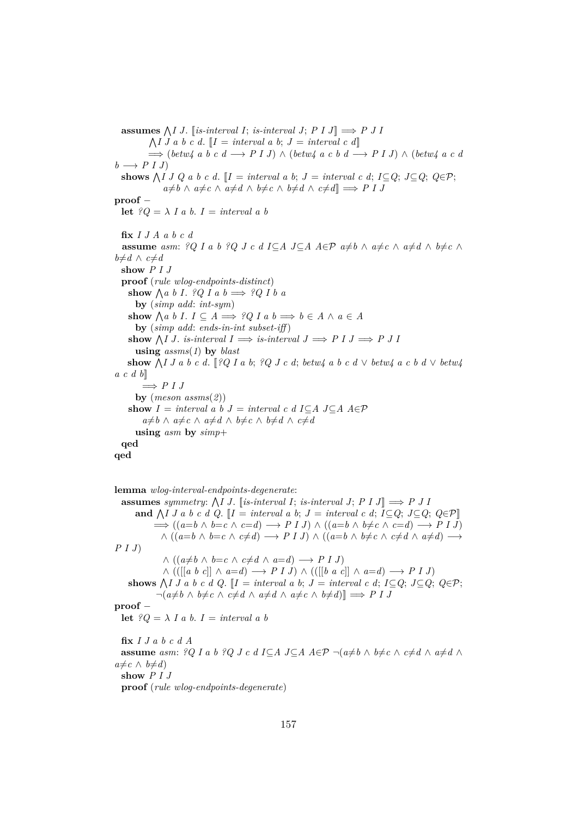assumes  $\bigwedge I$  *J*. [*is-interval I*; *is-interval J*; *P I J*]  $\implies$  *P J I*  $\bigwedge I$  *J a b c d*.  $\llbracket I = interval \ a \ b; \ J = interval \ c \ d \rrbracket$ =⇒ (*betw4 a b c d* −→ *P I J*) ∧ (*betw4 a c b d* −→ *P I J*) ∧ (*betw4 a c d*  $b \rightarrow P I J$ **shows**  $\bigwedge I \cup Q$  a b c d.  $[I = interval \ a \ b; \ J = interval \ c \ d; \ I \subseteq Q; \ J \subseteq Q; \ Q \in \mathcal{P};$  $a \neq b \land a \neq c \land a \neq d \land b \neq c \land b \neq d \land c \neq d$ ]  $\implies$  *P I J* **proof** − **let**  ${}^{\circ}Q = \lambda I a b. I = interval a b$ **fix** *I J A a b c d* **assume** asm: ?Q I a b ?Q J c d I ⊆A J⊆A  $A \in \mathcal{P}$  a ≠b  $\wedge$  a ≠c  $\wedge$  a ≠d  $\wedge$  b ≠c  $\wedge$  $b\neq d$  ∧  $c\neq d$ **show** *P I J* **proof** (*rule wlog-endpoints-distinct*) show  $\bigwedge a \ b \ I. \ \ \frac{2Q}{I} \ a \ b \Longrightarrow \ \frac{2Q}{I} \ b \ a$ **by** (*simp add*: *int-sym*) show  $\bigwedge a \ b \ I. \ I \subseteq A \Longrightarrow ?Q \ I \ a \ b \Longrightarrow b \in A \ \wedge \ a \in A$ **by** (*simp add*: *ends-in-int subset-iff* ) show  $\bigwedge I$  *J. is-interval*  $I \implies$  *is-interval*  $J \implies P I J \implies P J I$ **using** *assms*(*1*) **by** *blast*  $\mathbf{show } \bigwedge I \, J \, a \, b \, c \, d. \, [?Q \, I \, a \, b; \, ?Q \, J \, c \, d; \, betw4 \, a \, b \, c \, d \, \vee \, betw4 \, a \, c \, b \, d \, \vee \, betw4$ *a c d b*]]  $\implies$  *P I J* **by** (*meson assms*(*2*)) show  $I = interval a b J = interval c d I ⊆ A J ⊆ A A ∈ P$  $a \neq b \land a \neq c \land a \neq d \land b \neq c \land b \neq d \land c \neq d$ **using** *asm* **by** *simp*+ **qed qed**

**lemma** *wlog-interval-endpoints-degenerate*: **assumes** symmetry:  $\bigwedge I J$ . [is-interval *I*; *is-interval J*; *P I J*]  $\implies$  *P J I* **and**  $\bigwedge I$  *J a b c d Q*. [*I* = *interval a b*; *J* = *interval c d*; *I*⊆*Q*; *J*⊆*Q*; *Q*∈P]  $\implies ((a=b \land b=c \land c=d) \longrightarrow P I J) \land ((a=b \land b \neq c \land c=d) \longrightarrow P I J)$  $\wedge$  (( $a=b \wedge b=c \wedge c\neq d$ )  $\longrightarrow$  *P I J*)  $\wedge$  (( $a=b \wedge b\neq c \wedge c\neq d \wedge a\neq d$ )  $\longrightarrow$ *P I J*)  $\land$  (( $a \neq b \land b = c \land c \neq d \land a = d$ ) → *P I J*) ∧ (([[*a b c*]] ∧ *a*=*d*) −→ *P I J*) ∧ (([[*b a c*]] ∧ *a*=*d*) −→ *P I J*) **shows**  $\bigwedge I \cup I$  a b c d Q. [ $I =$  *interval a b*;  $J =$  *interval c d*;  $I \subseteq Q$ ;  $J \subseteq Q$ ;  $Q \in \mathcal{P}$ ;  $\neg(a \neq b \land b \neq c \land c \neq d \land a \neq d \land a \neq c \land b \neq d)$ ]  $\implies$  *P I J* **proof** − **let**  ${}^{\circ}Q = \lambda$  *I a b*. *I* = *interval a b* **fix** *I J a b c d A* **assume** *asm: ?Q I a b ?Q J c d I* $\subseteq$ *A J* $\subseteq$ *A A* $\in$ *P*  $\neg$ ( $a \neq b$   $\land$   $b \neq c$   $\land$   $c \neq d$   $\land$   $a \neq d$   $\land$  $a≠c \wedge b≠d)$ **show** *P I J* **proof** (*rule wlog-endpoints-degenerate*)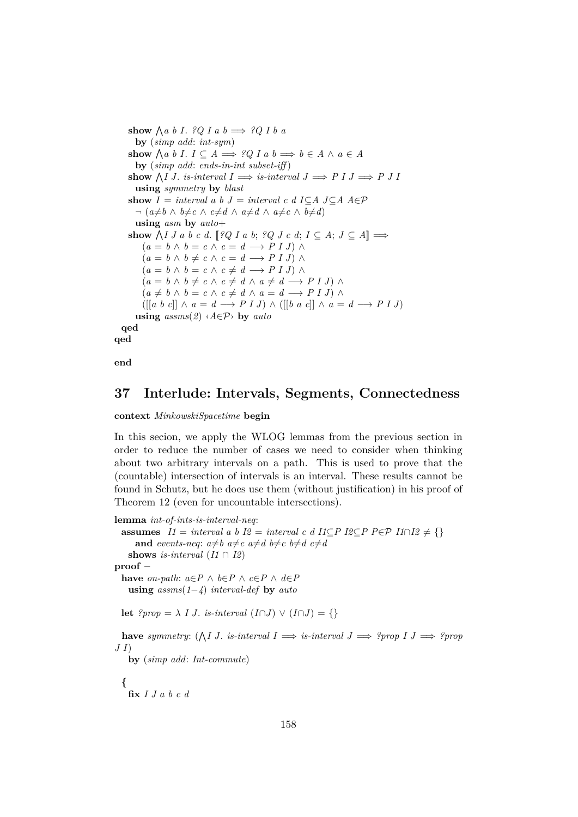```
show \bigwedge a \ b \ I. ?Q I a b \implies ?Q I b a
       by (simp add: int-sym)
     show \bigwedge a \ b \ I. \ I \subseteq A \Longrightarrow ?Q \ I \ a \ b \Longrightarrow b \in A \ \wedge \ a \in Aby (simp add: ends-in-int subset-iff )
     show \bigwedge I J. is-interval I \implies is-interval J \implies P I J \implies P J Iusing symmetry by blast
    show I = interval a b J = interval c d I C A J C A A \in \mathcal{P}\neg (a \neq b \land b \neq c \land c \neq d \land a \neq d \land a \neq c \land b \neq d)using asm by auto+
     show \bigwedge I J a b c d. [?Q I a b; ?Q J c d; I \subseteq A; J \subseteq A] \Longrightarrow(a = b \land b = c \land c = d \longrightarrow P I J) \land(a = b \land b \neq c \land c = d \longrightarrow P I J) \land(a = b \land b = c \land c \neq d \longrightarrow P I J) \land(a = b \land b \neq c \land c \neq d \land a \neq d \longrightarrow P I J) \land(a \neq b \land b = c \land c \neq d \land a = d \longrightarrow P I J) \land([[a \ b \ c]] \wedge a = d \longrightarrow P I J) \wedge ([[b \ a \ c]] \wedge a = d \longrightarrow P I J)using assms(2) \langle A \in \mathcal{P} \rangle by autoqed
qed
```
**end**

## **37 Interlude: Intervals, Segments, Connectedness**

#### **context** *MinkowskiSpacetime* **begin**

In this secion, we apply the WLOG lemmas from the previous section in order to reduce the number of cases we need to consider when thinking about two arbitrary intervals on a path. This is used to prove that the (countable) intersection of intervals is an interval. These results cannot be found in Schutz, but he does use them (without justification) in his proof of Theorem 12 (even for uncountable intersections).

```
lemma int-of-ints-is-interval-neq:
  assumes I1 = interval a b I2 = interval c d I1⊆P I2⊆P P∈P I1∩I2 \neq {}
      and events-neq: a \neq b a \neq c a \neq d b \neq c b \neq d c \neq dshows is-interval (I1 \cap I2)proof −
  have on-path: a \in P \land b \in P \land c \in P \land d \in Pusing assms(1−4) interval-def by auto
  let ?prop = \lambda \, I \, J \, . is-interval (I \cap J) \vee (I \cap J) = \{\}have symmetry: (\bigwedge I \cup J \cdot \text{is-interval } I \implies \text{is-interval } J \implies \text{?prop } I \cup \text{?prop } IJ I)
    by (simp add: Int-commute)
  {
    fix I J a b c d
```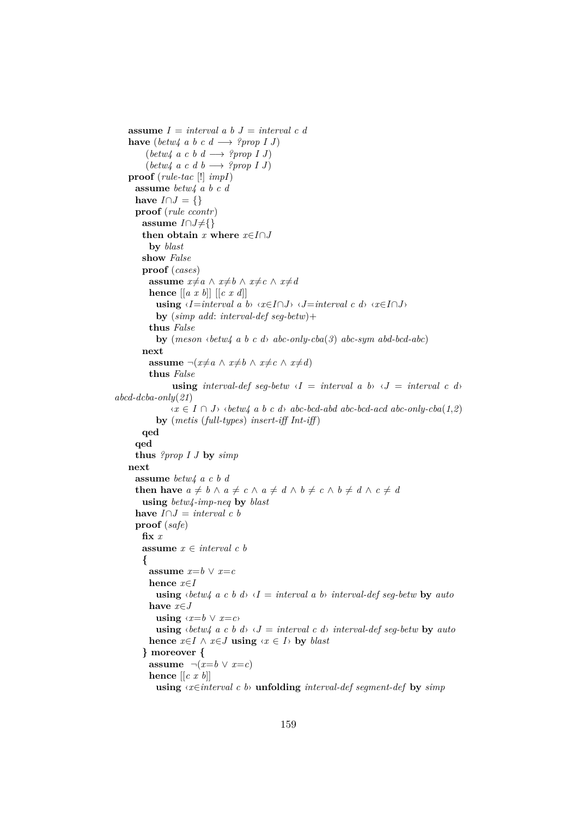**assume** *I* = *interval a b J* = *interval c d* **have** (*betw4 a b c d*  $\rightarrow$  *?prop I J*) (*betw4 a c b d* −→ *?prop I J*)  $(\text{between } I \text{ J})$ **proof** (*rule-tac* [!] *impI*) **assume** *betw4 a b c d* have  $I \cap J = \{\}$ **proof** (*rule ccontr*) **assume**  $I ∩ J ≠ { }$ **then obtain** *x* **where**  $x \in I \cap J$ **by** *blast* **show** *False* **proof** (*cases*) **assume**  $x \neq a \land x \neq b \land x \neq c \land x \neq d$ **hence** [[*a x b*]] [[*c x d*]] **using**  $\langle I = \text{interval } a \ b \rangle \langle x \in I \cap J \rangle \langle J = \text{interval } c \ d \rangle \langle x \in I \cap J \rangle$ **by** (*simp add*: *interval-def seg-betw*)+ **thus** *False* **by** (*meson* ‹*betw4 a b c d*› *abc-only-cba*(*3*) *abc-sym abd-bcd-abc*) **next assume**  $\neg(x \neq a \land x \neq b \land x \neq c \land x \neq d)$ **thus** *False* **using** *interval-def* seg-betw  $\langle I \rangle$  = *interval* a b $\langle J \rangle$  = *interval* c d *abcd-dcba-only*(*21*) ‹*x* ∈ *I* ∩ *J*› ‹*betw4 a b c d*› *abc-bcd-abd abc-bcd-acd abc-only-cba*(*1*,*2*) **by** (*metis* (*full-types*) *insert-iff Int-iff* ) **qed qed thus** *?prop I J* **by** *simp* **next assume** *betw4 a c b d* **then have**  $a \neq b \land a \neq c \land a \neq d \land b \neq c \land b \neq d \land c \neq d$ **using** *betw4-imp-neq* **by** *blast* **have**  $I \cap J = interval \ c \ b$ **proof** (*safe*) **fix** *x* **assume** *x* ∈ *interval c b* **{ assume**  $x=b \vee x=c$ **hence** *x*∈*I* **using**  $\langle \text{between } a \text{ } c \text{ } b \text{ } d \rangle$   $\langle I = \text{interval} \text{ } a \text{ } b \rangle$  *interval-def seg-betw* by *auto* **have** *x*∈*J* **using**  $\langle x=b \lor x=c \rangle$ **using**  $\langle \text{between } a \text{ } c \text{ } b \text{ } d \rangle$   $\langle J = \text{interval } c \text{ } d \rangle$  *interval-def seq-betw* by *auto* **hence**  $x \in I$  ∧  $x \in J$  **using**  $\langle x \in I \rangle$  **by** *blast* **} moreover { assume**  $\neg(x=b \lor x=c)$ **hence**  $\left[ \left[ c \; x \; b \right] \right]$ **using** ‹*x*∈*interval c b*› **unfolding** *interval-def segment-def* **by** *simp*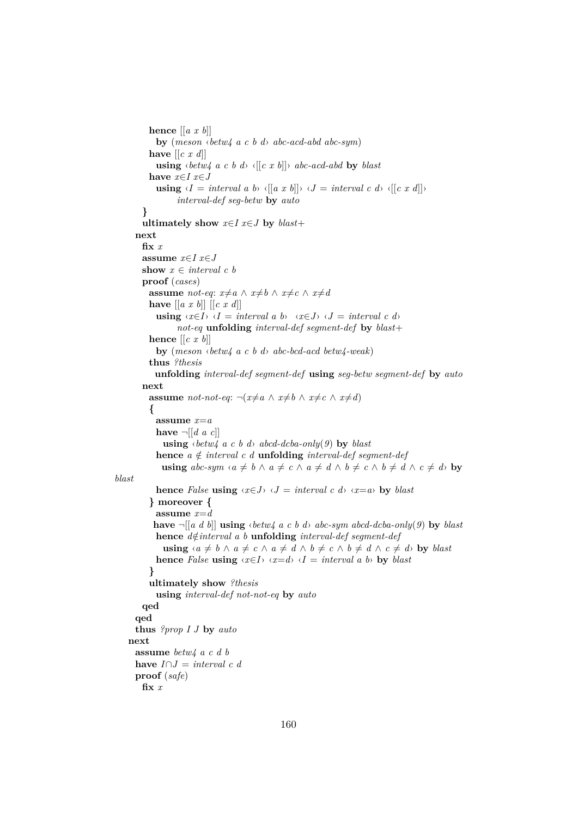```
hence [[a x b]]
             by (meson ‹betw4 a c b d› abc-acd-abd abc-sym)
           have [[c x d]]
             using \langle betw4 \ a \ c \ b \ d\rangle \ \langle \lceil \lfloor c \ x \ b \rceil \rceil \rangle \ abc\text{-}acd\text{-}abd \ \mathbf{by} \ blackhave x∈I x∈J
             using \langle I = interval \ a \ b \rangle \ \langle \lbrack \lbrack \ a \ x \ b \rbrack \rangle \ \langle \ J = interval \ c \ d \rangle \ \langle \lbrack \lbrack \ c \ x \ d \rbrack \rangleinterval-def seg-betw by auto
         }
         ultimately show x \in I x \in J by \text{blast} +next
         fix x
         assume x∈I x∈J
         show x \in interval \ c \ bproof (cases)
           assume not-eq: x \neq a \land x \neq b \land x \neq c \land x \neq dhave [[a x b]] [[c x d]]
             using \langle x \in I \rangle \langle I = interval \ a \ b \rangle \langle x \in J \rangle \langle J = interval \ c \ d \ranglenot-eq unfolding interval-def segment-def by blast+
           hence [[c x b]]
             by (meson ‹betw4 a c b d› abc-bcd-acd betw4-weak)
           thus ?thesis
             unfolding interval-def segment-def using seg-betw segment-def by auto
         next
           assume not-not-eq: \neg(x \neq a \land x \neq b \land x \neq c \land x \neq d){
              assume x=a
             have \neg \left[ \left[ d \ a \ c \right] \right]using \langle \text{between} \rangle a c b d\rangle abcd-dcba-only(9) by blast
             hence a \notin interval \in \mathcal{C} d unfolding interval-def seqment-def
               using abc\text{-}sym\text{ }\{a\neq b\land a\neq c\land a\neq d\land b\neq c\land b\neq d\land c\neq d\} by
blast
             hence False using \langle x \in J \rangle \langle J = interval \ c \ d \rangle \ \langle x = a \rangle by blast
           } moreover {
             assume x=d
             have \neg[[a d b]] using \langle betw4 \rangle a c b d \rangle abc-sym abcd-dcba-only(9) by blast
             hence d \notin interval \{a\} unfolding interval\{def\} interval-def seqment-def
                using \langle a \neq b \land a \neq c \land a \neq d \land b \neq c \land b \neq d \land c \neq d by blast
             hence False using \langle x \in I \rangle \langle x = d \rangle \langle I = interval \ a \ b \rangle by blast
           }
           ultimately show ?thesis
             using interval-def not-not-eq by auto
         qed
       qed
       thus ?prop I J by auto
    next
       assume betw4 a c d b
       have I ∩ J = interval c dproof (safe)
         fix x
```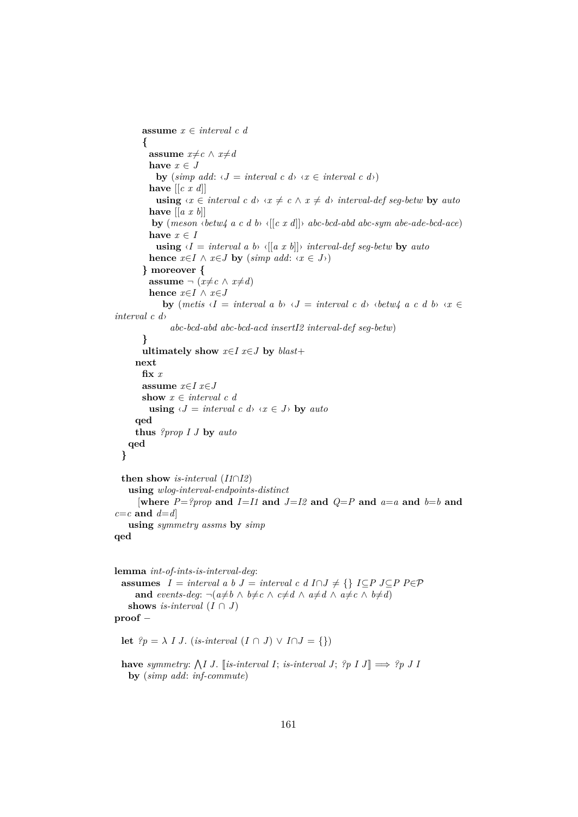```
assume x ∈ interval c d
         {
          assume x \neq c \land x \neq dhave x \in Jby (simp add: \langle J = interval \ c \ d \rangle \ \langle x \in interval \ c \ d \rangle)
           have [[c x d]]
             using \langle x \in \text{interval } c \, d \rangle \langle x \neq c \land x \neq d \rangle interval-def seq-betw by auto
           have [[a x b]]
           by (meson ‹betw4 a c d b› ‹[[c x d]]› abc-bcd-abd abc-sym abe-ade-bcd-ace)
           have x \in Iusing \langle I = interval \ a \ b \rangle \ \langle \left[ \left[ a \ x \ b \right] \right] \rangle \ interval interval-def seg-betw by auto
           hence x \in I \land x \in J by (simp add: \langle x \in J \rangle)
         } moreover {
           assume \neg (x \neq c \land x \neq d)hence x \in I \land x \in Jby (metis \langle I = interval \ a \ b \rangle \ \langle J = interval \ c \ d \rangle \ \langle \theta \rangle \ \langle \phi \rangle \ a \ c \ d \ b \rangle \ \langle \chi \in \mathcal{L}interval c d›
                 abc-bcd-abd abc-bcd-acd insertI2 interval-def seg-betw)
        }
        ultimately show x \in I x \in J by \text{blast} +next
        fix x
        assume x∈I x∈J
        show x \in interval \ c \ dusing \langle J = interval \ c \ d \rangle \ \langle x \in J \rangle by auto
      qed
      thus ?prop I J by auto
    qed
  }
  then show is-interval (I1∩I2)
    using wlog-interval-endpoints-distinct
       [where P = ?prop and I = I1 and J = I2 and Q = P and a=a and b=b and
c=c and d=d]
    using symmetry assms by simp
qed
lemma int-of-ints-is-interval-deg:
  assumes I = interval a b J = interval c d I ∩ J \neq \{\} I ⊆ P J ⊆ P P ∈ Pand events-deg: \neg(a \neq b \land b \neq c \land c \neq d \land a \neq d \land a \neq c \land b \neq d)shows is-interval (I \cap J)proof −
  let ?p = \lambda I J. (is-interval (I \cap J) \vee I \cap J = \{\})
```
**have** symmetry:  $\bigwedge I$  J. [is-interval I; is-interval J;  $?p$  I J]  $\implies ?p$  J I **by** (*simp add*: *inf-commute*)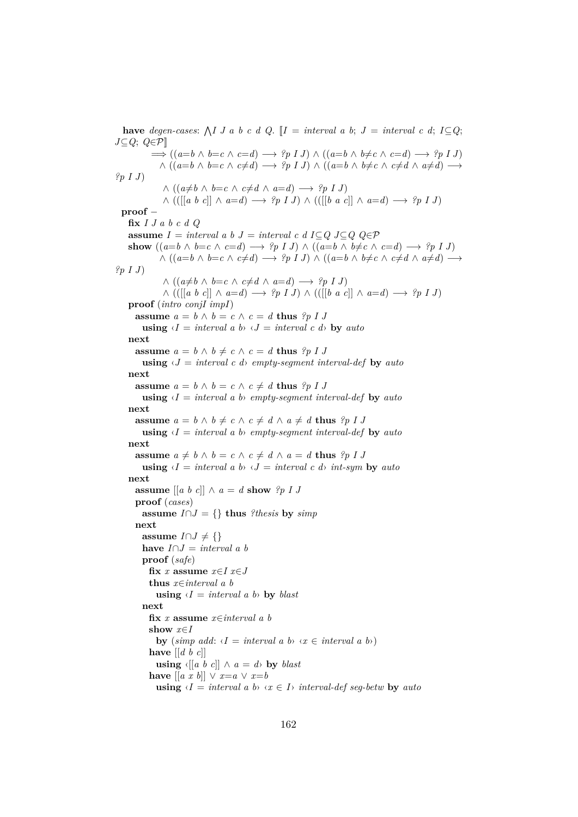have *degen-cases*:  $\bigwedge I J a b c d Q$ .  $I = interval a b$ ;  $J = interval c d$ ;  $I \subseteq Q$ ; *J*⊆*Q*; *Q*∈P]]  $\implies$   $((a=b \land b=c \land c=d) \longrightarrow ?p \cup I \land ((a=b \land b \neq c \land c=d) \longrightarrow ?p \cup J$  $\wedge$  (( $a=b \wedge b=c \wedge c\neq d$ )  $\longrightarrow$  *?p I J*)  $\wedge$  (( $a=b \wedge b\neq c \wedge c\neq d \wedge a\neq d$ )  $\longrightarrow$ *?p I J*)  $∧ ((a \neq b ∧ b = c ∧ c \neq d ∧ a = d) → ?p I J)$ ∧ (([[*a b c*]] ∧ *a*=*d*) −→ *?p I J*) ∧ (([[*b a c*]] ∧ *a*=*d*) −→ *?p I J*) **proof** − **fix** *I J a b c d Q* **assume**  $I = interval a b J = interval c d I ⊂ Q J ⊂ Q Q ∈ P$ **show**  $((a=b \land b=c \land c=d) \rightarrow ?p \text{ I } J) \land ((a=b \land b \neq c \land c=d) \rightarrow ?p \text{ I } J)$  $\wedge ((a=b \wedge b=c \wedge c\neq d) \longrightarrow ?p \cup (a=b \wedge b\neq c \wedge c\neq d \wedge a\neq d) \longrightarrow$ *?p I J*)  $∧ ((a≠b ∧ b=c ∧ c≠d ∧ a=d) → ?p I J)$ ∧ (([[*a b c*]] ∧ *a*=*d*) −→ *?p I J*) ∧ (([[*b a c*]] ∧ *a*=*d*) −→ *?p I J*) **proof** (*intro conjI impI*) **assume**  $a = b \land b = c \land c = d$  **thus** *?p I J* **using**  $\langle I = interval \ a \ b \rangle \ \langle J = interval \ c \ d \rangle$  **by**  $auto$ **next assume**  $a = b \land b \neq c \land c = d$  **thus**  $?p I J$ **using**  $\langle J = interval \ c \ d \rangle$  *empty-segment interval-def* by *auto* **next assume**  $a = b \land b = c \land c \neq d$  **thus**  $?p \cup J$ **using**  $\langle I = interval \ a \ b \rangle$  *empty-segment interval-def* by *auto* **next assume**  $a = b \land b \neq c \land c \neq d \land a \neq d$  **thus**  $?p \cup J$ **using**  $\langle I = interval \ a \ b \rangle$  *empty-segment interval-def* by *auto* **next assume**  $a \neq b \land b = c \land c \neq d \land a = d$  **thus**  $?p I J$ **using**  $\langle I = interval \ a \ b \rangle \ \langle J = interval \ c \ d \rangle \ int-sym$  **by** auto **next assume**  $\begin{bmatrix} a & b & c \end{bmatrix} \wedge a = d$  **show**  $\begin{bmatrix} ?p & I \end{bmatrix}$ **proof** (*cases*) **assume**  $I \cap J = \{\}$  **thus** *?thesis* **by** *simp* **next assume** *I*∩*J*  $\neq$  {} **have**  $I \cap J = interval \ a \ b$ **proof** (*safe*) fix *x* assume  $x \in I$   $x \in J$ **thus** *x*∈*interval a b* **using**  $\langle I = interval \ a \ b \rangle$  **by** *blast* **next fix** *x* **assume** *x*∈*interval a b* **show** *x*∈*I* **by**  $(\textit{simp add:} \langle I = \textit{interval a b} \rangle \langle x \in \textit{interval a b} \rangle)$ **have** [[*d b c*]] **using**  $\langle$  {[*a b c*]] ∧ *a* = *d* $\rangle$  **by** *blast* **have**  $\left[ \left[ a \right] \dot{x} \right] \vee \left[ x = a \vee x = b \right]$ **using**  $\langle I \rangle$  = *interval a b*  $\langle x \rangle$  *interval-def seg-betw* by *auto*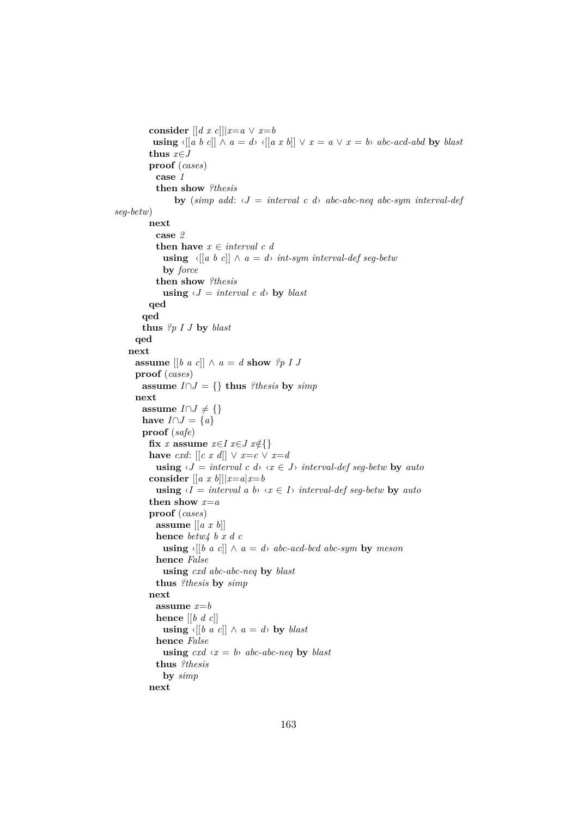```
consider \left[ \left[ d \; x \; c \right] \right] | x=a \lor x=busing \{[a \ b \ c]] \land a = d \} \{[a \ x \ b]] \lor x = a \lor x = b \} abc-acd-abd by blast
          thus x∈J
          proof (cases)
           case 1
            then show ?thesis
                 by (simp add: \langle J = interval \ c \ d \rangle abc-abc-neq abc-sym interval-def
seg-betw)
          next
            case 2
            then have x \in interval \ c \ dusing \langle [a \ b \ c] ] \wedge a = d int-sym interval-def seg-betw
             by force
           then show ?thesis
             using \langle J = interval \ c \ d \rangle by blast
         qed
       qed
       thus ?p I J by blast
      qed
    next
     assume [[b \ a \ c]] \wedge a = d show ?p \ I \ Jproof (cases)
        assume I∩J = {} thus ?thesis by simp
      next
        assume I∩J \neq {}
       have I \cap J = \{a\}proof (safe)
          fix x assume x \in I x \in J x \notin \{\}have cxd: \left[ \left[ c \; x \; d \right] \right] \vee x = c \vee x = dusing \langle J \rangle = interval c \, d \rangle \langle x \rangle (ii) interval-def seg-betw by auto
          consider \left[ \left[ a \; x \; b \right] \right] | x=a | x=busing \langle I = interval \ a \ b \rangle \ \langle x \in I \rangle \ interval\ -\then show x=a
          proof (cases)
           assume [[a x b]]
           hence betw4 b x d c
             using \{[b \ a \ c]| \wedge a = d \} abc-acd-bcd abc-sym by meson
            hence False
              using cxd abc-abc-neq by blast
            thus ?thesis by simp
          next
           assume x=b
           hence [[b d c]]
             using \{[b \ a \ c]] \wedge a = d by blast
           hence False
             using cxd \langle x=b \rangle abc-abc-neq by blast
            thus ?thesis
             by simp
         next
```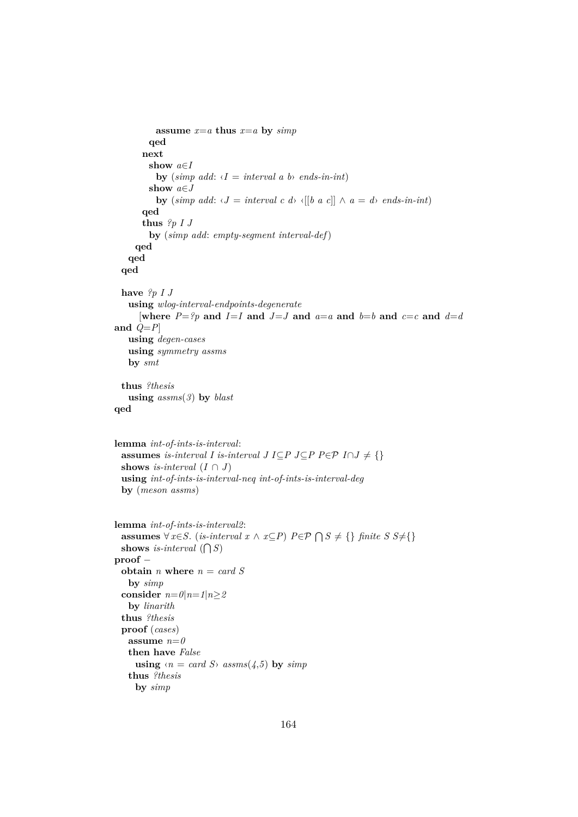```
assume x=a thus x=a by simp
        qed
      next
        show a∈I
          by (simp add: \langle I = interval \ a \ b \rangle \ ends-in-int)
        show a∈J
          by (simp add: \langle J = interval \ c \ d \rangle \langle [b \ a \ c] \rangle \wedge a = d \rangle ends-in-int)
      qed
      thus ?p I J
        by (simp add: empty-segment interval-def)
     qed
   qed
 qed
 have ?p I J
   using wlog-interval-endpoints-degenerate
      [where P = ?p and I = I and J = J and a = a and b = b and c = c and d = dand Q=P]
   using degen-cases
   using symmetry assms
   by smt
 thus ?thesis
   using assms(3) by blast
qed
lemma int-of-ints-is-interval:
 assumes is-interval I is-interval J I⊆P J⊆P P∈P I \cap J \neq \{\}shows is-interval (I \cap J)using int-of-ints-is-interval-neq int-of-ints-is-interval-deg
 by (meson assms)
lemma int-of-ints-is-interval2:
  assumes ∀ x∈S. (is-interval x ∧ x⊆P) P ∈ P ∩ S ≠ \{ \} finite S S≠\{ \}shows is-interval (\bigcap S)proof −
 obtain n where n = card S
   by simp
 consider n=0|n=1|n\geq 2by linarith
 thus ?thesis
 proof (cases)
   assume n=0
   then have False
     using \langle n = \text{card } S \rangle assms(4,5) by simp
   thus ?thesis
     by simp
```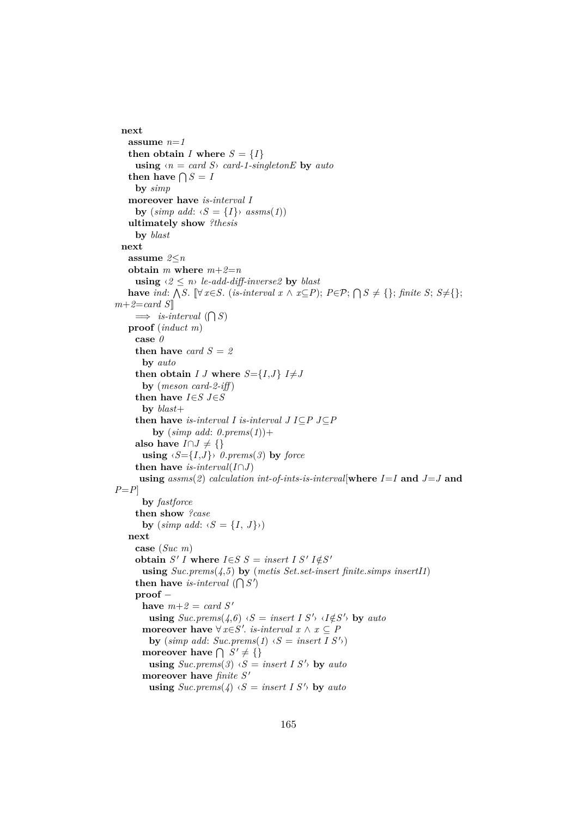```
next
   assume n=1
   then obtain I where S = \{I\}using \langle n = \text{card } S \rangle card-1-singletonE by auto
    then have \bigcap S = Iby simp
   moreover have is-interval I
      by (\textit{simp add: } \langle S = \{I\} \rangle \textit{assms}(1))ultimately show ?thesis
      by blast
  next
   assume 2≤n
   obtain m where m+2=n
      using \langle 2 \leq n \rangle le-add-diff-inverse2 by blast
    have ind: \bigwedge S. [\forall x \in S. (is-interval x \wedge x \subseteq P); P \in \mathcal{P}; \bigcap S \neq \{\}; finite S; S≠{};
m+2=card S\implies is-interval (\bigcap S)proof (induct m)
      case 0
      then have card S = 2by auto
      then obtain I J where S = \{I, J\} I \neq Jby (meson card-2-iff )
      then have I \in S J \in Sby blast+
      then have is-interval I is-interval J I⊆P J⊆P
          by (\textit{simp add: 0.prems(1)})+also have I∩J \neq {}
       using \langle S = \{I, J\} \rangle 0.prems(3) by force
      then have is-interval(I \cap J)
       using assms(2) calculation int-of-ints-is-interval[where I=I and J=J and
P=P]
       by fastforce
      then show ?case
       by (\textit{simp add: } \langle S = \{I, J\}\rangle)next
      case (Suc m)
      obtain S' I where I \in S S = insert I S' I \notin S'using Suc.prems(4,5) by (metis Set.set-insert finite.simps insertI1)
      then have is-interval (\bigcap S')proof −
       have m+2 = card S'using Suc. \text{prems}(4,6) \triangleleft S = \text{insert } I \text{ } S' \triangleleft I \notin S' by auto
        moreover have \forall x \in S'. is-interval x \land x \subseteq Pby (simp add: Suc.prems(1) \langle S = \text{insert } I \ S' \ranglemoreover have \bigcap S' \neq \{\}\using Suc.prems(3) \langle S = insert \, I \, S' \rangle by auto
       moreover have finite S'using Suc. \text{prems}(4) \langle S = \text{insert } I \rangle S' by auto
```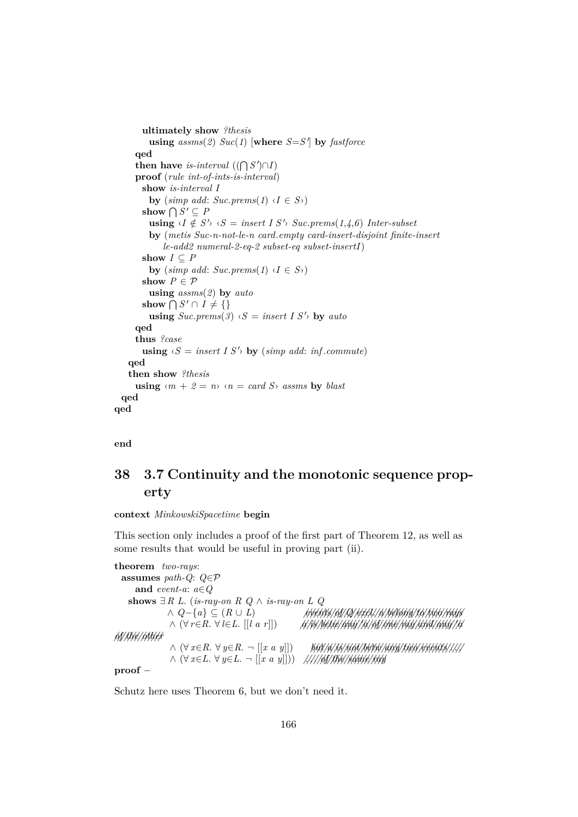```
ultimately show ?thesis
          using\;assms(2)\;Suc(1)\;[where\;S=S']\;by\;fastforceqed
      then have is-interval ((\bigcap S') \cap I)proof (rule int-of-ints-is-interval)
        show is-interval I
          by (\textit{simp add:} \textit{Suc.prems}(1) \land I \in S)show \bigcap S' \subseteq Pusing \langle I \notin S' \rangle \langle S = insert \, I \, S' \rangle Suc.prems(1, 4, 6) Inter-subset
          by (metis Suc-n-not-le-n card.empty card-insert-disjoint finite-insert
              le-add2 numeral-2-eq-2 subset-eq subset-insertI)
        show I \subseteq Pby (\textit{simp add:} \textit{Suc.prems}(1) \land I \in S)show P \in \mathcal{P}using assms(2) by auto
        show \bigcap S' \cap I \neq \{\}using Suc.prems(3) \langle S = insert \, I \, S' \rangle by auto
      qed
      thus ?case
        using \langle S = insert \, I \, S' \rangle by (simp \, add: \, inf. commute)qed
    then show ?thesis
      using \langle m + 2 = n \rangle \langle n = \text{card } S \rangle assms by blast
  qed
qed
```
**end**

# **38 3.7 Continuity and the monotonic sequence property**

**context** *MinkowskiSpacetime* **begin**

This section only includes a proof of the first part of Theorem 12, as well as some results that would be useful in proving part (ii).

**theorem** *two-rays*: **assumes** *path-Q*: *Q*∈P **and** *event-a*: *a*∈*Q* shows  $∃R$  *L*. (*is-ray-on R Q*  $∧$  *<i>is-ray-on L Q* ∧ *Q*−{*a*} ⊆ (*R* ∪ *L*) *////////events///of///Q///////excl*.*///a////////belong////to/////two//////rays* ∧ (∀ *r*∈*R*. ∀ *l*∈*L*. [[*l a r*]]) *//a///is//////betw//////any///*0*a///of//////one/////ray/////and//////any///*0*a //of/////the///////other*  $∧$   $(∀ x∈R. ∀ y∈R. ¬ [[x a y]])$  *but/a/is/not/betw/any/two/events/////* ∧ (∀ *x*∈*L*. ∀ *y*∈*L*. ¬ [[*x a y*]])) *////* . . .*///of/////the///////same/////ray* **proof** −

Schutz here uses Theorem 6, but we don't need it.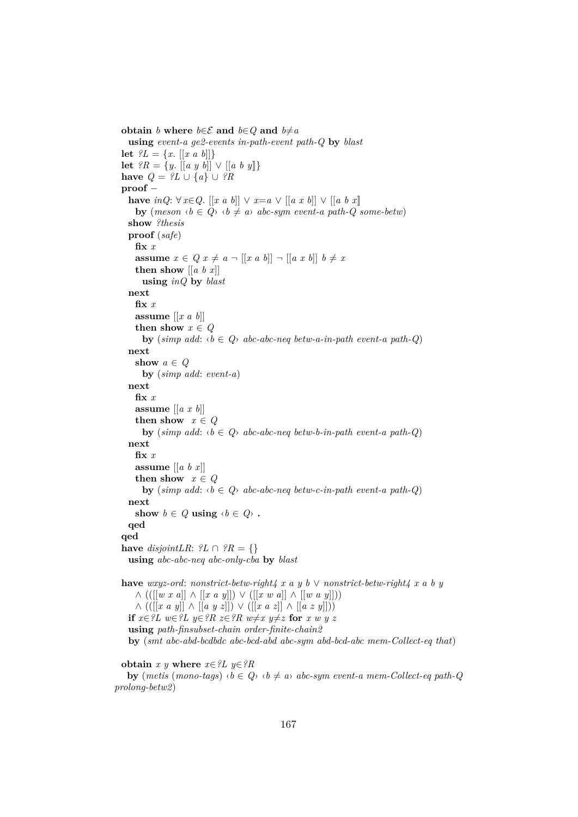**obtain** *b* **where**  $b \in \mathcal{E}$  **and**  $b \in Q$  **and**  $b \neq a$ **using** *event-a ge2-events in-path-event path-Q* **by** *blast* **let**  $?L = \{x, [[x a b]]\}$ **let**  $?R = \{y \in [[a \; y \; b]] \lor [[a \; b \; y]]\}$ **have**  $Q = \mathcal{L} \cup \{a\} \cup \mathcal{R}$ **proof** − **have** *inQ*: ∀ *x*∈*Q*. [[*x a b*]] ∨ *x*=*a* ∨ [[*a x b*]] ∨ [[*a b x*]] **by**  $(meson \tcdot b \in Q_1 \tcdot b \neq a_2 \tcdot abc-sym \t{ event-a path-Q} \t{ some-betw}$ **show** *?thesis* **proof** (*safe*) **fix** *x* **assume**  $x \in Q$   $x \neq a$   $\neg$   $[[x a b]] \neg [[a x b]]$   $b \neq x$ **then show**  $\left[ \begin{bmatrix} a & b & x \end{bmatrix} \right]$ **using** *inQ* **by** *blast* **next fix** *x* **assume** [[*x a b*]] **then show**  $x \in Q$ **by** (*simp add:*  $\langle b \in Q \rangle$  *abc-abc-neq betw-a-in-path event-a path-Q*) **next show**  $a \in Q$ **by** (*simp add*: *event-a*) **next fix** *x* **assume** [[*a x b*]] **then show**  $x \in Q$ **by** (*simp add:*  $\langle b \in Q \rangle$  *abc-abc-neq betw-b-in-path event-a path-Q*) **next fix** *x* **assume** [[*a b x*]] **then show**  $x \in Q$ **by** (*simp add:*  $\langle b \in Q \rangle$  *abc-abc-neq betw-c-in-path event-a path-Q*) **next show**  $b \in Q$  **using**  $\langle b \in Q \rangle$  **. qed qed have**  $disjointLR:$   $?L \cap ?R = \{\}$ **using** *abc-abc-neq abc-only-cba* **by** *blast* **have** *wxyz-ord*: *nonstrict-betw-right4 x a y b* ∨ *nonstrict-betw-right4 x a b y* ∧ (([[*w x a*]] ∧ [[*x a y*]]) ∨ ([[*x w a*]] ∧ [[*w a y*]])) ∧ (([[*x a y*]] ∧ [[*a y z*]]) ∨ ([[*x a z*]] ∧ [[*a z y*]])) **if**  $x∈?L$   $w∈?L$   $y∈?R$   $z∈?R$   $w≠x$   $y≠z$  for  $x \le y \le z$ **using** *path-finsubset-chain order-finite-chain2* **by** (*smt abc-abd-bcdbdc abc-bcd-abd abc-sym abd-bcd-abc mem-Collect-eq that*)

```
obtain x \, y where x \in \mathcal{L} y \in \mathcal{R}
```
**by**  $(metis (mono-tags) \land b \in Q \land b \neq a \land abc-sym event-a mem-Collect-eq path-Q$ *prolong-betw2*)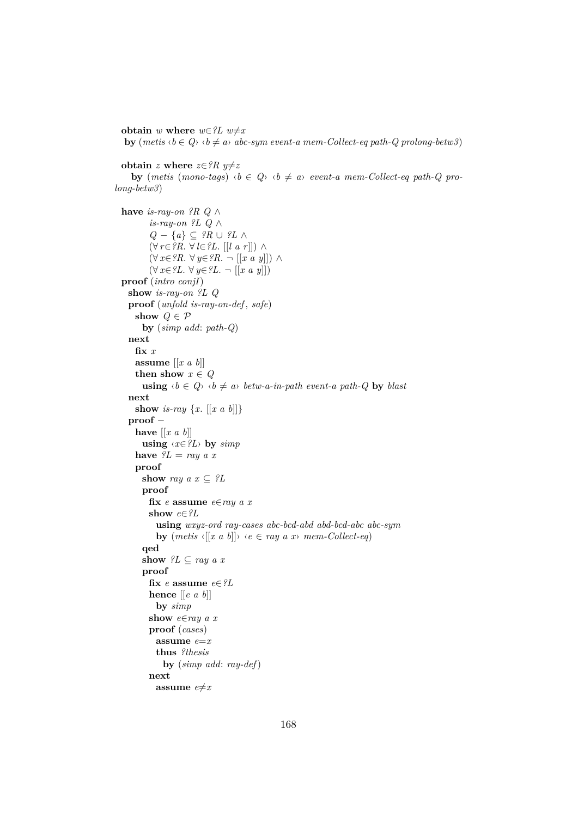**obtain** *w* **where**  $w \in \mathscr{L}L$   $w \neq x$ 

**by**  $(metis \langle b \in Q \rangle \langle b \neq a \rangle$  *abc-sym event-a mem-Collect-eq path-Q prolong-betw3*)

**obtain** *z* **where**  $z \in ?R$   $y \neq z$ 

**by** (*metis* (*mono-tags*)  $\langle b \in Q \rangle$   $\langle b \neq a \rangle$  *event-a mem-Collect-eq path-Q prolong-betw3*)

```
have is-ray-on ?R Q ∧
       is-ray-on ?L Q ∧
       Q − {a} ⊆ ?R ∪ ?L ∧
       (∀ r∈?R. ∀ l∈?L. [[l a r]]) ∧
       (∀ x∈?R. ∀ y∈?R. ¬ [[x a y]]) ∧
       (∀ x∈?L. ∀ y∈?L. ¬ [[x a y]])
proof (intro conjI)
 show is-ray-on ?L Q
 proof (unfold is-ray-on-def , safe)
   show Q \in \mathcal{P}by (simp add: path-Q)
 next
   fix x
   assume [[x a b]]
   then show x \in Qusing \langle b \in Q \rangle \langle b \neq a \rangle betw-a-in-path event-a path-Q by blast
 next
   show is-ray \{x, [[x a b]]\}proof −
   have \left[ \left[ x \ a \ b \right] \right]using \langle x \in \{L\} \rangle by \text{sim } phave ?L = ray a xproof
     show ray a x \subseteq ?Lproof
       fix e assume e∈ray a x
       show e∈?L
         using wxyz-ord ray-cases abc-bcd-abd abd-bcd-abc abc-sym
         by (metis \{[x \ a \ b] \} \ \langle e \in ray \ a \ x \rangle \ mem\text{-}Collect\text{-}eq)qed
     show ?L \subseteq ray \ a \ xproof
       fix e assume e \in \mathscr{C}Lhence [[e a b]]
         by simp
       show e∈ray a x
       proof (cases)
         assume e=x
         thus ?thesis
           by (simp add: ray-def)
       next
         assume e \neq x
```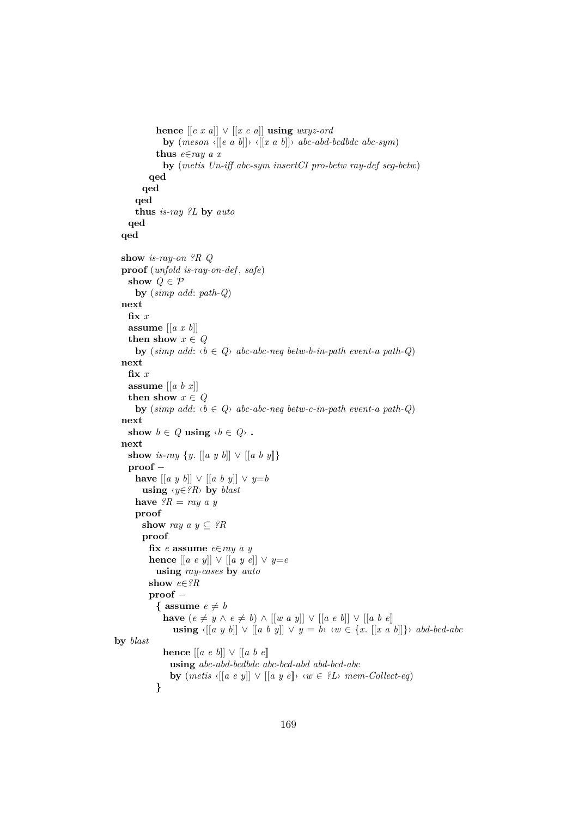```
hence [[e \ x \ a]] \lor [[x \ e \ a]] using wxyz\text{-}ordby (meson \{[e \ a \ b]]\} \{[[x \ a \ b]]\} abc-abd-bcdbdc abc-sym)
           thus e∈ray a x
             by (metis Un-iff abc-sym insertCI pro-betw ray-def seg-betw)
         qed
       qed
      qed
      thus is-ray ?L by auto
   qed
  qed
  show is-ray-on ?R Q
  proof (unfold is-ray-on-def , safe)
   show Q \in \mathcal{P}by (simp add: path-Q)
  next
   fix x
   assume [[a x b]]
   then show x \in Qby (\textit{simp add:} \langle b \in Q \rangle \textit{abc-abc-neg betw-b-in-path event-a path-Q})next
   fix x
   assume [[a b x]]
   then show x \in Qby (simp add: \langle b \in Q \rangle abc-abc-neq betw-c-in-path event-a path-Q)
  next
   show b \in Q using \langle b \in Q \rangle.
  next
   show is-ray \{y, [[a \; y \; b]] \vee [[a \; b \; y]]\}proof −
      have [[a y b]] \vee [[a b y]] \vee y=b
       using ‹y∈?R› by blast
     have {}^{\circ}R = ray \, a \, yproof
       show ray a \, y \subseteq \, ?Rproof
         fix e assume e∈ray a y
         hence [[a \ e \ y]] \lor [[a \ y \ e]] \lor y = eusing ray-cases by auto
          show e∈?R
          proof −
            { assume e \neq bhave (e \neq y \land e \neq b) \land [[w a y]] ∨ [[a e b]] ∨ [[a b e]]using \langle [a \ y \ b] ] \ \lor \ [a \ b \ y] ] \ \lor \ y = b \rangle \ \langle w \in \{x, [[x \ a \ b]] \} \rangle \ abd-bcd-abcby blast
             hence [[a e b]] ∨ [[a b e]]
               using abc-abd-bcdbdc abc-bcd-abd abd-bcd-abc
               by (metis \{[a \ e \ y]\} \lor \{[a \ y \ e]\} \lor w \in \{L\} \text{ mem-Collect-eq}\}}
```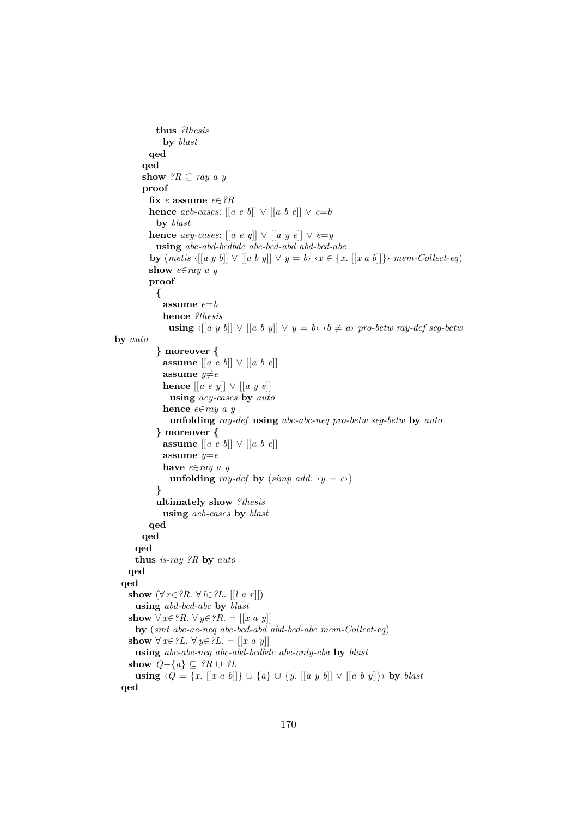```
thus ?thesis
              by blast
         qed
        qed
       \textbf{show} \ \textit{?R} \subseteq \textit{ray a } yproof
          fix e assume e∈?R
          hence aeb-cases: \left[ \left[ a \ e \ b \right] \right] \vee \left[ \left[ a \ b \ e \right] \right] \vee e=bby blast
          hence aey-cases: [[a \ e \ y]] \lor [[a \ y \ e]] \lor e=yusing abc-abd-bcdbdc abc-bcd-abd abd-bcd-abc
          by (metis \{[a \ y \ b]] \lor [[a \ b \ y]] \lor y = b \lor x \in \{x, [[x \ a \ b]]\} \land mem-Collect-eq)show e∈ray a y
          proof −
            {
              assume e=b
              hence ?thesis
               using \langle [a \ y \ b] \ \rangle \ \langle [a \ b \ y] \ \rangle \ \langle \ y = b \rangle \ \langle b \neq a \rangle \ \text{pro-betw ray-def} \ \text{seg-betw}by auto
            } moreover {
              assume [[a e b]] ∨ [[a b e]]
              assume y \neq ehence [[a e y]] ∨ [[a y e]]
                using aey-cases by auto
              hence e∈ray a y
                unfolding ray-def using abc-abc-neq pro-betw seg-betw by auto
            } moreover {
              assume [[a e b]] ∨ [[a b e]]
              assume y=e
              have e∈ray a y
                unfolding ray-def by (simp add: \langle y = e \rangle)
            }
            ultimately show ?thesis
              using aeb-cases by blast
         qed
        qed
      qed
      thus is-ray ?R by auto
    qed
  qed
    show (\forall r \in ?R. \forall l \in ?L. [[l a r]])using abd-bcd-abc by blast
    show ∀ x \in ?R. ∀ y \in ?R. ¬ [[x a y]]
     by (smt abc-ac-neq abc-bcd-abd abd-bcd-abc mem-Collect-eq)
    show ∀ x \in ?L. ∀ y \in ?L. ¬ [[x a y]]
     using abc-abc-neq abc-abd-bcdbdc abc-only-cba by blast
    show Q-\lbrace a \rbrace ⊂ ?R ∪ ?L
      using \{Q = \{x, [[x a b]]\} \cup \{a\} \cup \{y, [[a y b]] \} \cup \{a\} by blast
  qed
```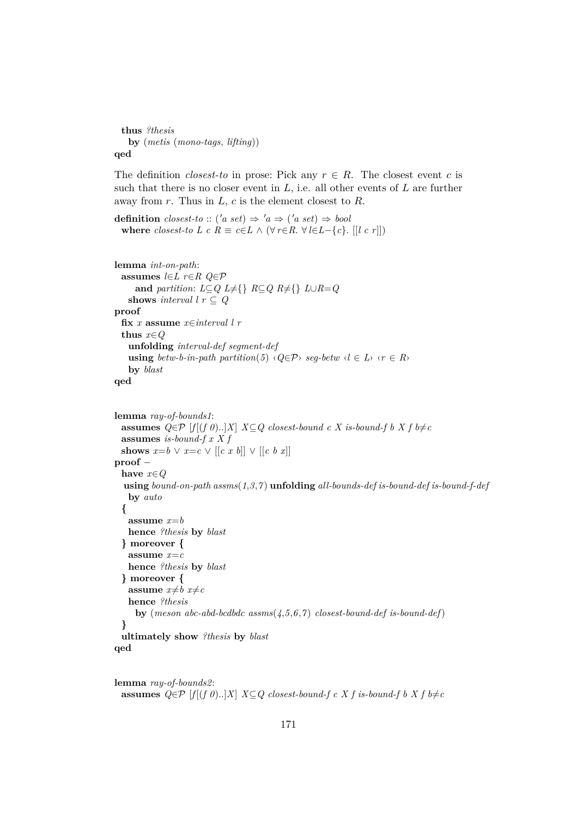**thus** *?thesis* **by** (*metis* (*mono-tags*, *lifting*)) **qed**

The definition *closest-to* in prose: Pick any  $r \in R$ . The closest event c is such that there is no closer event in  $L$ , i.e. all other events of  $L$  are further away from  $r$ . Thus in  $L$ ,  $c$  is the element closest to  $R$ .

**definition**  $closest\text{-}to :: ('a \text{ set}) \Rightarrow 'a \Rightarrow ('a \text{ set}) \Rightarrow bool$ **where** *closest-to L c R*  $\equiv$  *c*∈*L*  $\wedge$  ( $\forall$  *r*∈*R*.  $\forall$  *l*∈*L*−{*c*}. [[*l c r*]])

```
lemma int-on-path:
  assumes l∈L r∈R Q∈P
      and partition: L \subseteq Q L \neq \{\} R \subseteq Q R \neq \{\} L \cup R = Qshows interval l r \subseteq Qproof
  fix x assume x∈interval l r
  thus x∈Q
    unfolding interval-def segment-def
    using betw-b-in-path partition(5) \langle Q \in \mathcal{P} \rangle seq-betw \langle l \in L \rangle \langle r \in R \rangleby blast
qed
```

```
lemma ray-of-bounds1:
 assumes Q ∈ \mathcal{P} [f[(f 0)..]X] X ⊆ Q closest-bound c X is-bound-f b X f b≠c
 assumes is-bound-f x X f
 shows x=b \vee x=c \vee [[c \; x \; b]] \vee [[c \; b \; x]]proof −
 have x∈Q
  using bound-on-path assms(1,3,7 ) unfolding all-bounds-def is-bound-def is-bound-f-def
   by auto
 {
   assume x=b
   hence ?thesis by blast
 } moreover {
   assume x=c
   hence ?thesis by blast
 } moreover {
   assume x \neq b x \neq chence ?thesis
     by (meson abc-abd-bcdbdc assms(4,5,6,7 ) closest-bound-def is-bound-def)
 }
 ultimately show ?thesis by blast
```

```
qed
```

```
lemma ray-of-bounds2:
 assumes Q ∈ \mathcal{P} [f[(f 0)..]X] X ⊆ Q closest-bound-f c X f is-bound-f b X f b≠c
```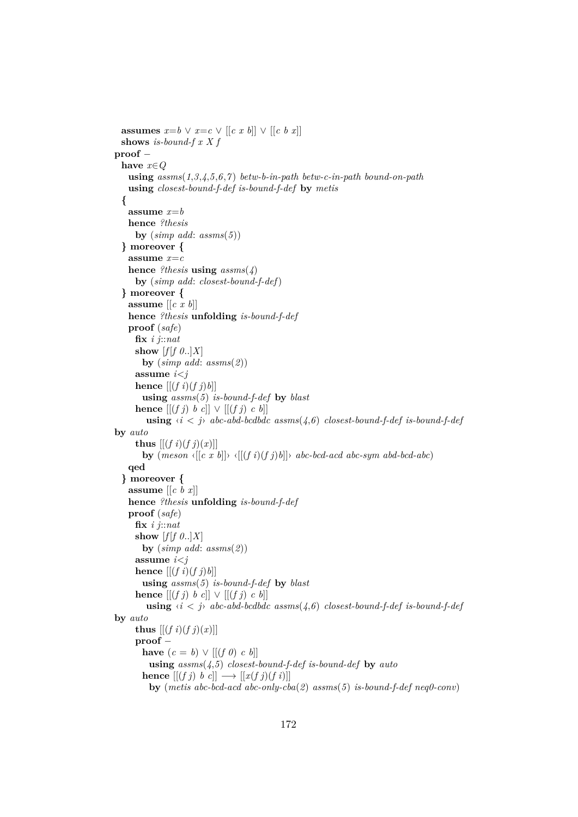```
assumes x=b \vee x=c \vee [(c \ x \ b)] \vee [(c \ b \ x)]shows is-bound-f x X f
proof −
  have x∈Q
   using assms(1,3,4,5,6,7 ) betw-b-in-path betw-c-in-path bound-on-path
   using closest-bound-f-def is-bound-f-def by metis
  {
   assume x=b
   hence ?thesis
     by (\textit{simp add:} \textit{assms}(5))} moreover {
   assume x=c
   hence ?thesis using assms(4)
     by (simp add: closest-bound-f-def)
  } moreover {
   assume [[c x b]]
   hence ?thesis unfolding is-bound-f-def
   proof (safe)
     fix i j::nat
     show [f|f\theta..|X]by (simp add: assms(2))
      assume i<j
      hence \left[ \left[ (f \; i)(f \; j) b \right] \right]using assms(5) is-bound-f-def by blast
     hence [(f \, j) \, b \, c] \ \lor \ [(f \, j) \, c \, b]using \langle i \rangle i \langle j \rangle abc-abd-bcdbdc assms(\langle j, 6 \rangle closest-bound-f-def is-bound-f-def
by auto
     thus [ (f i)(f j)(x) ] ]by {meson \{[c \; x \; b] \} \{[(f \; i)(f \; j)b] \} \; abc-bcd-acd \; abc-sym \; abd-bcd-abc\}}qed
  } moreover {
   assume [[c b x]]
   hence ?thesis unfolding is-bound-f-def
   proof (safe)
     fix i j::nat
     show [f|f \theta..|X]by (simp add: assms(2))
      assume i<j
      hence [(f\ i)(f\ j)b]using assms(5) is-bound-f-def by blast
      hence [(f \, j) \, b \, c]] \vee [(f \, j) \, c \, b]]using \langle i \rangle i \langle j \rangle abc-abd-bcdbdc assms(4,6) closest-bound-f-def is-bound-f-def
by auto
     thus [[(f\ i)(f\ j)(x)]]proof −
       have (c = b) \vee [(f \theta) \ c \ b]using assms(4,5) closest-bound-f-def is-bound-def by auto
       hence \left[ \left[ (f \, j) \, b \, c \right] \right] \longrightarrow \left[ \left[ x(f \, j) (f \, i) \right] \right]by (metis abc-bcd-acd abc-only-cba(2) assms(5) is-bound-f-def neq0-conv)
```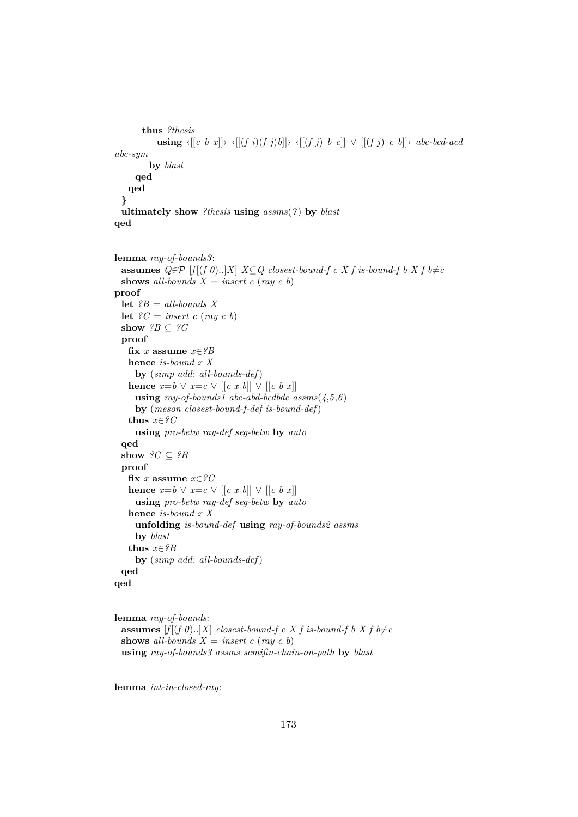```
thus ?thesis
          using \langle [(c \ b \ x]] \rangle \langle [(f \ i)(f \ j)b]] \rangle \langle [(f \ j) \ b \ c]] \ \rangle [ [(f \ j) \ c \ b]]} abc-bcd-acd
abc-sym
        by blast
     qed
   qed
 }
 ultimately show ?thesis using assms(7 ) by blast
qed
lemma ray-of-bounds3:
 assumes Q ∈ \mathcal{P} [f[(f 0)..]X] X ⊆ Q closest-bound-f c X f is-bound-f b X f b≠c
 shows all-bounds X = insert\ c\ (ray\ c\ b)proof
 let ?B = all-bounds X
 let ?C = insert\ c\ (ray\ c\ b)show ?B \subseteq ?Cproof
   fix x assume x∈?B
   hence is-bound x X
     by (simp add: all-bounds-def)
   hence x=b ∨ x=c ∨ [[c x b]] ∨ [[c b x]]
     using ray-of-bounds1 abc-abd-bcdbdc assms(4,5,6)
     by (meson closest-bound-f-def is-bound-def)
   thus x∈?C
     using pro-betw ray-def seg-betw by auto
 qed
 show ?C \subseteq ?Bproof
   fix x assume x \in \mathcal{C}Chence x=b ∨ x=c ∨ [[c x b]] ∨ [[c b x]]
     using pro-betw ray-def seg-betw by auto
   hence is-bound x X
     unfolding is-bound-def using ray-of-bounds2 assms
     by blast
   thus x∈?B
     by (simp add: all-bounds-def)
 qed
qed
```

```
lemma ray-of-bounds:
 assumes [f[(f\ 0).]X] closest-bound-f c X f is-bound-f b X f b\neqc
 shows all-bounds X = insert\ c\ (ray\ c\ b)using ray-of-bounds3 assms semifin-chain-on-path by blast
```
**lemma** *int-in-closed-ray*: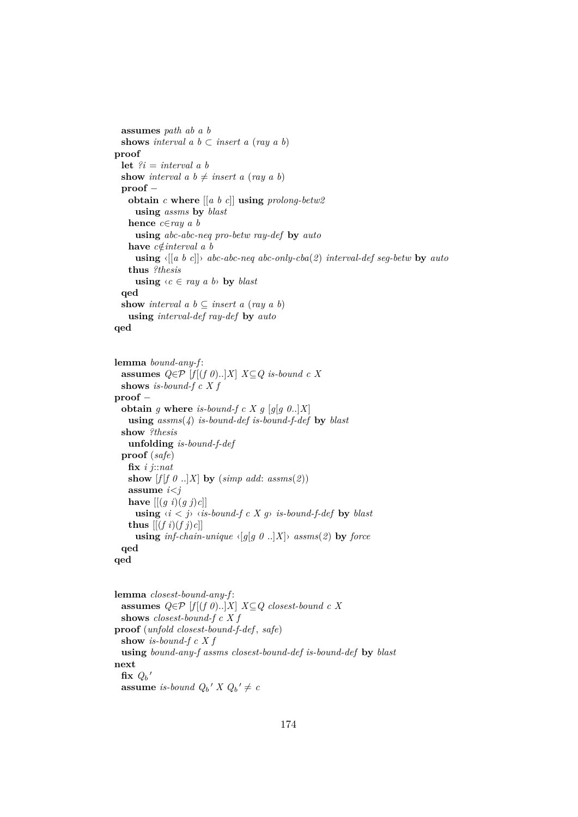```
assumes path ab a b
 shows interval a \, b \subset insert a \, (ray \, a \, b)proof
 let ?i = interval a b
 show interval a \, b \neq insert a \, (ray \, a \, b)proof −
   obtain c where [[a b c]] using prolong-betw2
     using assms by blast
   hence c∈ray a b
     using abc-abc-neq pro-betw ray-def by auto
   have c∉interval a b
     using ‹[[a b c]]› abc-abc-neq abc-only-cba(2) interval-def seg-betw by auto
   thus ?thesis
     using \langle c \in ray \ a \ b \rangle by blast
 qed
 show interval a \, b \subseteq insert a \, (ray \, a \, b)using interval-def ray-def by auto
qed
```

```
lemma bound-any-f :
  assumes Q ∈ P [f[(f 0)..]X] X ⊆ Q is-bound c X
  shows is-bound-f c X f
proof −
  obtain g where is-bound-f c X g [g[g] g 0..]X]
    using assms(4) is-bound-def is-bound-f-def by blast
 show ?thesis
    unfolding is-bound-f-def
  proof (safe)
    fix i j::nat
   show [f|f \theta ... X] by (simp add: assms(2))
    assume i<j
    have [[ (g \ i)(g \ j) c]]using \langle i \rangle \langle j \rangle \langle i \rangle is-bound-f c X g \ is-bound-f-def by blast
    thus \left[ \left[ (f \, i)(f \, j) c \right] \right]using inf\text{-}chain\text{-}unique \leq [g(g \theta \ldots]X] assms(2) by force
  qed
qed
```

```
lemma closest-bound-any-f :
 assumes Q ∈ \mathcal{P} [f[(f 0)..]X] X ⊆ Q closest-bound c X
 shows closest-bound-f c X f
proof (unfold closest-bound-f-def , safe)
 show is-bound-f c X f
 using bound-any-f assms closest-bound-def is-bound-def by blast
next
  \mathbf{fix} Q_b'assume is-bound Q_b' X Q_b' \neq c
```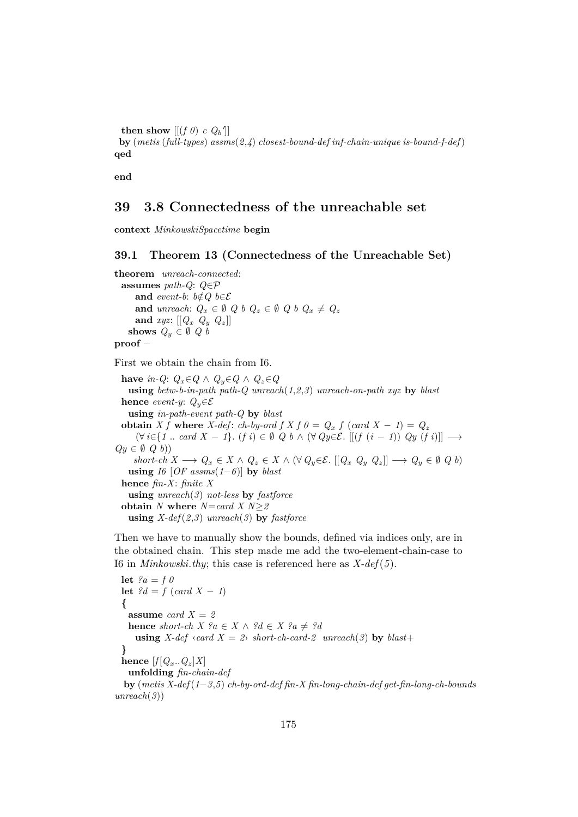**then show**  $[[(f\theta) \ c\ Q_b^\dagger]]$ **by** (*metis* (*full-types*) *assms*(*2*,*4*) *closest-bound-def inf-chain-unique is-bound-f-def*) **qed**

**end**

## **39 3.8 Connectedness of the unreachable set**

**context** *MinkowskiSpacetime* **begin**

#### **39.1 Theorem 13 (Connectedness of the Unreachable Set)**

**theorem** *unreach-connected*: **assumes** *path-Q*: *Q*∈P **and** *event-b*:  $b \notin Q$   $b \in \mathcal{E}$ **and** *unreach*:  $Q_x \in \emptyset$   $Q_b$   $Q_z \in \emptyset$   $Q_b$   $Q_x \neq Q_z$ and  $xyz$ :  $[[Q_x \ Q_y \ Q_z]]$ shows  $Q_y \in \emptyset$  Q *b* **proof** −

First we obtain the chain from I6.

**have** *in-Q*:  $Q_x \in Q \land Q_y \in Q \land Q_z \in Q$ **using** *betw-b-in-path path-Q unreach*(*1*,*2*,*3*) *unreach-on-path xyz* **by** *blast* **hence** *event-y:*  $Q_y \in \mathcal{E}$ **using** *in-path-event path-Q* **by** *blast* **obtain** *X f* where *X-def*: *ch-by-ord f X f*  $0 = Q_x$  *f* (*card X* − *1*) =  $Q_z$  $(\forall i \in \{1 \text{ .. } card X - 1\}$ .  $(f i) \in \emptyset$   $Q b \land (\forall Q y \in \mathcal{E}$ .  $[[ (f (i - 1)) Q y (f i)]] \longrightarrow$  $Qy \in \emptyset$   $Q$  *b*)) *short-ch*  $X$  →  $Q_x \in X \wedge Q_z \in X \wedge (\forall Q_y \in \mathcal{E}$ .  $[[Q_x \ Q_y \ Q_z]]$  →  $Q_y \in \emptyset$   $Q$   $b)$ **using** *I6* [*OF assms*(*1*−*6*)] **by** *blast* **hence** *fin-X*: *finite X* **using** *unreach*(*3*) *not-less* **by** *fastforce* **obtain** *N* **where** *N*=*card X N*≥*2* **using** *X-def*(*2*,*3*) *unreach*(*3*) **by** *fastforce*

Then we have to manually show the bounds, defined via indices only, are in the obtained chain. This step made me add the two-element-chain-case to I6 in *Minkowski*.*thy*; this case is referenced here as *X-def*(*5*).

**let**  $?a = f \theta$ **let**  $?d = f$  (*card*  $X - 1$ ) **{ assume** *card*  $X = 2$ **hence** *short-ch*  $X$  ? $a \in X \wedge ?d \in X$  ? $a \neq ?d$ **using**  $X$ -def  $\langle \text{card } X = 2 \rangle$  *short-ch-card-2 unreach*(3) **by** *blast*+ **} hence**  $[f(Q_x, Q_z|X])$ **unfolding** *fin-chain-def* **by** (*metis X-def*(*1*−*3*,*5*) *ch-by-ord-def fin-X fin-long-chain-def get-fin-long-ch-bounds unreach*(*3*))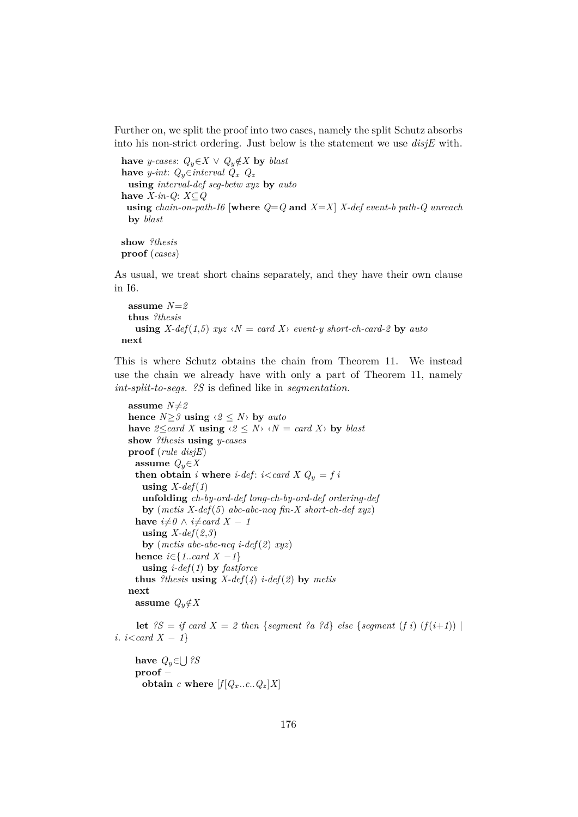Further on, we split the proof into two cases, namely the split Schutz absorbs into his non-strict ordering. Just below is the statement we use *disjE* with.

**have** *y*-cases:  $Q_y \in X$  ∨  $Q_y \notin X$  **by** *blast* **have** *y*-int:  $Q_y \in interval$   $Q_x$   $Q_z$ **using** *interval-def seg-betw xyz* **by** *auto* **have** *X-in-Q*: *X*⊆*Q* **using** *chain-on-path-I6* [where  $Q = Q$  and  $X = X$ ]  $X$ -def event-b path-Q unreach **by** *blast*

**show** *?thesis* **proof** (*cases*)

As usual, we treat short chains separately, and they have their own clause in I6.

```
assume N=2
 thus ?thesis
   using X-def(1,5) xyz \langle N = \text{card } X \rangle event-y short-ch-card-2 by auto
next
```
This is where Schutz obtains the chain from Theorem 11. We instead use the chain we already have with only a part of Theorem 11, namely *int-split-to-segs*. *?S* is defined like in *segmentation*.

```
assume N \neq 2hence N \geq 3 using \langle 2 \leq N \rangle by auto
have 2 \leq card X using \langle 2 \leq N \rangle \langle N = card X \rangle by blast
show ?thesis using y-cases
proof (rule disjE)
 assume Q_y \in Xthen obtain i where i-def: i<card X Q_y = f i
   using X-def(1)
   unfolding ch-by-ord-def long-ch-by-ord-def ordering-def
   by (metis X-def(5) abc-abc-neq fin-X short-ch-def xyz)
 have i \neq 0 \land i \neq card X - 1using X-def(2,3)
   by (metis abc-abc-neq i-def(2) xyz)
 hence i \in \{1..card \mid X -1\}using i-def(1) by fastforce
 thus ?thesis using X\text{-}def(\Lambda) i-def(2) by metis
next
 assume Q_y \notin X
```
**let**  $?S = if card X = 2 then {segment ?a ?d} else {segment (f i) (f(i+1))}$ *i*. *i*<*card X* − *1*}

**have** *Q*y∈ S *?S* **proof** − **obtain** *c* **where**  $[f|Q_x...c|Q_z|X]$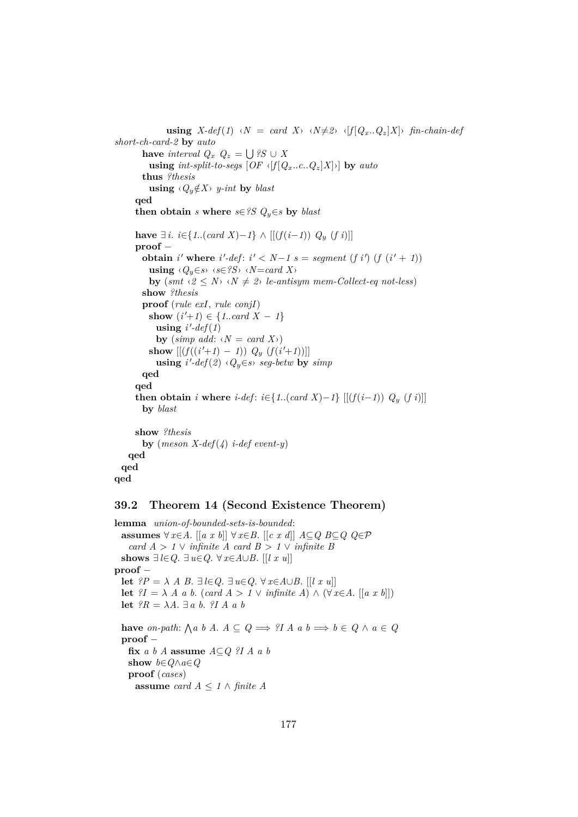```
using X\text{-}def(1) \triangleleft N = card(X) \triangleleft N \neq 2 \langle f|Q_x, Q_z|X\rangle fin-chain-def
short-ch-card-2 by auto
        have interval Q_x Q_z = \bigcup ?S \cup X
          using int-split-to-segs [OF \langle f|Q_x \ldots c \ldots Q_z|X] \rangle by auto
        thus ?thesis
          using \langle Q_y \notin X \rangle y-int by blast
      qed
      then obtain s where s \in \mathscr{S}S Q_y \in s by blast
      have \exists i. i∈{1..(card X)−1} ∧ [[(f(i−1)) Q<sub>y</sub> (f i)]]
      proof −
        obtain i' where i'-def: i' < N-1 s = segment (f i') (f (i' + 1))
          using \langle Q_y \in \mathcal{S} \rangle \langle s \in ?S \rangle \langle N = card X \rangleby (smt \leq 2 \leq N \leq N \leq k+2) le-antisym mem-Collect-eq not-less)
        show ?thesis
        proof (rule exI, rule conjI)
          show (i' + 1) \in \{1..card X - 1\}using i'-def(1)by (simp add: \langle N = \text{card } X \rangle)
          show [[ (f((i'+1) - 1)) Q_y (f(i'+1))] ]using i'-def(2) \langle Q_y \in s \rangle seg-betw by simpqed
      qed
      then obtain i where i-def: i \in \{1..(card X) - 1\} [[(f(i-1)) Q_y (f i)]]
        by blast
      show ?thesis
        by (meson X-def(4) i-def event-y)
    qed
  qed
qed
```
### **39.2 Theorem 14 (Second Existence Theorem)**

**lemma** *union-of-bounded-sets-is-bounded*: **assumes** ∀ *x*∈*A*. [[*a x b*]] ∀ *x*∈*B*. [[*c x d*]] *A*⊆*Q B*⊆*Q Q*∈P *card*  $A > 1 \vee$  *infinite*  $A$  *card*  $B > 1 \vee$  *infinite*  $B$ **shows** ∃*l*∈*Q*. ∃*u*∈*Q*. ∀ *x*∈*A*∪*B*. [[*l x u*]] **proof** − **let**  $?P = \lambda A B$ .  $\exists l \in Q$ .  $\exists u \in Q$ .  $\forall x \in A \cup B$ . [[*l x u*]] **let**  $?I = \lambda A$  *a b*. (*card*  $A > 1 \vee$  *infinite*  $A) \wedge (\forall x \in A$ . [[*a x b*]]) **let**  $?R = \lambda A$ .  $\exists a \ b$ .  $?I A a b$ **have** *on-path*:  $\bigwedge a \ b \ A. \ A \subseteq Q \Longrightarrow ?I \ A \ a \ b \Longrightarrow b \in Q \ \wedge \ a \in Q$ **proof** − **fix** *a b A* **assume** *A*⊆*Q ?I A a b* **show** *b*∈*Q*∧*a*∈*Q* **proof** (*cases*) **assume** *card*  $A \leq 1 \land$  *finite*  $A$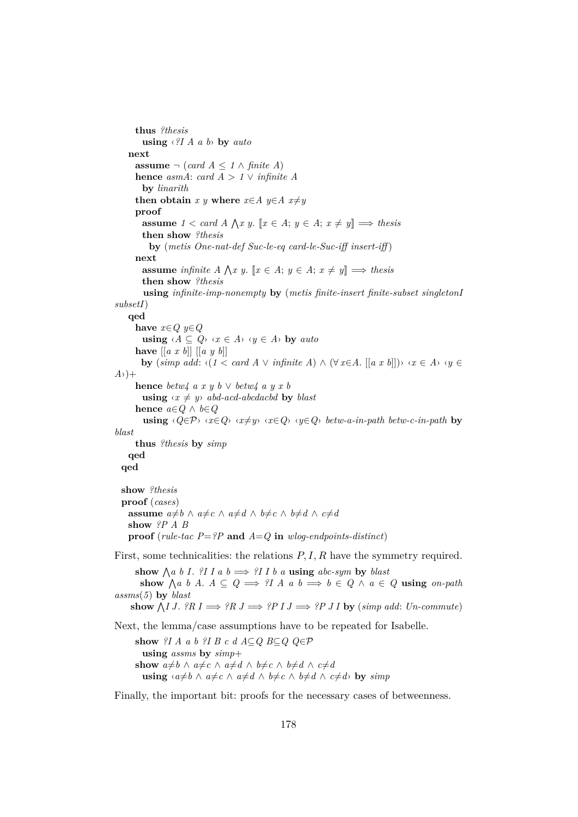```
thus ?thesis
        using ‹?I A a b› by auto
    next
      assume \neg (card A ≤ 1 ∧ finite A)
      hence asmA: card A > 1 \vee infinite Aby linarith
      then obtain x y where x \in A y \in A x \neq yproof
         assume 1 < \text{card } A \wedge x y. \llbracket x \in A; y \in A; x \neq y \rrbracket \implies \text{thesis}then show ?thesis
           by (metis One-nat-def Suc-le-eq card-le-Suc-iff insert-iff )
      next
         assume infinite A \bigwedge x y. [x \in A; y \in A; x \neq y] \implies thesis
        then show ?thesis
         using infinite-imp-nonempty by (metis finite-insert finite-subset singletonI
subsetI)
    qed
      have x∈Q y∈Q
        using \langle A \subseteq Q \rangle \langle x \in A \rangle \langle y \in A \rangle by auto
      have [[a x b]] [[a y b]]
        by (\textit{simp add: } \langle (1 \leq \textit{card } A \vee \textit{infinite } A) \wedge (\forall x \in A, [[a x b]]) \rangle \langle x \in A \rangle \langle y \in A, [[a x b]] \rangle)A<sup>2</sup>)+
      hence betw4 a x y b ∨ betw4 a y x b
        using \langle x \neq y \rangle abd-acd-abcdacbd by blast
      hence a∈Q ∧ b∈Q
         using \langle Q \in \mathcal{P} \rangle \langle x \in Q \rangle \langle x \neq y \rangle \langle x \in Q \rangle \langle y \in Q \rangle betw-a-in-path betw-c-in-path by
blast
      thus ?thesis by simp
    qed
  qed
  show ?thesis
  proof (cases)
    assume a \neq b \land a \neq c \land a \neq d \land b \neq c \land b \neq d \land c \neq dshow ?P A B
    proof (rule-tac P=?P and A=Q in w \log-endpoints-distinct)
First, some technicalities: the relations P, I, R have the symmetry required.
       show \bigwedge a \ b \ I. ?I I a b \implies ?I I b a using abc-sym by blast
        show \bigwedge a \ b \ A. \ A \subseteq Q \implies ?I \ A \ a \ b \implies b \in Q \ \wedge \ a \in Q \ using \text{on-path}assms(5) by blast
     \mathbf{show }\bigwedge I \, J. ?R \, I \Longrightarrow ?R \, J \Longrightarrow ?P \, I \, J \Longrightarrow ?P \, J \, I \, \mathbf{by} \, (simp \, add: \, Un-commute)Next, the lemma/case assumptions have to be repeated for Isabelle.
      show ?I A a b ?I B c d A⊆Q B⊆Q Q∈P
        using assms by simp+
```
Finally, the important bit: proofs for the necessary cases of betweenness.

**using**  $\langle a \neq b \land a \neq c \land a \neq d \land b \neq c \land b \neq d \land c \neq d$  **by** *simp* 

**show**  $a \neq b \land a \neq c \land a \neq d \land b \neq c \land b \neq d \land c \neq d$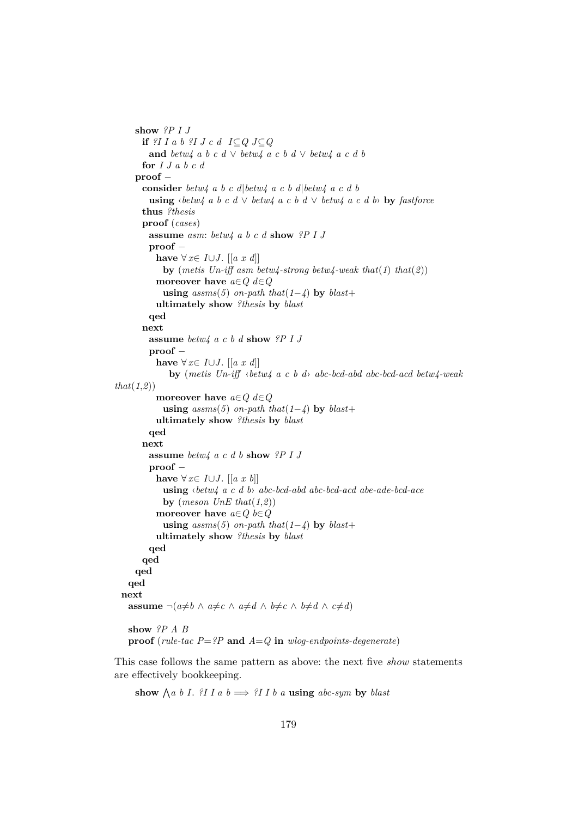```
show ?P I J
      if ?I I a b ?I J c d I⊆Q J⊆Q
        and betw4 a b c d ∨ betw4 a c b d ∨ betw4 a c d b
      for I J a b c d
    proof −
      consider betw4 a b c d|betw4 a c b d|betw4 a c d b
        using \langle \theta e^{\mu} \rangle b c d \vee betw4 a c b d \vee betw4 a c d b by fastforce
      thus ?thesis
      proof (cases)
        assume asm: betw4 a b c d show ?P I J
        proof −
         have ∀ x \in I \cup J. [[a x d]]
           by (metis Un-iff asm betw4-strong betw4-weak that(1) that(2))
         moreover have a∈Q d∈Q
           using assms(5) on-path that(1−4) by blast+
         ultimately show ?thesis by blast
        qed
      next
        assume betw4 a c b d show ?P I J
        proof −
         have ∀ x \in I \cup J. [[a x d]]
            by (metis Un-iff ‹betw4 a c b d› abc-bcd-abd abc-bcd-acd betw4-weak
that(1,2))
         moreover have a∈Q d∈Q
           using assms(5) on-path that(1−4) by blast+
         ultimately show ?thesis by blast
        qed
      next
        assume betw4 a c d b show ?P I J
        proof −
         have ∀ x \in I \cup J. [[a x b]]
           using ‹betw4 a c d b› abc-bcd-abd abc-bcd-acd abe-ade-bcd-ace
           by (meson UnE that(1,2))
         moreover have a∈Q b∈Q
           using assms(5) on-path that(1−4) by blast+
         ultimately show ?thesis by blast
        qed
      qed
    qed
   qed
 next
   assume \neg(a \neq b \land a \neq c \land a \neq d \land b \neq c \land b \neq d \land c \neq d)show ?P A B
   proof (rule-tac P=?P and A=Q in wlog-endpoints-degenerate)
```
This case follows the same pattern as above: the next five *show* statements are effectively bookkeeping.

show  $\bigwedge a \ b \ I$ . *?I I a*  $b \implies$  *?I I b a* **using** *abc-sym* by *blast*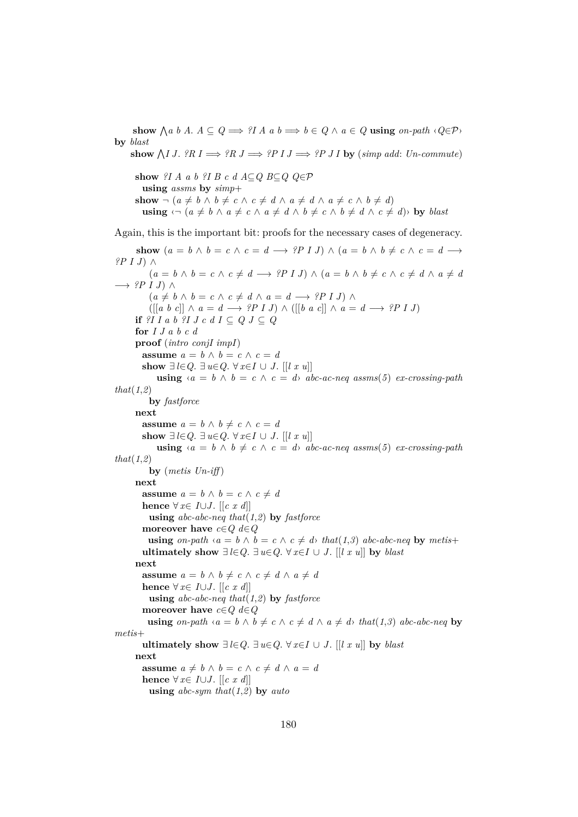show  $\bigwedge a \ b \ A. \ A \subseteq Q \Longrightarrow ?I \ A \ a \ b \Longrightarrow b \in Q \ \wedge \ a \in Q \ \text{using} \ on \ \text{-path} \ \langle Q \in \mathcal{P} \rangle$ **by** *blast*  $\mathbf{show }\bigwedge I \, J.$   $?R \, I \Longrightarrow ?R \, J \Longrightarrow ?P \, I \, J \Longrightarrow ?P \, J \, I \, \mathbf{by} \, (simp \, add: \, Un-commute)$ **show** *?I A a b ?I B c d A* $\subseteq$ *Q B* $\subseteq$ *Q Q* $\in$ *P* **using** *assms* **by** *simp*+ **show**  $\neg (a \neq b \land b \neq c \land c \neq d \land a \neq d \land a \neq c \land b \neq d)$  $using \neg (a \neq b \land a \neq c \land a \neq d \land b \neq c \land b \neq d \land c \neq d)$  by *blast* Again, this is the important bit: proofs for the necessary cases of degeneracy. **show**  $(a = b \land b = c \land c = d \rightarrow ?P \cup J) \land (a = b \land b \neq c \land c = d \rightarrow$ *?P I J*) ∧  $(a = b \land b = c \land c \neq d \rightarrow ?P \cup J) \land (a = b \land b \neq c \land c \neq d \land a \neq d$ −→ *?P I J*) ∧  $(a \neq b \land b = c \land c \neq d \land a = d \longrightarrow ?P I J \land \neg b$ ([[*a b c*]] ∧ *a* = *d* −→ *?P I J*) ∧ ([[*b a c*]] ∧ *a* = *d* −→ *?P I J*) **if**  $?I I a b ?I J c d I \subseteq Q J \subseteq Q$ **for** *I J a b c d* **proof** (*intro conjI impI*) **assume**  $a = b \land b = c \land c = d$ **show** ∃*l*∈*Q*. ∃*u*∈*Q*. ∀ *x*∈*I* ∪ *J*. [[*l x u*]] **using**  $\langle a \rangle = b \land b = c \land c = d \rangle$  *abc-ac-neq assms*(5) *ex-crossing-path that*(*1*,*2*) **by** *fastforce* **next assume**  $a = b \land b \neq c \land c = d$ **show** ∃*l*∈*Q*. ∃*u*∈*Q*. ∀*x*∈*I* ∪ *J*. [[*l x u*]] **using**  $\langle a = b \land b \neq c \land c = d \rangle$  *abc-ac-neq assms*(5) *ex-crossing-path that*(*1*,*2*) **by** (*metis Un-iff* ) **next assume**  $a = b \land b = c \land c \neq d$ **hence** ∀ *x*∈ *I*∪*J*. [[*c x d*]] **using** *abc-abc-neq that*(*1*,*2*) **by** *fastforce* **moreover have** *c*∈*Q d*∈*Q* **using** *on-path*  $\langle a = b \land b = c \land c \neq d \rangle$  *that*(1,3) *abc-abc-neq* by *metis*+ **ultimately show** ∃*l*∈*Q*. ∃*u*∈*Q*. ∀*x*∈*I* ∪ *J*. [[*l x u*]] **by** *blast* **next assume**  $a = b \land b \neq c \land c \neq d \land a \neq d$ **hence** ∀ *x*∈ *I*∪*J*. [[*c x d*]] **using** *abc-abc-neq that*(*1*,*2*) **by** *fastforce* **moreover have** *c*∈*Q d*∈*Q* **using** *on-path*  $\langle a = b \land b \neq c \land c \neq d \land a \neq d \rangle$  *that*(1,3) *abc-abc-neq* by *metis*+ **ultimately show** ∃*l*∈*Q*. ∃*u*∈*Q*. ∀*x*∈*I* ∪ *J*. [[*l x u*]] **by** *blast* **next assume**  $a \neq b \land b = c \land c \neq d \land a = d$ **hence**  $\forall x \in I \cup J$ . [[*c x d*]] **using** *abc-sym that*(*1*,*2*) **by** *auto*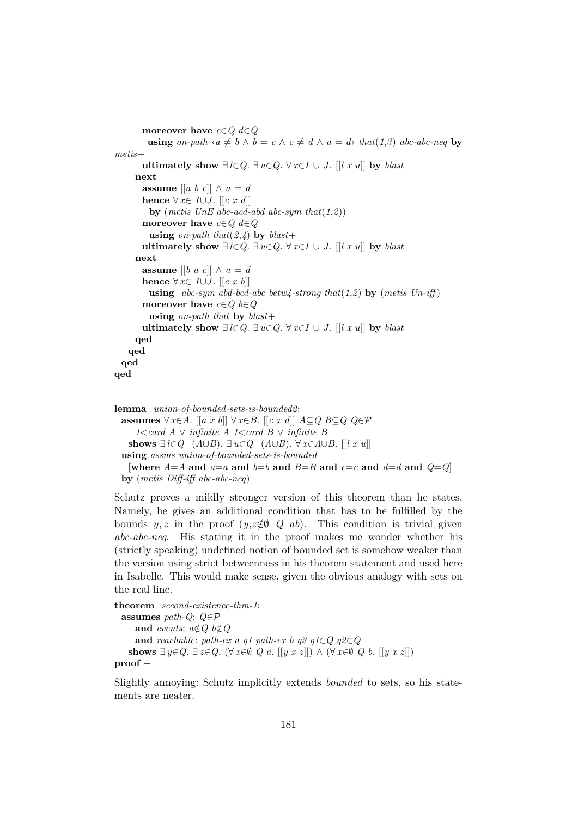```
moreover have c∈Q d∈Q
        using on-path \langle a \neq b \land b = c \land c \neq d \land a = d \rangle that(1,3) abc-abc-neq by
metis+
       ultimately show ∃ l∈Q. ∃ u∈Q. ∀ x∈I ∪ J. [[l x u]] by blast
     next
      assume \begin{bmatrix} a & b & c \end{bmatrix} \wedge a = dhence \forall x \in I \cup J. [[c x d]]
        by (metis UnE abc-acd-abd abc-sym that(1,2))
      moreover have c∈Q d∈Q
        using on-path that(2,\lambda) by blast+
       ultimately show ∃ l∈Q. ∃ u∈Q. ∀ x∈I ∪ J. [[l x u]] by blast
     next
      assume [[b \ a \ c]] \wedge a = dhence ∀ x∈ I∪J. [[c x b]]
        using abc-sym abd-bcd-abc betw4-strong that(1,2) by (metis Un-iff )
      moreover have c∈Q b∈Q
        using on-path that by blast+
      ultimately show ∃l∈Q. ∃ u∈Q. ∀ x∈I ∪ J. [[l x u]] by blast
     qed
   qed
 qed
qed
lemma union-of-bounded-sets-is-bounded2:
```
**assumes** ∀ *x*∈*A*. [[*a x b*]] ∀ *x*∈*B*. [[*c x d*]] *A*⊆*Q B*⊆*Q Q*∈P *1*<*card A* ∨ *infinite A 1*<*card B* ∨ *infinite B* **shows** ∃ *l*∈*Q*−(*A*∪*B*). ∃ *u*∈*Q*−(*A*∪*B*). ∀ *x*∈*A*∪*B*. [[*l x u*]] **using** *assms union-of-bounded-sets-is-bounded* [where  $A = A$  and  $a = a$  and  $b = b$  and  $B = B$  and  $c = c$  and  $d = d$  and  $Q = Q$ ] **by** (*metis Diff-iff abc-abc-neq*)

Schutz proves a mildly stronger version of this theorem than he states. Namely, he gives an additional condition that has to be fulfilled by the bounds y, z in the proof  $(y, z \notin \emptyset \ Q \ ab)$ . This condition is trivial given *abc-abc-neq*. His stating it in the proof makes me wonder whether his (strictly speaking) undefined notion of bounded set is somehow weaker than the version using strict betweenness in his theorem statement and used here in Isabelle. This would make sense, given the obvious analogy with sets on the real line.

```
theorem second-existence-thm-1:
 assumes path-Q: Q∈P
    and events: a \notin Q b\notin Qand reachable: path-ex a q1 path-ex b q2 q1∈Q q2 ∈ Qshows ∃ y∈Q. ∃ z∈Q. (∀ x∈Ø Q a. [[y x z]]) ∧ (∀ x∈Ø Q b. [[y x z]])
proof −
```
Slightly annoying: Schutz implicitly extends *bounded* to sets, so his statements are neater.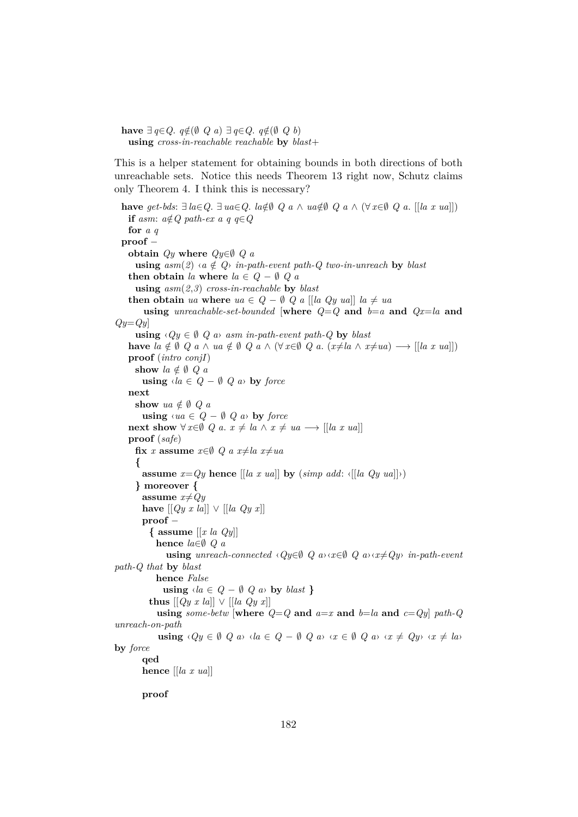**have** ∃ *q*∈*Q*.  $q \notin (\emptyset \ Q \ a) \ \exists \ q \in Q \ a \notin (\emptyset \ Q \ b)$ **using** *cross-in-reachable reachable* **by** *blast*+

This is a helper statement for obtaining bounds in both directions of both unreachable sets. Notice this needs Theorem 13 right now, Schutz claims only Theorem 4. I think this is necessary?

```
have get-bds: \exists la \in Q. \exists ua \in Q. la \notin \emptyset Q a ∧ ua \notin \emptyset Q a ∧ (\forall x \in \emptyset Q a. [[la x ua]])
    if asm: a \notin Q path-ex a q q∈Q
    for a q
  proof −
    obtain Qy where Qy \in \emptyset Q a
       using asm(2) \triangleleft a \notin Q in-path-event path-Q two-in-unreach by blast
    then obtain la where la \in Q - \emptyset Q a
       using asm(2,3) cross-in-reachable by blast
    then obtain ua where ua \in Q - \emptyset Q a [[la Qy ua]] la \neq uausing unreachable-set-bounded [where Q=Q and b=a and Qx=la and
Qy=Qy]
       using \langle Qy \in \emptyset \ Q \ a \rangle asm in-path-event path-Q by blast
    have la \notin \emptyset Q a \wedge ua \notin \emptyset Q a \wedge (\forall x \in \emptyset Q a \in (x \neq la \wedge x \neq ua) \longrightarrow [[la x \vee a]]proof (intro conjI)
       show la \notin \emptyset Q a
         using \langle la \in Q - \emptyset \ Q \ a \rangle by force
    next
       show ua \notin \emptyset Q a
         using \langle ua \in Q - \emptyset Q \rangle by force
    next show ∀ x∈∅ Q a. x \neq la \land x \neq ua \rightarrow [[la x ua]]
    proof (safe)
       fix x assume x∈Ø Q a x≠la x≠ua
       {
         assume x=Qy hence \left[ \begin{bmatrix} a & x & ua \end{bmatrix} \right] by \left( \textit{simp add: } \left\{ \begin{bmatrix} \begin{bmatrix} a & Qy & ua \end{bmatrix} \end{bmatrix} \right) \right)} moreover {
         assume x \neq Qyhave [[Qy \ x \ la]] \lor [[la \ Qy \ x]]proof −
            { assume [[x la Qy]]
              hence la∈∅ Q a
                 using unreach-connected \langle Qy \in \emptyset \mid Q \text{ a} \rangle \langle x \in \emptyset \mid Q \text{ a} \rangle \langle x \neq Qy \rangle in-path-event
path-Q that by blast
              hence False
                using \langle la \in Q - \emptyset Q \rangle a\rangle by blast }
            thus [Qy \ x \ la] \lor [Ia \ Qy \ x]using some-betw [where Q = Q and a=x and b=la and c=Qy] path-Q
unreach-on-path
               using \langle Qy \in \emptyset \ Q \ a \rangle \ \langle a \in Q - \emptyset \ Q \ a \rangle \ \langle x \in \emptyset \ Q \ a \rangle \ \langle x \neq Qy \rangle \ \langle x \neq la \rangleby force
         qed
         hence [[la x ua]]
```
**proof**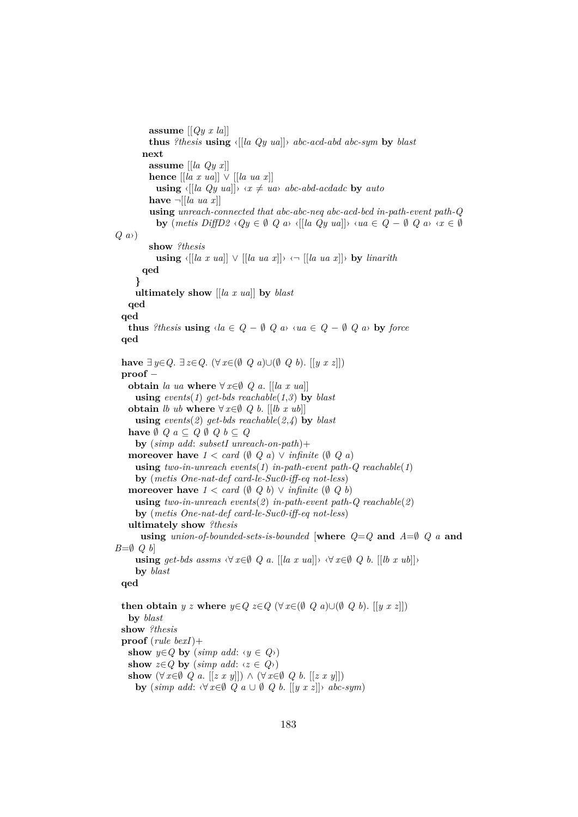**assume** [[*Qy x la*]] **thus** *?thesis* **using** ‹[[*la Qy ua*]]› *abc-acd-abd abc-sym* **by** *blast* **next assume** [[*la Qy x*]] **hence**  $\left[ \left[ \ln x \text{ ua} \right] \right] \vee \left[ \left[ \ln u \right] x \right]$ **using**  $\langle [[a \ Qy \ ua]] \rangle \langle x \neq ua \rangle$  *abc-abd-acdadc* by *auto* **have**  $\neg$  [[*la ua x*]] **using** *unreach-connected that abc-abc-neq abc-acd-bcd in-path-event path-Q* **by**  $(metis\ DiffD2 \cdot Qy \in \emptyset \ Q \ a$ <sup>}</sup>  $\{[[a\ Qy\ ua]]\} \cdot \{ua \in Q - \emptyset \ Q \ a$ <sup>}</sup>  $\{x \in \emptyset \}$ *Q a*›) **show** *?thesis* **using**  $\langle \left[ \lceil \ln x \, u \rceil \right] \rangle \sqrt{\left[ \lceil \ln u \, x \, x \rceil \right]} \rangle \langle \neg \left[ \lceil \ln u \, x \, x \rceil \right] \rangle$  by *linarith* **qed } ultimately show** [[*la x ua*]] **by** *blast* **qed qed thus** *?thesis* **using**  $\langle la \in Q - \emptyset \ Q \ a \rangle \ \langle ua \in Q - \emptyset \ Q \ a \rangle$  **by** *force* **qed have** ∃ *y*∈*Q*. ∃ *z*∈*Q*. (∀ *x*∈( $\emptyset$  *Q a*)∪( $\emptyset$  *Q b*). [[*y x z*]]) **proof** − **obtain** *la ua* **where**  $\forall x \in \emptyset$  *Q a.* [[*la x ua*]] **using** *events*(*1*) *get-bds reachable*(*1*,*3*) **by** *blast* **obtain** *lb ub* **where**  $\forall x \in \emptyset$  *Q b.* [[*lb x ub*]] **using**  $events(2)$   $qet-bds$  reachable $(2,4)$  **by** *blast* **have**  $\emptyset$   $Q$   $a \subseteq Q$   $\emptyset$   $Q$   $b \subseteq Q$ **by** (*simp add*: *subsetI unreach-on-path*)+ **moreover have**  $1 < \text{card } (\emptyset \ Q \ a) \lor \text{infinite } (\emptyset \ Q \ a)$ **using** *two-in-unreach events*(*1*) *in-path-event path-Q reachable*(*1*) **by** (*metis One-nat-def card-le-Suc0-iff-eq not-less*) **moreover have**  $1 < \text{card } (\emptyset \ Q \ b) \lor \text{infinite } (\emptyset \ Q \ b)$ **using** *two-in-unreach events*(*2*) *in-path-event path-Q reachable*(*2*) **by** (*metis One-nat-def card-le-Suc0-iff-eq not-less*) **ultimately show** *?thesis* **using** *union-of-bounded-sets-is-bounded* [**where** *Q*=*Q* **and** *A*=∅ *Q a* **and** *B*=*Q Q b*] **using**  $get-bds$  assms  $\forall x \in \emptyset$  *Q a*. [[*la x ua*]] $\forall x \in \emptyset$  *Q b*. [[*lb x ub*]] $\forall x \in \emptyset$ **by** *blast* **qed then obtain**  $y \, z$  where  $y \in Q$   $z \in Q$  ( $\forall x \in (\emptyset \, Q \, a) \cup (\emptyset \, Q \, b)$ . [[ $y \, x \, z$ ]]) **by** *blast* **show** *?thesis* **proof** (*rule bexI*)+ **show** *y*∈*Q* **by** (*simp add*:  $\langle y \in Q \rangle$ ) **show**  $z \in Q$  **by** (*simp add:*  $\langle z \in Q \rangle$ ) **show**  $(\forall x \in \emptyset \ Q \ a$ . [[z x y]]) ∧  $(\forall x \in \emptyset \ Q \ b$ . [[z x y]]) **by**  $(\textit{simp add:} \langle \forall x \in \emptyset \ Q \ a \cup \emptyset \ Q \ b. \ [[y \ x \ z]] \rangle \ abc-sym)$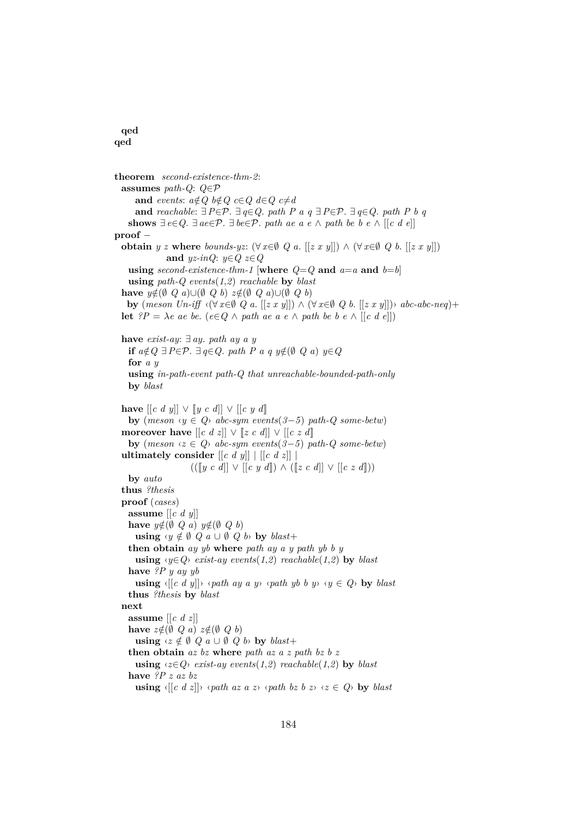## **qed qed**

**theorem** *second-existence-thm-2*: **assumes** *path-Q*: *Q*∈P **and** *events*:  $a \notin Q$   $b \notin Q$   $c \in Q$   $d \in Q$   $c \neq d$ **and** *reachable*: ∃*P*∈P. ∃ *q*∈*Q*. *path P a q* ∃*P*∈P. ∃ *q*∈*Q*. *path P b q* **shows**  $∃ e∈Q. ∃ ae∈P. ∃ be∈P. path ae a e ∧ path be b e ∧ [[c d e]]$ **proof** − **obtain** *y z* **where** *bounds-yz*:  $(\forall x \in \emptyset \ Q \ a$ .  $[[z \ x \ y]]) \land (\forall x \in \emptyset \ Q \ b$ .  $[[z \ x \ y]])$ **and** *yz-inQ*: *y*∈*Q z*∈*Q* **using** *second-existence-thm-1* [where  $Q = Q$  and  $a=a$  and  $b=b$ ] **using** *path-Q events*(*1*,*2*) *reachable* **by** *blast* **have**  $y \notin (\emptyset \ Q \ a) \cup (\emptyset \ Q \ b) \ z \notin (\emptyset \ Q \ a) \cup (\emptyset \ Q \ b)$ **by**  $(meson Un-if$   $\forall$   $(x \in \emptyset \ Q \ a. \ |[z \ x \ y]]) \land (\forall x \in \emptyset \ Q \ b. \ |[z \ x \ y]]) \land abc \ ab \ c \ \ ne \ c)$ + **let**  $?P = \lambda e$  ae be. ( $e \in Q \land path$  ae a  $e \land path$  be b  $e \land [(c \ d \ e]]$ ) **have** *exist-ay*: ∃ *ay*. *path ay a y* **if**  $a \notin Q$  ∃  $P \in \mathcal{P}$ . ∃  $q \in Q$ . path  $P$  a  $q$   $y \notin (\emptyset \ Q \ a)$   $y \in Q$ **for** *a y* **using** *in-path-event path-Q that unreachable-bounded-path-only* **by** *blast* **have**  $[[c \ d \ y]] \lor [[y \ c \ d]] \lor [[c \ y \ d]]$ **by**  $(meson \t y \in Q)$  *abc-sym events* $(3-5)$  *path-Q some-betw*) **moreover have**  $[[c \ d \ z]] \lor [[z \ c \ d]] \lor [[c \ z \ d]]$ **by** (*meson* ‹*z* ∈ *Q*› *abc-sym events*(*3*−*5*) *path-Q some-betw*) **ultimately consider**  $\left[ \begin{bmatrix} c & d & y \end{bmatrix} \right] \left[ \begin{bmatrix} c & d & z \end{bmatrix} \right]$  $(([[y c d]] ∨ [[c y d]]) ∧ [[z c d]] ∨ [[c z d]])$ **by** *auto* **thus** *?thesis* **proof** (*cases*) **assume** [[*c d y*]] **have**  $y \notin (\emptyset \ Q \ a) \ y \notin (\emptyset \ Q \ b)$ **using**  $\forall y \notin \emptyset$   $Q \in \emptyset$   $Q \in \emptyset$  by  $black$ **then obtain** *ay yb* **where** *path ay a y path yb b y* **using**  $\langle y \in Q \rangle$  *exist-ay events*(1,2) *reachable*(1,2) **by** *blast* **have** *?P y ay yb* **using**  $\{[c \ d \ y]\}$   $\{path \ ay \ a \ y \ \phi \ path \ y \ b \ y \ \ y \ \phi \in Q$  **by** *blast* **thus** *?thesis* **by** *blast* **next assume** [[*c d z*]] **have**  $z \notin (\emptyset \ Q \ a) \ z \notin (\emptyset \ Q \ b)$ **using**  $\{z \notin \emptyset \ Q \ a \cup \emptyset \ Q \ b$  **by**  $\mathit{blast}$ + **then obtain** *az bz* **where** *path az a z path bz b z* **using**  $\langle z \in Q \rangle$  *exist-ay events* $(1,2)$  *reachable* $(1,2)$  **by** *blast* **have** *?P z az bz* **using**  $\langle [c \ d \ z] \rangle \ \langle \ \rangle$  *(path az a z*)  $\langle \ \rangle$  *path bz b z*)  $\langle z \in Q \rangle$  by *blast*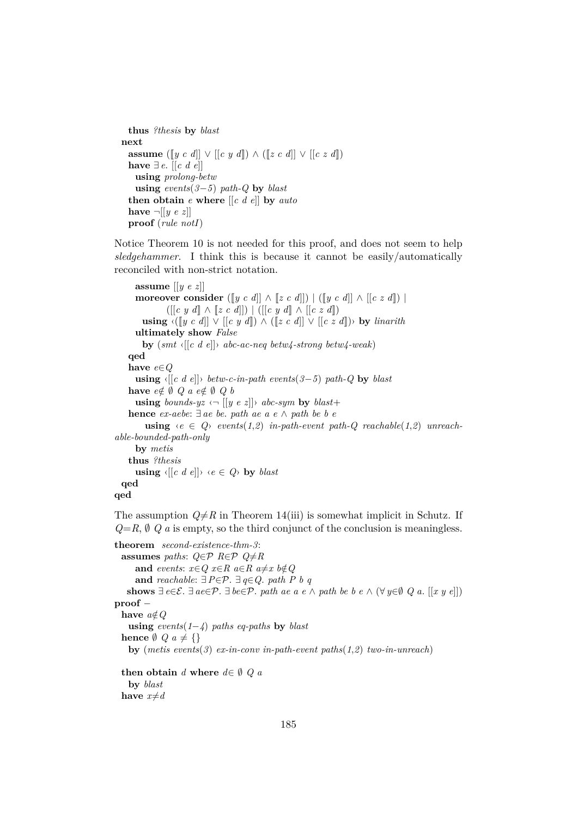```
thus ?thesis by blast
next
 assume ([[y \ c \ d]] \lor [[c \ y \ d]] \land ([z \ c \ d]] \lor [[c \ z \ d]])have ∃ e. [[c d e]]
   using prolong-betw
   using events(3−5) path-Q by blast
 then obtain e where [[c d e]] by auto
 have \neg [y e z]proof (rule notI)
```
Notice Theorem 10 is not needed for this proof, and does not seem to help *sledgehammer*. I think this is because it cannot be easily/automatically reconciled with non-strict notation.

```
assume [[y e z]]
      moreover consider ([ [y \ c \ d]] \wedge [z \ c \ d]]) | ([ [y \ c \ d]] \wedge [ [c \ z \ d]]) |
                ([[c y d]] ∧ [[z c d]]) | ([[c y d]] ∧ [[c z d]])
        using \langle [y \ c \ d]] \ \rangle [[c y d]) ∧ ([[z c d]] \lor [[c z d]]) by linarith
      ultimately show False
        by (smt ‹[[c d e]]› abc-ac-neq betw4-strong betw4-weak)
    qed
    have e∈Q
      using \langle [(c \ d \ e]] \rangle betw-c-in-path events(3−5) path-Q by blast
    have e \notin \emptyset Q a e \notin \emptyset Q busing bounds-yz \langle \neg \left[ \left[ y \ e \ z \right] \right] \rangle abc-sym by blast+
    hence ex-aebe: ∃ ae be. path ae a e ∧ path be b e
         using \langle e \in Q \rangle events(1,2) in-path-event path-Q reachable(1,2) unreach-
able-bounded-path-only
      by metis
    thus ?thesis
      using \langle [c \ d \ e] \rangle \ \langle e \in Q \rangle by blast
  qed
```

```
qed
```
The assumption  $Q \neq R$  in Theorem 14(iii) is somewhat implicit in Schutz. If  $Q=R, \emptyset, Q$  *a* is empty, so the third conjunct of the conclusion is meaningless.

**theorem** *second-existence-thm-3*: **assumes** *paths*:  $Q \in \mathcal{P}$  *R*∈ $\mathcal{P}$  *Q*≠*R* **and** *events*:  $x \in Q$   $x \in R$   $a \in R$   $a \neq x$   $b \notin Q$ **and** *reachable*: ∃*P*∈P. ∃ *q*∈*Q*. *path P b q* shows  $∃ e∈E. ∃ ae∈P. ∃ be∈P. path ae a e ∧ path be b e ∧ (∀ y∈∅ Q a. [[x y e]])$ **proof** − **have**  $a \notin Q$ **using** *events*(*1*−*4*) *paths eq-paths* **by** *blast* **hence**  $\emptyset$   $Q$   $a \neq \{\}$ **by** (*metis events*(*3*) *ex-in-conv in-path-event paths*(*1*,*2*) *two-in-unreach*) **then obtain** *d* **where**  $d \in \emptyset$  *Q a* **by** *blast* **have**  $x \neq d$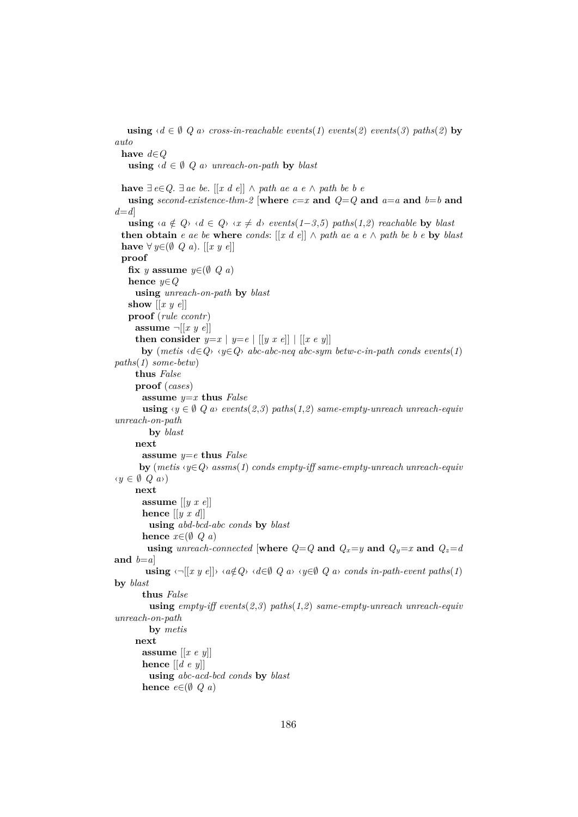**using**  $\{d \in \emptyset \}$  *Q a cross-in-reachable events*(*1*) *events*(*2*) *events*(*3*) *paths*(*2*) **by** *auto* **have** *d*∈*Q* **using**  $\{d \in \emptyset \}$  *Q a unreach-on-path* **by** *blast* **have**  $∃ e∈ Q. ∃ ae be. [[x d e]] ∧ path ae a e ∧ path be b e$ **using** *second-existence-thm-2* [where  $c=x$  and  $Q=Q$  and  $a=a$  and  $b=b$  and *d*=*d*] **using**  $\langle a \notin Q \rangle \langle d \in Q \rangle \langle x \neq d \rangle$  *events*(1-3,5) *paths*(1,2) *reachable* **by** *blast* **then obtain** *e ae be* **where** *conds*:  $[x d e]] \wedge path ae a e \wedge path be b e$ **by** *blast* **have** ∀  $y \in (\emptyset \ Q \ a)$ . [[x y e]] **proof fix** *y* **assume**  $y \in (\emptyset \ Q \ a)$ **hence** *y*∈*Q* **using** *unreach-on-path* **by** *blast* **show** [[*x y e*]] **proof** (*rule ccontr*) **assume**  $\neg$   $[x \ y \ e]]$ **then consider**  $y=x | y=e | [[y x e]] | [[x e y]]$ **by**  $(metis \langle d \in Q \rangle \langle y \in Q \rangle$  *abc-abc-neq abc-sym betw-c-in-path conds events*(*1*) *paths*(*1*) *some-betw*) **thus** *False* **proof** (*cases*) **assume** *y*=*x* **thus** *False* **using**  $\langle y \in \emptyset \mid Q \text{ a} \rangle$  *events* $(2,3)$  *paths* $(1,2)$  *same-empty-unreach unreach-equiv unreach-on-path* **by** *blast* **next assume** *y*=*e* **thus** *False* **by** (*metis* ‹*y*∈*Q*› *assms*(*1*) *conds empty-iff same-empty-unreach unreach-equiv* ‹*y* ∈ ∅ *Q a*›) **next assume** [[*y x e*]] **hence** [[*y x d*]] **using** *abd-bcd-abc conds* **by** *blast* **hence**  $x \in (\emptyset \ Q \ a)$ **using** *unreach-connected* [where  $Q=Q$  and  $Q_x=y$  and  $Q_y=x$  and  $Q_z=d$ and  $b=a$ **using**  $\langle \neg [(x \ y \ e]] \rangle \langle a \notin Q \rangle \langle d \in \emptyset \ Q \ a \rangle \langle y \in \emptyset \ Q \ a \rangle$  *conds in-path-event paths*(1) **by** *blast* **thus** *False* **using** *empty-iff events*(*2*,*3*) *paths*(*1*,*2*) *same-empty-unreach unreach-equiv unreach-on-path* **by** *metis* **next assume** [[*x e y*]] **hence** [[*d e y*]] **using** *abc-acd-bcd conds* **by** *blast* **hence**  $e \in (\emptyset \ Q \ a)$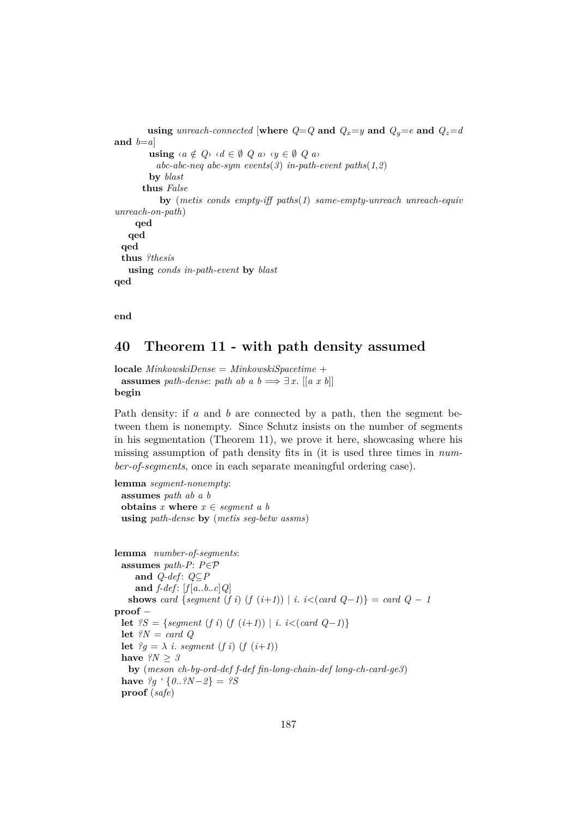```
using unreach-connected [where Q=Q and Q_x=y and Q_y=e and Q_z=dand b=a]
         using \langle a \notin Q \rangle \langle d \in \emptyset \ Q \ a \rangle \langle y \in \emptyset \ Q \ a \rangleabc-abc-neq abc-sym events(3) in-path-event paths(1,2)
         by blast
       thus False
            by (metis conds empty-iff paths(1) same-empty-unreach unreach-equiv
unreach-on-path)
     qed
   qed
 qed
 thus ?thesis
   using conds in-path-event by blast
qed
```
**end**

## **40 Theorem 11 - with path density assumed**

**locale** *MinkowskiDense* = *MinkowskiSpacetime* + **assumes** *path-dense*: *path ab a b*  $\implies \exists x$ . [[*a x b*]] **begin**

Path density: if a and b are connected by a path, then the segment between them is nonempty. Since Schutz insists on the number of segments in his segmentation (Theorem 11), we prove it here, showcasing where his missing assumption of path density fits in (it is used three times in *number-of-segments*, once in each separate meaningful ordering case).

```
lemma segment-nonempty:
 assumes path ab a b
 obtains x where x \in segment \ a \ busing path-dense by (metis seg-betw assms)
```

```
lemma number-of-segments:
 assumes path-P: P∈P
    and Q-def : Q⊆P
    and f-def: [f[a..b..c]Q]shows card {segment (f i) (f (i+1)) | i. i<(card Q-1)} = card Q-1proof −
 let ?S = {segment (f i) (f (i+1)) | i. i < (card (Q-1))}let ?N = card Q
 let ?g = \lambda i. segment (f i) (f (i+1))
 have ?N ≥ 3
   by (meson ch-by-ord-def f-def fin-long-chain-def long-ch-card-ge3)
 have ?q \text{ } (0..?N-2) = ?Sproof (safe)
```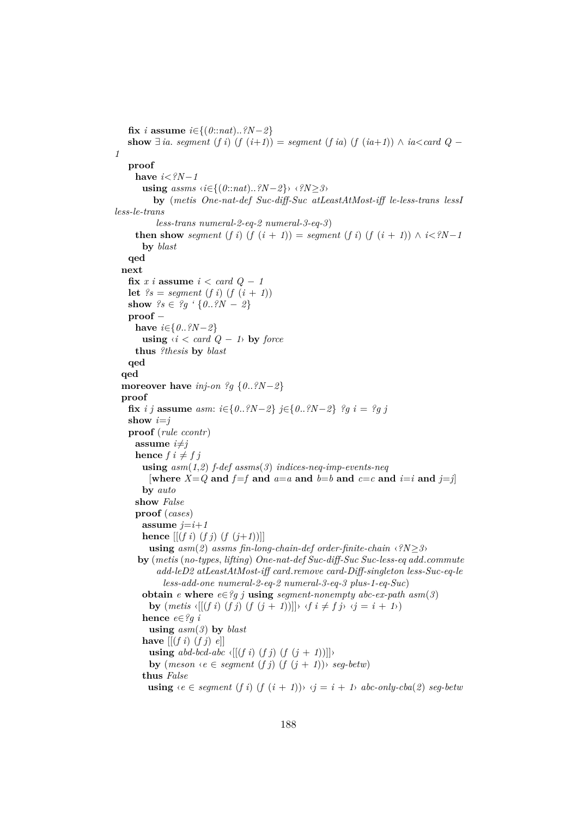```
fix i assume i \in \{(0::nat)...?N-2\}show \exists ia. segment (f i) (f (i+1)) = segment (f ia) (f (ia+1)) ∧ ia<card Q −
1
   proof
     have i<?N−1
       using assms ‹i∈{(0::nat)..?N−2}› ‹?N≥3›
          by (metis One-nat-def Suc-diff-Suc atLeastAtMost-iff le-less-trans lessI
less-le-trans
           less-trans numeral-2-eq-2 numeral-3-eq-3)
     then show segment (f i) (f (i + 1)) = segment (f i) (f (i + 1)) \land i < ?N-1by blast
   qed
 next
   fix x \text{ } i assume i < \text{card } Q - 1let i's = segment (f i) (f (i + 1))show ?s \in ?q \{0..?N-2\}proof −
     have i∈{0..?N−2}
       using \langle i \rangle \langle i \rangle card Q − 1\rangle by force
     thus ?thesis by blast
   qed
  qed
 moreover have inj-on ?g {0..?N−2}
 proof
   fix i j assume asm: i \in \{0..?N-2\} j \in \{0..?N-2\} ?g i = ?g j
   show i=j
   proof (rule ccontr)
     assume i \neq jhence f \neq f \neq fusing asm(1,2) f-def assms(3) indices-neq-imp-events-neq
         [\text{where } X = Q \text{ and } f = f \text{ and } a = a \text{ and } b = b \text{ and } c = c \text{ and } i = i \text{ and } j = j]by auto
     show False
     proof (cases)
       assume j=i+1hence [(f\ i)(f\ j)(f\ (j+1))]using asm(2) assms fin-long-chain-def order-finite-chain \langle ?N \rangle \geq 3by (metis (no-types, lifting) One-nat-def Suc-diff-Suc Suc-less-eq add.commute
           add-leD2 atLeastAtMost-iff card.remove card-Diff-singleton less-Suc-eq-le
             less-add-one numeral-2-eq-2 numeral-3-eq-3 plus-1-eq-Suc)
       obtain e where e \in \mathscr{G}g j using segment-nonempty abc-ex-path asm(3)by (metis \langle [(f\ i)\ (f\ j)\ (f\ (j+1))] \rangle \ \langle f\ i \neq f\ j\rangle \ \langle j = i+1 \rangle)hence e∈?g i
         using asm(3) by blast
       have [(f\ i)(f\ j)\ e]using abd-bcd-abc \langle [(f\ i)\ (f\ j)\ (f\ (j+1))] \rangleby (meson \leq e \leq segment (f \cdot i) (f (i + 1)) \leq seq-betw)thus False
         using \langle e \in segment(f \, i) (f (i + 1)) \rangle \langle i = i + 1 \rangle abc-only-cba(2) seg-betw
```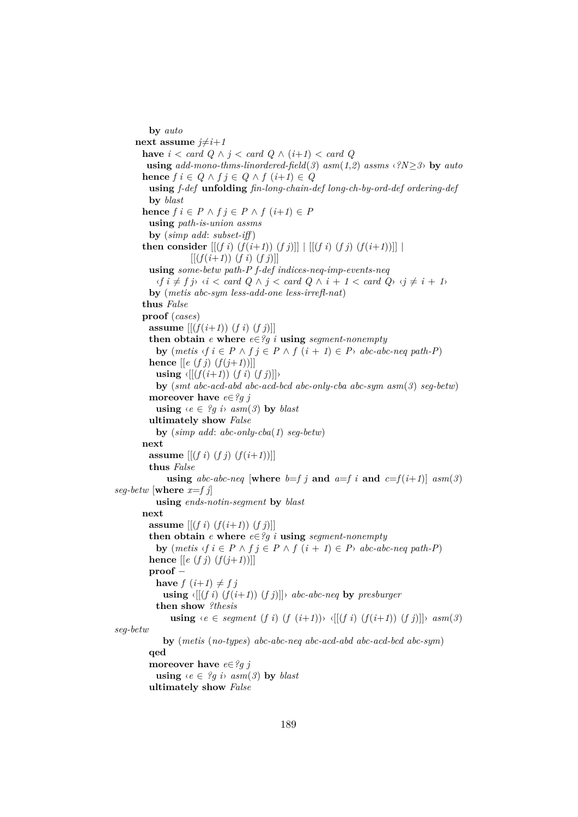**by** *auto* **next** assume  $j \neq i+1$ **have**  $i < \text{card } Q \land j < \text{card } Q \land (i+1) < \text{card } Q$ **using**  $add{\text -}mono{\text -}thms{\text -}linear{\text -}field(3)$   $asm(1,2)$   $assms \langle iN>3 \rangle$  by  $auto$ **hence**  $f$  *i* ∈  $Q$  ∧  $f$  *i* ∈  $Q$  ∧  $f$  (*i*+*1*) ∈  $Q$ **using** *f-def* **unfolding** *fin-long-chain-def long-ch-by-ord-def ordering-def* **by** *blast* **hence**  $f \in P \land f \in P \land f \ (i+1) \in P$ **using** *path-is-union assms* **by** (*simp add*: *subset-iff* ) **then consider**  $[[ (f \ i) (f(i+1)) (f \ j)]]$   $[ [(f \ i) (f \ j) (f(i+1))]]$  $[(f(i+1)) (f i) (f j)]$ **using** *some-betw path-P f-def indices-neq-imp-events-neq*  $\langle f \, i \neq f \, j \rangle \langle i \rangle \langle i \rangle$  card  $Q \wedge j \langle i \rangle$  card  $Q \wedge i + 1 \langle i \rangle$  card  $Q \vee i \neq i + 1$ **by** (*metis abc-sym less-add-one less-irrefl-nat*) **thus** *False* **proof** (*cases*) **assume**  $[(f(i+1))(f(i))(f(j))]$ **then obtain**  $e$  **where**  $e \in \mathscr{C}$ *g i* **using** *segment-nonempty* **by**  $(metis \{f \in P \land f \in P \land f (i + 1) \in P \land abc - abc - neq \ path - P\})$ **hence**  $[[e(fj)(f(j+1))]]$ **using**  $\langle [(f(i+1))(f(i))(f(j))]\rangle$ **by** (*smt abc-acd-abd abc-acd-bcd abc-only-cba abc-sym asm*(*3*) *seg-betw*) **moreover have** *e*∈*?g j* **using**  $\{e \in \mathscr{G} \text{ g } i\}$  *asm* $(\mathscr{G})$  **by** *blast* **ultimately show** *False* **by** (*simp add*: *abc-only-cba*(*1*) *seg-betw*) **next assume**  $[(f\ i)(f\ j)(f(i+1))]$ **thus** *False* **using**  $abc\text{-}abc\text{-}neq$  [where  $b=fj$  and  $a=f(i)$  and  $c=f(i+1)$ ]  $asm(3)$ *seg-betw* [where  $x = f$  *j*] **using** *ends-notin-segment* **by** *blast* **next assume**  $[(f\ i)\ (f(i+1))\ (f\ j)]$ **then obtain**  $e$  **where**  $e \in \mathscr{C}$ *g i* **using** *segment-nonempty* **by**  $(metis \{f \in P \land f \in P \land f (i + 1) \in P \land abc - abc - n e q \ path - P\}$ **hence**  $[ [e (f j) (f(j+1))] ]$ **proof** − **have**  $f(i+1) \neq f j$ **using**  $\{[(f\ i)\ (f(i+1))\ (f\ j)]\}$  *abc-abc-neq* by *presburger* **then show** *?thesis* **using**  $\langle e \in segment (f \ i) (f \ (i+1)) \rangle \ \langle [(f \ i) (f(i+1)) (f \ j)] \rangle \ \text{asm}(3)$ *seg-betw* **by** (*metis* (*no-types*) *abc-abc-neq abc-acd-abd abc-acd-bcd abc-sym*) **qed moreover have** *e*∈*?g j* **using**  $\{e \in \mathscr{L} q \text{ is } \text{asm}(\mathscr{X})\}$  by blast **ultimately show** *False*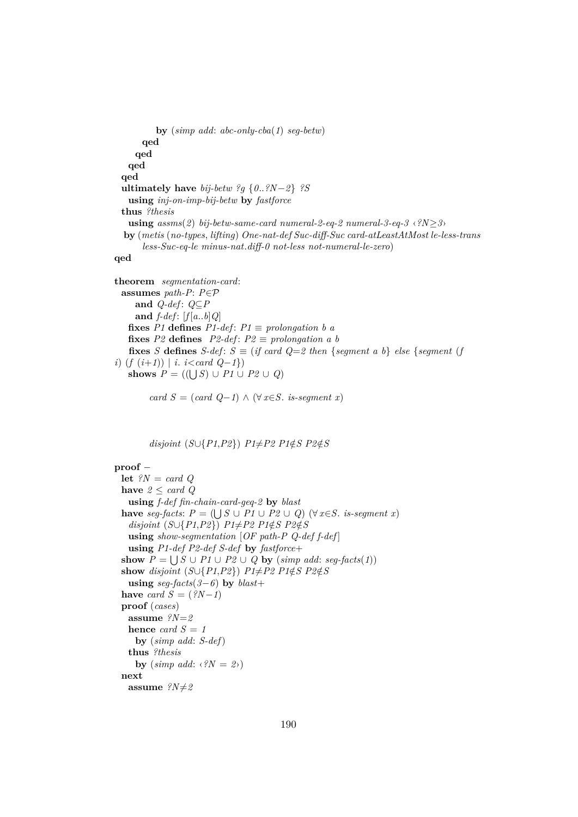```
by (simp add: abc-only-cba(1) seg-betw)
    qed
   qed
 qed
qed
ultimately have bij-betw ?g {0..?N−2} ?S
 using inj-on-imp-bij-betw by fastforce
thus ?thesis
 using assms(2) bij-betw-same-card numeral-2-eq-2 numeral-3-eq-3 \langle ?N \rangleby (metis (no-types, lifting) One-nat-def Suc-diff-Suc card-atLeastAtMost le-less-trans
     less-Suc-eq-le minus-nat.diff-0 not-less not-numeral-le-zero)
```
**qed**

```
theorem segmentation-card:
 assumes path-P: P∈P
    and Q-def : Q⊆P
    and f-def: [f[a..b]Q]fixes P1 defines P1-def: P1 \equiv prolongation b a
   fixes P2 defines P2-def: P2 \equiv prolongation a b
   fixes S defines S-def : S ≡ (if card Q=2 then {segment a b} else {segment (f
i) (f (i+1)) | i. i<card Q−1})
   shows P = ((\bigcup S) \cup P1 \cup P2 \cup Q)
```

```
card S = (card Q−1) \wedge (\forall x \in S. is-segment x)
```
 $disjoint(S \cup \{P1, P2\})$   $P1 \neq P2$   $P1 \notin S$   $P2 \notin S$ 

## **proof** −

```
let ?N = card Q
have 2 \leq \text{card } Qusing f-def fin-chain-card-geq-2 by blast
have seg-facts: P = (\bigcup S \cup P1 \cup P2 \cup Q) (\forall x \in S. is-segment x)
 disjoint(S\cup\{P1,P2\}) P1 \neq P2 P1 \notin S P2 \notin Susing show-segmentation [OF path-P Q-def f-def ]
 using P1-def P2-def S-def by fastforce+
show P = \bigcup S \cup P1 \cup P2 \cup Q by (simp add: seg-facts(1))
show disjoint (S \cup \{P1, P2\}) P1\neqP2 P1\notinS P2\notinS
 using seg-facts(3−6) by blast+
have card S = (?N-1)proof (cases)
 assume ?N=2
 hence card S = 1by (simp add: S-def)
 thus ?thesis
   by (\textit{simp add}: \langle ?N = 2 \rangle)next
 assume ?N \neq 2
```